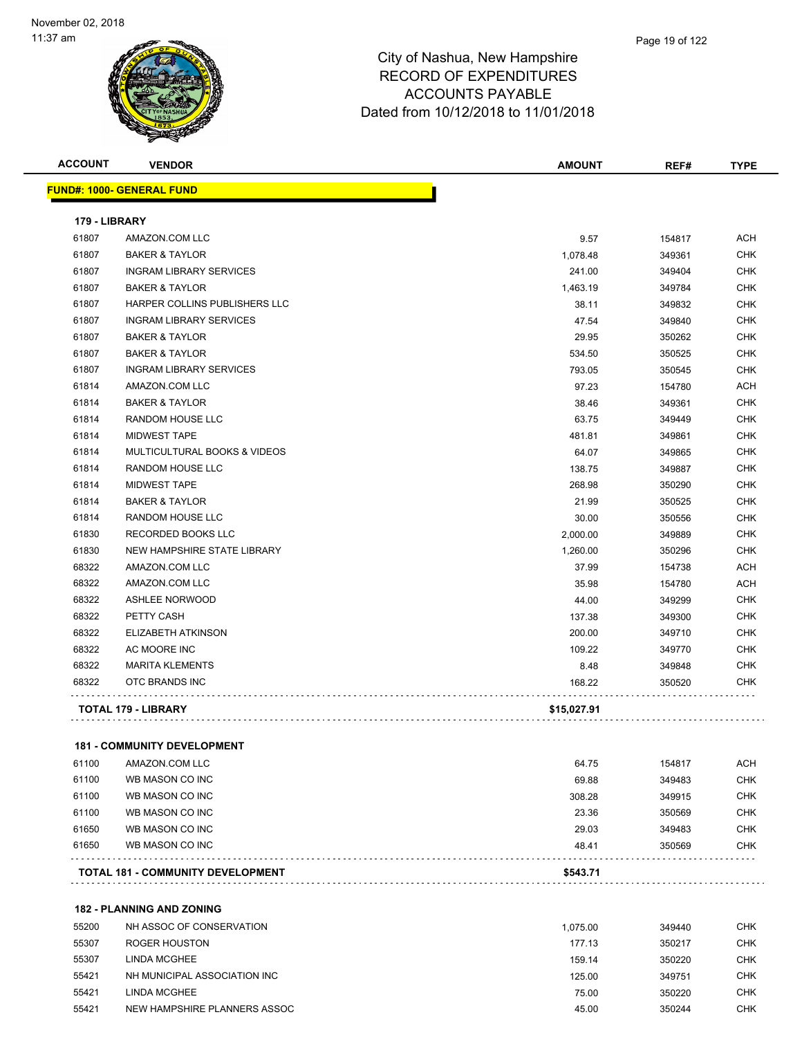

| <b>ACCOUNT</b> | <b>VENDOR</b>                            | <b>AMOUNT</b> | REF#             | <b>TYPE</b> |
|----------------|------------------------------------------|---------------|------------------|-------------|
|                | <b>FUND#: 1000- GENERAL FUND</b>         |               |                  |             |
| 179 - LIBRARY  |                                          |               |                  |             |
| 61807          | AMAZON.COM LLC                           | 9.57          | 154817           | <b>ACH</b>  |
| 61807          | <b>BAKER &amp; TAYLOR</b>                | 1,078.48      | 349361           | <b>CHK</b>  |
| 61807          | <b>INGRAM LIBRARY SERVICES</b>           | 241.00        | 349404           | <b>CHK</b>  |
| 61807          | <b>BAKER &amp; TAYLOR</b>                | 1.463.19      | 349784           | CHK         |
| 61807          | HARPER COLLINS PUBLISHERS LLC            | 38.11         | 349832           | <b>CHK</b>  |
| 61807          | <b>INGRAM LIBRARY SERVICES</b>           | 47.54         | 349840           | <b>CHK</b>  |
| 61807          | <b>BAKER &amp; TAYLOR</b>                | 29.95         | 350262           | CHK         |
| 61807          | <b>BAKER &amp; TAYLOR</b>                | 534.50        | 350525           | <b>CHK</b>  |
| 61807          | <b>INGRAM LIBRARY SERVICES</b>           | 793.05        | 350545           | CHK         |
| 61814          | AMAZON.COM LLC                           | 97.23         | 154780           | <b>ACH</b>  |
| 61814          | <b>BAKER &amp; TAYLOR</b>                | 38.46         | 349361           | <b>CHK</b>  |
| 61814          | RANDOM HOUSE LLC                         | 63.75         | 349449           | CHK         |
| 61814          | <b>MIDWEST TAPE</b>                      | 481.81        | 349861           | <b>CHK</b>  |
| 61814          | MULTICULTURAL BOOKS & VIDEOS             | 64.07         | 349865           | <b>CHK</b>  |
| 61814          | <b>RANDOM HOUSE LLC</b>                  | 138.75        | 349887           | CHK         |
| 61814          | <b>MIDWEST TAPE</b>                      | 268.98        | 350290           | <b>CHK</b>  |
| 61814          | <b>BAKER &amp; TAYLOR</b>                | 21.99         | 350525           | CHK         |
| 61814          | RANDOM HOUSE LLC                         | 30.00         | 350556           | CHK         |
| 61830          | RECORDED BOOKS LLC                       | 2,000.00      | 349889           | <b>CHK</b>  |
| 61830          | NEW HAMPSHIRE STATE LIBRARY              | 1,260.00      | 350296           | CHK         |
| 68322          | AMAZON.COM LLC                           | 37.99         | 154738           | ACH         |
| 68322          | AMAZON.COM LLC                           | 35.98         | 154780           | <b>ACH</b>  |
| 68322          | <b>ASHLEE NORWOOD</b>                    | 44.00         | 349299           | CHK         |
| 68322          | PETTY CASH                               | 137.38        | 349300           | <b>CHK</b>  |
| 68322          | ELIZABETH ATKINSON                       | 200.00        | 349710           | <b>CHK</b>  |
| 68322          | AC MOORE INC                             | 109.22        | 349770           | CHK         |
| 68322          | <b>MARITA KLEMENTS</b>                   | 8.48          | 349848           | <b>CHK</b>  |
| 68322          | OTC BRANDS INC                           | 168.22        | 350520           | CHK         |
|                | TOTAL 179 - LIBRARY                      | \$15,027.91   |                  |             |
|                | <b>181 - COMMUNITY DEVELOPMENT</b>       |               |                  |             |
| 61100          | AMAZON.COM LLC                           | 64.75         | 154817           | <b>ACH</b>  |
| 61100          | WB MASON CO INC                          | 69.88         |                  | <b>CHK</b>  |
| 61100          | WB MASON CO INC                          | 308.28        | 349483<br>349915 | <b>CHK</b>  |
| 61100          | WB MASON CO INC                          | 23.36         | 350569           | <b>CHK</b>  |
| 61650          | WB MASON CO INC                          | 29.03         | 349483           | <b>CHK</b>  |
| 61650          | WB MASON CO INC                          | 48.41         | 350569           | CHK         |
|                |                                          |               |                  |             |
|                | <b>TOTAL 181 - COMMUNITY DEVELOPMENT</b> | \$543.71      |                  |             |

**182 - PLANNING AND ZONING**

| 55200 | NH ASSOC OF CONSERVATION     | 1.075.00 | 349440 | <b>CHK</b> |
|-------|------------------------------|----------|--------|------------|
| 55307 | ROGER HOUSTON                | 177.13   | 350217 | <b>CHK</b> |
| 55307 | LINDA MCGHEE                 | 159.14   | 350220 | <b>CHK</b> |
| 55421 | NH MUNICIPAL ASSOCIATION INC | 125.00   | 349751 | CHK        |
| 55421 | LINDA MCGHEE                 | 75.00    | 350220 | <b>CHK</b> |
| 55421 | NEW HAMPSHIRE PLANNERS ASSOC | 45.00    | 350244 | <b>CHK</b> |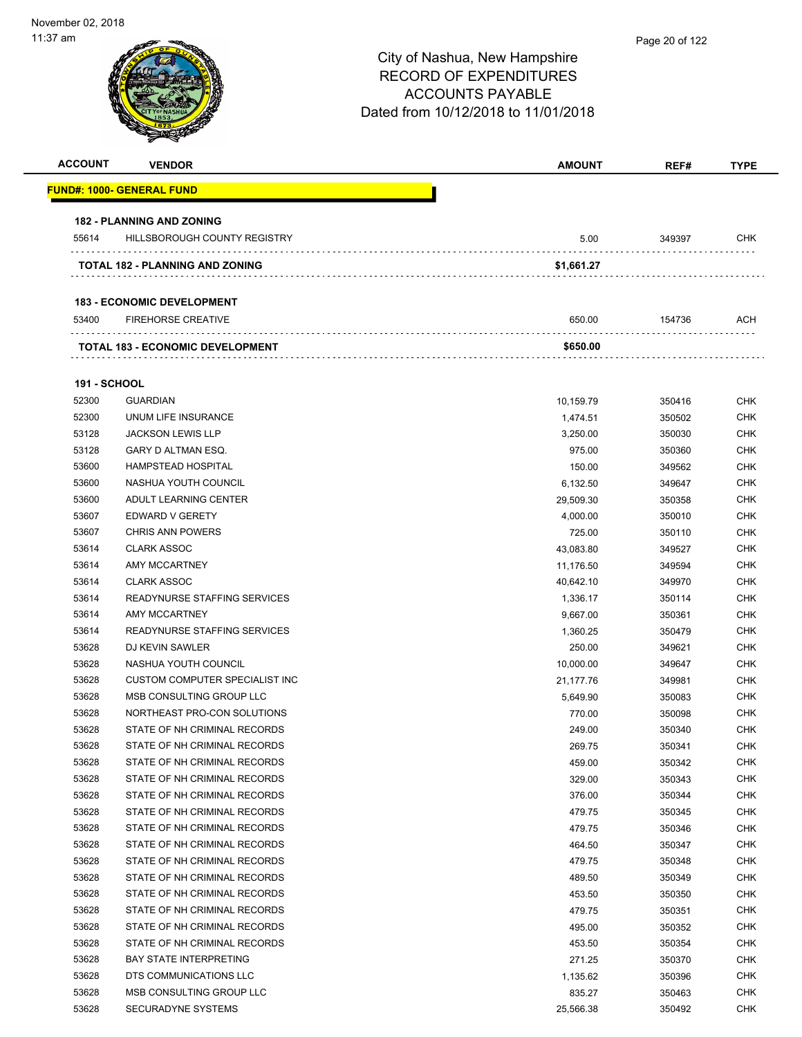# City of Nashua, New Hampshire RECORD OF EXPENDITURES ACCOUNTS PAYABLE Dated from 10/12/2018 to 11/01/2018 **ACCOUNT VENDOR AMOUNT REF# TYPE 182 - PLANNING AND ZONING TOTAL 182 - PLANNING AND ZONING \$1,661.27 183 - ECONOMIC DEVELOPMENT TOTAL 183 - ECONOMIC DEVELOPMENT \$650.00 191 - SCHOOL** Page 20 of 122

|                     | <u> FUND#: 1000- GENERAL FUND</u>       |            |        |            |
|---------------------|-----------------------------------------|------------|--------|------------|
|                     | <b>182 - PLANNING AND ZONING</b>        |            |        |            |
| 55614               | HILLSBOROUGH COUNTY REGISTRY            | 5.00       | 349397 | <b>CHK</b> |
|                     | TOTAL 182 - PLANNING AND ZONING         | \$1,661.27 |        |            |
|                     | <b>183 - ECONOMIC DEVELOPMENT</b>       |            |        |            |
| 53400               | <b>FIREHORSE CREATIVE</b>               | 650.00     | 154736 | ACH        |
|                     | <b>TOTAL 183 - ECONOMIC DEVELOPMENT</b> | \$650.00   |        |            |
| <b>191 - SCHOOL</b> |                                         |            |        |            |
| 52300               | <b>GUARDIAN</b>                         | 10,159.79  | 350416 | <b>CHK</b> |
| 52300               | UNUM LIFE INSURANCE                     | 1,474.51   | 350502 | <b>CHK</b> |
| 53128               | <b>JACKSON LEWIS LLP</b>                | 3,250.00   | 350030 | <b>CHK</b> |
| 53128               | GARY D ALTMAN ESQ.                      | 975.00     | 350360 | <b>CHK</b> |
| 53600               | <b>HAMPSTEAD HOSPITAL</b>               | 150.00     | 349562 | <b>CHK</b> |
| 53600               | NASHUA YOUTH COUNCIL                    | 6,132.50   | 349647 | <b>CHK</b> |
| 53600               | ADULT LEARNING CENTER                   | 29,509.30  | 350358 | <b>CHK</b> |
| 53607               | EDWARD V GERETY                         | 4,000.00   | 350010 | <b>CHK</b> |
| 53607               | <b>CHRIS ANN POWERS</b>                 | 725.00     | 350110 | <b>CHK</b> |
| 53614               | <b>CLARK ASSOC</b>                      | 43,083.80  | 349527 | <b>CHK</b> |
| 53614               | <b>AMY MCCARTNEY</b>                    | 11,176.50  | 349594 | <b>CHK</b> |
| 53614               | <b>CLARK ASSOC</b>                      | 40,642.10  | 349970 | <b>CHK</b> |
| 53614               | READYNURSE STAFFING SERVICES            | 1,336.17   | 350114 | <b>CHK</b> |
| 53614               | AMY MCCARTNEY                           | 9,667.00   | 350361 | <b>CHK</b> |
| 53614               | READYNURSE STAFFING SERVICES            | 1,360.25   | 350479 | <b>CHK</b> |
| 53628               | DJ KEVIN SAWLER                         | 250.00     | 349621 | <b>CHK</b> |
| 53628               | NASHUA YOUTH COUNCIL                    | 10,000.00  | 349647 | <b>CHK</b> |
| 53628               | CUSTOM COMPUTER SPECIALIST INC          | 21,177.76  | 349981 | <b>CHK</b> |
| 53628               | MSB CONSULTING GROUP LLC                | 5,649.90   | 350083 | <b>CHK</b> |
| 53628               | NORTHEAST PRO-CON SOLUTIONS             | 770.00     | 350098 | <b>CHK</b> |
| 53628               | STATE OF NH CRIMINAL RECORDS            | 249.00     | 350340 | <b>CHK</b> |
| 53628               | STATE OF NH CRIMINAL RECORDS            | 269.75     | 350341 | <b>CHK</b> |
| 53628               | STATE OF NH CRIMINAL RECORDS            | 459.00     | 350342 | CHK        |
| 53628               | STATE OF NH CRIMINAL RECORDS            | 329.00     | 350343 | <b>CHK</b> |
| 53628               | STATE OF NH CRIMINAL RECORDS            | 376.00     | 350344 | <b>CHK</b> |
| 53628               | STATE OF NH CRIMINAL RECORDS            | 479.75     | 350345 | <b>CHK</b> |
| 53628               | STATE OF NH CRIMINAL RECORDS            | 479.75     | 350346 | <b>CHK</b> |
| 53628               | STATE OF NH CRIMINAL RECORDS            | 464.50     | 350347 | CHK        |
| 53628               | STATE OF NH CRIMINAL RECORDS            | 479.75     | 350348 | <b>CHK</b> |
| 53628               | STATE OF NH CRIMINAL RECORDS            | 489.50     | 350349 | <b>CHK</b> |
| 53628               | STATE OF NH CRIMINAL RECORDS            | 453.50     | 350350 | <b>CHK</b> |
| 53628               | STATE OF NH CRIMINAL RECORDS            | 479.75     | 350351 | <b>CHK</b> |
| 53628               | STATE OF NH CRIMINAL RECORDS            | 495.00     | 350352 | <b>CHK</b> |
| 53628               | STATE OF NH CRIMINAL RECORDS            | 453.50     | 350354 | <b>CHK</b> |
| 53628               | <b>BAY STATE INTERPRETING</b>           | 271.25     | 350370 | <b>CHK</b> |
| 53628               | DTS COMMUNICATIONS LLC                  | 1,135.62   | 350396 | <b>CHK</b> |
| 53628               | MSB CONSULTING GROUP LLC                | 835.27     | 350463 | <b>CHK</b> |
| 53628               | <b>SECURADYNE SYSTEMS</b>               | 25,566.38  | 350492 | <b>CHK</b> |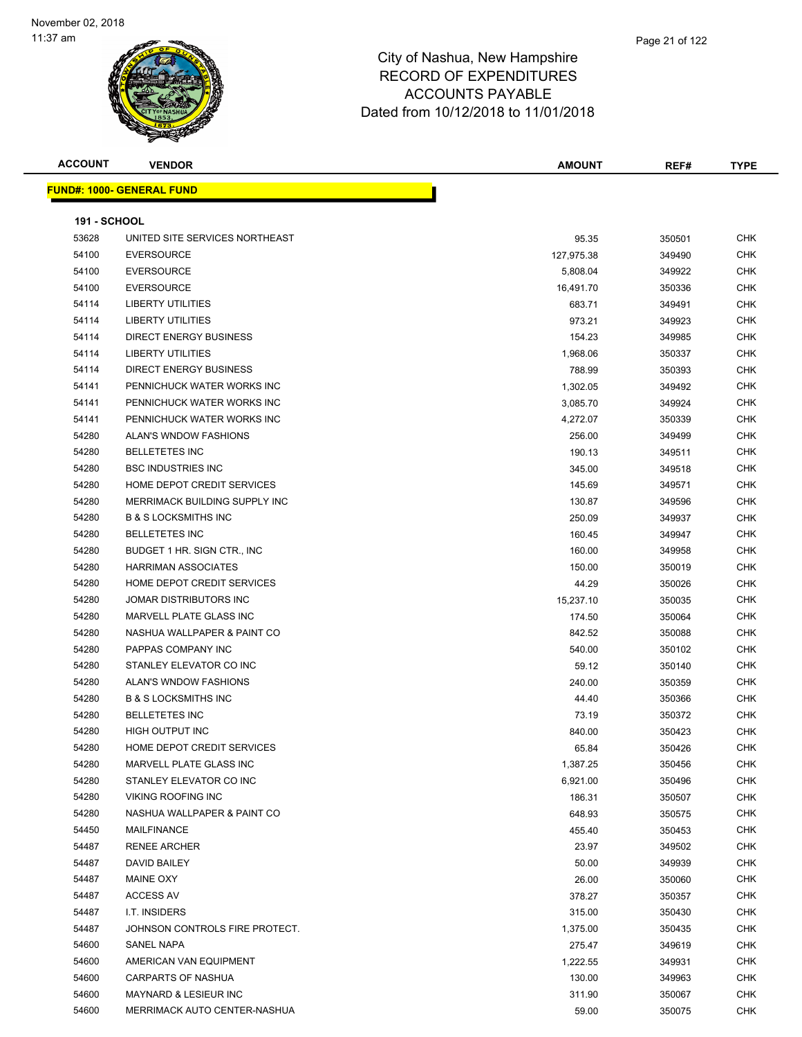

| <b>ACCOUNT</b>      | <b>VENDOR</b>                    | <b>AMOUNT</b> | REF#   | <b>TYPE</b> |
|---------------------|----------------------------------|---------------|--------|-------------|
|                     | <b>FUND#: 1000- GENERAL FUND</b> |               |        |             |
| <b>191 - SCHOOL</b> |                                  |               |        |             |
| 53628               | UNITED SITE SERVICES NORTHEAST   | 95.35         | 350501 | <b>CHK</b>  |
| 54100               | <b>EVERSOURCE</b>                | 127,975.38    | 349490 | <b>CHK</b>  |
| 54100               | <b>EVERSOURCE</b>                | 5,808.04      | 349922 | <b>CHK</b>  |
| 54100               | <b>EVERSOURCE</b>                | 16,491.70     | 350336 | <b>CHK</b>  |
| 54114               | <b>LIBERTY UTILITIES</b>         | 683.71        | 349491 | <b>CHK</b>  |
| 54114               | <b>LIBERTY UTILITIES</b>         | 973.21        | 349923 | <b>CHK</b>  |
| 54114               | <b>DIRECT ENERGY BUSINESS</b>    | 154.23        | 349985 | <b>CHK</b>  |
| 54114               | <b>LIBERTY UTILITIES</b>         | 1,968.06      | 350337 | <b>CHK</b>  |
| 54114               | <b>DIRECT ENERGY BUSINESS</b>    | 788.99        | 350393 | <b>CHK</b>  |
| 54141               | PENNICHUCK WATER WORKS INC       | 1,302.05      | 349492 | <b>CHK</b>  |
| 54141               | PENNICHUCK WATER WORKS INC       | 3,085.70      | 349924 | <b>CHK</b>  |
| 54141               | PENNICHUCK WATER WORKS INC       | 4,272.07      | 350339 | <b>CHK</b>  |
| 54280               | ALAN'S WNDOW FASHIONS            | 256.00        | 349499 | <b>CHK</b>  |
| 54280               | <b>BELLETETES INC</b>            | 190.13        | 349511 | <b>CHK</b>  |
| 54280               | <b>BSC INDUSTRIES INC</b>        | 345.00        | 349518 | <b>CHK</b>  |
| 54280               | HOME DEPOT CREDIT SERVICES       | 145.69        | 349571 | <b>CHK</b>  |
| 54280               | MERRIMACK BUILDING SUPPLY INC    | 130.87        | 349596 | <b>CHK</b>  |
| 54280               | <b>B &amp; S LOCKSMITHS INC</b>  | 250.09        | 349937 | <b>CHK</b>  |
| 54280               | <b>BELLETETES INC</b>            | 160.45        | 349947 | <b>CHK</b>  |
| 54280               | BUDGET 1 HR. SIGN CTR., INC.     | 160.00        | 349958 | <b>CHK</b>  |
| 54280               | <b>HARRIMAN ASSOCIATES</b>       | 150.00        | 350019 | <b>CHK</b>  |
| 54280               | HOME DEPOT CREDIT SERVICES       | 44.29         | 350026 | <b>CHK</b>  |
| 54280               | JOMAR DISTRIBUTORS INC           | 15,237.10     | 350035 | <b>CHK</b>  |
| 54280               | MARVELL PLATE GLASS INC          | 174.50        | 350064 | <b>CHK</b>  |
| 54280               | NASHUA WALLPAPER & PAINT CO      | 842.52        | 350088 | <b>CHK</b>  |
| 54280               | PAPPAS COMPANY INC               | 540.00        | 350102 | <b>CHK</b>  |
| 54280               | STANLEY ELEVATOR CO INC          | 59.12         | 350140 | <b>CHK</b>  |
| 54280               | <b>ALAN'S WNDOW FASHIONS</b>     | 240.00        | 350359 | <b>CHK</b>  |
| 54280               | <b>B &amp; S LOCKSMITHS INC</b>  | 44.40         | 350366 | <b>CHK</b>  |
| 54280               | <b>BELLETETES INC</b>            | 73.19         | 350372 | <b>CHK</b>  |
| 54280               | HIGH OUTPUT INC                  | 840.00        | 350423 | <b>CHK</b>  |
| 54280               | HOME DEPOT CREDIT SERVICES       | 65.84         | 350426 | <b>CHK</b>  |
| 54280               | MARVELL PLATE GLASS INC          | 1,387.25      | 350456 | <b>CHK</b>  |
| 54280               | STANLEY ELEVATOR CO INC          | 6,921.00      | 350496 | <b>CHK</b>  |
| 54280               | VIKING ROOFING INC               | 186.31        | 350507 | <b>CHK</b>  |
| 54280               | NASHUA WALLPAPER & PAINT CO      | 648.93        | 350575 | <b>CHK</b>  |
| 54450               | MAILFINANCE                      | 455.40        | 350453 | <b>CHK</b>  |
| 54487               | <b>RENEE ARCHER</b>              | 23.97         | 349502 | <b>CHK</b>  |
| 54487               | DAVID BAILEY                     | 50.00         | 349939 | <b>CHK</b>  |
| 54487               | <b>MAINE OXY</b>                 | 26.00         | 350060 | <b>CHK</b>  |
| 54487               | <b>ACCESS AV</b>                 | 378.27        | 350357 | <b>CHK</b>  |
| 54487               | I.T. INSIDERS                    | 315.00        | 350430 | <b>CHK</b>  |
| 54487               | JOHNSON CONTROLS FIRE PROTECT.   | 1,375.00      | 350435 | <b>CHK</b>  |
| 54600               | SANEL NAPA                       | 275.47        | 349619 | <b>CHK</b>  |
| 54600               | AMERICAN VAN EQUIPMENT           | 1,222.55      | 349931 | <b>CHK</b>  |
| 54600               | CARPARTS OF NASHUA               | 130.00        | 349963 | <b>CHK</b>  |
| 54600               | MAYNARD & LESIEUR INC            | 311.90        | 350067 | <b>CHK</b>  |
| 54600               | MERRIMACK AUTO CENTER-NASHUA     | 59.00         | 350075 | <b>CHK</b>  |
|                     |                                  |               |        |             |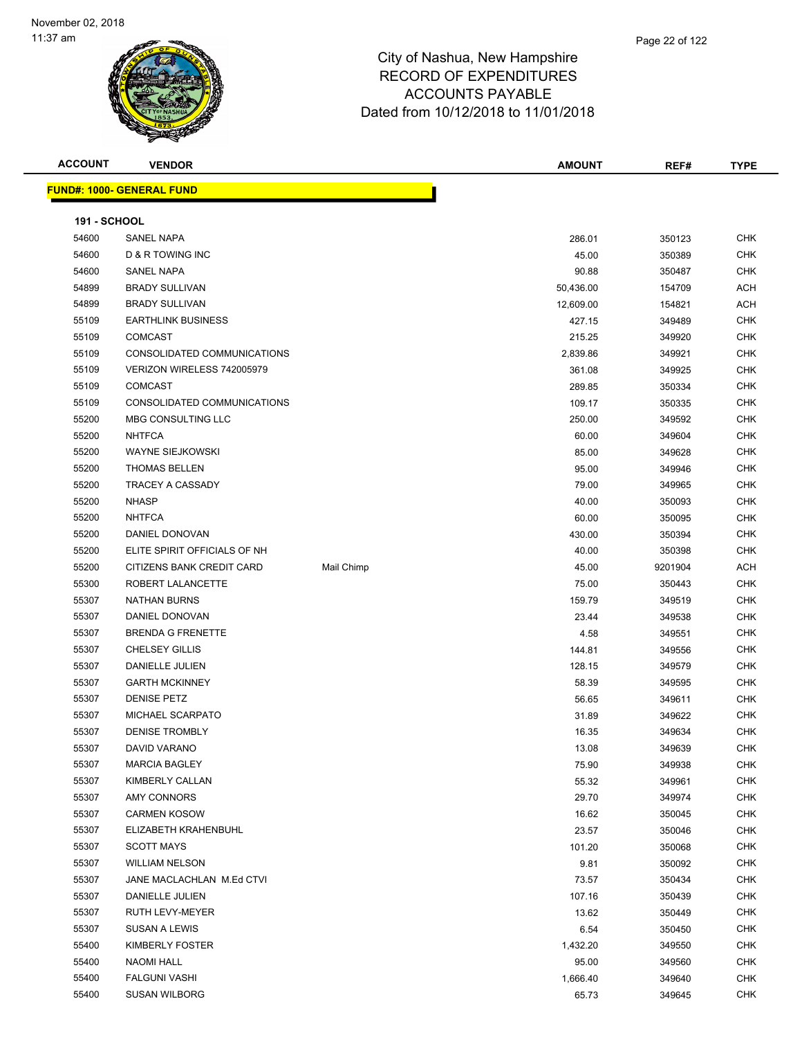| <b>ACCOUNT</b>      | <b>VENDOR</b>                    |            | <b>AMOUNT</b> | REF#    | <b>TYPE</b> |
|---------------------|----------------------------------|------------|---------------|---------|-------------|
|                     | <b>FUND#: 1000- GENERAL FUND</b> |            |               |         |             |
| <b>191 - SCHOOL</b> |                                  |            |               |         |             |
| 54600               | <b>SANEL NAPA</b>                |            | 286.01        | 350123  | <b>CHK</b>  |
| 54600               | D & R TOWING INC                 |            | 45.00         | 350389  | <b>CHK</b>  |
| 54600               | SANEL NAPA                       |            | 90.88         | 350487  | <b>CHK</b>  |
| 54899               | <b>BRADY SULLIVAN</b>            |            | 50,436.00     | 154709  | <b>ACH</b>  |
| 54899               | <b>BRADY SULLIVAN</b>            |            | 12,609.00     | 154821  | <b>ACH</b>  |
| 55109               | <b>EARTHLINK BUSINESS</b>        |            | 427.15        | 349489  | <b>CHK</b>  |
| 55109               | <b>COMCAST</b>                   |            | 215.25        | 349920  | <b>CHK</b>  |
| 55109               | CONSOLIDATED COMMUNICATIONS      |            | 2,839.86      | 349921  | <b>CHK</b>  |
| 55109               | VERIZON WIRELESS 742005979       |            | 361.08        | 349925  | <b>CHK</b>  |
| 55109               | <b>COMCAST</b>                   |            | 289.85        | 350334  | <b>CHK</b>  |
| 55109               | CONSOLIDATED COMMUNICATIONS      |            | 109.17        | 350335  | <b>CHK</b>  |
| 55200               | MBG CONSULTING LLC               |            | 250.00        | 349592  | <b>CHK</b>  |
| 55200               | <b>NHTFCA</b>                    |            | 60.00         | 349604  | <b>CHK</b>  |
| 55200               | <b>WAYNE SIEJKOWSKI</b>          |            | 85.00         | 349628  | <b>CHK</b>  |
| 55200               | <b>THOMAS BELLEN</b>             |            | 95.00         | 349946  | <b>CHK</b>  |
| 55200               | <b>TRACEY A CASSADY</b>          |            | 79.00         | 349965  | <b>CHK</b>  |
| 55200               | <b>NHASP</b>                     |            | 40.00         | 350093  | <b>CHK</b>  |
| 55200               | <b>NHTFCA</b>                    |            | 60.00         | 350095  | <b>CHK</b>  |
| 55200               | DANIEL DONOVAN                   |            | 430.00        | 350394  | <b>CHK</b>  |
| 55200               | ELITE SPIRIT OFFICIALS OF NH     |            | 40.00         | 350398  | <b>CHK</b>  |
| 55200               | CITIZENS BANK CREDIT CARD        | Mail Chimp | 45.00         | 9201904 | ACH         |
| 55300               | ROBERT LALANCETTE                |            | 75.00         | 350443  | <b>CHK</b>  |
| 55307               | <b>NATHAN BURNS</b>              |            | 159.79        | 349519  | <b>CHK</b>  |
| 55307               | DANIEL DONOVAN                   |            | 23.44         | 349538  | <b>CHK</b>  |
| 55307               | <b>BRENDA G FRENETTE</b>         |            | 4.58          | 349551  | <b>CHK</b>  |
| 55307               | <b>CHELSEY GILLIS</b>            |            | 144.81        | 349556  | <b>CHK</b>  |
| 55307               | DANIELLE JULIEN                  |            | 128.15        | 349579  | <b>CHK</b>  |
| 55307               | <b>GARTH MCKINNEY</b>            |            | 58.39         | 349595  | <b>CHK</b>  |
| 55307               | <b>DENISE PETZ</b>               |            | 56.65         | 349611  | <b>CHK</b>  |
| 55307               | MICHAEL SCARPATO                 |            | 31.89         | 349622  | <b>CHK</b>  |
| 55307               | <b>DENISE TROMBLY</b>            |            | 16.35         | 349634  | CHK         |
| 55307               | DAVID VARANO                     |            | 13.08         | 349639  | <b>CHK</b>  |
| 55307               | <b>MARCIA BAGLEY</b>             |            | 75.90         | 349938  | CHK         |
| 55307               | KIMBERLY CALLAN                  |            | 55.32         | 349961  | <b>CHK</b>  |
| 55307               | AMY CONNORS                      |            | 29.70         | 349974  | <b>CHK</b>  |
| 55307               | <b>CARMEN KOSOW</b>              |            | 16.62         | 350045  | <b>CHK</b>  |
| 55307               | ELIZABETH KRAHENBUHL             |            | 23.57         | 350046  | <b>CHK</b>  |
| 55307               | <b>SCOTT MAYS</b>                |            | 101.20        | 350068  | <b>CHK</b>  |
| 55307               | <b>WILLIAM NELSON</b>            |            | 9.81          | 350092  | <b>CHK</b>  |
| 55307               | JANE MACLACHLAN M.Ed CTVI        |            | 73.57         | 350434  | <b>CHK</b>  |
| 55307               | DANIELLE JULIEN                  |            | 107.16        | 350439  | <b>CHK</b>  |
| 55307               | RUTH LEVY-MEYER                  |            | 13.62         | 350449  | <b>CHK</b>  |
| 55307               | SUSAN A LEWIS                    |            | 6.54          | 350450  | CHK         |
| 55400               | KIMBERLY FOSTER                  |            | 1,432.20      | 349550  | <b>CHK</b>  |
| 55400               | <b>NAOMI HALL</b>                |            | 95.00         | 349560  | <b>CHK</b>  |
| 55400               | <b>FALGUNI VASHI</b>             |            | 1,666.40      | 349640  | <b>CHK</b>  |
| 55400               | <b>SUSAN WILBORG</b>             |            | 65.73         | 349645  | <b>CHK</b>  |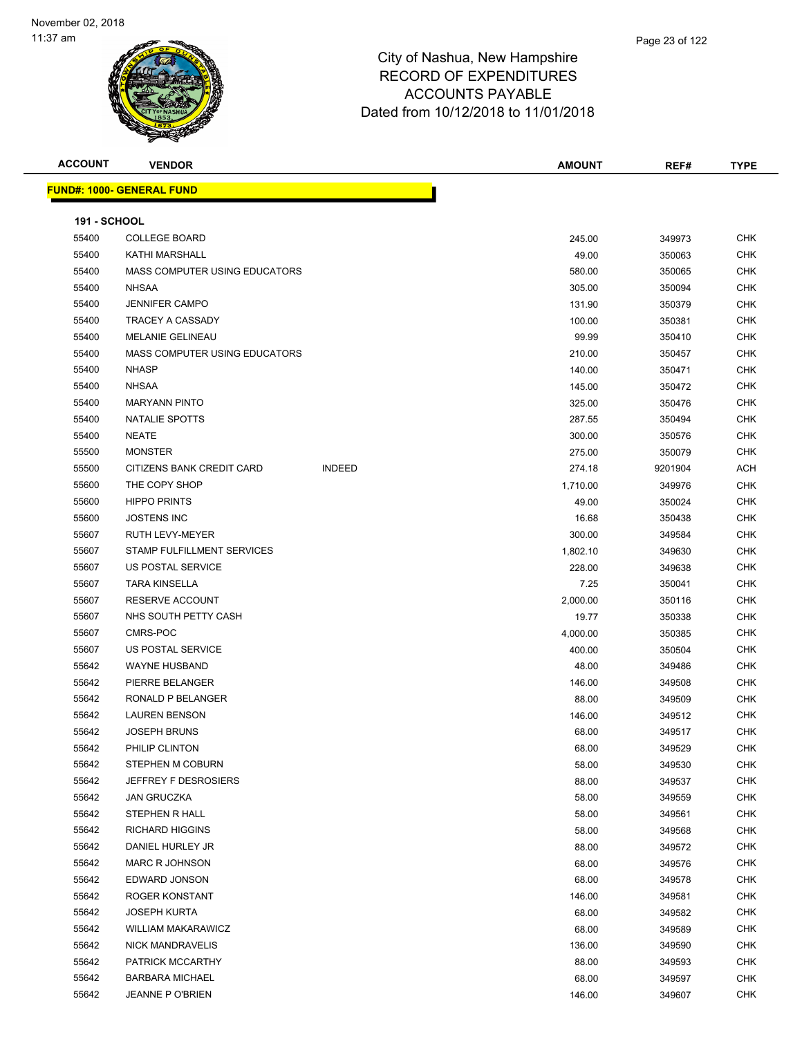| <b>ACCOUNT</b>      | <b>VENDOR</b>                    |               | <b>AMOUNT</b> | REF#    | <b>TYPE</b> |
|---------------------|----------------------------------|---------------|---------------|---------|-------------|
|                     | <b>FUND#: 1000- GENERAL FUND</b> |               |               |         |             |
| <b>191 - SCHOOL</b> |                                  |               |               |         |             |
| 55400               | <b>COLLEGE BOARD</b>             |               | 245.00        | 349973  | CHK         |
| 55400               | KATHI MARSHALL                   |               | 49.00         | 350063  | <b>CHK</b>  |
| 55400               | MASS COMPUTER USING EDUCATORS    |               | 580.00        | 350065  | CHK         |
| 55400               | <b>NHSAA</b>                     |               | 305.00        | 350094  | CHK         |
| 55400               | <b>JENNIFER CAMPO</b>            |               | 131.90        | 350379  | <b>CHK</b>  |
| 55400               | <b>TRACEY A CASSADY</b>          |               | 100.00        | 350381  | CHK         |
| 55400               | <b>MELANIE GELINEAU</b>          |               | 99.99         | 350410  | CHK         |
| 55400               | MASS COMPUTER USING EDUCATORS    |               | 210.00        | 350457  | <b>CHK</b>  |
| 55400               | <b>NHASP</b>                     |               | 140.00        | 350471  | CHK         |
| 55400               | <b>NHSAA</b>                     |               | 145.00        | 350472  | <b>CHK</b>  |
| 55400               | <b>MARYANN PINTO</b>             |               | 325.00        | 350476  | <b>CHK</b>  |
| 55400               | NATALIE SPOTTS                   |               | 287.55        | 350494  | CHK         |
| 55400               | <b>NEATE</b>                     |               | 300.00        | 350576  | <b>CHK</b>  |
| 55500               | <b>MONSTER</b>                   |               | 275.00        | 350079  | CHK         |
| 55500               | CITIZENS BANK CREDIT CARD        | <b>INDEED</b> | 274.18        | 9201904 | ACH         |
| 55600               | THE COPY SHOP                    |               | 1,710.00      | 349976  | <b>CHK</b>  |
| 55600               | <b>HIPPO PRINTS</b>              |               | 49.00         | 350024  | CHK         |
| 55600               | <b>JOSTENS INC</b>               |               | 16.68         | 350438  | CHK         |
| 55607               | RUTH LEVY-MEYER                  |               | 300.00        | 349584  | CHK         |
| 55607               | STAMP FULFILLMENT SERVICES       |               | 1,802.10      | 349630  | CHK         |
| 55607               | US POSTAL SERVICE                |               | 228.00        | 349638  | <b>CHK</b>  |
| 55607               | <b>TARA KINSELLA</b>             |               | 7.25          | 350041  | CHK         |
| 55607               | <b>RESERVE ACCOUNT</b>           |               | 2,000.00      | 350116  | <b>CHK</b>  |
| 55607               | NHS SOUTH PETTY CASH             |               | 19.77         | 350338  | <b>CHK</b>  |
| 55607               | CMRS-POC                         |               | 4,000.00      | 350385  | CHK         |
| 55607               | US POSTAL SERVICE                |               | 400.00        | 350504  | CHK         |
| 55642               | <b>WAYNE HUSBAND</b>             |               | 48.00         | 349486  | CHK         |
| 55642               | PIERRE BELANGER                  |               | 146.00        | 349508  | CHK         |
| 55642               | RONALD P BELANGER                |               | 88.00         | 349509  | <b>CHK</b>  |
| 55642               | <b>LAUREN BENSON</b>             |               | 146.00        | 349512  | CHK         |
| 55642               | JOSEPH BRUNS                     |               | 68.00         | 349517  | CHK         |
| 55642               | PHILIP CLINTON                   |               | 68.00         | 349529  | <b>CHK</b>  |
| 55642               | STEPHEN M COBURN                 |               | 58.00         | 349530  | <b>CHK</b>  |
| 55642               | JEFFREY F DESROSIERS             |               | 88.00         | 349537  | <b>CHK</b>  |
| 55642               | <b>JAN GRUCZKA</b>               |               | 58.00         | 349559  | <b>CHK</b>  |
| 55642               | STEPHEN R HALL                   |               | 58.00         | 349561  | <b>CHK</b>  |
| 55642               | <b>RICHARD HIGGINS</b>           |               | 58.00         | 349568  | CHK         |
| 55642               | DANIEL HURLEY JR                 |               | 88.00         | 349572  | CHK         |
| 55642               | <b>MARC R JOHNSON</b>            |               | 68.00         | 349576  | CHK         |
| 55642               | EDWARD JONSON                    |               | 68.00         | 349578  | <b>CHK</b>  |
| 55642               | ROGER KONSTANT                   |               | 146.00        | 349581  | <b>CHK</b>  |
| 55642               | <b>JOSEPH KURTA</b>              |               | 68.00         | 349582  | <b>CHK</b>  |
| 55642               | <b>WILLIAM MAKARAWICZ</b>        |               | 68.00         | 349589  | <b>CHK</b>  |
| 55642               | <b>NICK MANDRAVELIS</b>          |               | 136.00        | 349590  | CHK         |
| 55642               | PATRICK MCCARTHY                 |               | 88.00         | 349593  | CHK         |
| 55642               | <b>BARBARA MICHAEL</b>           |               | 68.00         | 349597  | <b>CHK</b>  |
| 55642               | JEANNE P O'BRIEN                 |               | 146.00        | 349607  | <b>CHK</b>  |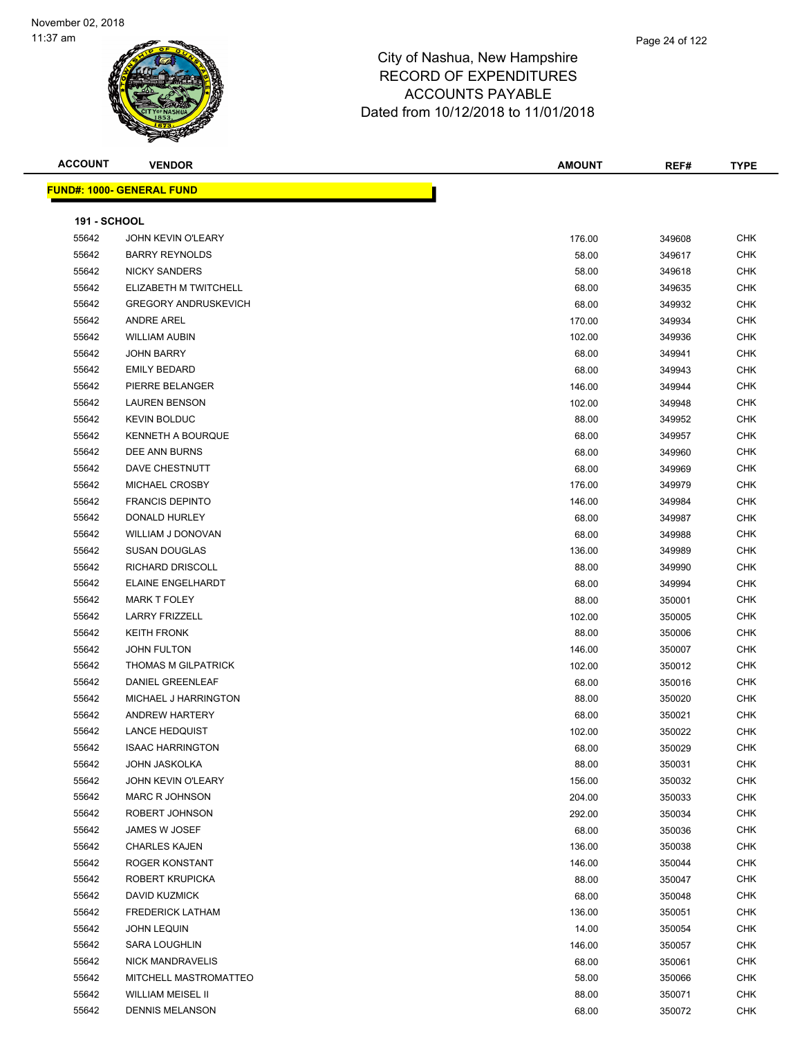| <b>ACCOUNT</b>      | <b>VENDOR</b>                    | <b>AMOUNT</b> | REF#   | <b>TYPE</b> |
|---------------------|----------------------------------|---------------|--------|-------------|
|                     | <b>FUND#: 1000- GENERAL FUND</b> |               |        |             |
| <b>191 - SCHOOL</b> |                                  |               |        |             |
| 55642               | <b>JOHN KEVIN O'LEARY</b>        | 176.00        | 349608 | <b>CHK</b>  |
| 55642               | <b>BARRY REYNOLDS</b>            | 58.00         | 349617 | <b>CHK</b>  |
| 55642               | <b>NICKY SANDERS</b>             | 58.00         | 349618 | CHK         |
| 55642               | ELIZABETH M TWITCHELL            | 68.00         | 349635 | CHK         |
| 55642               | <b>GREGORY ANDRUSKEVICH</b>      | 68.00         | 349932 | CHK         |
| 55642               | <b>ANDRE AREL</b>                | 170.00        | 349934 | CHK         |
| 55642               | <b>WILLIAM AUBIN</b>             | 102.00        | 349936 | <b>CHK</b>  |
| 55642               | <b>JOHN BARRY</b>                | 68.00         | 349941 | CHK         |
| 55642               | <b>EMILY BEDARD</b>              | 68.00         | 349943 | <b>CHK</b>  |
| 55642               | PIERRE BELANGER                  | 146.00        | 349944 | CHK         |
| 55642               | <b>LAUREN BENSON</b>             | 102.00        | 349948 | CHK         |
| 55642               | <b>KEVIN BOLDUC</b>              | 88.00         | 349952 | CHK         |
| 55642               | <b>KENNETH A BOURQUE</b>         | 68.00         | 349957 | CHK         |
| 55642               | DEE ANN BURNS                    | 68.00         | 349960 | CHK         |
| 55642               | DAVE CHESTNUTT                   | 68.00         | 349969 | CHK         |
| 55642               | MICHAEL CROSBY                   | 176.00        | 349979 | CHK         |
| 55642               | <b>FRANCIS DEPINTO</b>           | 146.00        | 349984 | CHK         |
| 55642               | DONALD HURLEY                    | 68.00         | 349987 | <b>CHK</b>  |
| 55642               | WILLIAM J DONOVAN                | 68.00         | 349988 | <b>CHK</b>  |
| 55642               | <b>SUSAN DOUGLAS</b>             | 136.00        | 349989 | <b>CHK</b>  |
| 55642               | <b>RICHARD DRISCOLL</b>          | 88.00         | 349990 | <b>CHK</b>  |
| 55642               | <b>ELAINE ENGELHARDT</b>         | 68.00         | 349994 | CHK         |
| 55642               | <b>MARK T FOLEY</b>              | 88.00         | 350001 | CHK         |
| 55642               | <b>LARRY FRIZZELL</b>            | 102.00        | 350005 | CHK         |
| 55642               | <b>KEITH FRONK</b>               | 88.00         | 350006 | CHK         |
| 55642               | JOHN FULTON                      | 146.00        | 350007 | CHK         |
| 55642               | THOMAS M GILPATRICK              | 102.00        | 350012 | CHK         |
| 55642               | DANIEL GREENLEAF                 | 68.00         | 350016 | CHK         |
| 55642               | <b>MICHAEL J HARRINGTON</b>      | 88.00         | 350020 | <b>CHK</b>  |
| 55642               | ANDREW HARTERY                   | 68.00         | 350021 | CHK         |
| 55642               | <b>LANCE HEDQUIST</b>            | 102.00        | 350022 | <b>CHK</b>  |
| 55642               | <b>ISAAC HARRINGTON</b>          | 68.00         | 350029 | <b>CHK</b>  |
| 55642               | <b>JOHN JASKOLKA</b>             | 88.00         | 350031 | <b>CHK</b>  |
| 55642               | JOHN KEVIN O'LEARY               | 156.00        | 350032 | <b>CHK</b>  |
| 55642               | <b>MARC R JOHNSON</b>            | 204.00        | 350033 | CHK         |
| 55642               | ROBERT JOHNSON                   | 292.00        | 350034 | CHK         |
| 55642               | JAMES W JOSEF                    | 68.00         | 350036 | <b>CHK</b>  |
| 55642               | <b>CHARLES KAJEN</b>             | 136.00        | 350038 | <b>CHK</b>  |
| 55642               | ROGER KONSTANT                   | 146.00        | 350044 | <b>CHK</b>  |
| 55642               | ROBERT KRUPICKA                  | 88.00         | 350047 | <b>CHK</b>  |
| 55642               | DAVID KUZMICK                    | 68.00         | 350048 | <b>CHK</b>  |
| 55642               | <b>FREDERICK LATHAM</b>          | 136.00        | 350051 | <b>CHK</b>  |
| 55642               | <b>JOHN LEQUIN</b>               | 14.00         | 350054 | <b>CHK</b>  |
| 55642               | <b>SARA LOUGHLIN</b>             | 146.00        | 350057 | <b>CHK</b>  |
| 55642               | <b>NICK MANDRAVELIS</b>          | 68.00         | 350061 | <b>CHK</b>  |
| 55642               | MITCHELL MASTROMATTEO            | 58.00         | 350066 | CHK         |
| 55642               | <b>WILLIAM MEISEL II</b>         | 88.00         | 350071 | CHK         |
| 55642               | <b>DENNIS MELANSON</b>           | 68.00         | 350072 | <b>CHK</b>  |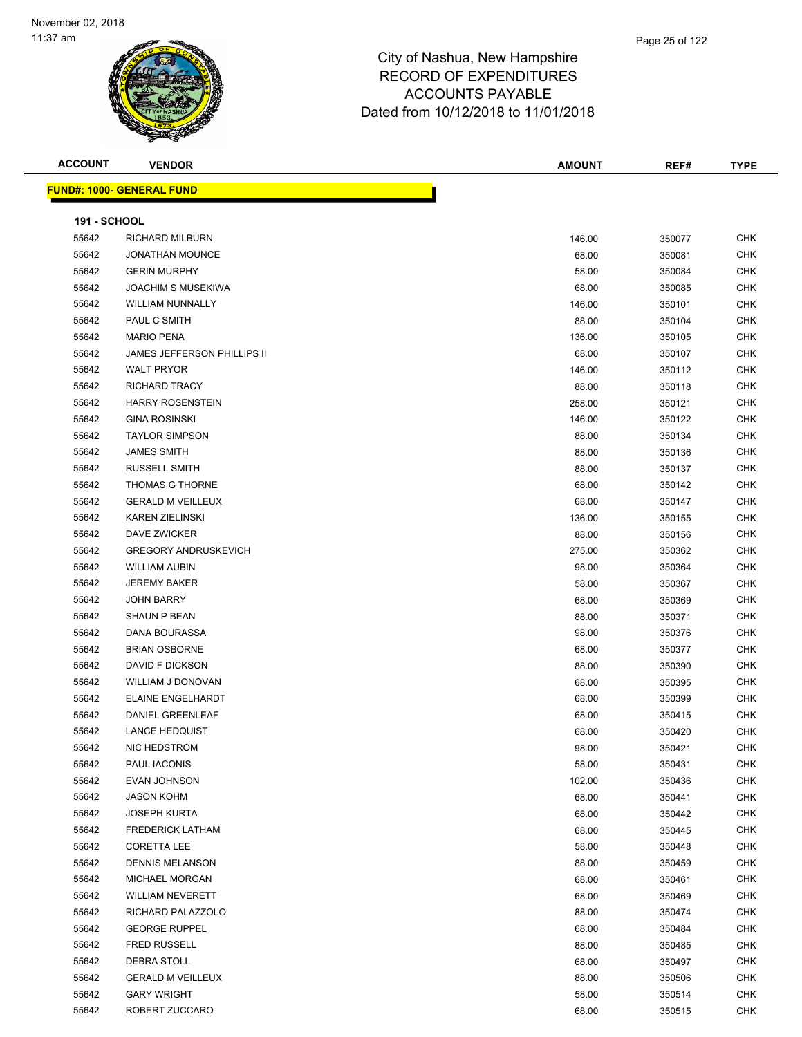

| <b>ACCOUNT</b>      | <b>VENDOR</b>                      | <b>AMOUNT</b> | REF#   | <b>TYPE</b> |
|---------------------|------------------------------------|---------------|--------|-------------|
|                     | <u> FUND#: 1000- GENERAL FUND</u>  |               |        |             |
|                     |                                    |               |        |             |
| <b>191 - SCHOOL</b> |                                    |               |        |             |
| 55642               | <b>RICHARD MILBURN</b>             | 146.00        | 350077 | <b>CHK</b>  |
| 55642               | <b>JONATHAN MOUNCE</b>             | 68.00         | 350081 | CHK         |
| 55642               | <b>GERIN MURPHY</b>                | 58.00         | 350084 | <b>CHK</b>  |
| 55642               | <b>JOACHIM S MUSEKIWA</b>          | 68.00         | 350085 | CHK         |
| 55642               | WILLIAM NUNNALLY                   | 146.00        | 350101 | <b>CHK</b>  |
| 55642               | PAUL C SMITH                       | 88.00         | 350104 | <b>CHK</b>  |
| 55642               | <b>MARIO PENA</b>                  | 136.00        | 350105 | <b>CHK</b>  |
| 55642               | <b>JAMES JEFFERSON PHILLIPS II</b> | 68.00         | 350107 | <b>CHK</b>  |
| 55642               | <b>WALT PRYOR</b>                  | 146.00        | 350112 | <b>CHK</b>  |
| 55642               | <b>RICHARD TRACY</b>               | 88.00         | 350118 | <b>CHK</b>  |
| 55642               | <b>HARRY ROSENSTEIN</b>            | 258.00        | 350121 | <b>CHK</b>  |
| 55642               | <b>GINA ROSINSKI</b>               | 146.00        | 350122 | <b>CHK</b>  |
| 55642               | <b>TAYLOR SIMPSON</b>              | 88.00         | 350134 | <b>CHK</b>  |
| 55642               | <b>JAMES SMITH</b>                 | 88.00         | 350136 | <b>CHK</b>  |
| 55642               | <b>RUSSELL SMITH</b>               | 88.00         | 350137 | <b>CHK</b>  |
| 55642               | THOMAS G THORNE                    | 68.00         | 350142 | <b>CHK</b>  |
| 55642               | <b>GERALD M VEILLEUX</b>           | 68.00         | 350147 | <b>CHK</b>  |
| 55642               | <b>KAREN ZIELINSKI</b>             | 136.00        | 350155 | <b>CHK</b>  |
| 55642               | <b>DAVE ZWICKER</b>                | 88.00         | 350156 | <b>CHK</b>  |
| 55642               | <b>GREGORY ANDRUSKEVICH</b>        | 275.00        | 350362 | <b>CHK</b>  |
| 55642               | <b>WILLIAM AUBIN</b>               | 98.00         | 350364 | CHK         |
| 55642               | <b>JEREMY BAKER</b>                | 58.00         | 350367 | <b>CHK</b>  |
| 55642               | <b>JOHN BARRY</b>                  | 68.00         | 350369 | CHK         |
| 55642               | SHAUN P BEAN                       | 88.00         | 350371 | <b>CHK</b>  |
| 55642               | DANA BOURASSA                      | 98.00         | 350376 | CHK         |
| 55642               | <b>BRIAN OSBORNE</b>               | 68.00         | 350377 | CHK         |
| 55642               | DAVID F DICKSON                    | 88.00         | 350390 | <b>CHK</b>  |
| 55642               | WILLIAM J DONOVAN                  | 68.00         | 350395 | CHK         |
| 55642               | ELAINE ENGELHARDT                  | 68.00         | 350399 | <b>CHK</b>  |
| 55642               | DANIEL GREENLEAF                   | 68.00         | 350415 | <b>CHK</b>  |
| 55642               | <b>LANCE HEDQUIST</b>              | 68.00         | 350420 | CHK         |
| 55642               | NIC HEDSTROM                       | 98.00         | 350421 | <b>CHK</b>  |
| 55642               | PAUL IACONIS                       | 58.00         | 350431 | CHK         |
| 55642               | EVAN JOHNSON                       | 102.00        | 350436 | CHK         |
| 55642               | <b>JASON KOHM</b>                  | 68.00         | 350441 | CHK         |
| 55642               | <b>JOSEPH KURTA</b>                | 68.00         | 350442 | CHK         |
| 55642               | <b>FREDERICK LATHAM</b>            | 68.00         | 350445 | <b>CHK</b>  |
| 55642               | <b>CORETTA LEE</b>                 | 58.00         | 350448 | CHK         |
| 55642               | <b>DENNIS MELANSON</b>             | 88.00         | 350459 | CHK         |
| 55642               | MICHAEL MORGAN                     | 68.00         | 350461 | CHK         |
| 55642               | <b>WILLIAM NEVERETT</b>            | 68.00         | 350469 | CHK         |
| 55642               | RICHARD PALAZZOLO                  | 88.00         | 350474 | CHK         |
| 55642               | <b>GEORGE RUPPEL</b>               | 68.00         | 350484 | CHK         |
| 55642               | <b>FRED RUSSELL</b>                | 88.00         | 350485 | CHK         |
| 55642               | DEBRA STOLL                        | 68.00         | 350497 | CHK         |
| 55642               | <b>GERALD M VEILLEUX</b>           | 88.00         | 350506 | <b>CHK</b>  |
| 55642               | <b>GARY WRIGHT</b>                 | 58.00         | 350514 | <b>CHK</b>  |
| 55642               | ROBERT ZUCCARO                     | 68.00         | 350515 | CHK         |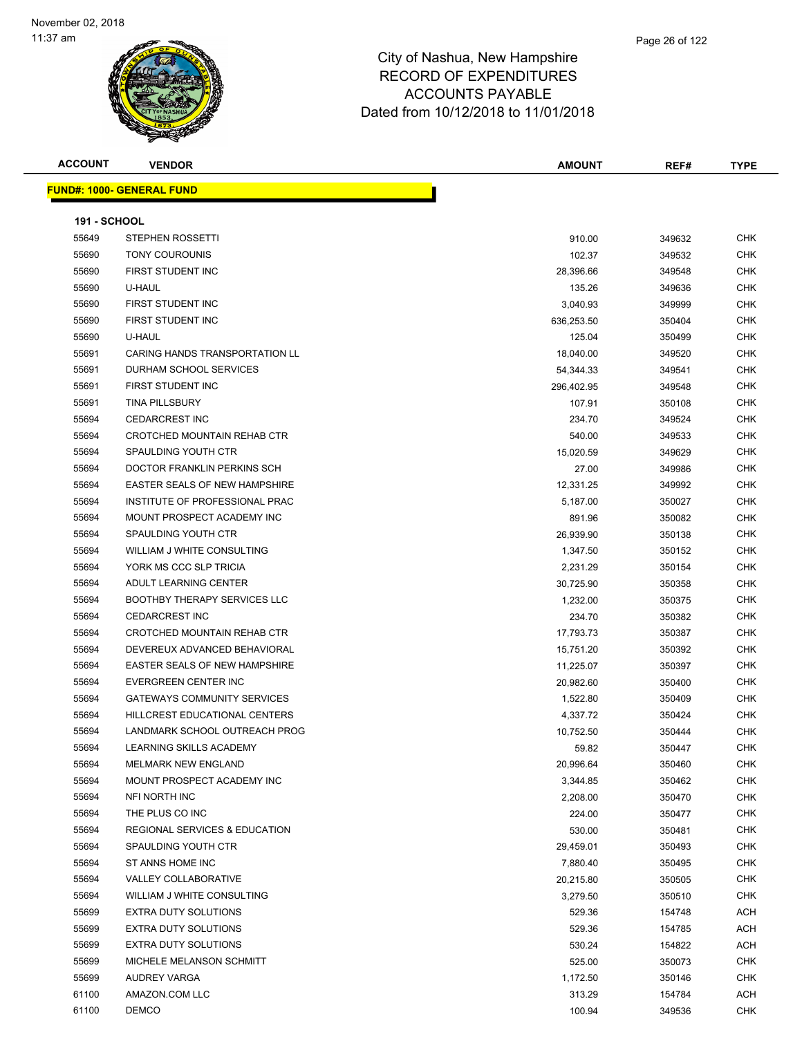| <b>ACCOUNT</b> |  |
|----------------|--|
|----------------|--|

**FUND#: 1000- GENERAL FUND**

| <b>ACCOUNT</b>      | <b>VENDOR</b>                     | <b>AMOUNT</b> | REF#   | <b>TYPE</b> |  |
|---------------------|-----------------------------------|---------------|--------|-------------|--|
|                     | <u> JND#: 1000- GENERAL FUND </u> |               |        |             |  |
| <b>191 - SCHOOL</b> |                                   |               |        |             |  |
| 55649               | STEPHEN ROSSETTI                  | 910.00        | 349632 | <b>CHK</b>  |  |

| 55649 | STEPHEN ROSSETTI                     | 910.00     | 349632 | CHK        |
|-------|--------------------------------------|------------|--------|------------|
| 55690 | <b>TONY COUROUNIS</b>                | 102.37     | 349532 | CHK        |
| 55690 | FIRST STUDENT INC                    | 28,396.66  | 349548 | CHK        |
| 55690 | U-HAUL                               | 135.26     | 349636 | CHK        |
| 55690 | FIRST STUDENT INC                    | 3,040.93   | 349999 | CHK        |
| 55690 | FIRST STUDENT INC                    | 636,253.50 | 350404 | CHK        |
| 55690 | U-HAUL                               | 125.04     | 350499 | CHK        |
| 55691 | CARING HANDS TRANSPORTATION LL       | 18,040.00  | 349520 | CHK        |
| 55691 | DURHAM SCHOOL SERVICES               | 54,344.33  | 349541 | CHK        |
| 55691 | FIRST STUDENT INC                    | 296,402.95 | 349548 | CHK        |
| 55691 | <b>TINA PILLSBURY</b>                | 107.91     | 350108 | CHK        |
| 55694 | <b>CEDARCREST INC</b>                | 234.70     | 349524 | CHK        |
| 55694 | CROTCHED MOUNTAIN REHAB CTR          | 540.00     | 349533 | CHK        |
| 55694 | SPAULDING YOUTH CTR                  | 15,020.59  | 349629 | <b>CHK</b> |
| 55694 | DOCTOR FRANKLIN PERKINS SCH          | 27.00      | 349986 | <b>CHK</b> |
| 55694 | <b>EASTER SEALS OF NEW HAMPSHIRE</b> | 12,331.25  | 349992 | <b>CHK</b> |
| 55694 | INSTITUTE OF PROFESSIONAL PRAC       | 5,187.00   | 350027 | CHK        |
| 55694 | MOUNT PROSPECT ACADEMY INC           | 891.96     | 350082 | <b>CHK</b> |
| 55694 | SPAULDING YOUTH CTR                  | 26,939.90  | 350138 | CHK        |
| 55694 | WILLIAM J WHITE CONSULTING           | 1,347.50   | 350152 | <b>CHK</b> |
| 55694 | YORK MS CCC SLP TRICIA               | 2,231.29   | 350154 | <b>CHK</b> |
| 55694 | ADULT LEARNING CENTER                | 30,725.90  | 350358 | <b>CHK</b> |
| 55694 | <b>BOOTHBY THERAPY SERVICES LLC</b>  | 1,232.00   | 350375 | <b>CHK</b> |
| 55694 | <b>CEDARCREST INC</b>                | 234.70     | 350382 | <b>CHK</b> |
| 55694 | CROTCHED MOUNTAIN REHAB CTR          | 17,793.73  | 350387 | <b>CHK</b> |
| 55694 | DEVEREUX ADVANCED BEHAVIORAL         | 15,751.20  | 350392 | <b>CHK</b> |
| 55694 | <b>EASTER SEALS OF NEW HAMPSHIRE</b> | 11,225.07  | 350397 | <b>CHK</b> |
| 55694 | EVERGREEN CENTER INC                 | 20,982.60  | 350400 | CHK        |
| 55694 | <b>GATEWAYS COMMUNITY SERVICES</b>   | 1,522.80   | 350409 | <b>CHK</b> |
| 55694 | HILLCREST EDUCATIONAL CENTERS        | 4,337.72   | 350424 | CHK        |
| 55694 | LANDMARK SCHOOL OUTREACH PROG        | 10,752.50  | 350444 | <b>CHK</b> |
| 55694 | LEARNING SKILLS ACADEMY              | 59.82      | 350447 | <b>CHK</b> |
| 55694 | MELMARK NEW ENGLAND                  | 20,996.64  | 350460 | <b>CHK</b> |
| 55694 | MOUNT PROSPECT ACADEMY INC           | 3,344.85   | 350462 | <b>CHK</b> |
| 55694 | NFI NORTH INC                        | 2,208.00   | 350470 | <b>CHK</b> |
| 55694 | THE PLUS CO INC                      | 224.00     | 350477 | <b>CHK</b> |
| 55694 | REGIONAL SERVICES & EDUCATION        | 530.00     | 350481 | <b>CHK</b> |
| 55694 | SPAULDING YOUTH CTR                  | 29,459.01  | 350493 | <b>CHK</b> |
| 55694 | ST ANNS HOME INC                     | 7,880.40   | 350495 | <b>CHK</b> |
| 55694 | VALLEY COLLABORATIVE                 | 20,215.80  | 350505 | <b>CHK</b> |
| 55694 | WILLIAM J WHITE CONSULTING           | 3,279.50   | 350510 | CHK        |
| 55699 | <b>EXTRA DUTY SOLUTIONS</b>          | 529.36     | 154748 | ACH        |
| 55699 | <b>EXTRA DUTY SOLUTIONS</b>          | 529.36     | 154785 | ACH        |
| 55699 | <b>EXTRA DUTY SOLUTIONS</b>          | 530.24     | 154822 | ACH        |
| 55699 | MICHELE MELANSON SCHMITT             | 525.00     | 350073 | CHK        |
| 55699 | AUDREY VARGA                         | 1,172.50   | 350146 | CHK        |
| 61100 | AMAZON.COM LLC                       | 313.29     | 154784 | ACH        |
| 61100 | DEMCO                                | 100.94     | 349536 | <b>CHK</b> |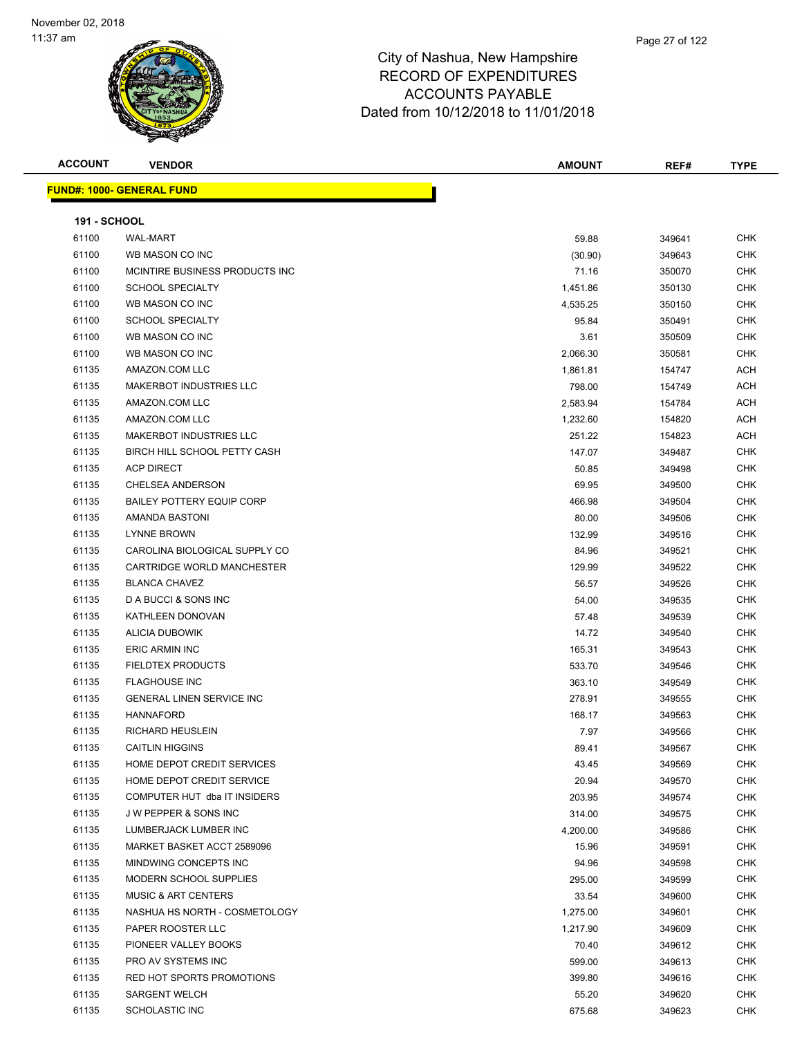

|               | Page 27 of 122 |
|---------------|----------------|
| ampshire      |                |
| <b>ITURES</b> |                |

| <b>ACCOUNT</b>      | <b>VENDOR</b>                    | <b>AMOUNT</b> | REF#   | <b>TYPE</b> |
|---------------------|----------------------------------|---------------|--------|-------------|
|                     | <b>FUND#: 1000- GENERAL FUND</b> |               |        |             |
|                     |                                  |               |        |             |
| <b>191 - SCHOOL</b> |                                  |               |        |             |
| 61100               | <b>WAL-MART</b>                  | 59.88         | 349641 | <b>CHK</b>  |
| 61100               | WB MASON CO INC                  | (30.90)       | 349643 | CHK         |
| 61100               | MCINTIRE BUSINESS PRODUCTS INC   | 71.16         | 350070 | <b>CHK</b>  |
| 61100               | <b>SCHOOL SPECIALTY</b>          | 1,451.86      | 350130 | CHK         |
| 61100               | WB MASON CO INC                  | 4,535.25      | 350150 | <b>CHK</b>  |
| 61100               | <b>SCHOOL SPECIALTY</b>          | 95.84         | 350491 | <b>CHK</b>  |
| 61100               | WB MASON CO INC                  | 3.61          | 350509 | <b>CHK</b>  |
| 61100               | WB MASON CO INC                  | 2,066.30      | 350581 | <b>CHK</b>  |
| 61135               | AMAZON.COM LLC                   | 1,861.81      | 154747 | ACH         |
| 61135               | <b>MAKERBOT INDUSTRIES LLC</b>   | 798.00        | 154749 | ACH         |
| 61135               | AMAZON.COM LLC                   | 2,583.94      | 154784 | ACH         |
| 61135               | AMAZON.COM LLC                   | 1,232.60      | 154820 | <b>ACH</b>  |
| 61135               | <b>MAKERBOT INDUSTRIES LLC</b>   | 251.22        | 154823 | ACH         |
| 61135               | BIRCH HILL SCHOOL PETTY CASH     | 147.07        | 349487 | <b>CHK</b>  |
| 61135               | <b>ACP DIRECT</b>                | 50.85         | 349498 | CHK         |
| 61135               | <b>CHELSEA ANDERSON</b>          | 69.95         | 349500 | CHK         |
| 61135               | <b>BAILEY POTTERY EQUIP CORP</b> | 466.98        | 349504 | CHK         |
| 61135               | AMANDA BASTONI                   | 80.00         | 349506 | CHK         |
| 61135               | <b>LYNNE BROWN</b>               | 132.99        | 349516 | CHK         |
| 61135               | CAROLINA BIOLOGICAL SUPPLY CO    | 84.96         | 349521 | <b>CHK</b>  |
| 61135               | CARTRIDGE WORLD MANCHESTER       | 129.99        | 349522 | <b>CHK</b>  |
| 61135               | <b>BLANCA CHAVEZ</b>             | 56.57         | 349526 | <b>CHK</b>  |
| 61135               | D A BUCCI & SONS INC             | 54.00         | 349535 | <b>CHK</b>  |
| 61135               | KATHLEEN DONOVAN                 | 57.48         | 349539 | <b>CHK</b>  |
| 61135               | <b>ALICIA DUBOWIK</b>            | 14.72         | 349540 | <b>CHK</b>  |
| 61135               | <b>ERIC ARMIN INC</b>            | 165.31        | 349543 | CHK         |
| 61135               | <b>FIELDTEX PRODUCTS</b>         | 533.70        | 349546 | CHK         |
| 61135               | <b>FLAGHOUSE INC</b>             | 363.10        | 349549 | <b>CHK</b>  |
| 61135               | GENERAL LINEN SERVICE INC        | 278.91        | 349555 | <b>CHK</b>  |
| 61135               | <b>HANNAFORD</b>                 | 168.17        | 349563 | <b>CHK</b>  |
| 61135               | RICHARD HEUSLEIN                 | 7.97          | 349566 | <b>CHK</b>  |
| 61135               | <b>CAITLIN HIGGINS</b>           | 89.41         | 349567 | <b>CHK</b>  |
| 61135               | HOME DEPOT CREDIT SERVICES       | 43.45         | 349569 | <b>CHK</b>  |
| 61135               | HOME DEPOT CREDIT SERVICE        | 20.94         | 349570 | <b>CHK</b>  |
| 61135               | COMPUTER HUT dba IT INSIDERS     | 203.95        | 349574 | <b>CHK</b>  |
| 61135               | <b>JW PEPPER &amp; SONS INC</b>  | 314.00        | 349575 | <b>CHK</b>  |
| 61135               | LUMBERJACK LUMBER INC            | 4,200.00      | 349586 | CHK         |
| 61135               | MARKET BASKET ACCT 2589096       | 15.96         | 349591 | CHK         |
| 61135               | MINDWING CONCEPTS INC            | 94.96         | 349598 | <b>CHK</b>  |
| 61135               | MODERN SCHOOL SUPPLIES           | 295.00        | 349599 | <b>CHK</b>  |
| 61135               | <b>MUSIC &amp; ART CENTERS</b>   | 33.54         | 349600 | <b>CHK</b>  |
| 61135               | NASHUA HS NORTH - COSMETOLOGY    | 1,275.00      | 349601 | <b>CHK</b>  |
| 61135               | PAPER ROOSTER LLC                | 1,217.90      | 349609 | <b>CHK</b>  |
| 61135               | PIONEER VALLEY BOOKS             | 70.40         | 349612 | <b>CHK</b>  |
| 61135               | PRO AV SYSTEMS INC               | 599.00        | 349613 | <b>CHK</b>  |
| 61135               | RED HOT SPORTS PROMOTIONS        | 399.80        | 349616 | <b>CHK</b>  |
| 61135               | <b>SARGENT WELCH</b>             | 55.20         | 349620 | CHK         |
| 61135               | <b>SCHOLASTIC INC</b>            | 675.68        | 349623 | <b>CHK</b>  |
|                     |                                  |               |        |             |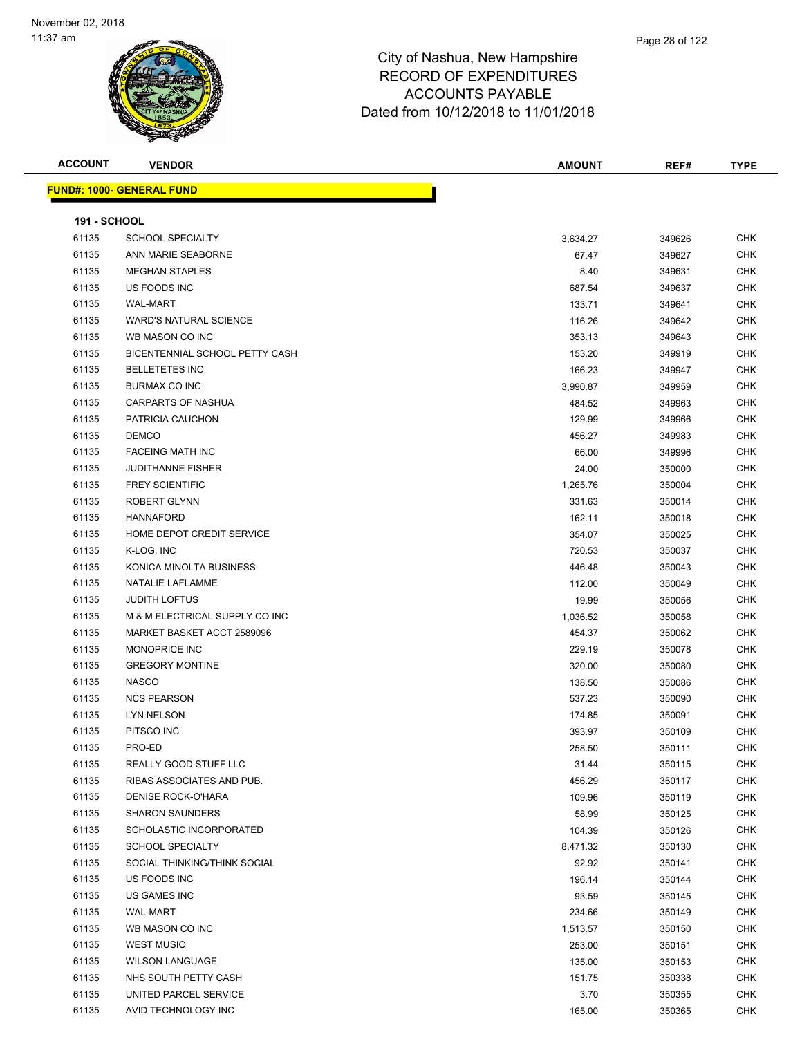

| <b>ACCOUNT</b>      | <b>VENDOR</b>                    | <b>AMOUNT</b> | REF#             | <b>TYPE</b>              |
|---------------------|----------------------------------|---------------|------------------|--------------------------|
|                     | <b>FUND#: 1000- GENERAL FUND</b> |               |                  |                          |
| <b>191 - SCHOOL</b> |                                  |               |                  |                          |
| 61135               | <b>SCHOOL SPECIALTY</b>          | 3,634.27      | 349626           | <b>CHK</b>               |
| 61135               | ANN MARIE SEABORNE               | 67.47         | 349627           | <b>CHK</b>               |
| 61135               | <b>MEGHAN STAPLES</b>            | 8.40          | 349631           | <b>CHK</b>               |
| 61135               | US FOODS INC                     | 687.54        | 349637           | <b>CHK</b>               |
| 61135               | <b>WAL-MART</b>                  | 133.71        | 349641           | <b>CHK</b>               |
| 61135               | <b>WARD'S NATURAL SCIENCE</b>    | 116.26        | 349642           | <b>CHK</b>               |
| 61135               | WB MASON CO INC                  | 353.13        | 349643           | <b>CHK</b>               |
| 61135               | BICENTENNIAL SCHOOL PETTY CASH   | 153.20        | 349919           | <b>CHK</b>               |
| 61135               | <b>BELLETETES INC</b>            | 166.23        | 349947           | <b>CHK</b>               |
| 61135               | <b>BURMAX CO INC</b>             | 3,990.87      | 349959           | <b>CHK</b>               |
| 61135               | <b>CARPARTS OF NASHUA</b>        | 484.52        | 349963           | <b>CHK</b>               |
| 61135               | PATRICIA CAUCHON                 | 129.99        | 349966           | <b>CHK</b>               |
| 61135               | <b>DEMCO</b>                     | 456.27        | 349983           | <b>CHK</b>               |
| 61135               | <b>FACEING MATH INC</b>          | 66.00         | 349996           | <b>CHK</b>               |
| 61135               | <b>JUDITHANNE FISHER</b>         | 24.00         | 350000           | <b>CHK</b>               |
| 61135               | <b>FREY SCIENTIFIC</b>           | 1,265.76      | 350004           | <b>CHK</b>               |
| 61135               | ROBERT GLYNN                     | 331.63        | 350014           | <b>CHK</b>               |
| 61135               | <b>HANNAFORD</b>                 | 162.11        | 350018           | <b>CHK</b>               |
| 61135               | HOME DEPOT CREDIT SERVICE        | 354.07        | 350025           | <b>CHK</b>               |
| 61135               | K-LOG, INC                       | 720.53        | 350037           | <b>CHK</b>               |
| 61135               | KONICA MINOLTA BUSINESS          | 446.48        | 350043           | <b>CHK</b>               |
| 61135               | NATALIE LAFLAMME                 | 112.00        | 350049           | <b>CHK</b>               |
| 61135               | <b>JUDITH LOFTUS</b>             | 19.99         |                  | <b>CHK</b>               |
| 61135               | M & M ELECTRICAL SUPPLY CO INC   | 1,036.52      | 350056<br>350058 | <b>CHK</b>               |
| 61135               | MARKET BASKET ACCT 2589096       | 454.37        |                  | <b>CHK</b>               |
| 61135               | MONOPRICE INC                    | 229.19        | 350062<br>350078 | <b>CHK</b>               |
|                     | <b>GREGORY MONTINE</b>           |               |                  | <b>CHK</b>               |
| 61135<br>61135      | <b>NASCO</b>                     | 320.00        | 350080           | <b>CHK</b>               |
|                     | <b>NCS PEARSON</b>               | 138.50        | 350086<br>350090 |                          |
| 61135               | <b>LYN NELSON</b>                | 537.23        |                  | <b>CHK</b><br><b>CHK</b> |
| 61135               |                                  | 174.85        | 350091<br>350109 | <b>CHK</b>               |
| 61135               | PITSCO INC                       | 393.97        |                  |                          |
| 61135               | PRO-ED                           | 258.50        | 350111           | CHK                      |
| 61135               | REALLY GOOD STUFF LLC            | 31.44         | 350115           | <b>CHK</b>               |
| 61135               | RIBAS ASSOCIATES AND PUB.        | 456.29        | 350117           | <b>CHK</b>               |
| 61135               | DENISE ROCK-O'HARA               | 109.96        | 350119           | <b>CHK</b>               |
| 61135               | <b>SHARON SAUNDERS</b>           | 58.99         | 350125           | <b>CHK</b>               |
| 61135               | SCHOLASTIC INCORPORATED          | 104.39        | 350126           | <b>CHK</b>               |
| 61135               | SCHOOL SPECIALTY                 | 8,471.32      | 350130           | <b>CHK</b>               |
| 61135               | SOCIAL THINKING/THINK SOCIAL     | 92.92         | 350141           | <b>CHK</b>               |
| 61135               | US FOODS INC                     | 196.14        | 350144           | <b>CHK</b>               |
| 61135               | US GAMES INC                     | 93.59         | 350145           | <b>CHK</b>               |
| 61135               | <b>WAL-MART</b>                  | 234.66        | 350149           | <b>CHK</b>               |
| 61135               | WB MASON CO INC                  | 1,513.57      | 350150           | <b>CHK</b>               |
| 61135               | <b>WEST MUSIC</b>                | 253.00        | 350151           | <b>CHK</b>               |
| 61135               | <b>WILSON LANGUAGE</b>           | 135.00        | 350153           | <b>CHK</b>               |
| 61135               | NHS SOUTH PETTY CASH             | 151.75        | 350338           | CHK                      |
| 61135               | UNITED PARCEL SERVICE            | 3.70          | 350355           | <b>CHK</b>               |
| 61135               | AVID TECHNOLOGY INC              | 165.00        | 350365           | <b>CHK</b>               |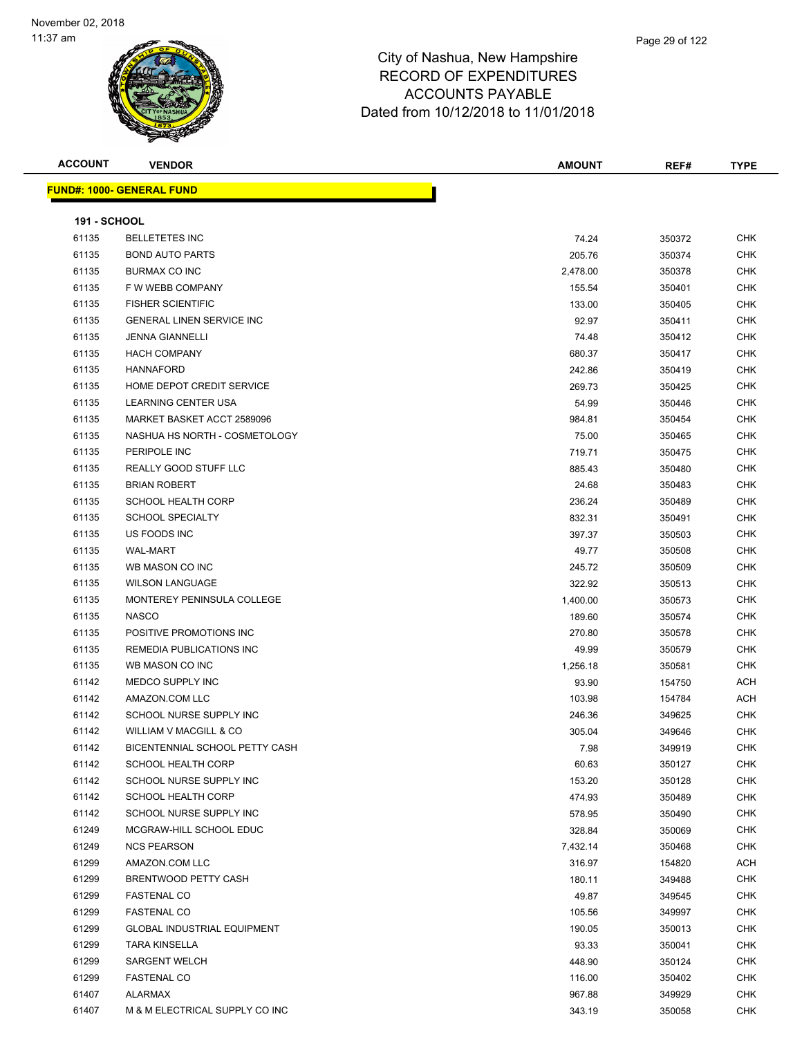

| <b>ACCOUNT</b>      | <b>VENDOR</b>                      | <b>AMOUNT</b> | REF#   | <b>TYPE</b> |
|---------------------|------------------------------------|---------------|--------|-------------|
|                     | <u> FUND#: 1000- GENERAL FUND</u>  |               |        |             |
|                     |                                    |               |        |             |
| <b>191 - SCHOOL</b> |                                    |               |        |             |
| 61135               | <b>BELLETETES INC</b>              | 74.24         | 350372 | <b>CHK</b>  |
| 61135               | <b>BOND AUTO PARTS</b>             | 205.76        | 350374 | <b>CHK</b>  |
| 61135               | BURMAX CO INC                      | 2,478.00      | 350378 | <b>CHK</b>  |
| 61135               | F W WEBB COMPANY                   | 155.54        | 350401 | <b>CHK</b>  |
| 61135               | <b>FISHER SCIENTIFIC</b>           | 133.00        | 350405 | <b>CHK</b>  |
| 61135               | <b>GENERAL LINEN SERVICE INC</b>   | 92.97         | 350411 | <b>CHK</b>  |
| 61135               | <b>JENNA GIANNELLI</b>             | 74.48         | 350412 | <b>CHK</b>  |
| 61135               | <b>HACH COMPANY</b>                | 680.37        | 350417 | CHK         |
| 61135               | <b>HANNAFORD</b>                   | 242.86        | 350419 | <b>CHK</b>  |
| 61135               | HOME DEPOT CREDIT SERVICE          | 269.73        | 350425 | <b>CHK</b>  |
| 61135               | <b>LEARNING CENTER USA</b>         | 54.99         | 350446 | <b>CHK</b>  |
| 61135               | MARKET BASKET ACCT 2589096         | 984.81        | 350454 | <b>CHK</b>  |
| 61135               | NASHUA HS NORTH - COSMETOLOGY      | 75.00         | 350465 | <b>CHK</b>  |
| 61135               | PERIPOLE INC                       | 719.71        | 350475 | <b>CHK</b>  |
| 61135               | REALLY GOOD STUFF LLC              | 885.43        | 350480 | <b>CHK</b>  |
| 61135               | <b>BRIAN ROBERT</b>                | 24.68         | 350483 | <b>CHK</b>  |
| 61135               | <b>SCHOOL HEALTH CORP</b>          | 236.24        | 350489 | CHK         |
| 61135               | <b>SCHOOL SPECIALTY</b>            | 832.31        | 350491 | <b>CHK</b>  |
| 61135               | US FOODS INC                       | 397.37        | 350503 | <b>CHK</b>  |
| 61135               | <b>WAL-MART</b>                    | 49.77         | 350508 | <b>CHK</b>  |
| 61135               | WB MASON CO INC                    | 245.72        | 350509 | <b>CHK</b>  |
| 61135               | <b>WILSON LANGUAGE</b>             | 322.92        | 350513 | CHK         |
| 61135               | MONTEREY PENINSULA COLLEGE         | 1,400.00      | 350573 | <b>CHK</b>  |
| 61135               | <b>NASCO</b>                       | 189.60        | 350574 | <b>CHK</b>  |
| 61135               | POSITIVE PROMOTIONS INC            | 270.80        | 350578 | <b>CHK</b>  |
| 61135               | REMEDIA PUBLICATIONS INC           | 49.99         | 350579 | <b>CHK</b>  |
| 61135               | WB MASON CO INC                    | 1,256.18      | 350581 | <b>CHK</b>  |
| 61142               | MEDCO SUPPLY INC                   | 93.90         | 154750 | ACH         |
| 61142               | AMAZON.COM LLC                     | 103.98        | 154784 | ACH         |
| 61142               | SCHOOL NURSE SUPPLY INC            | 246.36        | 349625 | <b>CHK</b>  |
| 61142               | WILLIAM V MACGILL & CO             | 305.04        | 349646 | <b>CHK</b>  |
| 61142               | BICENTENNIAL SCHOOL PETTY CASH     | 7.98          | 349919 | <b>CHK</b>  |
| 61142               | <b>SCHOOL HEALTH CORP</b>          | 60.63         | 350127 | CHK         |
| 61142               | SCHOOL NURSE SUPPLY INC            | 153.20        | 350128 | <b>CHK</b>  |
| 61142               | <b>SCHOOL HEALTH CORP</b>          | 474.93        | 350489 | <b>CHK</b>  |
| 61142               | SCHOOL NURSE SUPPLY INC            | 578.95        | 350490 | <b>CHK</b>  |
| 61249               | MCGRAW-HILL SCHOOL EDUC            | 328.84        | 350069 | <b>CHK</b>  |
| 61249               | <b>NCS PEARSON</b>                 | 7,432.14      | 350468 | <b>CHK</b>  |
| 61299               | AMAZON.COM LLC                     | 316.97        | 154820 | ACH         |
| 61299               | BRENTWOOD PETTY CASH               | 180.11        | 349488 | <b>CHK</b>  |
| 61299               | <b>FASTENAL CO</b>                 | 49.87         | 349545 | <b>CHK</b>  |
| 61299               | <b>FASTENAL CO</b>                 | 105.56        | 349997 | <b>CHK</b>  |
| 61299               | <b>GLOBAL INDUSTRIAL EQUIPMENT</b> | 190.05        | 350013 | <b>CHK</b>  |
| 61299               | <b>TARA KINSELLA</b>               | 93.33         | 350041 | CHK         |
| 61299               | <b>SARGENT WELCH</b>               | 448.90        | 350124 | <b>CHK</b>  |
| 61299               | <b>FASTENAL CO</b>                 | 116.00        | 350402 | <b>CHK</b>  |
| 61407               | ALARMAX                            | 967.88        | 349929 | <b>CHK</b>  |
| 61407               | M & M ELECTRICAL SUPPLY CO INC     | 343.19        | 350058 | <b>CHK</b>  |
|                     |                                    |               |        |             |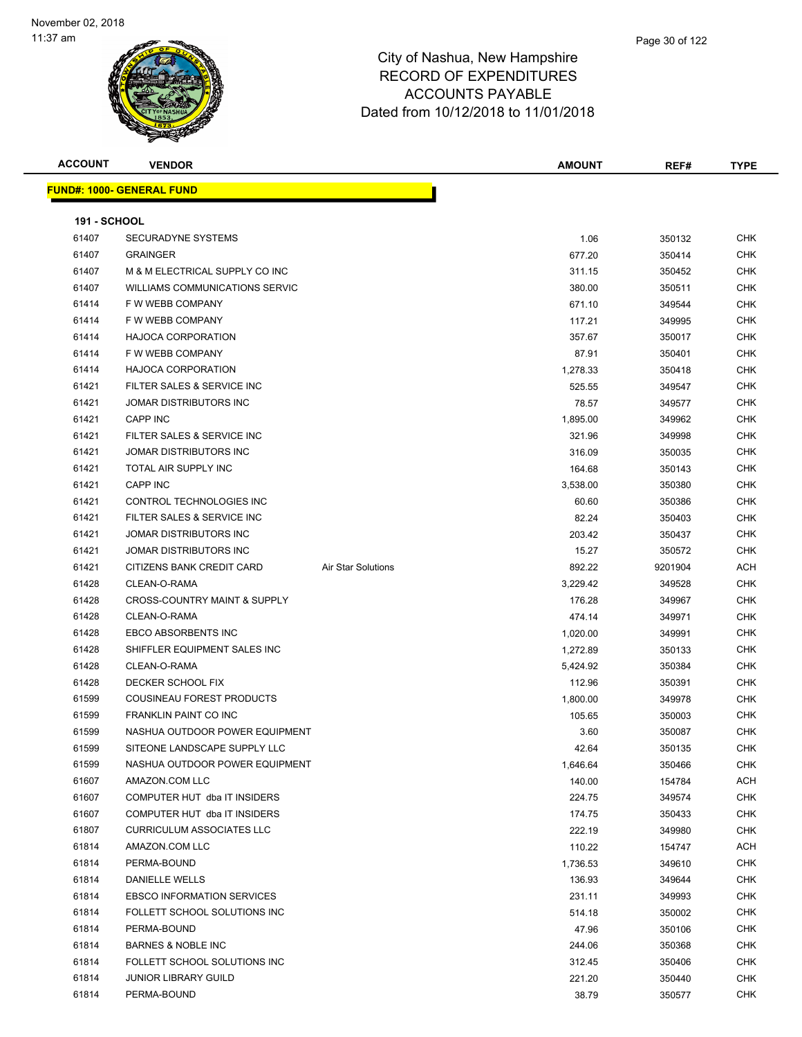

| <b>ACCOUNT</b>      | <b>VENDOR</b>                           |                    | AMOUNT   | REF#    | <b>TYPE</b> |
|---------------------|-----------------------------------------|--------------------|----------|---------|-------------|
|                     | <b>FUND#: 1000- GENERAL FUND</b>        |                    |          |         |             |
|                     |                                         |                    |          |         |             |
| <b>191 - SCHOOL</b> |                                         |                    |          |         |             |
| 61407               | <b>SECURADYNE SYSTEMS</b>               |                    | 1.06     | 350132  | <b>CHK</b>  |
| 61407               | <b>GRAINGER</b>                         |                    | 677.20   | 350414  | <b>CHK</b>  |
| 61407               | M & M ELECTRICAL SUPPLY CO INC          |                    | 311.15   | 350452  | CHK         |
| 61407               | WILLIAMS COMMUNICATIONS SERVIC          |                    | 380.00   | 350511  | CHK         |
| 61414               | F W WEBB COMPANY                        |                    | 671.10   | 349544  | CHK         |
| 61414               | F W WEBB COMPANY                        |                    | 117.21   | 349995  | CHK         |
| 61414               | <b>HAJOCA CORPORATION</b>               |                    | 357.67   | 350017  | CHK         |
| 61414               | F W WEBB COMPANY                        |                    | 87.91    | 350401  | <b>CHK</b>  |
| 61414               | <b>HAJOCA CORPORATION</b>               |                    | 1,278.33 | 350418  | CHK         |
| 61421               | FILTER SALES & SERVICE INC              |                    | 525.55   | 349547  | <b>CHK</b>  |
| 61421               | JOMAR DISTRIBUTORS INC                  |                    | 78.57    | 349577  | <b>CHK</b>  |
| 61421               | <b>CAPP INC</b>                         |                    | 1,895.00 | 349962  | <b>CHK</b>  |
| 61421               | FILTER SALES & SERVICE INC              |                    | 321.96   | 349998  | CHK         |
| 61421               | JOMAR DISTRIBUTORS INC                  |                    | 316.09   | 350035  | <b>CHK</b>  |
| 61421               | TOTAL AIR SUPPLY INC                    |                    | 164.68   | 350143  | <b>CHK</b>  |
| 61421               | CAPP INC                                |                    | 3,538.00 | 350380  | CHK         |
| 61421               | CONTROL TECHNOLOGIES INC                |                    | 60.60    | 350386  | CHK         |
| 61421               | FILTER SALES & SERVICE INC              |                    | 82.24    | 350403  | CHK         |
| 61421               | <b>JOMAR DISTRIBUTORS INC</b>           |                    | 203.42   | 350437  | <b>CHK</b>  |
| 61421               | JOMAR DISTRIBUTORS INC                  |                    | 15.27    | 350572  | <b>CHK</b>  |
| 61421               | CITIZENS BANK CREDIT CARD               | Air Star Solutions | 892.22   | 9201904 | ACH         |
| 61428               | CLEAN-O-RAMA                            |                    | 3,229.42 | 349528  | CHK         |
| 61428               | <b>CROSS-COUNTRY MAINT &amp; SUPPLY</b> |                    | 176.28   | 349967  | <b>CHK</b>  |
| 61428               | CLEAN-O-RAMA                            |                    | 474.14   | 349971  | CHK         |
| 61428               | EBCO ABSORBENTS INC                     |                    | 1,020.00 | 349991  | <b>CHK</b>  |
| 61428               | SHIFFLER EQUIPMENT SALES INC            |                    | 1,272.89 | 350133  | CHK         |
| 61428               | CLEAN-O-RAMA                            |                    | 5,424.92 | 350384  | CHK         |
| 61428               | DECKER SCHOOL FIX                       |                    | 112.96   | 350391  | CHK         |
| 61599               | <b>COUSINEAU FOREST PRODUCTS</b>        |                    | 1,800.00 | 349978  | <b>CHK</b>  |
| 61599               | <b>FRANKLIN PAINT CO INC</b>            |                    | 105.65   | 350003  | <b>CHK</b>  |
| 61599               | NASHUA OUTDOOR POWER EQUIPMENT          |                    | 3.60     | 350087  | <b>CHK</b>  |
| 61599               | SITEONE LANDSCAPE SUPPLY LLC            |                    | 42.64    | 350135  | CHK         |
| 61599               | NASHUA OUTDOOR POWER EQUIPMENT          |                    | 1,646.64 | 350466  | <b>CHK</b>  |
| 61607               | AMAZON.COM LLC                          |                    | 140.00   | 154784  | ACH         |
| 61607               | COMPUTER HUT dba IT INSIDERS            |                    | 224.75   | 349574  | CHK         |
| 61607               | COMPUTER HUT dba IT INSIDERS            |                    | 174.75   | 350433  | <b>CHK</b>  |
| 61807               | <b>CURRICULUM ASSOCIATES LLC</b>        |                    | 222.19   | 349980  | <b>CHK</b>  |
| 61814               | AMAZON.COM LLC                          |                    | 110.22   | 154747  | ACH         |
| 61814               | PERMA-BOUND                             |                    | 1,736.53 | 349610  | CHK         |
| 61814               | DANIELLE WELLS                          |                    | 136.93   | 349644  | CHK         |
| 61814               | <b>EBSCO INFORMATION SERVICES</b>       |                    | 231.11   | 349993  | CHK         |
| 61814               | FOLLETT SCHOOL SOLUTIONS INC            |                    | 514.18   | 350002  | <b>CHK</b>  |
| 61814               | PERMA-BOUND                             |                    | 47.96    | 350106  | <b>CHK</b>  |
| 61814               | <b>BARNES &amp; NOBLE INC</b>           |                    | 244.06   | 350368  | CHK         |
| 61814               | FOLLETT SCHOOL SOLUTIONS INC            |                    | 312.45   | 350406  | CHK         |
| 61814               | <b>JUNIOR LIBRARY GUILD</b>             |                    | 221.20   | 350440  | CHK         |
| 61814               | PERMA-BOUND                             |                    | 38.79    | 350577  | <b>CHK</b>  |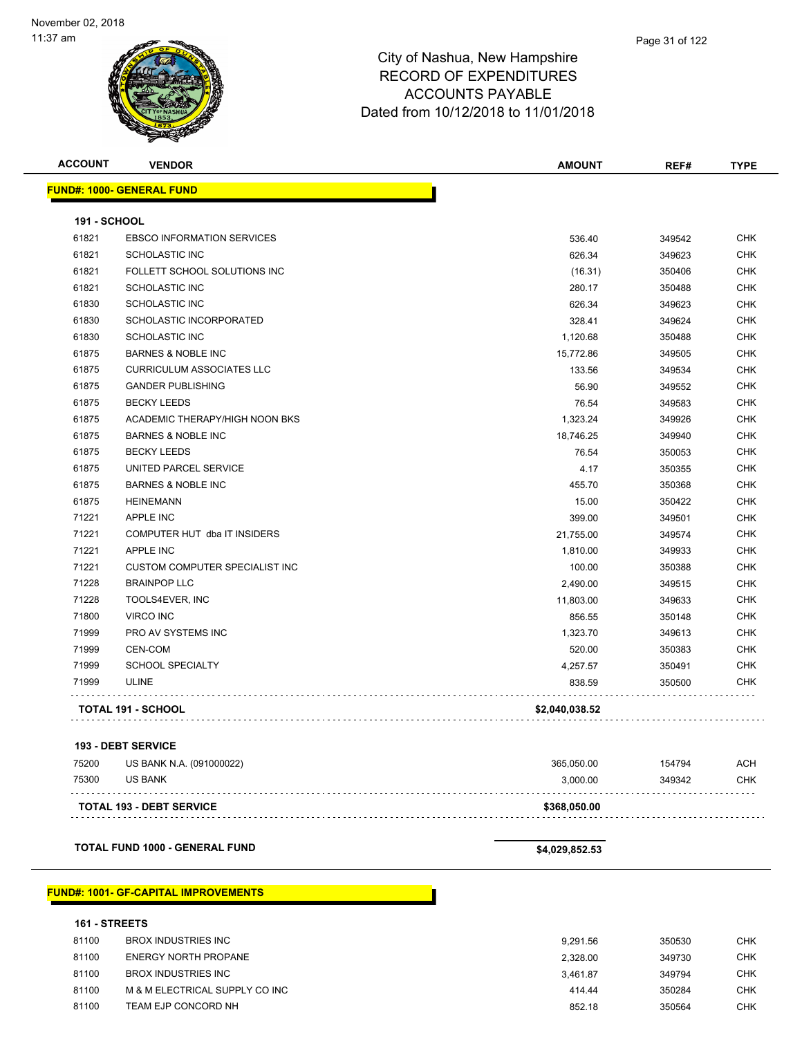| <b>ACCOUNT</b>      | <b>VENDOR</b>                               | <b>AMOUNT</b>  | REF#   | <b>TYPE</b> |
|---------------------|---------------------------------------------|----------------|--------|-------------|
|                     | <b>FUND#: 1000- GENERAL FUND</b>            |                |        |             |
|                     |                                             |                |        |             |
| <b>191 - SCHOOL</b> |                                             |                |        |             |
| 61821               | <b>EBSCO INFORMATION SERVICES</b>           | 536.40         | 349542 | <b>CHK</b>  |
| 61821               | <b>SCHOLASTIC INC</b>                       | 626.34         | 349623 | <b>CHK</b>  |
| 61821               | FOLLETT SCHOOL SOLUTIONS INC                | (16.31)        | 350406 | <b>CHK</b>  |
| 61821               | <b>SCHOLASTIC INC</b>                       | 280.17         | 350488 | <b>CHK</b>  |
| 61830               | <b>SCHOLASTIC INC</b>                       | 626.34         | 349623 | <b>CHK</b>  |
| 61830               | <b>SCHOLASTIC INCORPORATED</b>              | 328.41         | 349624 | <b>CHK</b>  |
| 61830               | <b>SCHOLASTIC INC</b>                       | 1,120.68       | 350488 | <b>CHK</b>  |
| 61875               | <b>BARNES &amp; NOBLE INC</b>               | 15,772.86      | 349505 | CHK         |
| 61875               | <b>CURRICULUM ASSOCIATES LLC</b>            | 133.56         | 349534 | <b>CHK</b>  |
| 61875               | <b>GANDER PUBLISHING</b>                    | 56.90          | 349552 | <b>CHK</b>  |
| 61875               | <b>BECKY LEEDS</b>                          | 76.54          | 349583 | CHK         |
| 61875               | ACADEMIC THERAPY/HIGH NOON BKS              | 1,323.24       | 349926 | <b>CHK</b>  |
| 61875               | <b>BARNES &amp; NOBLE INC</b>               | 18,746.25      | 349940 | CHK         |
| 61875               | <b>BECKY LEEDS</b>                          | 76.54          | 350053 | CHK         |
| 61875               | UNITED PARCEL SERVICE                       | 4.17           | 350355 | <b>CHK</b>  |
| 61875               | <b>BARNES &amp; NOBLE INC</b>               | 455.70         | 350368 | CHK         |
| 61875               | <b>HEINEMANN</b>                            | 15.00          | 350422 | <b>CHK</b>  |
| 71221               | <b>APPLE INC</b>                            | 399.00         | 349501 | <b>CHK</b>  |
| 71221               | COMPUTER HUT dba IT INSIDERS                | 21,755.00      | 349574 | CHK         |
| 71221               | <b>APPLE INC</b>                            | 1,810.00       | 349933 | <b>CHK</b>  |
| 71221               | <b>CUSTOM COMPUTER SPECIALIST INC</b>       | 100.00         | 350388 | <b>CHK</b>  |
| 71228               | <b>BRAINPOP LLC</b>                         | 2,490.00       | 349515 | <b>CHK</b>  |
| 71228               | TOOLS4EVER, INC                             | 11,803.00      | 349633 | <b>CHK</b>  |
| 71800               | <b>VIRCO INC</b>                            | 856.55         | 350148 | CHK         |
| 71999               | PRO AV SYSTEMS INC                          | 1,323.70       | 349613 | CHK         |
| 71999               | CEN-COM                                     | 520.00         | 350383 | <b>CHK</b>  |
| 71999               | <b>SCHOOL SPECIALTY</b>                     | 4,257.57       | 350491 | CHK         |
| 71999               | ULINE                                       | 838.59         | 350500 | CHK         |
|                     | <b>TOTAL 191 - SCHOOL</b>                   | \$2,040,038.52 |        |             |
|                     | <b>193 - DEBT SERVICE</b>                   |                |        |             |
| 75200               | US BANK N.A. (091000022)                    | 365,050.00     | 154794 | ACH         |
| 75300               | US BANK                                     | 3,000.00       | 349342 | CHK         |
|                     | <b>TOTAL 193 - DEBT SERVICE</b>             | \$368,050.00   |        |             |
|                     |                                             |                |        |             |
|                     | <b>TOTAL FUND 1000 - GENERAL FUND</b>       | \$4,029,852.53 |        |             |
| 161 - STREETS       | <b>FUND#: 1001- GF-CAPITAL IMPROVEMENTS</b> |                |        |             |

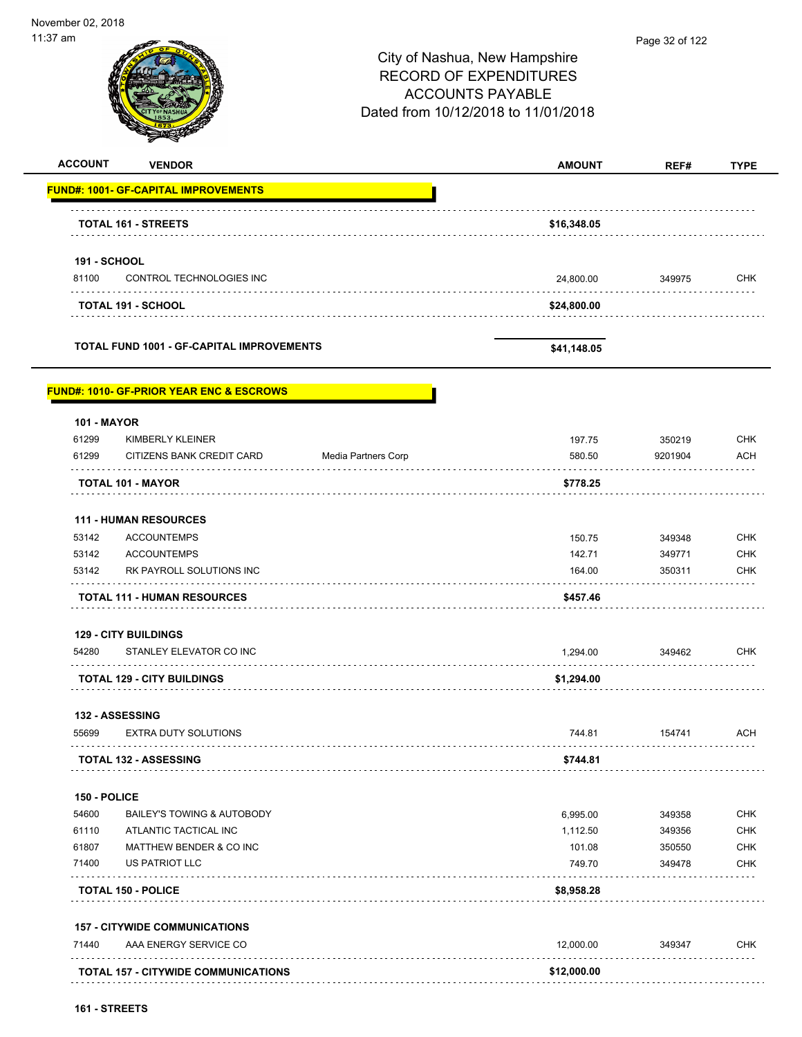November 02, 2018 11:37 am Page 32 of 122City of Nashua, New Hampshire RECORD OF EXPENDITURES ACCOUNTS PAYABLE Dated from 10/12/2018 to 11/01/2018 **ACCOUNT VENDOR AMOUNT REF# TYPE FUND#: 1001- GF-CAPITAL IMPROVEMENTS TOTAL 161 - STREETS \$16,348.05 191 - SCHOOL** 81100 CONTROL TECHNOLOGIES INC 24,800.00 349975 CHK . . . . . . . . . . **TOTAL 191 - SCHOOL \$24,800.00 TOTAL FUND 1001 - GF-CAPITAL IMPROVEMENTS \$41,148.05 FUND#: 1010- GF-PRIOR YEAR ENC & ESCROWS 101 - MAYOR** er by the state of the state of the state of the state of the state of the state of the state of the state of the state of the state of the state of the state of the state of the state of the state of the state of the stat 61299 CITIZENS BANK CREDIT CARD Media Partners Corp 580.50 9201904 ACH **TOTAL 101 - MAYOR \$778.25 111 - HUMAN RESOURCES** 53142 ACCOUNTEMPS 150.75 349348 CHK 53142 ACCOUNTEMPS 142.71 349771 CHK 53142 RK PAYROLL SOLUTIONS INC **164.00** 164.00 350311 CHK **TOTAL 111 - HUMAN RESOURCES \$457.46 129 - CITY BUILDINGS** 54280 STANLEY ELEVATOR CO INC 1,294.00 349462 CHK . . . . . . . . . . . . . . . . . . **TOTAL 129 - CITY BUILDINGS \$1,294.00 132 - ASSESSING** 55699 EXTRA DUTY SOLUTIONS 744.81 154741 ACH . . . . . . . . . **TOTAL 132 - ASSESSING \$744.81 150 - POLICE** 54600 BAILEY'S TOWING & AUTOBODY 6,995.00 349358 CHK 61110 ATLANTIC TACTICAL INC 1,112.50 349356 CHK er and the matter of the matter of the matter of the matter of the matter of the matter of the matter of the matter of the matter of the matter of the matter of the matter of the matter of the matter of the matter of the m 71400 US PATRIOT LLC 749.70 349478 CHK  $1.1.1.1.1.1.1$ . . . . . **TOTAL 150 - POLICE \$8,958.28 157 - CITYWIDE COMMUNICATIONS** Transformation and the service contract the contract of the contract of the contract of the contract of the contract of the contract of the contract of the contract of the contract of the contract of the contract of the co **TOTAL 157 - CITYWIDE COMMUNICATIONS \$12,000.00**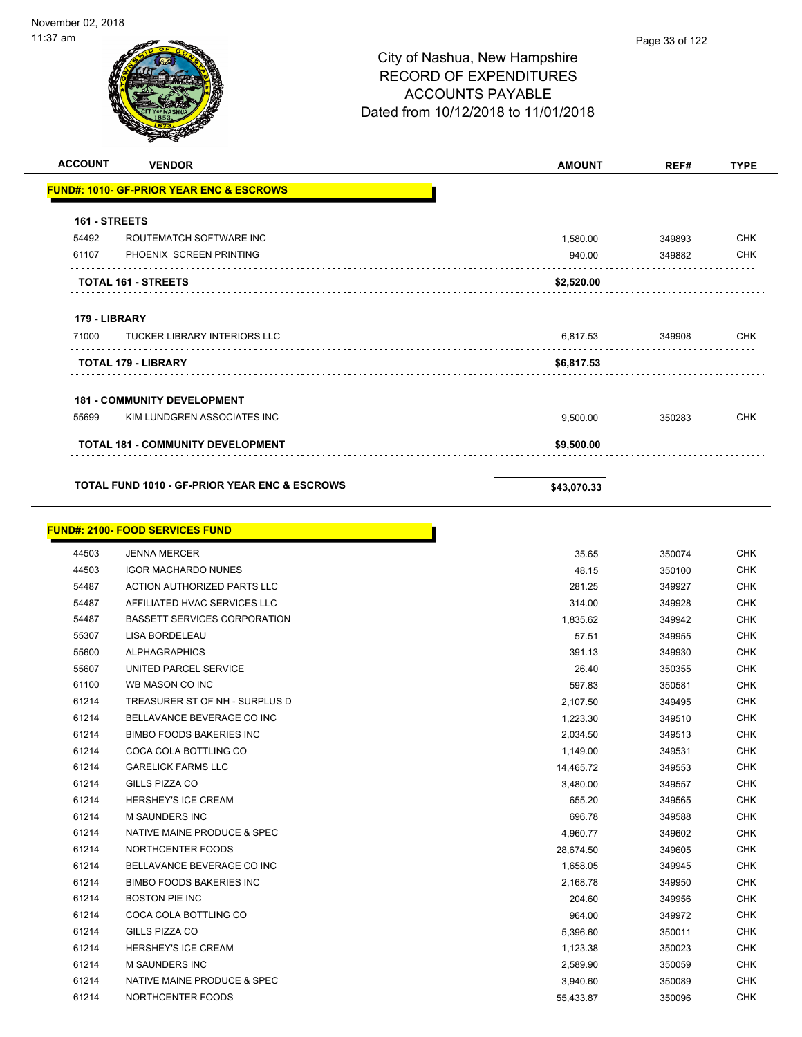| <b>ACCOUNT</b> | <b>VENDOR</b>                                            | <b>AMOUNT</b> | REF#             | <b>TYPE</b> |
|----------------|----------------------------------------------------------|---------------|------------------|-------------|
|                | <b>FUND#: 1010- GF-PRIOR YEAR ENC &amp; ESCROWS</b>      |               |                  |             |
|                |                                                          |               |                  |             |
| 161 - STREETS  |                                                          |               |                  |             |
| 54492          | ROUTEMATCH SOFTWARE INC                                  | 1,580.00      | 349893           | <b>CHK</b>  |
| 61107          | PHOENIX SCREEN PRINTING                                  | 940.00        | 349882           | <b>CHK</b>  |
|                | TOTAL 161 - STREETS                                      | \$2,520.00    |                  |             |
| 179 - LIBRARY  |                                                          |               |                  |             |
| 71000          | <b>TUCKER LIBRARY INTERIORS LLC</b>                      | 6,817.53      | 349908           | <b>CHK</b>  |
|                | <b>TOTAL 179 - LIBRARY</b>                               | \$6,817.53    |                  |             |
|                | <b>181 - COMMUNITY DEVELOPMENT</b>                       |               |                  |             |
| 55699          | KIM LUNDGREN ASSOCIATES INC                              | 9,500.00      | 350283           | <b>CHK</b>  |
|                | TOTAL 181 - COMMUNITY DEVELOPMENT                        | \$9,500.00    |                  |             |
|                |                                                          |               |                  |             |
|                | <b>TOTAL FUND 1010 - GF-PRIOR YEAR ENC &amp; ESCROWS</b> | \$43,070.33   |                  |             |
|                | <b>FUND#: 2100- FOOD SERVICES FUND</b>                   |               |                  |             |
|                |                                                          | 35.65         |                  | <b>CHK</b>  |
| 44503<br>44503 | <b>JENNA MERCER</b><br><b>IGOR MACHARDO NUNES</b>        | 48.15         | 350074<br>350100 | <b>CHK</b>  |
| 54487          | ACTION AUTHORIZED PARTS LLC                              | 281.25        | 349927           | <b>CHK</b>  |
| 54487          | AFFILIATED HVAC SERVICES LLC                             | 314.00        | 349928           | <b>CHK</b>  |
| 54487          | <b>BASSETT SERVICES CORPORATION</b>                      | 1,835.62      | 349942           | <b>CHK</b>  |
| 55307          | LISA BORDELEAU                                           | 57.51         | 349955           | <b>CHK</b>  |
| 55600          | <b>ALPHAGRAPHICS</b>                                     | 391.13        | 349930           | <b>CHK</b>  |
| 55607          | UNITED PARCEL SERVICE                                    | 26.40         | 350355           | <b>CHK</b>  |
| 61100          | WB MASON CO INC                                          | 597.83        | 350581           | <b>CHK</b>  |
| 61214          | TREASURER ST OF NH - SURPLUS D                           | 2,107.50      | 349495           | <b>CHK</b>  |
| 61214          | BELLAVANCE BEVERAGE CO INC                               | 1,223.30      | 349510           | <b>CHK</b>  |
| 61214          | <b>BIMBO FOODS BAKERIES INC</b>                          | 2,034.50      | 349513           | <b>CHK</b>  |
| 61214          | COCA COLA BOTTLING CO                                    | 1,149.00      | 349531           | <b>CHK</b>  |
| 61214          | <b>GARELICK FARMS LLC</b>                                | 14,465.72     | 349553           | <b>CHK</b>  |
| 61214          | GILLS PIZZA CO                                           | 3,480.00      | 349557           | <b>CHK</b>  |
| 61214          | HERSHEY'S ICE CREAM                                      | 655.20        | 349565           | <b>CHK</b>  |
| 61214          | M SAUNDERS INC                                           | 696.78        | 349588           | <b>CHK</b>  |
| 61214          | NATIVE MAINE PRODUCE & SPEC                              | 4,960.77      | 349602           | <b>CHK</b>  |
| 61214          | NORTHCENTER FOODS                                        | 28,674.50     | 349605           | CHK         |
| 61214          | BELLAVANCE BEVERAGE CO INC                               | 1,658.05      | 349945           | <b>CHK</b>  |
| 61214          | <b>BIMBO FOODS BAKERIES INC</b>                          | 2,168.78      | 349950           | CHK         |
| 61214          | <b>BOSTON PIE INC</b>                                    | 204.60        | 349956           | <b>CHK</b>  |
| 61214          | COCA COLA BOTTLING CO                                    | 964.00        | 349972           | <b>CHK</b>  |
| 61214          | GILLS PIZZA CO                                           | 5,396.60      | 350011           | <b>CHK</b>  |
| 61214          | HERSHEY'S ICE CREAM                                      | 1,123.38      | 350023           | <b>CHK</b>  |
| 61214          | M SAUNDERS INC                                           | 2,589.90      | 350059           | <b>CHK</b>  |
| 61214          | NATIVE MAINE PRODUCE & SPEC                              | 3,940.60      | 350089           | <b>CHK</b>  |
| 61214          | NORTHCENTER FOODS                                        | 55,433.87     | 350096           | <b>CHK</b>  |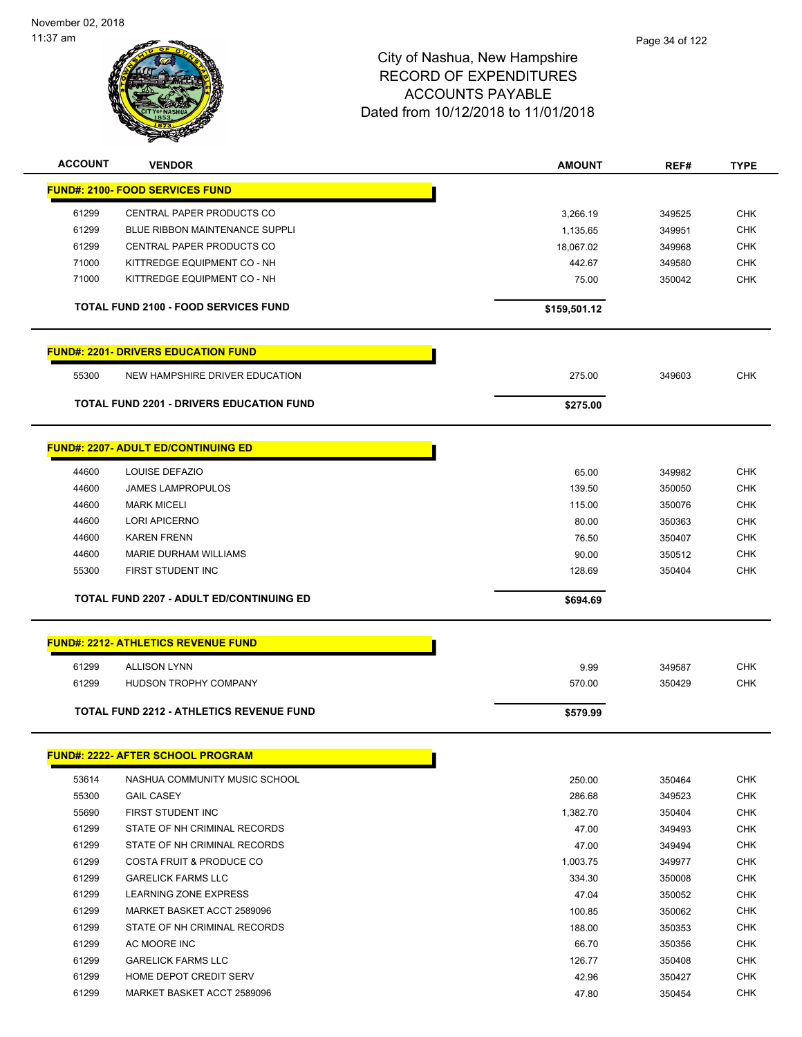| <b>ACCOUNT</b> | <b>VENDOR</b>                                   | <b>AMOUNT</b> | REF#   | <b>TYPE</b> |
|----------------|-------------------------------------------------|---------------|--------|-------------|
|                | <b>FUND#: 2100- FOOD SERVICES FUND</b>          |               |        |             |
| 61299          | CENTRAL PAPER PRODUCTS CO                       | 3,266.19      | 349525 | <b>CHK</b>  |
| 61299          | <b>BLUE RIBBON MAINTENANCE SUPPLI</b>           | 1,135.65      | 349951 | <b>CHK</b>  |
| 61299          | CENTRAL PAPER PRODUCTS CO                       | 18,067.02     | 349968 | <b>CHK</b>  |
| 71000          | KITTREDGE EQUIPMENT CO - NH                     | 442.67        | 349580 | <b>CHK</b>  |
| 71000          | KITTREDGE EQUIPMENT CO - NH                     | 75.00         | 350042 | <b>CHK</b>  |
|                | <b>TOTAL FUND 2100 - FOOD SERVICES FUND</b>     | \$159,501.12  |        |             |
|                | <b>FUND#: 2201- DRIVERS EDUCATION FUND</b>      |               |        |             |
| 55300          | NEW HAMPSHIRE DRIVER EDUCATION                  | 275.00        | 349603 | <b>CHK</b>  |
|                | <b>TOTAL FUND 2201 - DRIVERS EDUCATION FUND</b> | \$275.00      |        |             |
|                | <b>FUND#: 2207- ADULT ED/CONTINUING ED</b>      |               |        |             |
| 44600          | LOUISE DEFAZIO                                  | 65.00         | 349982 | <b>CHK</b>  |
| 44600          | <b>JAMES LAMPROPULOS</b>                        | 139.50        | 350050 | <b>CHK</b>  |
| 44600          | <b>MARK MICELI</b>                              | 115.00        | 350076 | <b>CHK</b>  |
| 44600          | <b>LORI APICERNO</b>                            | 80.00         | 350363 | <b>CHK</b>  |
| 44600          | <b>KAREN FRENN</b>                              | 76.50         | 350407 | <b>CHK</b>  |
| 44600          | MARIE DURHAM WILLIAMS                           | 90.00         | 350512 | <b>CHK</b>  |
| 55300          | FIRST STUDENT INC                               | 128.69        | 350404 | <b>CHK</b>  |
|                | <b>TOTAL FUND 2207 - ADULT ED/CONTINUING ED</b> | \$694.69      |        |             |
|                | <b>FUND#: 2212- ATHLETICS REVENUE FUND</b>      |               |        |             |
| 61299          | <b>ALLISON LYNN</b>                             | 9.99          | 349587 | <b>CHK</b>  |
| 61299          | HUDSON TROPHY COMPANY                           | 570.00        | 350429 | <b>CHK</b>  |
|                |                                                 |               |        |             |
|                | <b>TOTAL FUND 2212 - ATHLETICS REVENUE FUND</b> | \$579.99      |        |             |
|                | <u> FUND#: 2222- AFTER SCHOOL PROGRAM</u>       |               |        |             |
| 53614          | NASHUA COMMUNITY MUSIC SCHOOL                   | 250.00        | 350464 | CHK         |
| 55300          | <b>GAIL CASEY</b>                               | 286.68        | 349523 | <b>CHK</b>  |
| 55690          | FIRST STUDENT INC                               | 1,382.70      | 350404 | CHK         |
| 61299          | STATE OF NH CRIMINAL RECORDS                    | 47.00         | 349493 | CHK         |
| 61299          | STATE OF NH CRIMINAL RECORDS                    | 47.00         | 349494 | <b>CHK</b>  |
| 61299          | COSTA FRUIT & PRODUCE CO                        | 1,003.75      | 349977 | <b>CHK</b>  |
| 61299          | <b>GARELICK FARMS LLC</b>                       | 334.30        | 350008 | <b>CHK</b>  |
| 61299          | LEARNING ZONE EXPRESS                           | 47.04         | 350052 | <b>CHK</b>  |
| 61299          | MARKET BASKET ACCT 2589096                      | 100.85        | 350062 | CHK         |
| 61299          | STATE OF NH CRIMINAL RECORDS                    | 188.00        | 350353 | <b>CHK</b>  |
| 61299          | AC MOORE INC                                    | 66.70         | 350356 | <b>CHK</b>  |
| 61299          | <b>GARELICK FARMS LLC</b>                       | 126.77        | 350408 | <b>CHK</b>  |
| 61299          | HOME DEPOT CREDIT SERV                          | 42.96         | 350427 | <b>CHK</b>  |
| 61299          | MARKET BASKET ACCT 2589096                      | 47.80         | 350454 | CHK         |
|                |                                                 |               |        |             |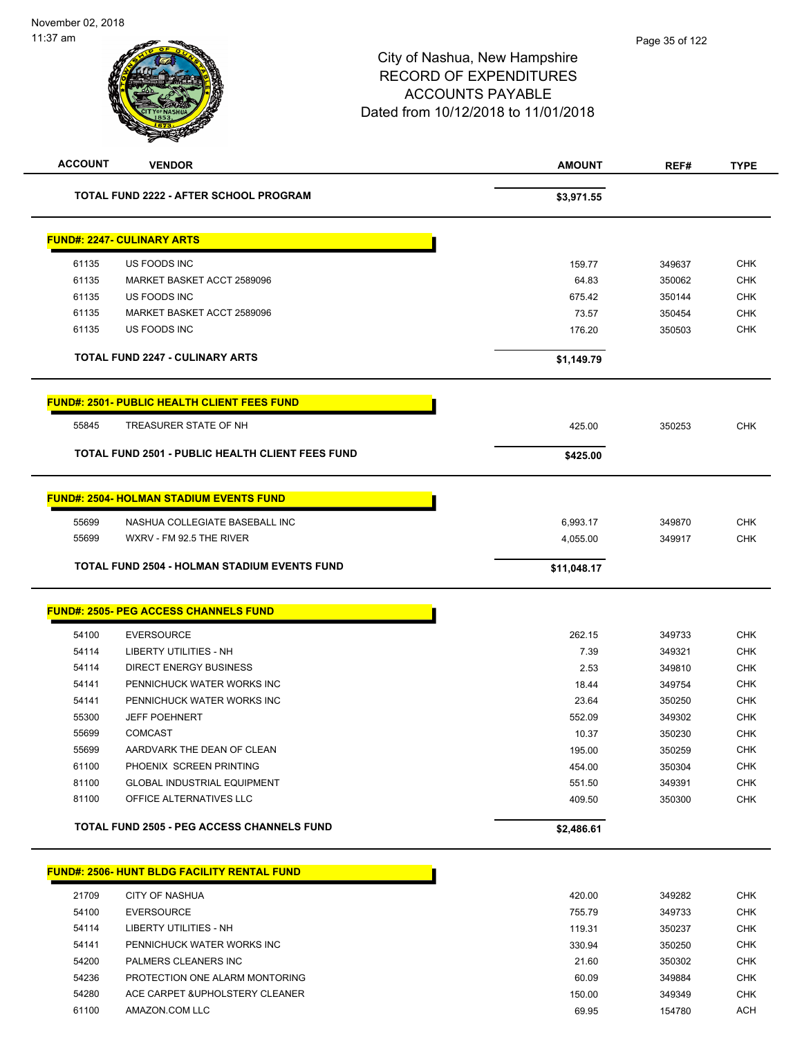| <b>ACCOUNT</b> | <b>VENDOR</b>                                           | <b>AMOUNT</b> | REF#   | <b>TYPE</b> |
|----------------|---------------------------------------------------------|---------------|--------|-------------|
|                | <b>TOTAL FUND 2222 - AFTER SCHOOL PROGRAM</b>           | \$3,971.55    |        |             |
|                | <b>FUND#: 2247- CULINARY ARTS</b>                       |               |        |             |
| 61135          | US FOODS INC                                            | 159.77        | 349637 | <b>CHK</b>  |
| 61135          | MARKET BASKET ACCT 2589096                              | 64.83         | 350062 | <b>CHK</b>  |
| 61135          | US FOODS INC                                            | 675.42        | 350144 | <b>CHK</b>  |
| 61135          | MARKET BASKET ACCT 2589096                              | 73.57         | 350454 | <b>CHK</b>  |
| 61135          | US FOODS INC                                            | 176.20        | 350503 | <b>CHK</b>  |
|                | <b>TOTAL FUND 2247 - CULINARY ARTS</b>                  | \$1,149.79    |        |             |
|                | <b>FUND#: 2501- PUBLIC HEALTH CLIENT FEES FUND</b>      |               |        |             |
| 55845          | TREASURER STATE OF NH                                   | 425.00        | 350253 | <b>CHK</b>  |
|                | <b>TOTAL FUND 2501 - PUBLIC HEALTH CLIENT FEES FUND</b> | \$425.00      |        |             |
|                | <b>FUND#: 2504- HOLMAN STADIUM EVENTS FUND</b>          |               |        |             |
| 55699          | NASHUA COLLEGIATE BASEBALL INC                          | 6,993.17      | 349870 | <b>CHK</b>  |
| 55699          | WXRV - FM 92.5 THE RIVER                                | 4,055.00      | 349917 | <b>CHK</b>  |
|                | <b>TOTAL FUND 2504 - HOLMAN STADIUM EVENTS FUND</b>     | \$11,048.17   |        |             |
|                | <b>FUND#: 2505- PEG ACCESS CHANNELS FUND</b>            |               |        |             |
| 54100          | <b>EVERSOURCE</b>                                       | 262.15        | 349733 | <b>CHK</b>  |
| 54114          | <b>LIBERTY UTILITIES - NH</b>                           | 7.39          | 349321 | <b>CHK</b>  |
| 54114          | <b>DIRECT ENERGY BUSINESS</b>                           | 2.53          | 349810 | <b>CHK</b>  |
| 54141          | PENNICHUCK WATER WORKS INC                              | 18.44         | 349754 | <b>CHK</b>  |
| 54141          | PENNICHUCK WATER WORKS INC                              | 23.64         | 350250 | <b>CHK</b>  |
| 55300          | <b>JEFF POEHNERT</b>                                    | 552.09        | 349302 | <b>CHK</b>  |
| 55699          | <b>COMCAST</b>                                          | 10.37         | 350230 | <b>CHK</b>  |
| 55699          | AARDVARK THE DEAN OF CLEAN                              | 195.00        | 350259 | <b>CHK</b>  |
| 61100          | PHOENIX SCREEN PRINTING                                 | 454.00        | 350304 | <b>CHK</b>  |
| 81100          | <b>GLOBAL INDUSTRIAL EQUIPMENT</b>                      | 551.50        | 349391 | <b>CHK</b>  |
| 81100          | OFFICE ALTERNATIVES LLC                                 | 409.50        | 350300 | CHK         |
|                | <b>TOTAL FUND 2505 - PEG ACCESS CHANNELS FUND</b>       | \$2,486.61    |        |             |
|                | <b>FUND#: 2506- HUNT BLDG FACILITY RENTAL FUND</b>      |               |        |             |
| 21709          | <b>CITY OF NASHUA</b>                                   | 420.00        | 349282 | <b>CHK</b>  |
| 54100          | <b>EVERSOURCE</b>                                       | 755.79        | 349733 | <b>CHK</b>  |
| 54114          | LIBERTY UTILITIES - NH                                  | 119.31        | 350237 | <b>CHK</b>  |
| 54141          | PENNICHUCK WATER WORKS INC                              | 330.94        | 350250 | <b>CHK</b>  |
| 54200          | PALMERS CLEANERS INC                                    | 21.60         | 350302 | <b>CHK</b>  |
| 54236          | PROTECTION ONE ALARM MONTORING                          | 60.09         | 349884 | <b>CHK</b>  |
| 54280          | ACE CARPET & UPHOLSTERY CLEANER                         | 150.00        | 349349 | <b>CHK</b>  |
| 61100          | AMAZON.COM LLC                                          | 69.95         | 154780 | <b>ACH</b>  |
|                |                                                         |               |        |             |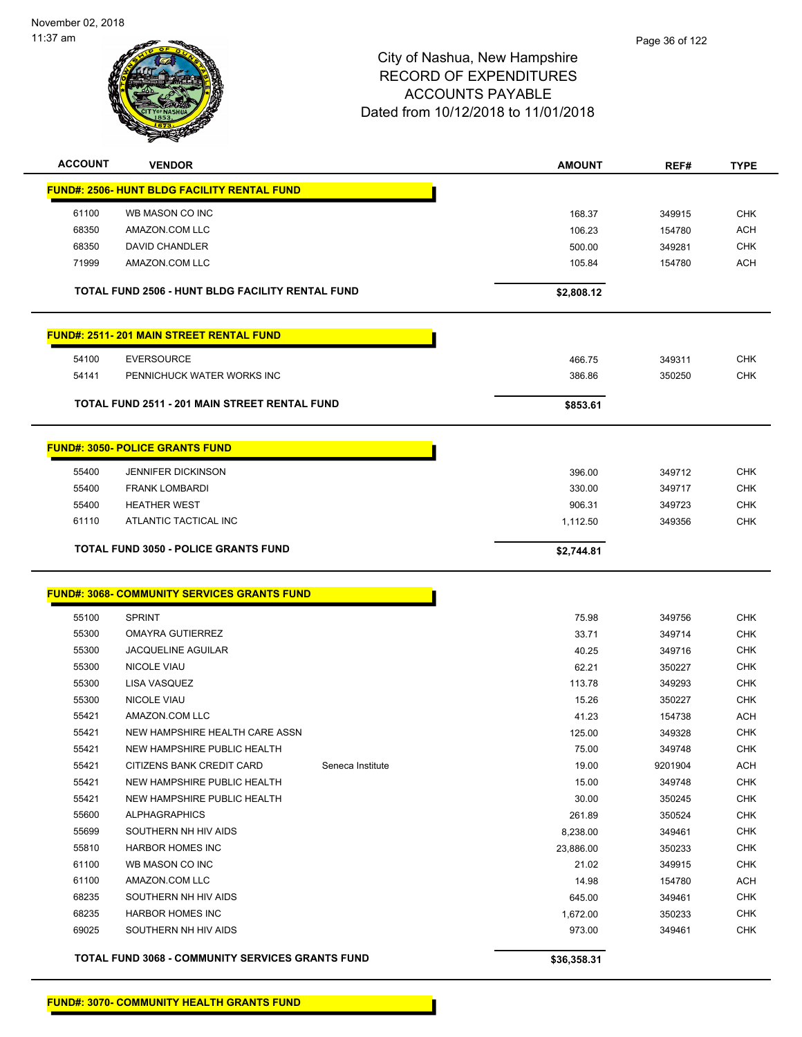

| <b>ACCOUNT</b><br><b>VENDOR</b>                         | <b>AMOUNT</b> | REF#    | <b>TYPE</b> |
|---------------------------------------------------------|---------------|---------|-------------|
| <b>FUND#: 2506- HUNT BLDG FACILITY RENTAL FUND</b>      |               |         |             |
| WB MASON CO INC<br>61100                                | 168.37        | 349915  | <b>CHK</b>  |
| 68350<br>AMAZON.COM LLC                                 | 106.23        | 154780  | <b>ACH</b>  |
| 68350<br><b>DAVID CHANDLER</b>                          | 500.00        | 349281  | <b>CHK</b>  |
| 71999<br>AMAZON.COM LLC                                 | 105.84        | 154780  | <b>ACH</b>  |
|                                                         |               |         |             |
| TOTAL FUND 2506 - HUNT BLDG FACILITY RENTAL FUND        | \$2,808.12    |         |             |
| <b>FUND#: 2511-201 MAIN STREET RENTAL FUND</b>          |               |         |             |
| 54100<br><b>EVERSOURCE</b>                              | 466.75        | 349311  | <b>CHK</b>  |
| 54141<br>PENNICHUCK WATER WORKS INC                     | 386.86        | 350250  | <b>CHK</b>  |
| <b>TOTAL FUND 2511 - 201 MAIN STREET RENTAL FUND</b>    | \$853.61      |         |             |
|                                                         |               |         |             |
| <b>FUND#: 3050- POLICE GRANTS FUND</b>                  |               |         |             |
| 55400<br><b>JENNIFER DICKINSON</b>                      | 396.00        | 349712  | <b>CHK</b>  |
| 55400<br><b>FRANK LOMBARDI</b>                          | 330.00        | 349717  | <b>CHK</b>  |
| 55400<br><b>HEATHER WEST</b>                            | 906.31        | 349723  | <b>CHK</b>  |
| 61110<br>ATLANTIC TACTICAL INC                          | 1,112.50      | 349356  | <b>CHK</b>  |
| <b>TOTAL FUND 3050 - POLICE GRANTS FUND</b>             | \$2,744.81    |         |             |
|                                                         |               |         |             |
| <u> FUND#: 3068- COMMUNITY SERVICES GRANTS FUND</u>     |               |         |             |
| 55100<br><b>SPRINT</b>                                  | 75.98         | 349756  | <b>CHK</b>  |
| 55300<br><b>OMAYRA GUTIERREZ</b>                        | 33.71         | 349714  | <b>CHK</b>  |
| 55300<br><b>JACQUELINE AGUILAR</b>                      | 40.25         | 349716  | <b>CHK</b>  |
| 55300<br><b>NICOLE VIAU</b>                             | 62.21         | 350227  | <b>CHK</b>  |
| 55300<br>LISA VASQUEZ                                   | 113.78        | 349293  | <b>CHK</b>  |
| 55300<br><b>NICOLE VIAU</b>                             | 15.26         | 350227  | <b>CHK</b>  |
| 55421<br>AMAZON.COM LLC                                 | 41.23         | 154738  | <b>ACH</b>  |
| 55421<br>NEW HAMPSHIRE HEALTH CARE ASSN                 | 125.00        | 349328  | CHK         |
| 55421<br>NEW HAMPSHIRE PUBLIC HEALTH                    | 75.00         | 349748  | <b>CHK</b>  |
| 55421<br>CITIZENS BANK CREDIT CARD<br>Seneca Institute  | 19.00         | 9201904 | ACH         |
| 55421<br>NEW HAMPSHIRE PUBLIC HEALTH                    | 15.00         | 349748  | <b>CHK</b>  |
| 55421<br>NEW HAMPSHIRE PUBLIC HEALTH                    | 30.00         | 350245  | <b>CHK</b>  |
| 55600<br><b>ALPHAGRAPHICS</b>                           | 261.89        | 350524  | <b>CHK</b>  |
| 55699<br>SOUTHERN NH HIV AIDS                           | 8,238.00      | 349461  | <b>CHK</b>  |
| 55810<br><b>HARBOR HOMES INC</b>                        | 23,886.00     | 350233  | <b>CHK</b>  |
| 61100<br>WB MASON CO INC                                | 21.02         | 349915  | <b>CHK</b>  |
| 61100<br>AMAZON.COM LLC                                 | 14.98         | 154780  | <b>ACH</b>  |
| 68235<br>SOUTHERN NH HIV AIDS                           | 645.00        | 349461  | <b>CHK</b>  |
| 68235<br><b>HARBOR HOMES INC</b>                        | 1,672.00      | 350233  | <b>CHK</b>  |
| 69025<br>SOUTHERN NH HIV AIDS                           | 973.00        | 349461  | <b>CHK</b>  |
| <b>TOTAL FUND 3068 - COMMUNITY SERVICES GRANTS FUND</b> | \$36,358.31   |         |             |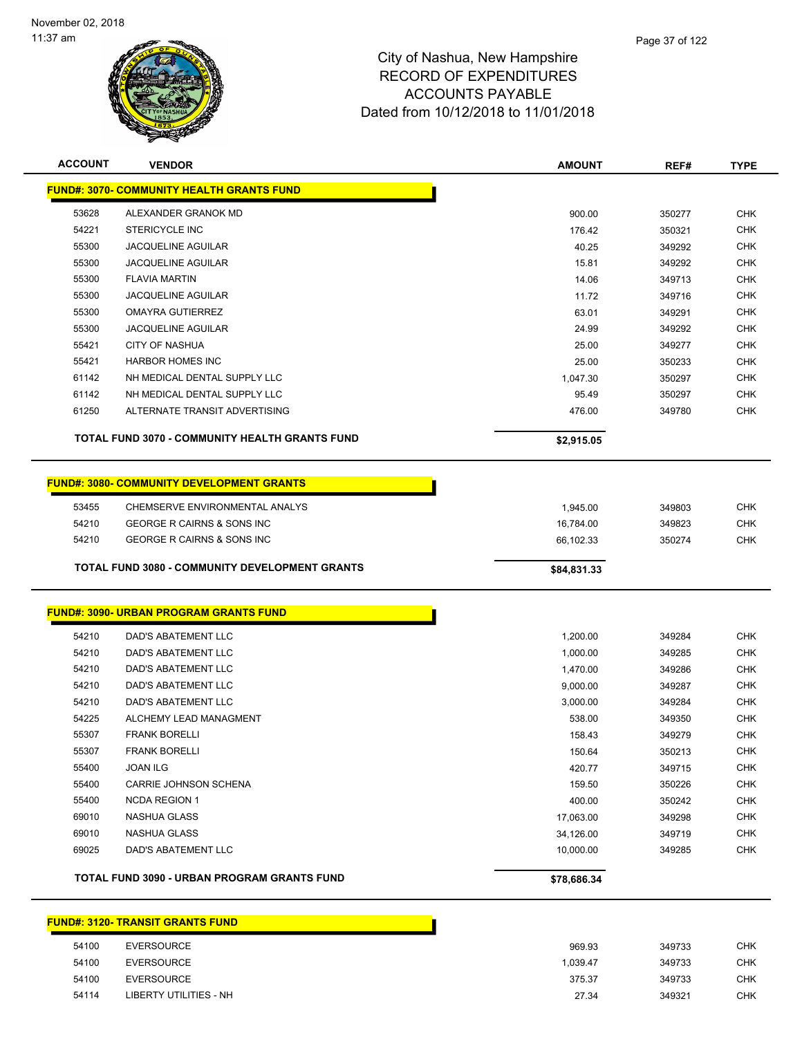

| <b>ACCOUNT</b> | <b>VENDOR</b>                                         | <b>AMOUNT</b> | REF#   | <b>TYPE</b> |
|----------------|-------------------------------------------------------|---------------|--------|-------------|
|                | <b>FUND#: 3070- COMMUNITY HEALTH GRANTS FUND</b>      |               |        |             |
| 53628          | ALEXANDER GRANOK MD                                   | 900.00        | 350277 | <b>CHK</b>  |
| 54221          | <b>STERICYCLE INC</b>                                 | 176.42        | 350321 | <b>CHK</b>  |
| 55300          | <b>JACQUELINE AGUILAR</b>                             | 40.25         | 349292 | <b>CHK</b>  |
| 55300          | <b>JACQUELINE AGUILAR</b>                             | 15.81         | 349292 | <b>CHK</b>  |
| 55300          | <b>FLAVIA MARTIN</b>                                  | 14.06         | 349713 | <b>CHK</b>  |
| 55300          | <b>JACQUELINE AGUILAR</b>                             | 11.72         | 349716 | <b>CHK</b>  |
| 55300          | <b>OMAYRA GUTIERREZ</b>                               | 63.01         | 349291 | <b>CHK</b>  |
| 55300          | <b>JACQUELINE AGUILAR</b>                             | 24.99         | 349292 | <b>CHK</b>  |
| 55421          | CITY OF NASHUA                                        | 25.00         | 349277 | <b>CHK</b>  |
| 55421          | <b>HARBOR HOMES INC</b>                               | 25.00         | 350233 | <b>CHK</b>  |
| 61142          | NH MEDICAL DENTAL SUPPLY LLC                          | 1,047.30      | 350297 | <b>CHK</b>  |
| 61142          | NH MEDICAL DENTAL SUPPLY LLC                          | 95.49         | 350297 | <b>CHK</b>  |
| 61250          | ALTERNATE TRANSIT ADVERTISING                         | 476.00        | 349780 | <b>CHK</b>  |
|                | <b>TOTAL FUND 3070 - COMMUNITY HEALTH GRANTS FUND</b> | \$2,915.05    |        |             |
|                | <b>FUND#: 3080- COMMUNITY DEVELOPMENT GRANTS</b>      |               |        |             |
| 53455          | CHEMSERVE ENVIRONMENTAL ANALYS                        | 1,945.00      | 349803 | <b>CHK</b>  |
| 54210          | GEORGE R CAIRNS & SONS INC                            | 16,784.00     | 349823 | <b>CHK</b>  |
| 54210          | GEORGE R CAIRNS & SONS INC                            | 66,102.33     | 350274 | <b>CHK</b>  |
|                | <b>TOTAL FUND 3080 - COMMUNITY DEVELOPMENT GRANTS</b> | \$84,831.33   |        |             |
|                |                                                       |               |        |             |
|                | <b>FUND#: 3090- URBAN PROGRAM GRANTS FUND</b>         |               |        |             |
| 54210          | DAD'S ABATEMENT LLC                                   | 1,200.00      | 349284 | <b>CHK</b>  |
| 54210          | DAD'S ABATEMENT LLC                                   | 1,000.00      | 349285 | <b>CHK</b>  |
| 54210          | DAD'S ABATEMENT LLC                                   | 1,470.00      | 349286 | <b>CHK</b>  |
| 54210          | DAD'S ABATEMENT LLC                                   | 9,000.00      | 349287 | <b>CHK</b>  |
| 54210          | <b>DAD'S ABATEMENT LLC</b>                            | 3,000.00      | 349284 | <b>CHK</b>  |
| 54225          | ALCHEMY LEAD MANAGMENT                                | 538.00        | 349350 | <b>CHK</b>  |
| 55307          | <b>FRANK BORELLI</b>                                  | 158.43        | 349279 | <b>CHK</b>  |
| 55307          | <b>FRANK BORELLI</b>                                  | 150.64        | 350213 | <b>CHK</b>  |
| 55400          | <b>JOAN ILG</b>                                       | 420.77        | 349715 | <b>CHK</b>  |
| 55400          | CARRIE JOHNSON SCHENA                                 | 159.50        | 350226 | <b>CHK</b>  |
| 55400          | <b>NCDA REGION 1</b>                                  | 400.00        | 350242 | <b>CHK</b>  |
| 69010          | NASHUA GLASS                                          | 17,063.00     | 349298 | <b>CHK</b>  |
| 69010          | <b>NASHUA GLASS</b>                                   | 34,126.00     | 349719 | <b>CHK</b>  |
| 69025          | DAD'S ABATEMENT LLC                                   | 10,000.00     | 349285 | <b>CHK</b>  |
|                | TOTAL FUND 3090 - URBAN PROGRAM GRANTS FUND           | \$78,686.34   |        |             |
|                |                                                       |               |        |             |

#### **FUND#: 3120- TRANSIT GRANTS FUND**

| 54100 | <b>EVERSOURCE</b>      | 969.93   | 349733 | <b>CHK</b> |
|-------|------------------------|----------|--------|------------|
| 54100 | EVERSOURCE             | 1.039.47 | 349733 | <b>CHK</b> |
| 54100 | EVERSOURCE             | 375.37   | 349733 | <b>CHK</b> |
| 54114 | LIBERTY UTILITIES - NH | 27.34    | 349321 | <b>CHK</b> |

H.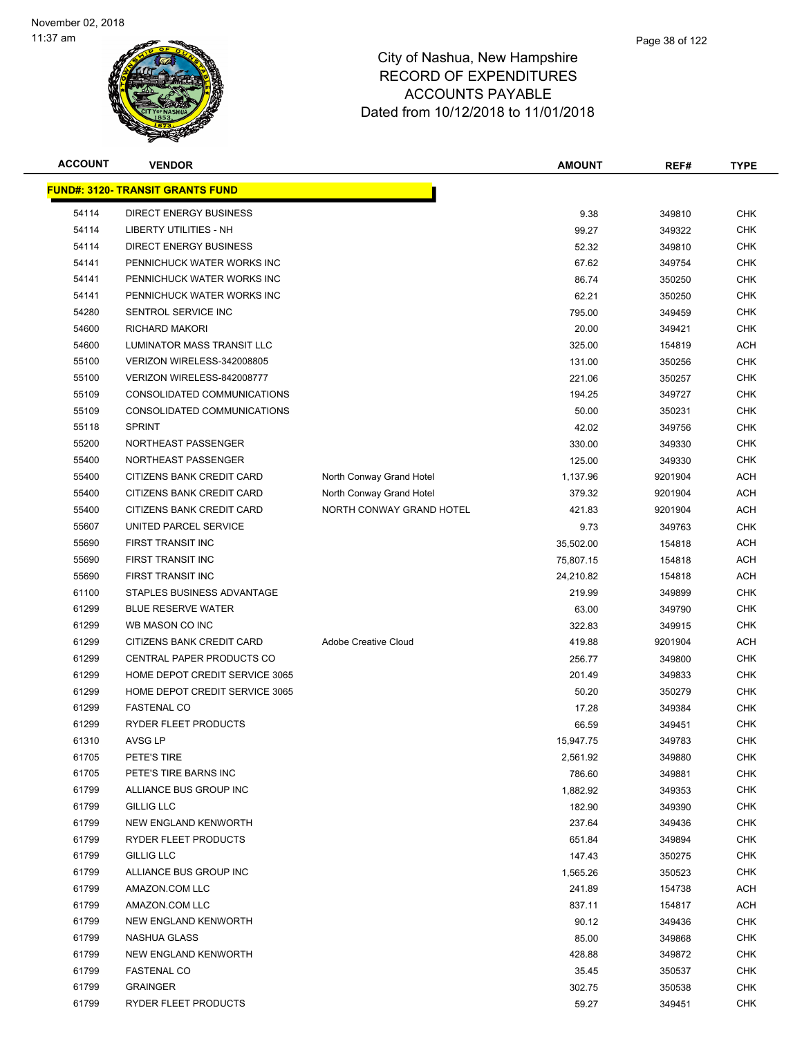

| <b>ACCOUNT</b> | <b>VENDOR</b>                            |                             | <b>AMOUNT</b> | REF#    | <b>TYPE</b> |
|----------------|------------------------------------------|-----------------------------|---------------|---------|-------------|
|                | <u> FUND#: 3120- TRANSIT GRANTS FUND</u> |                             |               |         |             |
| 54114          | DIRECT ENERGY BUSINESS                   |                             | 9.38          | 349810  | <b>CHK</b>  |
| 54114          | <b>LIBERTY UTILITIES - NH</b>            |                             | 99.27         | 349322  | <b>CHK</b>  |
| 54114          | <b>DIRECT ENERGY BUSINESS</b>            |                             | 52.32         | 349810  | <b>CHK</b>  |
| 54141          | PENNICHUCK WATER WORKS INC               |                             | 67.62         | 349754  | <b>CHK</b>  |
| 54141          | PENNICHUCK WATER WORKS INC               |                             | 86.74         | 350250  | <b>CHK</b>  |
| 54141          | PENNICHUCK WATER WORKS INC               |                             | 62.21         | 350250  | <b>CHK</b>  |
| 54280          | SENTROL SERVICE INC                      |                             | 795.00        | 349459  | <b>CHK</b>  |
| 54600          | <b>RICHARD MAKORI</b>                    |                             | 20.00         | 349421  | <b>CHK</b>  |
| 54600          | LUMINATOR MASS TRANSIT LLC               |                             | 325.00        | 154819  | <b>ACH</b>  |
| 55100          | VERIZON WIRELESS-342008805               |                             | 131.00        | 350256  | <b>CHK</b>  |
| 55100          | VERIZON WIRELESS-842008777               |                             | 221.06        | 350257  | <b>CHK</b>  |
| 55109          | CONSOLIDATED COMMUNICATIONS              |                             | 194.25        | 349727  | <b>CHK</b>  |
| 55109          | CONSOLIDATED COMMUNICATIONS              |                             | 50.00         | 350231  | <b>CHK</b>  |
| 55118          | <b>SPRINT</b>                            |                             | 42.02         | 349756  | <b>CHK</b>  |
| 55200          | NORTHEAST PASSENGER                      |                             | 330.00        | 349330  | <b>CHK</b>  |
| 55400          | NORTHEAST PASSENGER                      |                             | 125.00        | 349330  | <b>CHK</b>  |
| 55400          | CITIZENS BANK CREDIT CARD                | North Conway Grand Hotel    | 1,137.96      | 9201904 | <b>ACH</b>  |
| 55400          | CITIZENS BANK CREDIT CARD                | North Conway Grand Hotel    | 379.32        | 9201904 | <b>ACH</b>  |
| 55400          | CITIZENS BANK CREDIT CARD                | NORTH CONWAY GRAND HOTEL    | 421.83        | 9201904 | <b>ACH</b>  |
| 55607          | UNITED PARCEL SERVICE                    |                             | 9.73          | 349763  | <b>CHK</b>  |
| 55690          | FIRST TRANSIT INC                        |                             | 35,502.00     | 154818  | <b>ACH</b>  |
| 55690          | FIRST TRANSIT INC                        |                             | 75,807.15     | 154818  | <b>ACH</b>  |
| 55690          | FIRST TRANSIT INC                        |                             | 24,210.82     | 154818  | <b>ACH</b>  |
| 61100          | STAPLES BUSINESS ADVANTAGE               |                             | 219.99        | 349899  | <b>CHK</b>  |
| 61299          | <b>BLUE RESERVE WATER</b>                |                             | 63.00         | 349790  | <b>CHK</b>  |
| 61299          | WB MASON CO INC                          |                             | 322.83        | 349915  | <b>CHK</b>  |
| 61299          | CITIZENS BANK CREDIT CARD                | <b>Adobe Creative Cloud</b> | 419.88        | 9201904 | <b>ACH</b>  |
| 61299          | CENTRAL PAPER PRODUCTS CO                |                             | 256.77        | 349800  | <b>CHK</b>  |
| 61299          | HOME DEPOT CREDIT SERVICE 3065           |                             | 201.49        | 349833  | <b>CHK</b>  |
| 61299          | HOME DEPOT CREDIT SERVICE 3065           |                             | 50.20         | 350279  | <b>CHK</b>  |
| 61299          | <b>FASTENAL CO</b>                       |                             | 17.28         | 349384  | <b>CHK</b>  |
| 61299          | RYDER FLEET PRODUCTS                     |                             | 66.59         | 349451  | <b>CHK</b>  |
| 61310          | AVSG LP                                  |                             | 15,947.75     | 349783  | <b>CHK</b>  |
| 61705          | PETE'S TIRE                              |                             | 2,561.92      | 349880  | <b>CHK</b>  |
| 61705          | PETE'S TIRE BARNS INC                    |                             | 786.60        | 349881  | <b>CHK</b>  |
| 61799          | ALLIANCE BUS GROUP INC                   |                             | 1,882.92      | 349353  | <b>CHK</b>  |
| 61799          | <b>GILLIG LLC</b>                        |                             | 182.90        | 349390  | <b>CHK</b>  |
| 61799          | NEW ENGLAND KENWORTH                     |                             | 237.64        | 349436  | <b>CHK</b>  |
| 61799          | RYDER FLEET PRODUCTS                     |                             | 651.84        | 349894  | <b>CHK</b>  |
| 61799          | GILLIG LLC                               |                             | 147.43        | 350275  | <b>CHK</b>  |
| 61799          | ALLIANCE BUS GROUP INC                   |                             | 1,565.26      | 350523  | <b>CHK</b>  |
| 61799          | AMAZON.COM LLC                           |                             | 241.89        | 154738  | <b>ACH</b>  |
| 61799          | AMAZON.COM LLC                           |                             | 837.11        | 154817  | ACH         |
| 61799          | NEW ENGLAND KENWORTH                     |                             | 90.12         | 349436  | <b>CHK</b>  |
| 61799          | NASHUA GLASS                             |                             | 85.00         | 349868  | <b>CHK</b>  |
| 61799          | NEW ENGLAND KENWORTH                     |                             | 428.88        | 349872  | CHK         |
| 61799          | <b>FASTENAL CO</b>                       |                             | 35.45         | 350537  | <b>CHK</b>  |
| 61799          | <b>GRAINGER</b>                          |                             | 302.75        | 350538  | <b>CHK</b>  |
| 61799          | RYDER FLEET PRODUCTS                     |                             | 59.27         | 349451  | <b>CHK</b>  |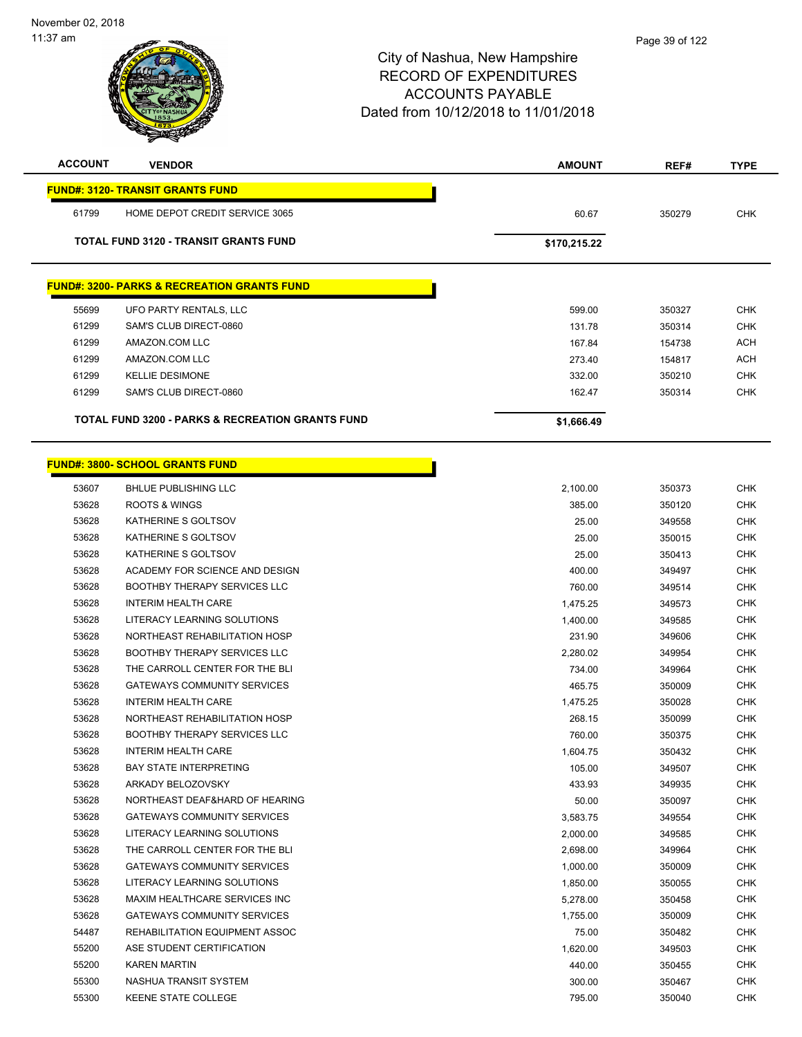| <b>ACCOUNT</b> | <b>VENDOR</b>                                               | <b>AMOUNT</b> | REF#   | <b>TYPE</b> |
|----------------|-------------------------------------------------------------|---------------|--------|-------------|
|                | <b>FUND#: 3120- TRANSIT GRANTS FUND</b>                     |               |        |             |
| 61799          | HOME DEPOT CREDIT SERVICE 3065                              | 60.67         | 350279 | <b>CHK</b>  |
|                | <b>TOTAL FUND 3120 - TRANSIT GRANTS FUND</b>                | \$170,215.22  |        |             |
|                |                                                             |               |        |             |
|                | <b>FUND#: 3200- PARKS &amp; RECREATION GRANTS FUND</b>      |               |        |             |
| 55699          | UFO PARTY RENTALS, LLC                                      | 599.00        | 350327 | <b>CHK</b>  |
| 61299          | SAM'S CLUB DIRECT-0860                                      | 131.78        | 350314 | <b>CHK</b>  |
| 61299          | AMAZON.COM LLC                                              | 167.84        | 154738 | <b>ACH</b>  |
| 61299          | AMAZON.COM LLC                                              | 273.40        | 154817 | <b>ACH</b>  |
| 61299          | <b>KELLIE DESIMONE</b>                                      | 332.00        | 350210 | <b>CHK</b>  |
| 61299          | SAM'S CLUB DIRECT-0860                                      | 162.47        | 350314 | <b>CHK</b>  |
|                | <b>TOTAL FUND 3200 - PARKS &amp; RECREATION GRANTS FUND</b> | \$1,666.49    |        |             |
|                |                                                             |               |        |             |
|                | <b>FUND#: 3800- SCHOOL GRANTS FUND</b>                      |               |        |             |
| 53607          | <b>BHLUE PUBLISHING LLC</b>                                 | 2,100.00      | 350373 | <b>CHK</b>  |
| 53628          | ROOTS & WINGS                                               | 385.00        | 350120 | <b>CHK</b>  |
| 53628          | KATHERINE S GOLTSOV                                         | 25.00         | 349558 | <b>CHK</b>  |
| 53628          | KATHERINE S GOLTSOV                                         | 25.00         | 350015 | <b>CHK</b>  |
| 53628          | KATHERINE S GOLTSOV                                         | 25.00         | 350413 | <b>CHK</b>  |
| 53628          | ACADEMY FOR SCIENCE AND DESIGN                              | 400.00        | 349497 | <b>CHK</b>  |
| 53628          | <b>BOOTHBY THERAPY SERVICES LLC</b>                         | 760.00        | 349514 | <b>CHK</b>  |
| 53628          | <b>INTERIM HEALTH CARE</b>                                  | 1,475.25      | 349573 | <b>CHK</b>  |
| 53628          | LITERACY LEARNING SOLUTIONS                                 | 1,400.00      | 349585 | <b>CHK</b>  |
| 53628          | NORTHEAST REHABILITATION HOSP                               | 231.90        | 349606 | CHK         |
| 53628          | <b>BOOTHBY THERAPY SERVICES LLC</b>                         | 2,280.02      | 349954 | <b>CHK</b>  |
| 53628          | THE CARROLL CENTER FOR THE BLI                              | 734.00        | 349964 | <b>CHK</b>  |
| 53628          | <b>GATEWAYS COMMUNITY SERVICES</b>                          | 465.75        | 350009 | <b>CHK</b>  |
| 53628          | <b>INTERIM HEALTH CARE</b>                                  | 1,475.25      | 350028 | <b>CHK</b>  |
| 53628          | NORTHEAST REHABILITATION HOSP                               | 268.15        | 350099 | <b>CHK</b>  |
| 53628          | <b>BOOTHBY THERAPY SERVICES LLC</b>                         | 760.00        | 350375 | CHK         |
| 53628          | <b>INTERIM HEALTH CARE</b>                                  | 1,604.75      | 350432 | CHK         |
| 53628          | <b>BAY STATE INTERPRETING</b>                               | 105.00        | 349507 | <b>CHK</b>  |
| 53628          | ARKADY BELOZOVSKY                                           | 433.93        | 349935 | <b>CHK</b>  |
| 53628          | NORTHEAST DEAF&HARD OF HEARING                              | 50.00         | 350097 | <b>CHK</b>  |
| 53628          | <b>GATEWAYS COMMUNITY SERVICES</b>                          | 3,583.75      | 349554 | CHK         |
| 53628          | LITERACY LEARNING SOLUTIONS                                 | 2,000.00      | 349585 | <b>CHK</b>  |
| 53628          | THE CARROLL CENTER FOR THE BLI                              | 2,698.00      | 349964 | <b>CHK</b>  |
| 53628          | <b>GATEWAYS COMMUNITY SERVICES</b>                          | 1,000.00      | 350009 | <b>CHK</b>  |
| 53628          | LITERACY LEARNING SOLUTIONS                                 | 1,850.00      | 350055 | <b>CHK</b>  |
| 53628          | MAXIM HEALTHCARE SERVICES INC                               | 5,278.00      | 350458 | <b>CHK</b>  |
| 53628          | <b>GATEWAYS COMMUNITY SERVICES</b>                          | 1,755.00      | 350009 | <b>CHK</b>  |
| 54487          | REHABILITATION EQUIPMENT ASSOC                              | 75.00         | 350482 | <b>CHK</b>  |
| 55200          | ASE STUDENT CERTIFICATION                                   | 1,620.00      | 349503 | <b>CHK</b>  |
| 55200          | <b>KAREN MARTIN</b>                                         | 440.00        | 350455 | <b>CHK</b>  |
| 55300          | NASHUA TRANSIT SYSTEM                                       | 300.00        | 350467 | <b>CHK</b>  |
| 55300          | KEENE STATE COLLEGE                                         | 795.00        | 350040 | <b>CHK</b>  |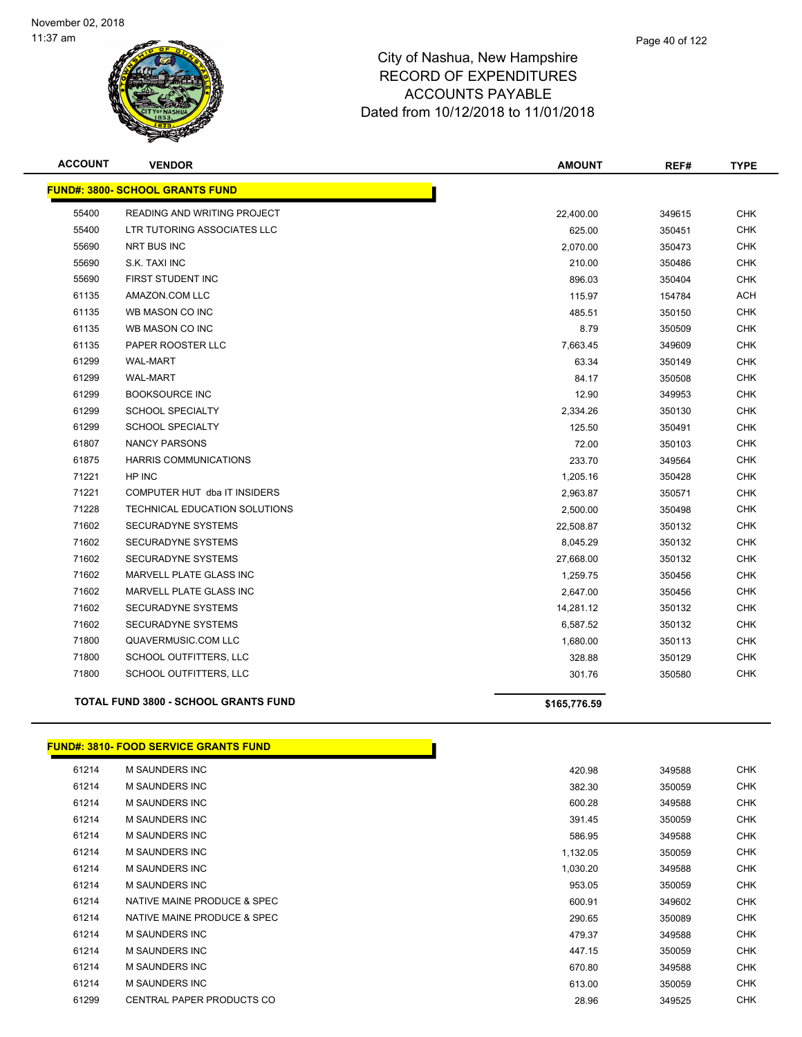

| <b>ACCOUNT</b> | <b>VENDOR</b>                               | <b>AMOUNT</b> | REF#   | <b>TYPE</b> |
|----------------|---------------------------------------------|---------------|--------|-------------|
|                | <b>FUND#: 3800- SCHOOL GRANTS FUND</b>      |               |        |             |
| 55400          | READING AND WRITING PROJECT                 | 22,400.00     | 349615 | <b>CHK</b>  |
| 55400          | LTR TUTORING ASSOCIATES LLC                 | 625.00        | 350451 | <b>CHK</b>  |
| 55690          | NRT BUS INC                                 | 2,070.00      | 350473 | <b>CHK</b>  |
| 55690          | S.K. TAXI INC                               | 210.00        | 350486 | <b>CHK</b>  |
| 55690          | FIRST STUDENT INC                           | 896.03        | 350404 | <b>CHK</b>  |
| 61135          | AMAZON.COM LLC                              | 115.97        | 154784 | ACH         |
| 61135          | WB MASON CO INC                             | 485.51        | 350150 | <b>CHK</b>  |
| 61135          | WB MASON CO INC                             | 8.79          | 350509 | <b>CHK</b>  |
| 61135          | PAPER ROOSTER LLC                           | 7,663.45      | 349609 | <b>CHK</b>  |
| 61299          | <b>WAL-MART</b>                             | 63.34         | 350149 | <b>CHK</b>  |
| 61299          | <b>WAL-MART</b>                             | 84.17         | 350508 | <b>CHK</b>  |
| 61299          | <b>BOOKSOURCE INC</b>                       | 12.90         | 349953 | <b>CHK</b>  |
| 61299          | <b>SCHOOL SPECIALTY</b>                     | 2,334.26      | 350130 | <b>CHK</b>  |
| 61299          | <b>SCHOOL SPECIALTY</b>                     | 125.50        | 350491 | <b>CHK</b>  |
| 61807          | <b>NANCY PARSONS</b>                        | 72.00         | 350103 | <b>CHK</b>  |
| 61875          | <b>HARRIS COMMUNICATIONS</b>                | 233.70        | 349564 | <b>CHK</b>  |
| 71221          | HP INC                                      | 1,205.16      | 350428 | <b>CHK</b>  |
| 71221          | COMPUTER HUT dba IT INSIDERS                | 2,963.87      | 350571 | <b>CHK</b>  |
| 71228          | TECHNICAL EDUCATION SOLUTIONS               | 2,500.00      | 350498 | <b>CHK</b>  |
| 71602          | <b>SECURADYNE SYSTEMS</b>                   | 22,508.87     | 350132 | <b>CHK</b>  |
| 71602          | <b>SECURADYNE SYSTEMS</b>                   | 8,045.29      | 350132 | <b>CHK</b>  |
| 71602          | <b>SECURADYNE SYSTEMS</b>                   | 27,668.00     | 350132 | CHK         |
| 71602          | MARVELL PLATE GLASS INC                     | 1,259.75      | 350456 | <b>CHK</b>  |
| 71602          | MARVELL PLATE GLASS INC                     | 2,647.00      | 350456 | <b>CHK</b>  |
| 71602          | SECURADYNE SYSTEMS                          | 14,281.12     | 350132 | CHK         |
| 71602          | <b>SECURADYNE SYSTEMS</b>                   | 6,587.52      | 350132 | <b>CHK</b>  |
| 71800          | QUAVERMUSIC.COM LLC                         | 1,680.00      | 350113 | <b>CHK</b>  |
| 71800          | SCHOOL OUTFITTERS, LLC                      | 328.88        | 350129 | <b>CHK</b>  |
| 71800          | SCHOOL OUTFITTERS, LLC                      | 301.76        | 350580 | <b>CHK</b>  |
|                | <b>TOTAL FUND 3800 - SCHOOL GRANTS FUND</b> | \$165,776.59  |        |             |

#### **FUND#: 3810- FOOD SERVICE GRANTS FUND**

| 61214 | M SAUNDERS INC              | 420.98   | 349588 | <b>CHK</b> |
|-------|-----------------------------|----------|--------|------------|
| 61214 | M SAUNDERS INC              | 382.30   | 350059 | <b>CHK</b> |
| 61214 | M SAUNDERS INC              | 600.28   | 349588 | <b>CHK</b> |
| 61214 | M SAUNDERS INC              | 391.45   | 350059 | <b>CHK</b> |
| 61214 | M SAUNDERS INC              | 586.95   | 349588 | <b>CHK</b> |
| 61214 | <b>M SAUNDERS INC</b>       | 1,132.05 | 350059 | <b>CHK</b> |
| 61214 | M SAUNDERS INC              | 1,030.20 | 349588 | <b>CHK</b> |
| 61214 | M SAUNDERS INC              | 953.05   | 350059 | <b>CHK</b> |
| 61214 | NATIVE MAINE PRODUCE & SPEC | 600.91   | 349602 | <b>CHK</b> |
| 61214 | NATIVE MAINE PRODUCE & SPEC | 290.65   | 350089 | <b>CHK</b> |
| 61214 | <b>M SAUNDERS INC</b>       | 479.37   | 349588 | <b>CHK</b> |
| 61214 | <b>M SAUNDERS INC</b>       | 447.15   | 350059 | <b>CHK</b> |
| 61214 | M SAUNDERS INC              | 670.80   | 349588 | <b>CHK</b> |
| 61214 | <b>M SAUNDERS INC</b>       | 613.00   | 350059 | <b>CHK</b> |
| 61299 | CENTRAL PAPER PRODUCTS CO   | 28.96    | 349525 | <b>CHK</b> |
|       |                             |          |        |            |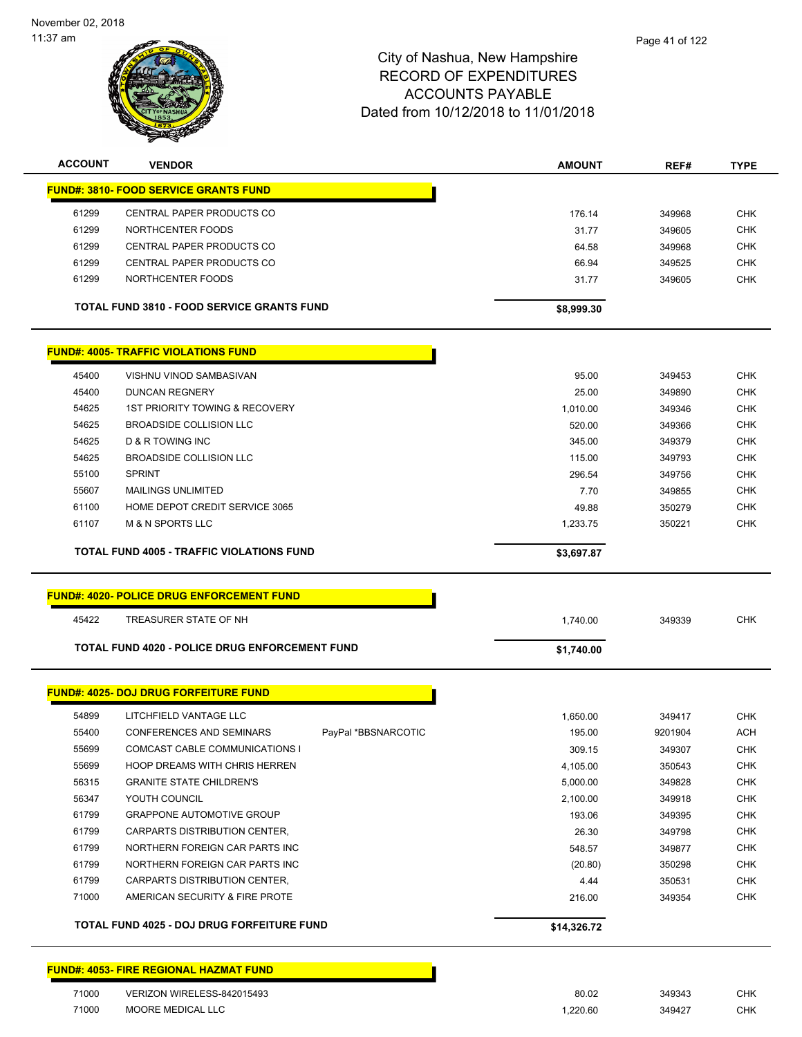November 02, 2018 11:37 am



### City of Nashua, New Hampshire RECORD OF EXPENDITURES ACCOUNTS PAYABLE Dated from 10/12/2018 to 11/01/2018

| <b>ACCOUNT</b> | <b>VENDOR</b>                                          | <b>AMOUNT</b> | REF#    | <b>TYPE</b> |
|----------------|--------------------------------------------------------|---------------|---------|-------------|
|                | <b>FUND#: 3810- FOOD SERVICE GRANTS FUND</b>           |               |         |             |
| 61299          | CENTRAL PAPER PRODUCTS CO                              | 176.14        | 349968  | <b>CHK</b>  |
| 61299          | NORTHCENTER FOODS                                      | 31.77         | 349605  | <b>CHK</b>  |
| 61299          | CENTRAL PAPER PRODUCTS CO                              | 64.58         | 349968  | <b>CHK</b>  |
| 61299          | CENTRAL PAPER PRODUCTS CO                              | 66.94         | 349525  | <b>CHK</b>  |
| 61299          | NORTHCENTER FOODS                                      | 31.77         | 349605  | <b>CHK</b>  |
|                | <b>TOTAL FUND 3810 - FOOD SERVICE GRANTS FUND</b>      | \$8,999.30    |         |             |
|                | <b>FUND#: 4005- TRAFFIC VIOLATIONS FUND</b>            |               |         |             |
| 45400          | VISHNU VINOD SAMBASIVAN                                | 95.00         | 349453  | <b>CHK</b>  |
| 45400          | <b>DUNCAN REGNERY</b>                                  | 25.00         | 349890  | <b>CHK</b>  |
| 54625          | 1ST PRIORITY TOWING & RECOVERY                         | 1,010.00      | 349346  | <b>CHK</b>  |
| 54625          | BROADSIDE COLLISION LLC                                | 520.00        | 349366  | <b>CHK</b>  |
| 54625          | <b>D &amp; R TOWING INC</b>                            | 345.00        | 349379  | <b>CHK</b>  |
| 54625          | <b>BROADSIDE COLLISION LLC</b>                         | 115.00        | 349793  | <b>CHK</b>  |
| 55100          | <b>SPRINT</b>                                          | 296.54        | 349756  | <b>CHK</b>  |
| 55607          | <b>MAILINGS UNLIMITED</b>                              | 7.70          | 349855  | <b>CHK</b>  |
| 61100          | HOME DEPOT CREDIT SERVICE 3065                         | 49.88         | 350279  | <b>CHK</b>  |
| 61107          | <b>M &amp; N SPORTS LLC</b>                            | 1,233.75      | 350221  | <b>CHK</b>  |
|                | <b>TOTAL FUND 4005 - TRAFFIC VIOLATIONS FUND</b>       | \$3,697.87    |         |             |
|                |                                                        |               |         |             |
|                | <b>FUND#: 4020- POLICE DRUG ENFORCEMENT FUND</b>       |               |         |             |
| 45422          | TREASURER STATE OF NH                                  | 1,740.00      | 349339  | <b>CHK</b>  |
|                | <b>TOTAL FUND 4020 - POLICE DRUG ENFORCEMENT FUND</b>  | \$1,740.00    |         |             |
|                | <b>FUND#: 4025- DOJ DRUG FORFEITURE FUND</b>           |               |         |             |
| 54899          | LITCHFIELD VANTAGE LLC                                 | 1,650.00      | 349417  | <b>CHK</b>  |
| 55400          | <b>CONFERENCES AND SEMINARS</b><br>PavPal *BBSNARCOTIC | 195.00        | 9201904 | <b>ACH</b>  |
| 55699          | COMCAST CABLE COMMUNICATIONS I                         | 309.15        | 349307  | <b>CHK</b>  |
| 55699          | <b>HOOP DREAMS WITH CHRIS HERREN</b>                   | 4,105.00      | 350543  | <b>CHK</b>  |
| 56315          | <b>GRANITE STATE CHILDREN'S</b>                        | 5,000.00      | 349828  | <b>CHK</b>  |
| 56347          | YOUTH COUNCIL                                          | 2,100.00      | 349918  | <b>CHK</b>  |
| 61799          | <b>GRAPPONE AUTOMOTIVE GROUP</b>                       | 193.06        | 349395  | <b>CHK</b>  |
| 61799          | CARPARTS DISTRIBUTION CENTER,                          | 26.30         | 349798  | <b>CHK</b>  |
| 61799          | NORTHERN FOREIGN CAR PARTS INC                         | 548.57        | 349877  | <b>CHK</b>  |
| 61799          | NORTHERN FOREIGN CAR PARTS INC                         | (20.80)       | 350298  | <b>CHK</b>  |
| 61799          | CARPARTS DISTRIBUTION CENTER,                          | 4.44          | 350531  | <b>CHK</b>  |
| 71000          | AMERICAN SECURITY & FIRE PROTE                         | 216.00        | 349354  | <b>CHK</b>  |
|                | TOTAL FUND 4025 - DOJ DRUG FORFEITURE FUND             | \$14,326.72   |         |             |
|                | <b>FUND#: 4053- FIRE REGIONAL HAZMAT FUND</b>          |               |         |             |
|                |                                                        |               |         |             |
| 71000          | VERIZON WIRELESS-842015493                             | 80.02         | 349343  | <b>CHK</b>  |

The MOORE MEDICAL LLC COMPUTER STATES AND RESERVE THE RESERVE THAT A STATE OF A STATE OF A STATE OF A STATE OF CHK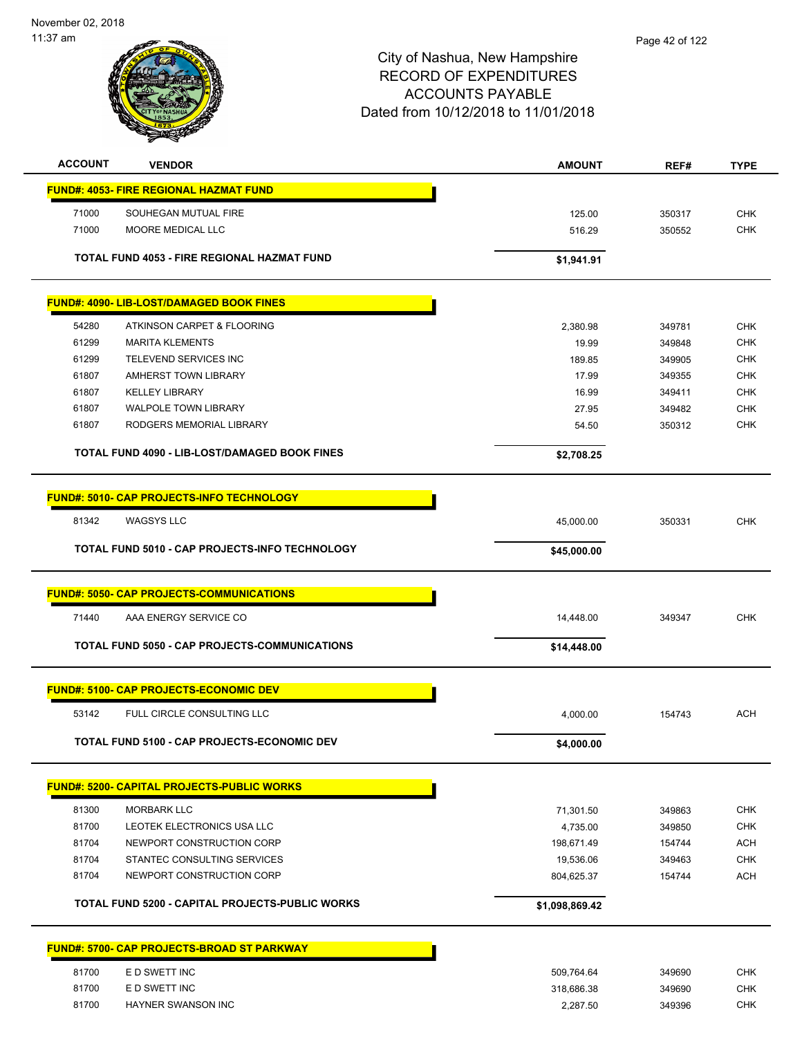November 02, 2018 11:37 am



| <b>ACCOUNT</b> | <b>VENDOR</b>                                        | <b>AMOUNT</b>  | REF#   | <b>TYPE</b> |
|----------------|------------------------------------------------------|----------------|--------|-------------|
|                | <b>FUND#: 4053- FIRE REGIONAL HAZMAT FUND</b>        |                |        |             |
| 71000          | SOUHEGAN MUTUAL FIRE                                 | 125.00         | 350317 | <b>CHK</b>  |
| 71000          | MOORE MEDICAL LLC                                    | 516.29         | 350552 | <b>CHK</b>  |
|                |                                                      |                |        |             |
|                | TOTAL FUND 4053 - FIRE REGIONAL HAZMAT FUND          | \$1,941.91     |        |             |
|                | <b>FUND#: 4090- LIB-LOST/DAMAGED BOOK FINES</b>      |                |        |             |
|                |                                                      |                |        |             |
| 54280          | ATKINSON CARPET & FLOORING                           | 2,380.98       | 349781 | <b>CHK</b>  |
| 61299          | <b>MARITA KLEMENTS</b>                               | 19.99          | 349848 | <b>CHK</b>  |
| 61299          | TELEVEND SERVICES INC                                | 189.85         | 349905 | <b>CHK</b>  |
| 61807          | AMHERST TOWN LIBRARY                                 | 17.99          | 349355 | <b>CHK</b>  |
| 61807          | <b>KELLEY LIBRARY</b>                                | 16.99          | 349411 | <b>CHK</b>  |
| 61807          | <b>WALPOLE TOWN LIBRARY</b>                          | 27.95          | 349482 | <b>CHK</b>  |
| 61807          | RODGERS MEMORIAL LIBRARY                             | 54.50          | 350312 | <b>CHK</b>  |
|                | <b>TOTAL FUND 4090 - LIB-LOST/DAMAGED BOOK FINES</b> | \$2,708.25     |        |             |
|                |                                                      |                |        |             |
|                | FUND#: 5010- CAP PROJECTS-INFO TECHNOLOGY            |                |        |             |
|                |                                                      |                |        |             |
| 81342          | <b>WAGSYS LLC</b>                                    | 45,000.00      | 350331 | <b>CHK</b>  |
|                | TOTAL FUND 5010 - CAP PROJECTS-INFO TECHNOLOGY       | \$45,000.00    |        |             |
|                |                                                      |                |        |             |
|                | <u>FUND#: 5050- CAP PROJECTS-COMMUNICATIONS</u>      |                |        |             |
| 71440          | AAA ENERGY SERVICE CO                                | 14,448.00      | 349347 | <b>CHK</b>  |
|                | TOTAL FUND 5050 - CAP PROJECTS-COMMUNICATIONS        | \$14,448.00    |        |             |
|                |                                                      |                |        |             |
|                | <b>FUND#: 5100- CAP PROJECTS-ECONOMIC DEV</b>        |                |        |             |
| 53142          | FULL CIRCLE CONSULTING LLC                           | 4,000.00       | 154743 | <b>ACH</b>  |
|                | TOTAL FUND 5100 - CAP PROJECTS-ECONOMIC DEV          | \$4,000.00     |        |             |
|                |                                                      |                |        |             |
|                | <b>FUND#: 5200- CAPITAL PROJECTS-PUBLIC WORKS</b>    |                |        |             |
| 81300          | <b>MORBARK LLC</b>                                   | 71,301.50      | 349863 | <b>CHK</b>  |
| 81700          | LEOTEK ELECTRONICS USA LLC                           | 4,735.00       | 349850 | CHK         |
| 81704          | NEWPORT CONSTRUCTION CORP                            | 198,671.49     | 154744 | <b>ACH</b>  |
| 81704          | STANTEC CONSULTING SERVICES                          | 19,536.06      | 349463 | <b>CHK</b>  |
| 81704          | NEWPORT CONSTRUCTION CORP                            | 804,625.37     | 154744 | <b>ACH</b>  |
|                |                                                      |                |        |             |
|                | TOTAL FUND 5200 - CAPITAL PROJECTS-PUBLIC WORKS      | \$1,098,869.42 |        |             |
|                | <b>FUND#: 5700- CAP PROJECTS-BROAD ST PARKWAY</b>    |                |        |             |
|                |                                                      |                |        |             |
| 81700          | E D SWETT INC                                        | 509,764.64     | 349690 | CHK         |
| 81700          | E D SWETT INC                                        | 318,686.38     | 349690 | CHK         |
| 81700          | HAYNER SWANSON INC                                   | 2,287.50       | 349396 | <b>CHK</b>  |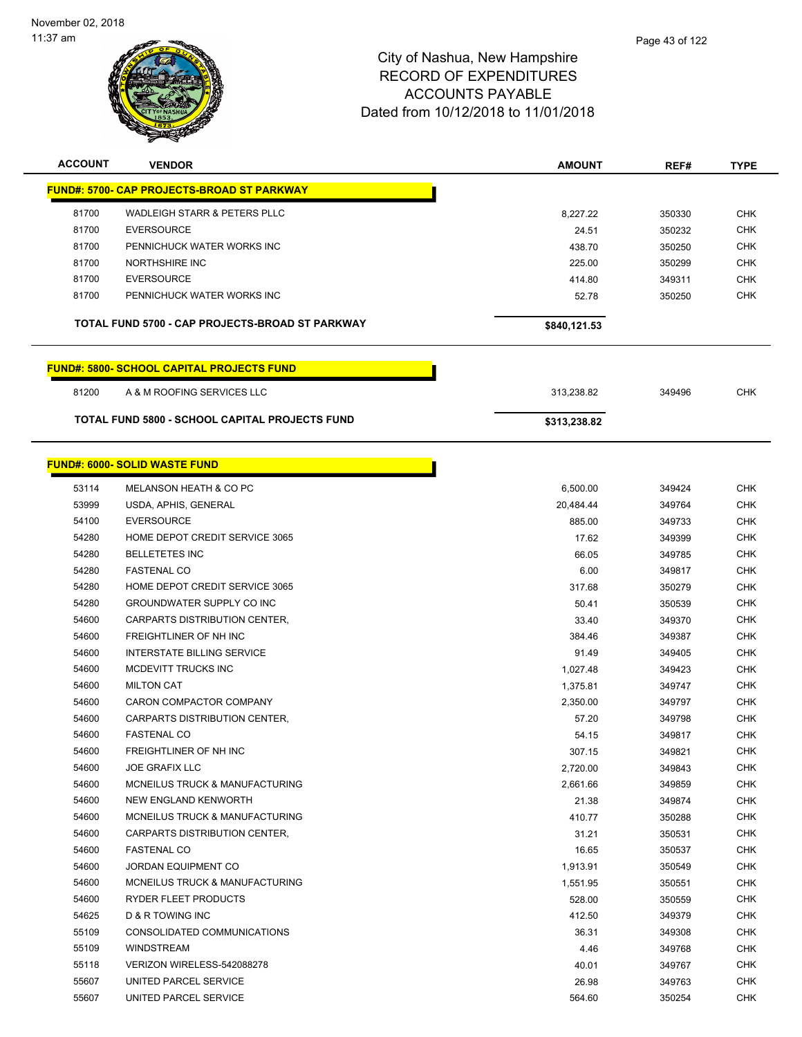

| <b>ACCOUNT</b> | <b>VENDOR</b>                                         | <b>AMOUNT</b> | REF#   | <b>TYPE</b> |
|----------------|-------------------------------------------------------|---------------|--------|-------------|
|                | <b>FUND#: 5700- CAP PROJECTS-BROAD ST PARKWAY</b>     |               |        |             |
| 81700          | <b>WADLEIGH STARR &amp; PETERS PLLC</b>               | 8,227.22      | 350330 | <b>CHK</b>  |
| 81700          | <b>EVERSOURCE</b>                                     | 24.51         | 350232 | <b>CHK</b>  |
| 81700          | PENNICHUCK WATER WORKS INC                            | 438.70        | 350250 | <b>CHK</b>  |
| 81700          | NORTHSHIRE INC                                        | 225.00        | 350299 | <b>CHK</b>  |
| 81700          | <b>EVERSOURCE</b>                                     | 414.80        | 349311 | <b>CHK</b>  |
| 81700          | PENNICHUCK WATER WORKS INC                            | 52.78         | 350250 | <b>CHK</b>  |
|                | TOTAL FUND 5700 - CAP PROJECTS-BROAD ST PARKWAY       | \$840,121.53  |        |             |
|                | <b>FUND#: 5800- SCHOOL CAPITAL PROJECTS FUND</b>      |               |        |             |
| 81200          | A & M ROOFING SERVICES LLC                            | 313,238.82    | 349496 | <b>CHK</b>  |
|                | <b>TOTAL FUND 5800 - SCHOOL CAPITAL PROJECTS FUND</b> | \$313,238.82  |        |             |
|                |                                                       |               |        |             |
|                | <b>FUND#: 6000- SOLID WASTE FUND</b>                  |               |        |             |
| 53114          | MELANSON HEATH & CO PC                                | 6,500.00      | 349424 | <b>CHK</b>  |
| 53999          | USDA, APHIS, GENERAL                                  | 20,484.44     | 349764 | <b>CHK</b>  |
| 54100          | <b>EVERSOURCE</b>                                     | 885.00        | 349733 | <b>CHK</b>  |
| 54280          | HOME DEPOT CREDIT SERVICE 3065                        | 17.62         | 349399 | <b>CHK</b>  |
| 54280          | <b>BELLETETES INC</b>                                 | 66.05         | 349785 | <b>CHK</b>  |
| 54280          | <b>FASTENAL CO</b>                                    | 6.00          | 349817 | <b>CHK</b>  |
| 54280          | HOME DEPOT CREDIT SERVICE 3065                        | 317.68        | 350279 | <b>CHK</b>  |
| 54280          | GROUNDWATER SUPPLY CO INC                             | 50.41         | 350539 | <b>CHK</b>  |
| 54600          | CARPARTS DISTRIBUTION CENTER,                         | 33.40         | 349370 | <b>CHK</b>  |
| 54600          | FREIGHTLINER OF NH INC                                | 384.46        | 349387 | <b>CHK</b>  |
| 54600          | <b>INTERSTATE BILLING SERVICE</b>                     | 91.49         | 349405 | <b>CHK</b>  |
| 54600          | MCDEVITT TRUCKS INC                                   | 1,027.48      | 349423 | <b>CHK</b>  |
| 54600          | <b>MILTON CAT</b>                                     | 1,375.81      | 349747 | <b>CHK</b>  |
| 54600          | CARON COMPACTOR COMPANY                               | 2,350.00      | 349797 | <b>CHK</b>  |
| 54600          | CARPARTS DISTRIBUTION CENTER,                         | 57.20         | 349798 | <b>CHK</b>  |
| 54600          | <b>FASTENAL CO</b>                                    | 54.15         | 349817 | <b>CHK</b>  |
| 54600          | FREIGHTLINER OF NH INC                                | 307.15        | 349821 | <b>CHK</b>  |
| 54600          | <b>JOE GRAFIX LLC</b>                                 | 2,720.00      | 349843 | <b>CHK</b>  |
| 54600          | MCNEILUS TRUCK & MANUFACTURING                        | 2,661.66      | 349859 | <b>CHK</b>  |
| 54600          | NEW ENGLAND KENWORTH                                  | 21.38         | 349874 | <b>CHK</b>  |
| 54600          | MCNEILUS TRUCK & MANUFACTURING                        | 410.77        | 350288 | <b>CHK</b>  |
| 54600          | CARPARTS DISTRIBUTION CENTER.                         | 31.21         | 350531 | <b>CHK</b>  |
| 54600          | <b>FASTENAL CO</b>                                    | 16.65         | 350537 | <b>CHK</b>  |
| 54600          | <b>JORDAN EQUIPMENT CO</b>                            | 1,913.91      | 350549 | <b>CHK</b>  |
| 54600          | MCNEILUS TRUCK & MANUFACTURING                        | 1,551.95      | 350551 | <b>CHK</b>  |
| 54600          | RYDER FLEET PRODUCTS                                  | 528.00        | 350559 | <b>CHK</b>  |
| 54625          | D & R TOWING INC                                      | 412.50        | 349379 | <b>CHK</b>  |
| 55109          | CONSOLIDATED COMMUNICATIONS                           | 36.31         | 349308 | CHK         |
| 55109          | <b>WINDSTREAM</b>                                     | 4.46          | 349768 | <b>CHK</b>  |
| 55118          | VERIZON WIRELESS-542088278                            | 40.01         | 349767 | CHK         |
| 55607          | UNITED PARCEL SERVICE                                 | 26.98         | 349763 | <b>CHK</b>  |
| 55607          | UNITED PARCEL SERVICE                                 | 564.60        | 350254 | <b>CHK</b>  |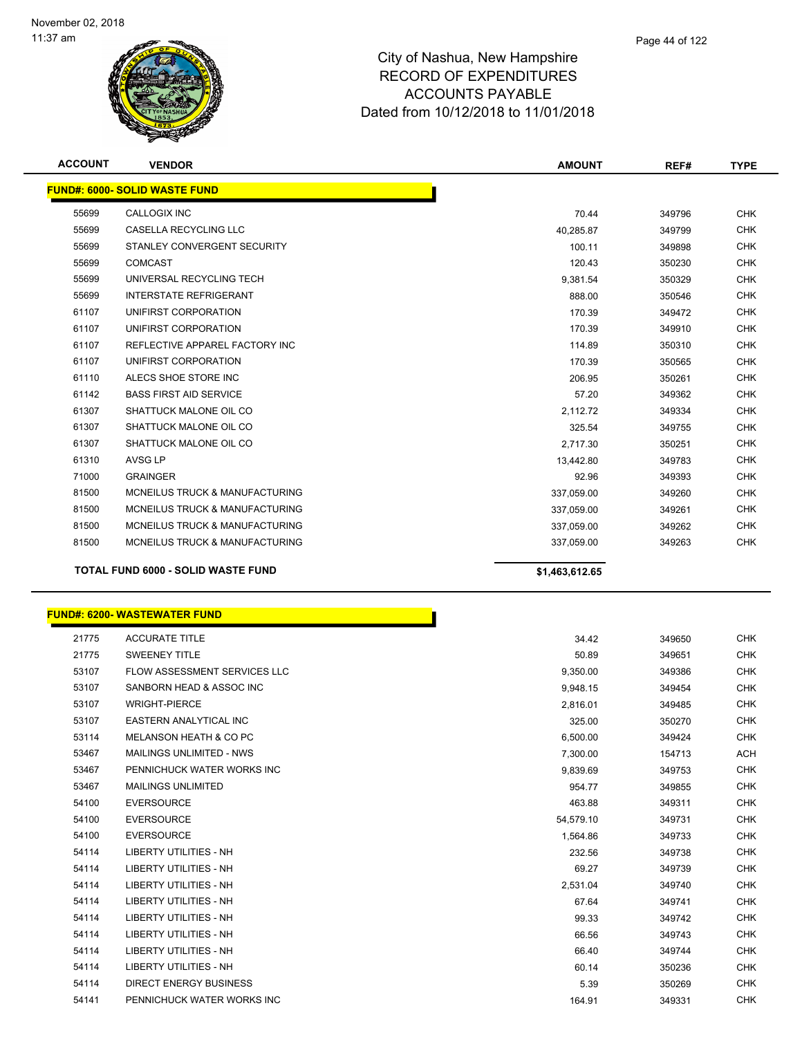

| <b>ACCOUNT</b> | <b>VENDOR</b>                             | <b>AMOUNT</b>  | REF#   | <b>TYPE</b> |
|----------------|-------------------------------------------|----------------|--------|-------------|
|                | <b>FUND#: 6000- SOLID WASTE FUND</b>      |                |        |             |
| 55699          | CALLOGIX INC                              | 70.44          | 349796 | <b>CHK</b>  |
| 55699          | <b>CASELLA RECYCLING LLC</b>              | 40,285.87      | 349799 | <b>CHK</b>  |
| 55699          | STANLEY CONVERGENT SECURITY               | 100.11         | 349898 | <b>CHK</b>  |
| 55699          | <b>COMCAST</b>                            | 120.43         | 350230 | <b>CHK</b>  |
| 55699          | UNIVERSAL RECYCLING TECH                  | 9,381.54       | 350329 | <b>CHK</b>  |
| 55699          | <b>INTERSTATE REFRIGERANT</b>             | 888.00         | 350546 | <b>CHK</b>  |
| 61107          | UNIFIRST CORPORATION                      | 170.39         | 349472 | <b>CHK</b>  |
| 61107          | UNIFIRST CORPORATION                      | 170.39         | 349910 | <b>CHK</b>  |
| 61107          | REFLECTIVE APPAREL FACTORY INC            | 114.89         | 350310 | <b>CHK</b>  |
| 61107          | UNIFIRST CORPORATION                      | 170.39         | 350565 | <b>CHK</b>  |
| 61110          | ALECS SHOE STORE INC                      | 206.95         | 350261 | <b>CHK</b>  |
| 61142          | <b>BASS FIRST AID SERVICE</b>             | 57.20          | 349362 | <b>CHK</b>  |
| 61307          | SHATTUCK MALONE OIL CO                    | 2,112.72       | 349334 | <b>CHK</b>  |
| 61307          | SHATTUCK MALONE OIL CO                    | 325.54         | 349755 | <b>CHK</b>  |
| 61307          | SHATTUCK MALONE OIL CO                    | 2,717.30       | 350251 | <b>CHK</b>  |
| 61310          | AVSG LP                                   | 13,442.80      | 349783 | <b>CHK</b>  |
| 71000          | <b>GRAINGER</b>                           | 92.96          | 349393 | <b>CHK</b>  |
| 81500          | <b>MCNEILUS TRUCK &amp; MANUFACTURING</b> | 337,059.00     | 349260 | <b>CHK</b>  |
| 81500          | MCNEILUS TRUCK & MANUFACTURING            | 337,059.00     | 349261 | <b>CHK</b>  |
| 81500          | <b>MCNEILUS TRUCK &amp; MANUFACTURING</b> | 337,059.00     | 349262 | <b>CHK</b>  |
| 81500          | <b>MCNEILUS TRUCK &amp; MANUFACTURING</b> | 337,059.00     | 349263 | <b>CHK</b>  |
|                | <b>TOTAL FUND 6000 - SOLID WASTE FUND</b> | \$1,463,612.65 |        |             |

# **FUND#: 6200- WASTEWATER FUND**

| 21775 | <b>ACCURATE TITLE</b>               | 34.42     | 349650 | <b>CHK</b> |
|-------|-------------------------------------|-----------|--------|------------|
| 21775 | <b>SWEENEY TITLE</b>                | 50.89     | 349651 | <b>CHK</b> |
| 53107 | <b>FLOW ASSESSMENT SERVICES LLC</b> | 9,350.00  | 349386 | <b>CHK</b> |
| 53107 | SANBORN HEAD & ASSOC INC            | 9,948.15  | 349454 | <b>CHK</b> |
| 53107 | <b>WRIGHT-PIERCE</b>                | 2,816.01  | 349485 | <b>CHK</b> |
| 53107 | <b>EASTERN ANALYTICAL INC</b>       | 325.00    | 350270 | <b>CHK</b> |
| 53114 | MELANSON HEATH & CO PC              | 6,500.00  | 349424 | <b>CHK</b> |
| 53467 | <b>MAILINGS UNLIMITED - NWS</b>     | 7,300.00  | 154713 | <b>ACH</b> |
| 53467 | PENNICHUCK WATER WORKS INC          | 9,839.69  | 349753 | CHK        |
| 53467 | <b>MAILINGS UNLIMITED</b>           | 954.77    | 349855 | <b>CHK</b> |
| 54100 | <b>EVERSOURCE</b>                   | 463.88    | 349311 | <b>CHK</b> |
| 54100 | <b>EVERSOURCE</b>                   | 54,579.10 | 349731 | <b>CHK</b> |
| 54100 | <b>EVERSOURCE</b>                   | 1,564.86  | 349733 | <b>CHK</b> |
| 54114 | <b>LIBERTY UTILITIES - NH</b>       | 232.56    | 349738 | <b>CHK</b> |
| 54114 | <b>LIBERTY UTILITIES - NH</b>       | 69.27     | 349739 | <b>CHK</b> |
| 54114 | <b>LIBERTY UTILITIES - NH</b>       | 2,531.04  | 349740 | <b>CHK</b> |
| 54114 | <b>LIBERTY UTILITIES - NH</b>       | 67.64     | 349741 | CHK        |
| 54114 | <b>LIBERTY UTILITIES - NH</b>       | 99.33     | 349742 | <b>CHK</b> |
| 54114 | <b>LIBERTY UTILITIES - NH</b>       | 66.56     | 349743 | <b>CHK</b> |
| 54114 | <b>LIBERTY UTILITIES - NH</b>       | 66.40     | 349744 | <b>CHK</b> |
| 54114 | <b>LIBERTY UTILITIES - NH</b>       | 60.14     | 350236 | <b>CHK</b> |
| 54114 | <b>DIRECT ENERGY BUSINESS</b>       | 5.39      | 350269 | <b>CHK</b> |
| 54141 | PENNICHUCK WATER WORKS INC          | 164.91    | 349331 | <b>CHK</b> |
|       |                                     |           |        |            |

n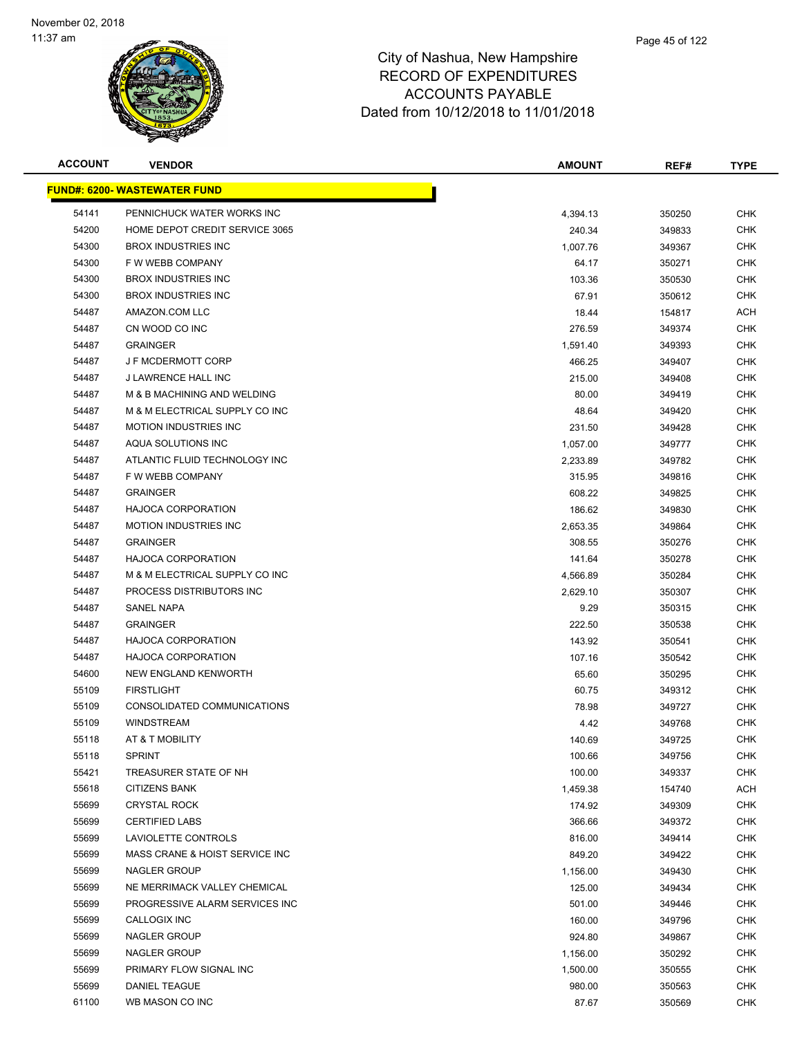

| <b>ACCOUNT</b> | <b>VENDOR</b>                        | <b>AMOUNT</b> | REF#   | <b>TYPE</b> |
|----------------|--------------------------------------|---------------|--------|-------------|
|                | <u> FUND#: 6200- WASTEWATER FUND</u> |               |        |             |
| 54141          | PENNICHUCK WATER WORKS INC           | 4,394.13      | 350250 | <b>CHK</b>  |
| 54200          | HOME DEPOT CREDIT SERVICE 3065       | 240.34        | 349833 | <b>CHK</b>  |
| 54300          | <b>BROX INDUSTRIES INC</b>           | 1,007.76      | 349367 | <b>CHK</b>  |
| 54300          | F W WEBB COMPANY                     | 64.17         | 350271 | <b>CHK</b>  |
| 54300          | <b>BROX INDUSTRIES INC</b>           | 103.36        | 350530 | <b>CHK</b>  |
| 54300          | <b>BROX INDUSTRIES INC</b>           | 67.91         | 350612 | CHK         |
| 54487          | AMAZON.COM LLC                       | 18.44         | 154817 | <b>ACH</b>  |
| 54487          | CN WOOD CO INC                       | 276.59        | 349374 | CHK         |
| 54487          | <b>GRAINGER</b>                      | 1,591.40      | 349393 | CHK         |
| 54487          | <b>J F MCDERMOTT CORP</b>            | 466.25        | 349407 | CHK         |
| 54487          | J LAWRENCE HALL INC                  | 215.00        | 349408 | <b>CHK</b>  |
| 54487          | M & B MACHINING AND WELDING          | 80.00         | 349419 | <b>CHK</b>  |
| 54487          | M & M ELECTRICAL SUPPLY CO INC       | 48.64         | 349420 | <b>CHK</b>  |
| 54487          | <b>MOTION INDUSTRIES INC</b>         | 231.50        | 349428 | <b>CHK</b>  |
| 54487          | AQUA SOLUTIONS INC                   | 1,057.00      | 349777 | <b>CHK</b>  |
| 54487          | ATLANTIC FLUID TECHNOLOGY INC        | 2,233.89      | 349782 | <b>CHK</b>  |
| 54487          | F W WEBB COMPANY                     | 315.95        | 349816 | <b>CHK</b>  |
| 54487          | <b>GRAINGER</b>                      | 608.22        | 349825 | <b>CHK</b>  |
| 54487          | <b>HAJOCA CORPORATION</b>            | 186.62        | 349830 | <b>CHK</b>  |
| 54487          | <b>MOTION INDUSTRIES INC</b>         | 2,653.35      | 349864 | <b>CHK</b>  |
| 54487          | <b>GRAINGER</b>                      | 308.55        | 350276 | <b>CHK</b>  |
| 54487          | <b>HAJOCA CORPORATION</b>            | 141.64        | 350278 | <b>CHK</b>  |
| 54487          | M & M ELECTRICAL SUPPLY CO INC       | 4,566.89      | 350284 | <b>CHK</b>  |
| 54487          | PROCESS DISTRIBUTORS INC             | 2,629.10      | 350307 | <b>CHK</b>  |
| 54487          | <b>SANEL NAPA</b>                    | 9.29          | 350315 | <b>CHK</b>  |
| 54487          | <b>GRAINGER</b>                      | 222.50        | 350538 | <b>CHK</b>  |
| 54487          | <b>HAJOCA CORPORATION</b>            | 143.92        | 350541 | <b>CHK</b>  |
| 54487          | <b>HAJOCA CORPORATION</b>            | 107.16        | 350542 | CHK         |
| 54600          | NEW ENGLAND KENWORTH                 | 65.60         | 350295 | <b>CHK</b>  |
| 55109          | <b>FIRSTLIGHT</b>                    | 60.75         | 349312 | CHK         |
| 55109          | CONSOLIDATED COMMUNICATIONS          | 78.98         | 349727 | CHK         |
| 55109          | <b>WINDSTREAM</b>                    | 4.42          | 349768 | <b>CHK</b>  |
| 55118          | AT & T MOBILITY                      | 140.69        | 349725 | <b>CHK</b>  |
| 55118          | <b>SPRINT</b>                        | 100.66        | 349756 | <b>CHK</b>  |
| 55421          | TREASURER STATE OF NH                | 100.00        | 349337 | <b>CHK</b>  |
| 55618          | <b>CITIZENS BANK</b>                 | 1,459.38      | 154740 | ACH         |
| 55699          | <b>CRYSTAL ROCK</b>                  | 174.92        | 349309 | <b>CHK</b>  |
| 55699          | <b>CERTIFIED LABS</b>                | 366.66        | 349372 | <b>CHK</b>  |
| 55699          | LAVIOLETTE CONTROLS                  | 816.00        | 349414 | CHK         |
| 55699          | MASS CRANE & HOIST SERVICE INC       | 849.20        | 349422 | <b>CHK</b>  |
| 55699          | NAGLER GROUP                         | 1,156.00      | 349430 | <b>CHK</b>  |
| 55699          | NE MERRIMACK VALLEY CHEMICAL         | 125.00        | 349434 | <b>CHK</b>  |
| 55699          | PROGRESSIVE ALARM SERVICES INC       | 501.00        | 349446 | <b>CHK</b>  |
| 55699          | CALLOGIX INC                         | 160.00        | 349796 | CHK         |
| 55699          | NAGLER GROUP                         | 924.80        | 349867 | <b>CHK</b>  |
| 55699          | NAGLER GROUP                         | 1,156.00      | 350292 | <b>CHK</b>  |
| 55699          | PRIMARY FLOW SIGNAL INC              | 1,500.00      | 350555 | CHK         |
| 55699          | DANIEL TEAGUE                        | 980.00        | 350563 | <b>CHK</b>  |
| 61100          | WB MASON CO INC                      | 87.67         | 350569 | <b>CHK</b>  |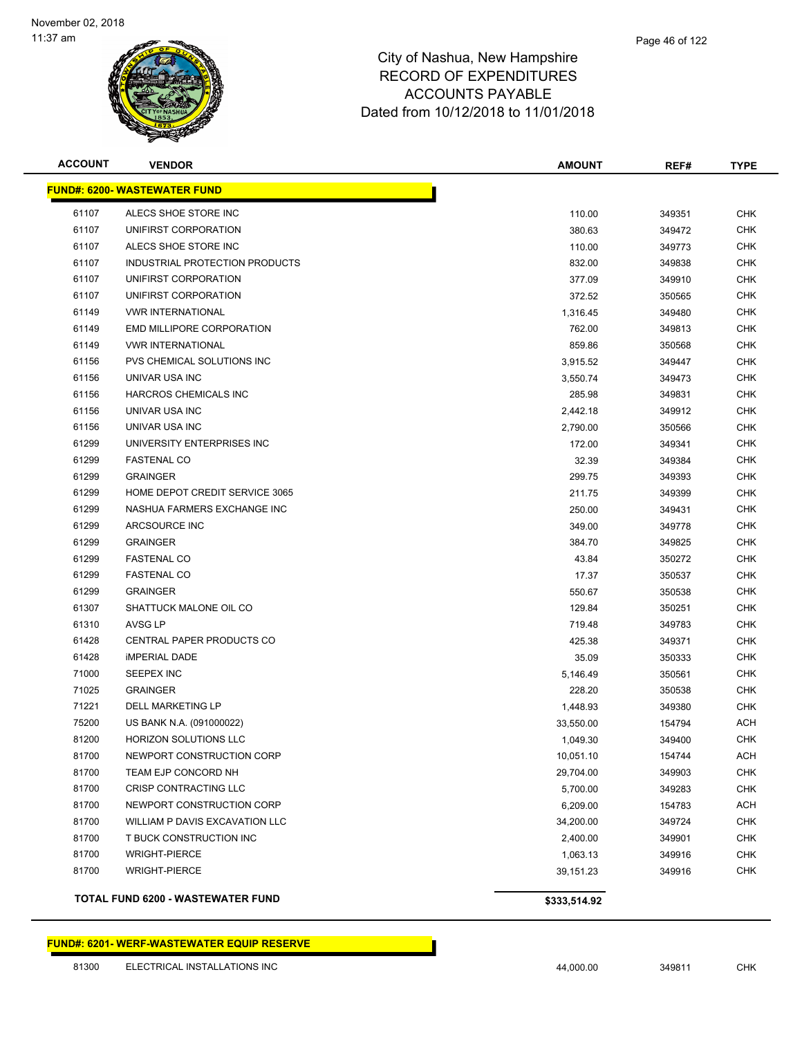

| <b>ACCOUNT</b> | <b>VENDOR</b>                            | <b>AMOUNT</b> | REF#   | <b>TYPE</b> |
|----------------|------------------------------------------|---------------|--------|-------------|
|                | <b>FUND#: 6200- WASTEWATER FUND</b>      |               |        |             |
| 61107          | ALECS SHOE STORE INC                     | 110.00        | 349351 | <b>CHK</b>  |
| 61107          | UNIFIRST CORPORATION                     | 380.63        | 349472 | <b>CHK</b>  |
| 61107          | ALECS SHOE STORE INC                     | 110.00        | 349773 | <b>CHK</b>  |
| 61107          | INDUSTRIAL PROTECTION PRODUCTS           | 832.00        | 349838 | <b>CHK</b>  |
| 61107          | UNIFIRST CORPORATION                     | 377.09        | 349910 | <b>CHK</b>  |
| 61107          | UNIFIRST CORPORATION                     | 372.52        | 350565 | <b>CHK</b>  |
| 61149          | <b>VWR INTERNATIONAL</b>                 | 1,316.45      | 349480 | <b>CHK</b>  |
| 61149          | EMD MILLIPORE CORPORATION                | 762.00        | 349813 | <b>CHK</b>  |
| 61149          | <b>VWR INTERNATIONAL</b>                 | 859.86        | 350568 | <b>CHK</b>  |
| 61156          | PVS CHEMICAL SOLUTIONS INC               | 3,915.52      | 349447 | <b>CHK</b>  |
| 61156          | UNIVAR USA INC                           | 3,550.74      | 349473 | <b>CHK</b>  |
| 61156          | HARCROS CHEMICALS INC                    | 285.98        | 349831 | <b>CHK</b>  |
| 61156          | UNIVAR USA INC                           | 2,442.18      | 349912 | <b>CHK</b>  |
| 61156          | UNIVAR USA INC                           | 2,790.00      | 350566 | <b>CHK</b>  |
| 61299          | UNIVERSITY ENTERPRISES INC               | 172.00        | 349341 | <b>CHK</b>  |
| 61299          | <b>FASTENAL CO</b>                       | 32.39         | 349384 | <b>CHK</b>  |
| 61299          | <b>GRAINGER</b>                          | 299.75        | 349393 | <b>CHK</b>  |
| 61299          | HOME DEPOT CREDIT SERVICE 3065           | 211.75        | 349399 | <b>CHK</b>  |
| 61299          | NASHUA FARMERS EXCHANGE INC              | 250.00        | 349431 | <b>CHK</b>  |
| 61299          | <b>ARCSOURCE INC</b>                     | 349.00        | 349778 | <b>CHK</b>  |
| 61299          | <b>GRAINGER</b>                          | 384.70        | 349825 | <b>CHK</b>  |
| 61299          | <b>FASTENAL CO</b>                       | 43.84         | 350272 | <b>CHK</b>  |
| 61299          | <b>FASTENAL CO</b>                       | 17.37         | 350537 | <b>CHK</b>  |
| 61299          | <b>GRAINGER</b>                          | 550.67        | 350538 | <b>CHK</b>  |
| 61307          | SHATTUCK MALONE OIL CO                   | 129.84        | 350251 | <b>CHK</b>  |
| 61310          | AVSG LP                                  | 719.48        | 349783 | <b>CHK</b>  |
| 61428          | CENTRAL PAPER PRODUCTS CO                | 425.38        | 349371 | <b>CHK</b>  |
| 61428          | <b>IMPERIAL DADE</b>                     | 35.09         | 350333 | <b>CHK</b>  |
| 71000          | SEEPEX INC                               | 5,146.49      | 350561 | <b>CHK</b>  |
| 71025          | <b>GRAINGER</b>                          | 228.20        | 350538 | <b>CHK</b>  |
| 71221          | <b>DELL MARKETING LP</b>                 | 1,448.93      | 349380 | <b>CHK</b>  |
| 75200          | US BANK N.A. (091000022)                 | 33,550.00     | 154794 | ACH         |
| 81200          | <b>HORIZON SOLUTIONS LLC</b>             | 1,049.30      | 349400 | <b>CHK</b>  |
| 81700          | NEWPORT CONSTRUCTION CORP                | 10,051.10     | 154744 | <b>ACH</b>  |
| 81700          | TEAM EJP CONCORD NH                      | 29,704.00     | 349903 | <b>CHK</b>  |
| 81700          | CRISP CONTRACTING LLC                    | 5,700.00      | 349283 | <b>CHK</b>  |
| 81700          | NEWPORT CONSTRUCTION CORP                | 6,209.00      | 154783 | <b>ACH</b>  |
| 81700          | WILLIAM P DAVIS EXCAVATION LLC           | 34,200.00     | 349724 | <b>CHK</b>  |
| 81700          | T BUCK CONSTRUCTION INC                  | 2,400.00      | 349901 | <b>CHK</b>  |
| 81700          | <b>WRIGHT-PIERCE</b>                     | 1,063.13      | 349916 | <b>CHK</b>  |
| 81700          | <b>WRIGHT-PIERCE</b>                     | 39,151.23     | 349916 | <b>CHK</b>  |
|                | <b>TOTAL FUND 6200 - WASTEWATER FUND</b> | \$333,514.92  |        |             |

**FUND#: 6201- WERF-WASTEWATER EQUIP RESERVE**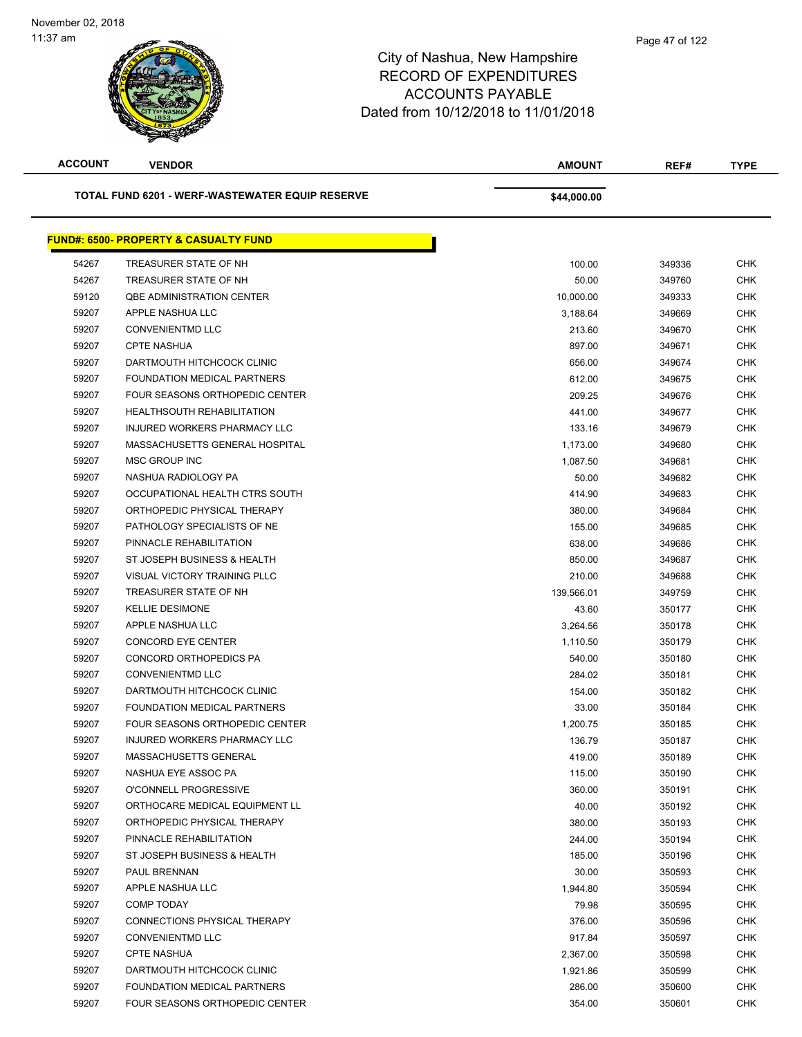| <b>ACCOUNT</b>                                         | <b>VENDOR</b>                                     | <b>AMOUNT</b> | REF#   | <b>TYPE</b> |
|--------------------------------------------------------|---------------------------------------------------|---------------|--------|-------------|
| <b>TOTAL FUND 6201 - WERF-WASTEWATER EQUIP RESERVE</b> |                                                   | \$44,000.00   |        |             |
|                                                        | <u> FUND#: 6500- PROPERTY &amp; CASUALTY FUND</u> |               |        |             |
| 54267                                                  | TREASURER STATE OF NH                             | 100.00        | 349336 | <b>CHK</b>  |
| 54267                                                  | TREASURER STATE OF NH                             | 50.00         | 349760 | <b>CHK</b>  |
| 59120                                                  | <b>QBE ADMINISTRATION CENTER</b>                  | 10,000.00     | 349333 | <b>CHK</b>  |
| 59207                                                  | APPLE NASHUA LLC                                  | 3,188.64      | 349669 | <b>CHK</b>  |
| 59207                                                  | <b>CONVENIENTMD LLC</b>                           | 213.60        | 349670 | <b>CHK</b>  |
| 59207                                                  | <b>CPTE NASHUA</b>                                | 897.00        | 349671 | <b>CHK</b>  |
| 59207                                                  | DARTMOUTH HITCHCOCK CLINIC                        | 656.00        | 349674 | <b>CHK</b>  |
| 59207                                                  | FOUNDATION MEDICAL PARTNERS                       | 612.00        | 349675 | <b>CHK</b>  |
| 59207                                                  | FOUR SEASONS ORTHOPEDIC CENTER                    | 209.25        | 349676 | CHK         |
| 59207                                                  | <b>HEALTHSOUTH REHABILITATION</b>                 | 441.00        | 349677 | <b>CHK</b>  |
| 59207                                                  | INJURED WORKERS PHARMACY LLC                      | 133.16        | 349679 | <b>CHK</b>  |
| 59207                                                  | MASSACHUSETTS GENERAL HOSPITAL                    | 1,173.00      | 349680 | <b>CHK</b>  |
| 59207                                                  | MSC GROUP INC                                     | 1,087.50      | 349681 | <b>CHK</b>  |
| 59207                                                  | NASHUA RADIOLOGY PA                               | 50.00         | 349682 | <b>CHK</b>  |
| 59207                                                  | OCCUPATIONAL HEALTH CTRS SOUTH                    | 414.90        | 349683 | <b>CHK</b>  |
| 59207                                                  | ORTHOPEDIC PHYSICAL THERAPY                       | 380.00        | 349684 | <b>CHK</b>  |
| 59207                                                  | PATHOLOGY SPECIALISTS OF NE                       | 155.00        | 349685 | <b>CHK</b>  |
| 59207                                                  | PINNACLE REHABILITATION                           | 638.00        | 349686 | <b>CHK</b>  |
| 59207                                                  | ST JOSEPH BUSINESS & HEALTH                       | 850.00        | 349687 | <b>CHK</b>  |
| 59207                                                  | VISUAL VICTORY TRAINING PLLC                      | 210.00        | 349688 | <b>CHK</b>  |
| 59207                                                  | TREASURER STATE OF NH                             | 139,566.01    | 349759 | <b>CHK</b>  |
| 59207                                                  | <b>KELLIE DESIMONE</b>                            | 43.60         | 350177 | <b>CHK</b>  |
| 59207                                                  | APPLE NASHUA LLC                                  | 3,264.56      | 350178 | <b>CHK</b>  |
| 59207                                                  | <b>CONCORD EYE CENTER</b>                         | 1,110.50      | 350179 | <b>CHK</b>  |
| 59207                                                  | CONCORD ORTHOPEDICS PA                            | 540.00        | 350180 | <b>CHK</b>  |
| 59207                                                  | <b>CONVENIENTMD LLC</b>                           | 284.02        | 350181 | <b>CHK</b>  |
| 59207                                                  | DARTMOUTH HITCHCOCK CLINIC                        | 154.00        | 350182 | <b>CHK</b>  |
| 59207                                                  | FOUNDATION MEDICAL PARTNERS                       | 33.00         | 350184 | <b>CHK</b>  |
| 59207                                                  | FOUR SEASONS ORTHOPEDIC CENTER                    | 1,200.75      | 350185 | <b>CHK</b>  |
| 59207                                                  | INJURED WORKERS PHARMACY LLC                      | 136.79        | 350187 | <b>CHK</b>  |
| 59207                                                  | MASSACHUSETTS GENERAL                             | 419.00        | 350189 | <b>CHK</b>  |
| 59207                                                  | NASHUA EYE ASSOC PA                               | 115.00        | 350190 | <b>CHK</b>  |
| 59207                                                  | O'CONNELL PROGRESSIVE                             | 360.00        | 350191 | <b>CHK</b>  |
| 59207                                                  | ORTHOCARE MEDICAL EQUIPMENT LL                    | 40.00         | 350192 | <b>CHK</b>  |
| 59207                                                  | ORTHOPEDIC PHYSICAL THERAPY                       | 380.00        | 350193 | <b>CHK</b>  |
| 59207                                                  | PINNACLE REHABILITATION                           | 244.00        | 350194 | <b>CHK</b>  |
| 59207                                                  | ST JOSEPH BUSINESS & HEALTH                       | 185.00        | 350196 | <b>CHK</b>  |
| 59207                                                  | PAUL BRENNAN                                      | 30.00         | 350593 | <b>CHK</b>  |
| 59207                                                  | APPLE NASHUA LLC                                  | 1,944.80      | 350594 | <b>CHK</b>  |
| 59207                                                  | COMP TODAY                                        | 79.98         | 350595 | <b>CHK</b>  |
| 59207                                                  | CONNECTIONS PHYSICAL THERAPY                      | 376.00        | 350596 | <b>CHK</b>  |
| 59207                                                  | <b>CONVENIENTMD LLC</b>                           | 917.84        | 350597 | <b>CHK</b>  |
| 59207                                                  | <b>CPTE NASHUA</b>                                | 2,367.00      | 350598 | <b>CHK</b>  |
| 59207                                                  | DARTMOUTH HITCHCOCK CLINIC                        | 1,921.86      | 350599 | <b>CHK</b>  |
| 59207                                                  | FOUNDATION MEDICAL PARTNERS                       | 286.00        | 350600 | <b>CHK</b>  |
| 59207                                                  | FOUR SEASONS ORTHOPEDIC CENTER                    | 354.00        | 350601 | <b>CHK</b>  |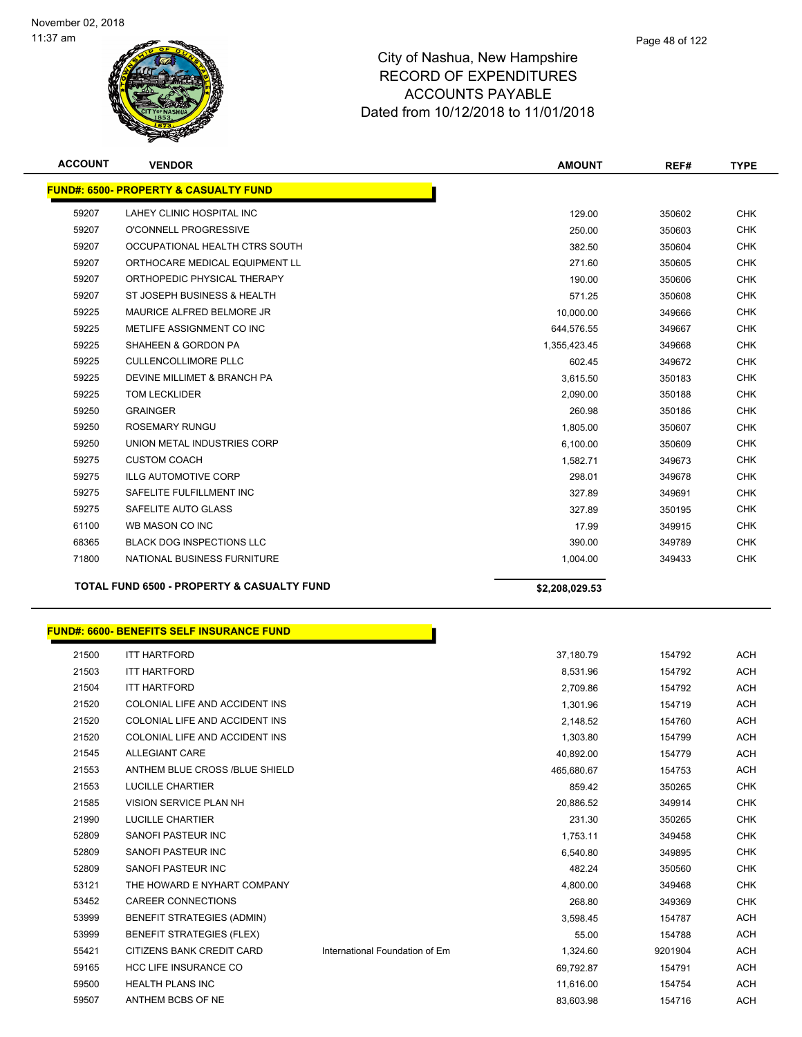

| <b>ACCOUNT</b> | <b>VENDOR</b>                                         | <b>AMOUNT</b>  | REF#   | <b>TYPE</b> |
|----------------|-------------------------------------------------------|----------------|--------|-------------|
|                | <b>FUND#: 6500- PROPERTY &amp; CASUALTY FUND</b>      |                |        |             |
| 59207          | LAHEY CLINIC HOSPITAL INC                             | 129.00         | 350602 | <b>CHK</b>  |
| 59207          | O'CONNELL PROGRESSIVE                                 | 250.00         | 350603 | <b>CHK</b>  |
| 59207          | OCCUPATIONAL HEALTH CTRS SOUTH                        | 382.50         | 350604 | <b>CHK</b>  |
| 59207          | ORTHOCARE MEDICAL EQUIPMENT LL                        | 271.60         | 350605 | <b>CHK</b>  |
| 59207          | ORTHOPEDIC PHYSICAL THERAPY                           | 190.00         | 350606 | <b>CHK</b>  |
| 59207          | ST JOSEPH BUSINESS & HEALTH                           | 571.25         | 350608 | <b>CHK</b>  |
| 59225          | MAURICE ALFRED BELMORE JR                             | 10,000.00      | 349666 | <b>CHK</b>  |
| 59225          | METLIFE ASSIGNMENT CO INC                             | 644,576.55     | 349667 | <b>CHK</b>  |
| 59225          | SHAHEEN & GORDON PA                                   | 1,355,423.45   | 349668 | <b>CHK</b>  |
| 59225          | <b>CULLENCOLLIMORE PLLC</b>                           | 602.45         | 349672 | <b>CHK</b>  |
| 59225          | DEVINE MILLIMET & BRANCH PA                           | 3,615.50       | 350183 | <b>CHK</b>  |
| 59225          | <b>TOM LECKLIDER</b>                                  | 2,090.00       | 350188 | <b>CHK</b>  |
| 59250          | <b>GRAINGER</b>                                       | 260.98         | 350186 | <b>CHK</b>  |
| 59250          | <b>ROSEMARY RUNGU</b>                                 | 1,805.00       | 350607 | <b>CHK</b>  |
| 59250          | UNION METAL INDUSTRIES CORP                           | 6,100.00       | 350609 | <b>CHK</b>  |
| 59275          | <b>CUSTOM COACH</b>                                   | 1.582.71       | 349673 | <b>CHK</b>  |
| 59275          | <b>ILLG AUTOMOTIVE CORP</b>                           | 298.01         | 349678 | <b>CHK</b>  |
| 59275          | SAFELITE FULFILLMENT INC                              | 327.89         | 349691 | <b>CHK</b>  |
| 59275          | SAFELITE AUTO GLASS                                   | 327.89         | 350195 | <b>CHK</b>  |
| 61100          | WB MASON CO INC                                       | 17.99          | 349915 | <b>CHK</b>  |
| 68365          | <b>BLACK DOG INSPECTIONS LLC</b>                      | 390.00         | 349789 | <b>CHK</b>  |
| 71800          | NATIONAL BUSINESS FURNITURE                           | 1,004.00       | 349433 | <b>CHK</b>  |
|                | <b>TOTAL FUND 6500 - PROPERTY &amp; CASUALTY FUND</b> | \$2,208,029.53 |        |             |
|                |                                                       |                |        |             |

|       | FUND#: 6600- BENEFITS SELF INSURANCE FUND |                                |            |         |            |
|-------|-------------------------------------------|--------------------------------|------------|---------|------------|
| 21500 | <b>ITT HARTFORD</b>                       |                                | 37,180.79  | 154792  | <b>ACH</b> |
| 21503 | <b>ITT HARTFORD</b>                       |                                | 8,531.96   | 154792  | <b>ACH</b> |
| 21504 | <b>ITT HARTFORD</b>                       |                                | 2,709.86   | 154792  | <b>ACH</b> |
| 21520 | COLONIAL LIFE AND ACCIDENT INS            |                                | 1,301.96   | 154719  | <b>ACH</b> |
| 21520 | COLONIAL LIFE AND ACCIDENT INS            |                                | 2,148.52   | 154760  | <b>ACH</b> |
| 21520 | COLONIAL LIFE AND ACCIDENT INS            |                                | 1,303.80   | 154799  | <b>ACH</b> |
| 21545 | <b>ALLEGIANT CARE</b>                     |                                | 40,892.00  | 154779  | <b>ACH</b> |
| 21553 | ANTHEM BLUE CROSS /BLUE SHIELD            |                                | 465,680.67 | 154753  | ACH        |
| 21553 | <b>LUCILLE CHARTIER</b>                   |                                | 859.42     | 350265  | <b>CHK</b> |
| 21585 | VISION SERVICE PLAN NH                    |                                | 20.886.52  | 349914  | <b>CHK</b> |
| 21990 | <b>LUCILLE CHARTIER</b>                   |                                | 231.30     | 350265  | <b>CHK</b> |
| 52809 | SANOFI PASTEUR INC                        |                                | 1,753.11   | 349458  | <b>CHK</b> |
| 52809 | <b>SANOFI PASTEUR INC</b>                 |                                | 6,540.80   | 349895  | <b>CHK</b> |
| 52809 | SANOFI PASTEUR INC                        |                                | 482.24     | 350560  | <b>CHK</b> |
| 53121 | THE HOWARD E NYHART COMPANY               |                                | 4,800.00   | 349468  | <b>CHK</b> |
| 53452 | <b>CAREER CONNECTIONS</b>                 |                                | 268.80     | 349369  | <b>CHK</b> |
| 53999 | <b>BENEFIT STRATEGIES (ADMIN)</b>         |                                | 3,598.45   | 154787  | <b>ACH</b> |
| 53999 | <b>BENEFIT STRATEGIES (FLEX)</b>          |                                | 55.00      | 154788  | <b>ACH</b> |
| 55421 | CITIZENS BANK CREDIT CARD                 | International Foundation of Em | 1,324.60   | 9201904 | <b>ACH</b> |
| 59165 | <b>HCC LIFE INSURANCE CO</b>              |                                | 69,792.87  | 154791  | <b>ACH</b> |
| 59500 | <b>HEALTH PLANS INC</b>                   |                                | 11,616.00  | 154754  | <b>ACH</b> |
| 59507 | ANTHEM BCBS OF NE                         |                                | 83,603.98  | 154716  | <b>ACH</b> |
|       |                                           |                                |            |         |            |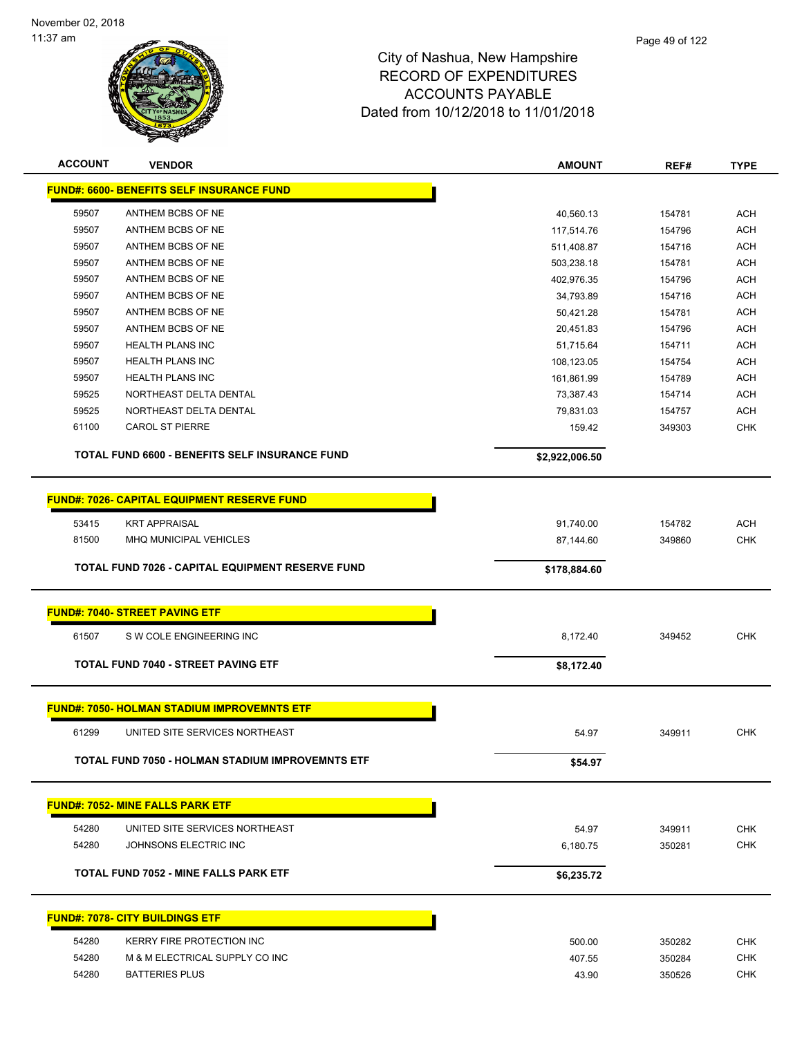

| <b>ACCOUNT</b> | <b>VENDOR</b>                                           | <b>AMOUNT</b>  | REF#   | <b>TYPE</b> |
|----------------|---------------------------------------------------------|----------------|--------|-------------|
|                | <b>FUND#: 6600- BENEFITS SELF INSURANCE FUND</b>        |                |        |             |
| 59507          | ANTHEM BCBS OF NE                                       | 40,560.13      | 154781 | <b>ACH</b>  |
| 59507          | ANTHEM BCBS OF NE                                       | 117,514.76     | 154796 | <b>ACH</b>  |
| 59507          | ANTHEM BCBS OF NE                                       | 511,408.87     | 154716 | <b>ACH</b>  |
| 59507          | ANTHEM BCBS OF NE                                       | 503,238.18     | 154781 | <b>ACH</b>  |
| 59507          | ANTHEM BCBS OF NE                                       | 402,976.35     | 154796 | ACH         |
| 59507          | ANTHEM BCBS OF NE                                       | 34,793.89      | 154716 | ACH         |
| 59507          | ANTHEM BCBS OF NE                                       | 50,421.28      | 154781 | ACH         |
| 59507          | ANTHEM BCBS OF NE                                       | 20,451.83      | 154796 | <b>ACH</b>  |
| 59507          | <b>HEALTH PLANS INC</b>                                 | 51,715.64      | 154711 | <b>ACH</b>  |
| 59507          | HEALTH PLANS INC                                        | 108,123.05     | 154754 | ACH         |
| 59507          | <b>HEALTH PLANS INC</b>                                 | 161,861.99     | 154789 | ACH         |
| 59525          | NORTHEAST DELTA DENTAL                                  | 73,387.43      | 154714 | <b>ACH</b>  |
| 59525          | NORTHEAST DELTA DENTAL                                  | 79,831.03      | 154757 | <b>ACH</b>  |
| 61100          | <b>CAROL ST PIERRE</b>                                  | 159.42         | 349303 | <b>CHK</b>  |
|                | TOTAL FUND 6600 - BENEFITS SELF INSURANCE FUND          | \$2,922,006.50 |        |             |
|                | <b>FUND#: 7026- CAPITAL EQUIPMENT RESERVE FUND</b>      |                |        |             |
| 53415          | <b>KRT APPRAISAL</b>                                    | 91,740.00      | 154782 | <b>ACH</b>  |
| 81500          | MHQ MUNICIPAL VEHICLES                                  | 87,144.60      | 349860 | <b>CHK</b>  |
|                |                                                         |                |        |             |
|                | TOTAL FUND 7026 - CAPITAL EQUIPMENT RESERVE FUND        | \$178,884.60   |        |             |
|                | <b>FUND#: 7040- STREET PAVING ETF</b>                   |                |        |             |
| 61507          | S W COLE ENGINEERING INC                                | 8,172.40       | 349452 | <b>CHK</b>  |
|                | <b>TOTAL FUND 7040 - STREET PAVING ETF</b>              | \$8,172.40     |        |             |
|                | <b>FUND#: 7050- HOLMAN STADIUM IMPROVEMNTS ETF</b>      |                |        |             |
|                |                                                         |                |        |             |
| 61299          | UNITED SITE SERVICES NORTHEAST                          | 54.97          | 349911 | <b>CHK</b>  |
|                | <b>TOTAL FUND 7050 - HOLMAN STADIUM IMPROVEMNTS ETF</b> | \$54.97        |        |             |
|                | <b>FUND#: 7052- MINE FALLS PARK ETF</b>                 |                |        |             |
| 54280          | UNITED SITE SERVICES NORTHEAST                          | 54.97          | 349911 | <b>CHK</b>  |
| 54280          | JOHNSONS ELECTRIC INC                                   | 6,180.75       | 350281 | <b>CHK</b>  |
|                |                                                         |                |        |             |
|                | <b>TOTAL FUND 7052 - MINE FALLS PARK ETF</b>            | \$6,235.72     |        |             |
|                | <b>FUND#: 7078- CITY BUILDINGS ETF</b>                  |                |        |             |
| 54280          | KERRY FIRE PROTECTION INC                               | 500.00         | 350282 | <b>CHK</b>  |
| 54280          | M & M ELECTRICAL SUPPLY CO INC                          | 407.55         | 350284 | <b>CHK</b>  |
| 54280          | <b>BATTERIES PLUS</b>                                   | 43.90          | 350526 | <b>CHK</b>  |
|                |                                                         |                |        |             |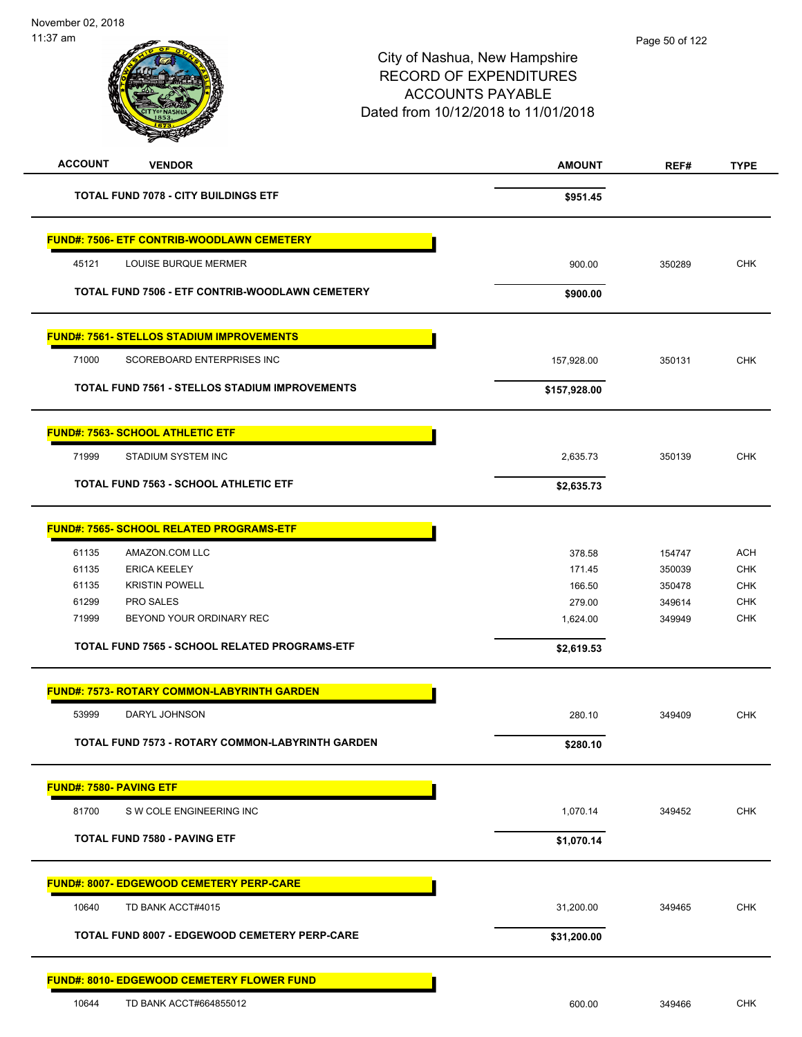|                                                    |                                                         | City of Nashua, New Hampshire<br><b>RECORD OF EXPENDITURES</b><br><b>ACCOUNTS PAYABLE</b><br>Dated from 10/12/2018 to 11/01/2018 | $1$ ugu vu vi 144 |             |
|----------------------------------------------------|---------------------------------------------------------|----------------------------------------------------------------------------------------------------------------------------------|-------------------|-------------|
| <b>ACCOUNT</b><br><b>VENDOR</b>                    |                                                         | <b>AMOUNT</b>                                                                                                                    | REF#              | <b>TYPE</b> |
| <b>TOTAL FUND 7078 - CITY BUILDINGS ETF</b>        |                                                         | \$951.45                                                                                                                         |                   |             |
| <b>FUND#: 7506- ETF CONTRIB-WOODLAWN CEMETERY</b>  |                                                         |                                                                                                                                  |                   |             |
| LOUISE BURQUE MERMER<br>45121                      |                                                         | 900.00                                                                                                                           | 350289            | <b>CHK</b>  |
| TOTAL FUND 7506 - ETF CONTRIB-WOODLAWN CEMETERY    |                                                         | \$900.00                                                                                                                         |                   |             |
| <b>FUND#: 7561- STELLOS STADIUM IMPROVEMENTS</b>   |                                                         |                                                                                                                                  |                   |             |
| 71000<br>SCOREBOARD ENTERPRISES INC                |                                                         | 157,928.00                                                                                                                       | 350131            | <b>CHK</b>  |
| TOTAL FUND 7561 - STELLOS STADIUM IMPROVEMENTS     |                                                         | \$157,928.00                                                                                                                     |                   |             |
| <b>FUND#: 7563- SCHOOL ATHLETIC ETF</b>            |                                                         |                                                                                                                                  |                   |             |
| 71999<br>STADIUM SYSTEM INC                        |                                                         | 2,635.73                                                                                                                         | 350139            | <b>CHK</b>  |
| <b>TOTAL FUND 7563 - SCHOOL ATHLETIC ETF</b>       |                                                         | \$2,635.73                                                                                                                       |                   |             |
| FUND#: 7565- SCHOOL RELATED PROGRAMS-ETF           |                                                         |                                                                                                                                  |                   |             |
| 61135<br>AMAZON.COM LLC                            |                                                         | 378.58                                                                                                                           | 154747            | <b>ACH</b>  |
| 61135<br><b>ERICA KEELEY</b>                       |                                                         | 171.45                                                                                                                           | 350039            | <b>CHK</b>  |
| <b>KRISTIN POWELL</b><br>61135                     |                                                         | 166.50                                                                                                                           | 350478            | <b>CHK</b>  |
| 61299<br>PRO SALES                                 |                                                         | 279.00                                                                                                                           | 349614            | <b>CHK</b>  |
| 71999<br>BEYOND YOUR ORDINARY REC                  |                                                         | 1,624.00                                                                                                                         | 349949            | <b>CHK</b>  |
| TOTAL FUND 7565 - SCHOOL RELATED PROGRAMS-ETF      |                                                         | \$2,619.53                                                                                                                       |                   |             |
| <b>FUND#: 7573- ROTARY COMMON-LABYRINTH GARDEN</b> |                                                         |                                                                                                                                  |                   |             |
| 53999<br>DARYL JOHNSON                             |                                                         | 280.10                                                                                                                           | 349409            | <b>CHK</b>  |
|                                                    | <b>TOTAL FUND 7573 - ROTARY COMMON-LABYRINTH GARDEN</b> | \$280.10                                                                                                                         |                   |             |
| <b>FUND#: 7580- PAVING ETF</b>                     |                                                         |                                                                                                                                  |                   |             |
| 81700<br>S W COLE ENGINEERING INC                  |                                                         | 1,070.14                                                                                                                         | 349452            | <b>CHK</b>  |
| <b>TOTAL FUND 7580 - PAVING ETF</b>                |                                                         | \$1,070.14                                                                                                                       |                   |             |
| <u> FUND#: 8007- EDGEWOOD CEMETERY PERP-CARE</u>   |                                                         |                                                                                                                                  |                   |             |
| 10640<br>TD BANK ACCT#4015                         |                                                         | 31,200.00                                                                                                                        | 349465            | <b>CHK</b>  |
| TOTAL FUND 8007 - EDGEWOOD CEMETERY PERP-CARE      |                                                         | \$31,200.00                                                                                                                      |                   |             |
| <u> FUND#: 8010- EDGEWOOD CEMETERY FLOWER FUND</u> |                                                         |                                                                                                                                  |                   |             |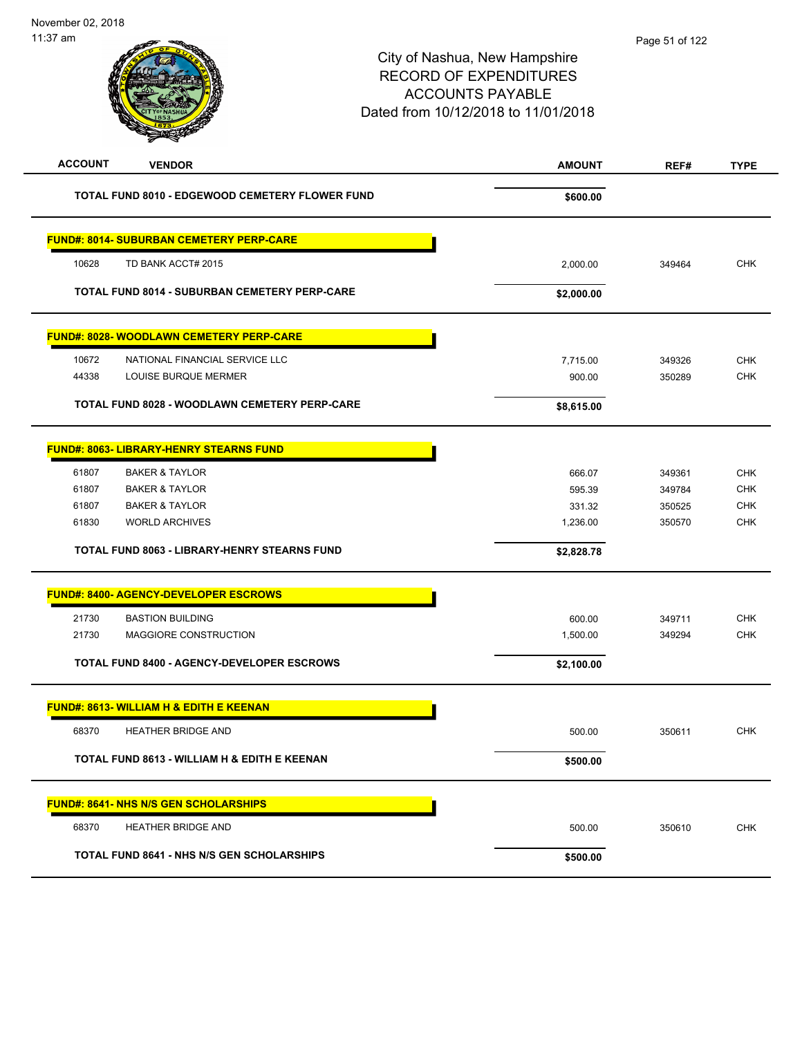| <b>STATERIA</b>                                      |               |        |             |
|------------------------------------------------------|---------------|--------|-------------|
| <b>ACCOUNT</b><br><b>VENDOR</b>                      | <b>AMOUNT</b> | REF#   | <b>TYPE</b> |
| TOTAL FUND 8010 - EDGEWOOD CEMETERY FLOWER FUND      | \$600.00      |        |             |
| <b>FUND#: 8014- SUBURBAN CEMETERY PERP-CARE</b>      |               |        |             |
| 10628<br>TD BANK ACCT# 2015                          | 2,000.00      | 349464 | <b>CHK</b>  |
| <b>TOTAL FUND 8014 - SUBURBAN CEMETERY PERP-CARE</b> | \$2,000.00    |        |             |
| <b>FUND#: 8028- WOODLAWN CEMETERY PERP-CARE</b>      |               |        |             |
| 10672<br>NATIONAL FINANCIAL SERVICE LLC              | 7,715.00      | 349326 | <b>CHK</b>  |
| 44338<br>LOUISE BURQUE MERMER                        | 900.00        | 350289 | CHK         |
| TOTAL FUND 8028 - WOODLAWN CEMETERY PERP-CARE        | \$8,615.00    |        |             |
| <b>FUND#: 8063- LIBRARY-HENRY STEARNS FUND</b>       |               |        |             |
| 61807<br><b>BAKER &amp; TAYLOR</b>                   | 666.07        | 349361 | <b>CHK</b>  |
| 61807<br><b>BAKER &amp; TAYLOR</b>                   | 595.39        | 349784 | <b>CHK</b>  |
| 61807<br><b>BAKER &amp; TAYLOR</b>                   | 331.32        | 350525 | <b>CHK</b>  |
| 61830<br><b>WORLD ARCHIVES</b>                       | 1,236.00      | 350570 | <b>CHK</b>  |
| TOTAL FUND 8063 - LIBRARY-HENRY STEARNS FUND         | \$2,828.78    |        |             |
| <b>FUND#: 8400- AGENCY-DEVELOPER ESCROWS</b>         |               |        |             |
| 21730<br><b>BASTION BUILDING</b>                     | 600.00        | 349711 | <b>CHK</b>  |
| 21730<br>MAGGIORE CONSTRUCTION                       | 1,500.00      | 349294 | <b>CHK</b>  |
| <b>TOTAL FUND 8400 - AGENCY-DEVELOPER ESCROWS</b>    | \$2,100.00    |        |             |
| <b>FUND#: 8613- WILLIAM H &amp; EDITH E KEENAN</b>   |               |        |             |
| <b>HEATHER BRIDGE AND</b><br>68370                   | 500.00        | 350611 | <b>CHK</b>  |
| TOTAL FUND 8613 - WILLIAM H & EDITH E KEENAN         | \$500.00      |        |             |
| <b>FUND#: 8641- NHS N/S GEN SCHOLARSHIPS</b>         |               |        |             |
| 68370<br><b>HEATHER BRIDGE AND</b>                   | 500.00        | 350610 | <b>CHK</b>  |
| <b>TOTAL FUND 8641 - NHS N/S GEN SCHOLARSHIPS</b>    | \$500.00      |        |             |
|                                                      |               |        |             |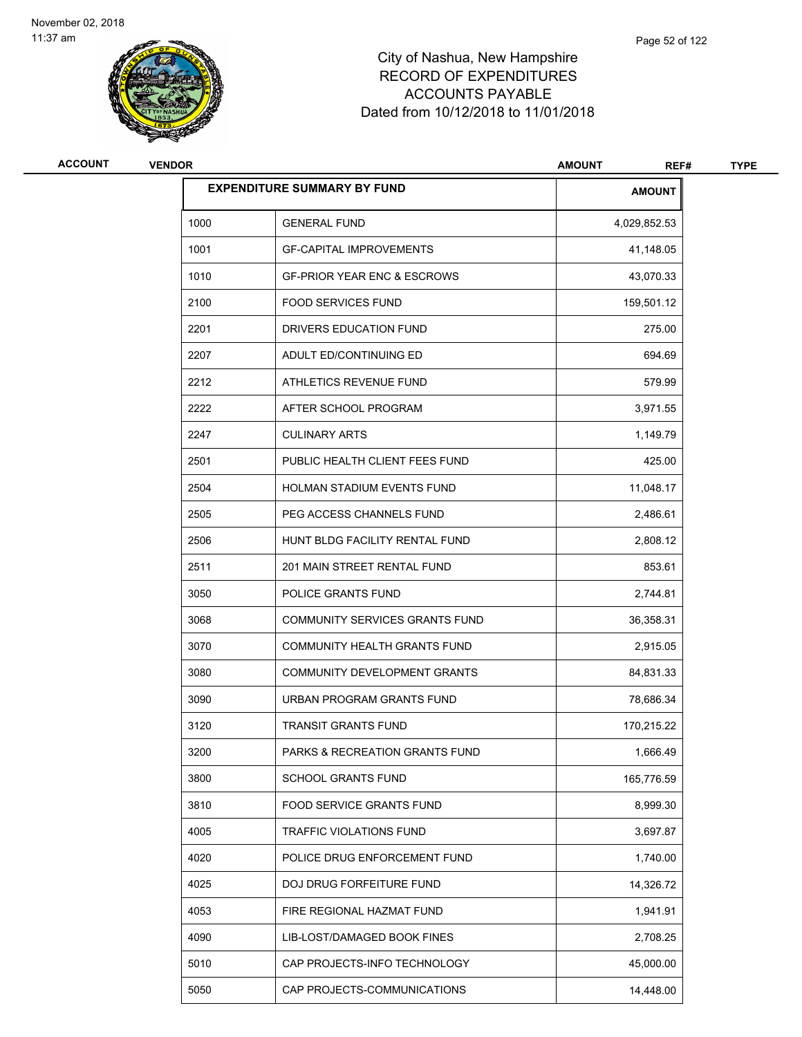

| ACCOUNT | <b>VENDOR</b> |                                        | <b>AMOUNT</b><br>REF# | <b>TYPE</b> |
|---------|---------------|----------------------------------------|-----------------------|-------------|
|         |               | <b>EXPENDITURE SUMMARY BY FUND</b>     | <b>AMOUNT</b>         |             |
|         | 1000          | <b>GENERAL FUND</b>                    | 4,029,852.53          |             |
|         | 1001          | <b>GF-CAPITAL IMPROVEMENTS</b>         | 41,148.05             |             |
|         | 1010          | <b>GF-PRIOR YEAR ENC &amp; ESCROWS</b> | 43,070.33             |             |
|         | 2100          | <b>FOOD SERVICES FUND</b>              | 159,501.12            |             |
|         | 2201          | DRIVERS EDUCATION FUND                 | 275.00                |             |
|         | 2207          | ADULT ED/CONTINUING ED                 | 694.69                |             |
|         | 2212          | ATHLETICS REVENUE FUND                 | 579.99                |             |
|         | 2222          | AFTER SCHOOL PROGRAM                   | 3,971.55              |             |
|         | 2247          | <b>CULINARY ARTS</b>                   | 1,149.79              |             |
|         | 2501          | PUBLIC HEALTH CLIENT FEES FUND         | 425.00                |             |
|         | 2504          | HOLMAN STADIUM EVENTS FUND             | 11,048.17             |             |
|         | 2505          | PEG ACCESS CHANNELS FUND               | 2,486.61              |             |
|         | 2506          | HUNT BLDG FACILITY RENTAL FUND         | 2,808.12              |             |
|         | 2511          | 201 MAIN STREET RENTAL FUND            | 853.61                |             |
|         | 3050          | POLICE GRANTS FUND                     | 2,744.81              |             |
|         | 3068          | COMMUNITY SERVICES GRANTS FUND         | 36,358.31             |             |
|         | 3070          | COMMUNITY HEALTH GRANTS FUND           | 2,915.05              |             |
|         | 3080          | COMMUNITY DEVELOPMENT GRANTS           | 84,831.33             |             |
|         | 3090          | URBAN PROGRAM GRANTS FUND              | 78,686.34             |             |
|         | 3120          | <b>TRANSIT GRANTS FUND</b>             | 170,215.22            |             |
|         | 3200          | PARKS & RECREATION GRANTS FUND         | 1,666.49              |             |
|         | 3800          | SCHOOL GRANTS FUND                     | 165,776.59            |             |
|         | 3810          | FOOD SERVICE GRANTS FUND               | 8,999.30              |             |
|         | 4005          | TRAFFIC VIOLATIONS FUND                | 3,697.87              |             |
|         | 4020          | POLICE DRUG ENFORCEMENT FUND           | 1,740.00              |             |
|         | 4025          | DOJ DRUG FORFEITURE FUND               | 14,326.72             |             |
|         | 4053          | FIRE REGIONAL HAZMAT FUND              | 1,941.91              |             |
|         | 4090          | LIB-LOST/DAMAGED BOOK FINES            | 2,708.25              |             |
|         | 5010          | CAP PROJECTS-INFO TECHNOLOGY           | 45,000.00             |             |
|         | 5050          | CAP PROJECTS-COMMUNICATIONS            | 14,448.00             |             |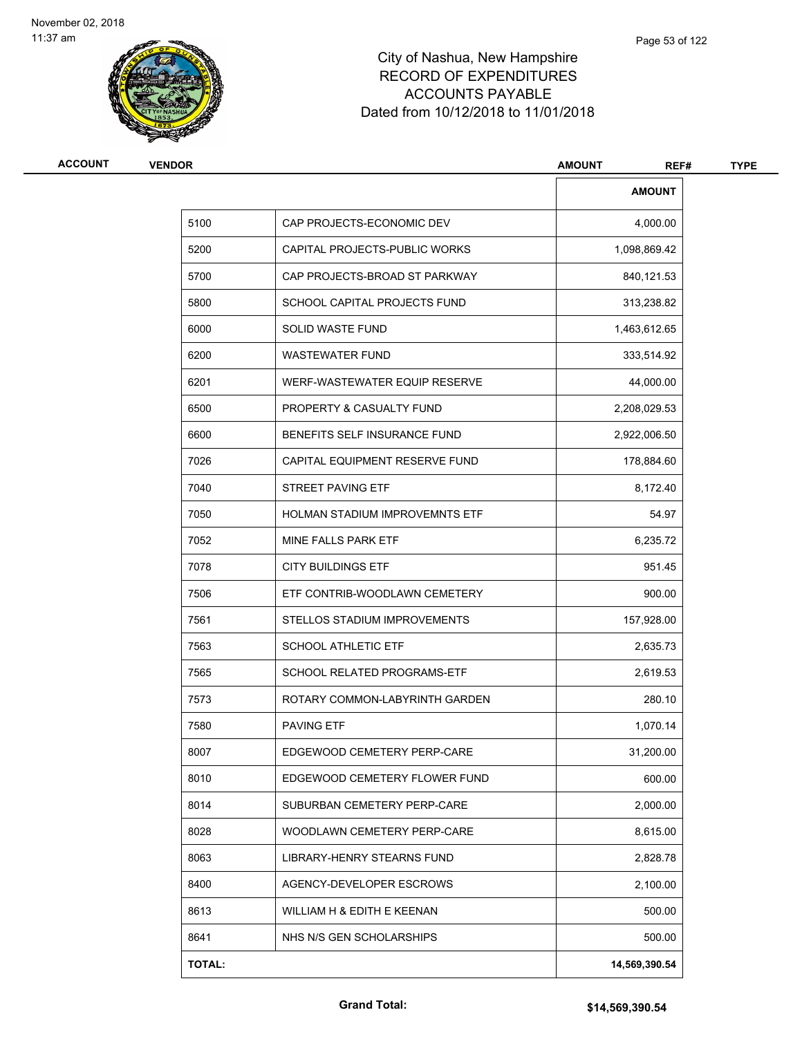

| ACCOUNT | <b>VENDOR</b> |                                       | <b>AMOUNT</b><br>REF# | <b>TYPE</b> |
|---------|---------------|---------------------------------------|-----------------------|-------------|
|         |               |                                       | <b>AMOUNT</b>         |             |
|         | 5100          | CAP PROJECTS-ECONOMIC DEV             | 4,000.00              |             |
|         | 5200          | CAPITAL PROJECTS-PUBLIC WORKS         | 1,098,869.42          |             |
|         | 5700          | CAP PROJECTS-BROAD ST PARKWAY         | 840,121.53            |             |
|         | 5800          | SCHOOL CAPITAL PROJECTS FUND          | 313,238.82            |             |
|         | 6000          | SOLID WASTE FUND                      | 1,463,612.65          |             |
|         | 6200          | <b>WASTEWATER FUND</b>                | 333,514.92            |             |
|         | 6201          | WERF-WASTEWATER EQUIP RESERVE         | 44,000.00             |             |
|         | 6500          | PROPERTY & CASUALTY FUND              | 2,208,029.53          |             |
|         | 6600          | BENEFITS SELF INSURANCE FUND          | 2,922,006.50          |             |
|         | 7026          | CAPITAL EQUIPMENT RESERVE FUND        | 178,884.60            |             |
|         | 7040          | <b>STREET PAVING ETF</b>              | 8,172.40              |             |
|         | 7050          | <b>HOLMAN STADIUM IMPROVEMNTS ETF</b> | 54.97                 |             |
|         | 7052          | MINE FALLS PARK ETF                   | 6,235.72              |             |
|         | 7078          | <b>CITY BUILDINGS ETF</b>             | 951.45                |             |
|         | 7506          | ETF CONTRIB-WOODLAWN CEMETERY         | 900.00                |             |
|         | 7561          | STELLOS STADIUM IMPROVEMENTS          | 157,928.00            |             |
|         | 7563          | <b>SCHOOL ATHLETIC ETF</b>            | 2,635.73              |             |
|         | 7565          | SCHOOL RELATED PROGRAMS-ETF           | 2,619.53              |             |
|         | 7573          | ROTARY COMMON-LABYRINTH GARDEN        | 280.10                |             |
|         | 7580          | <b>PAVING ETF</b>                     | 1,070.14              |             |
|         | 8007          | EDGEWOOD CEMETERY PERP-CARE           | 31,200.00             |             |
|         | 8010          | EDGEWOOD CEMETERY FLOWER FUND         | 600.00                |             |
|         | 8014          | SUBURBAN CEMETERY PERP-CARE           | 2,000.00              |             |
|         | 8028          | WOODLAWN CEMETERY PERP-CARE           | 8,615.00              |             |
|         | 8063          | LIBRARY-HENRY STEARNS FUND            | 2,828.78              |             |
|         | 8400          | AGENCY-DEVELOPER ESCROWS              | 2,100.00              |             |
|         | 8613          | WILLIAM H & EDITH E KEENAN            | 500.00                |             |
|         | 8641          | NHS N/S GEN SCHOLARSHIPS              | 500.00                |             |
|         | <b>TOTAL:</b> |                                       | 14,569,390.54         |             |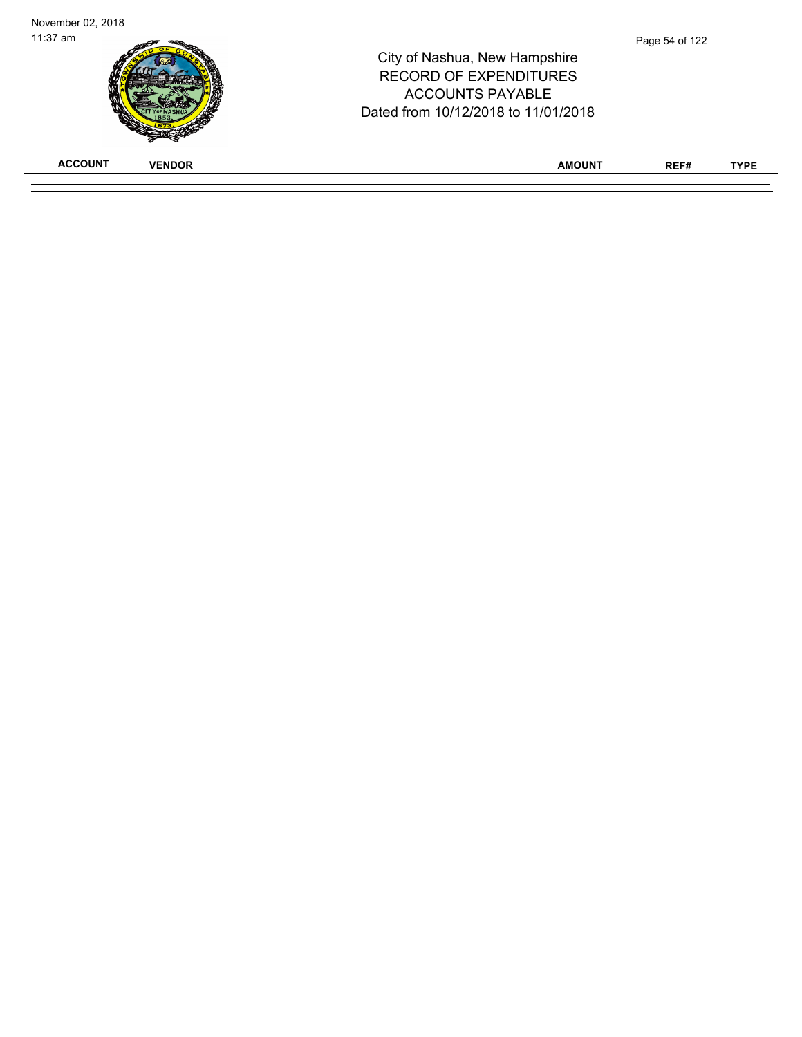| November 02, 2018               |                                                                                                                                  |                |             |
|---------------------------------|----------------------------------------------------------------------------------------------------------------------------------|----------------|-------------|
| $11:37$ am                      | City of Nashua, New Hampshire<br><b>RECORD OF EXPENDITURES</b><br><b>ACCOUNTS PAYABLE</b><br>Dated from 10/12/2018 to 11/01/2018 | Page 54 of 122 |             |
| <b>ACCOUNT</b><br><b>VENDOR</b> | <b>AMOUNT</b>                                                                                                                    | REF#           | <b>TYPE</b> |
|                                 |                                                                                                                                  |                |             |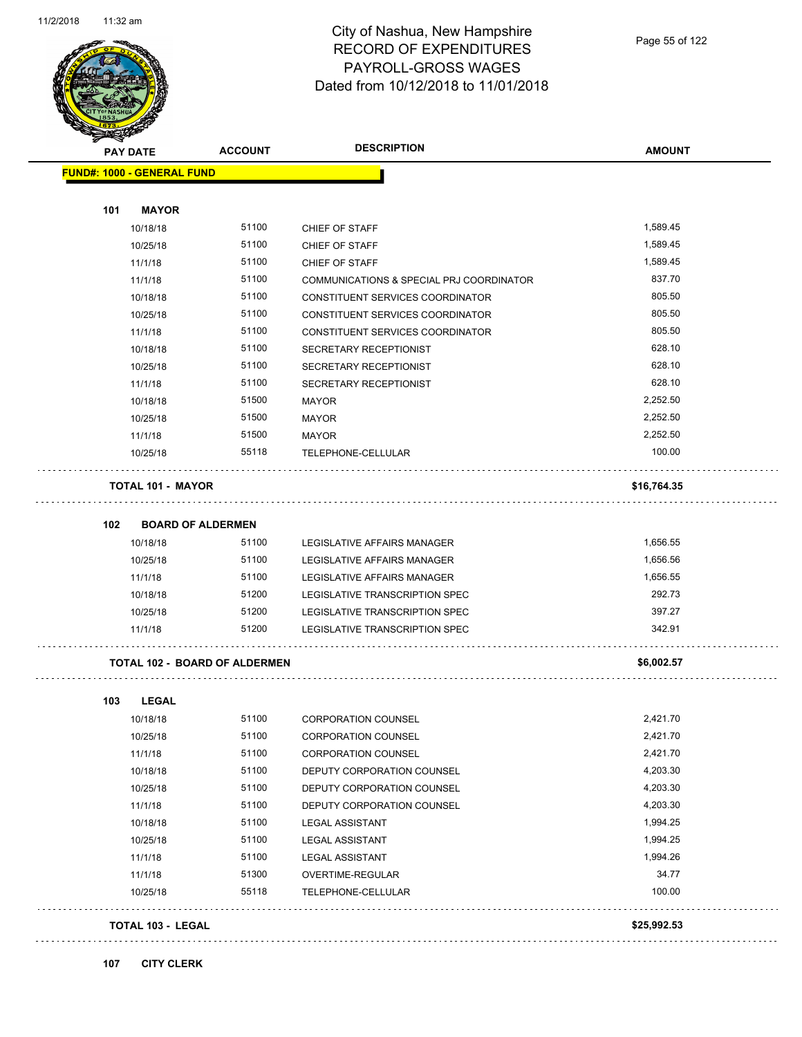

Page 55 of 122

| <b>PAY DATE</b> |                                   | <b>ACCOUNT</b>                       | <b>DESCRIPTION</b>                       | <b>AMOUNT</b> |
|-----------------|-----------------------------------|--------------------------------------|------------------------------------------|---------------|
|                 | <b>FUND#: 1000 - GENERAL FUND</b> |                                      |                                          |               |
| 101             | <b>MAYOR</b>                      |                                      |                                          |               |
|                 | 10/18/18                          | 51100                                | CHIEF OF STAFF                           | 1,589.45      |
|                 | 10/25/18                          | 51100                                | CHIEF OF STAFF                           | 1,589.45      |
|                 | 11/1/18                           | 51100                                | CHIEF OF STAFF                           | 1,589.45      |
|                 | 11/1/18                           | 51100                                | COMMUNICATIONS & SPECIAL PRJ COORDINATOR | 837.70        |
|                 | 10/18/18                          | 51100                                | CONSTITUENT SERVICES COORDINATOR         | 805.50        |
|                 | 10/25/18                          | 51100                                | CONSTITUENT SERVICES COORDINATOR         | 805.50        |
|                 | 11/1/18                           | 51100                                | CONSTITUENT SERVICES COORDINATOR         | 805.50        |
|                 | 10/18/18                          | 51100                                | SECRETARY RECEPTIONIST                   | 628.10        |
|                 | 10/25/18                          | 51100                                | SECRETARY RECEPTIONIST                   | 628.10        |
|                 | 11/1/18                           | 51100                                | SECRETARY RECEPTIONIST                   | 628.10        |
|                 | 10/18/18                          | 51500                                | MAYOR                                    | 2,252.50      |
|                 | 10/25/18                          | 51500                                | <b>MAYOR</b>                             | 2,252.50      |
|                 | 11/1/18                           | 51500                                | MAYOR                                    | 2,252.50      |
|                 | 10/25/18                          | 55118                                | TELEPHONE-CELLULAR                       | 100.00        |
|                 | <b>TOTAL 101 - MAYOR</b>          |                                      |                                          | \$16,764.35   |
| 102             | <b>BOARD OF ALDERMEN</b>          |                                      |                                          |               |
|                 | 10/18/18                          | 51100                                | LEGISLATIVE AFFAIRS MANAGER              | 1,656.55      |
|                 | 10/25/18                          | 51100                                | LEGISLATIVE AFFAIRS MANAGER              | 1,656.56      |
|                 | 11/1/18                           | 51100                                | LEGISLATIVE AFFAIRS MANAGER              | 1,656.55      |
|                 | 10/18/18                          | 51200                                | LEGISLATIVE TRANSCRIPTION SPEC           | 292.73        |
|                 | 10/25/18                          | 51200                                | LEGISLATIVE TRANSCRIPTION SPEC           | 397.27        |
|                 | 11/1/18                           | 51200                                | LEGISLATIVE TRANSCRIPTION SPEC           | 342.91        |
|                 |                                   | <b>TOTAL 102 - BOARD OF ALDERMEN</b> |                                          | \$6,002.57    |
| 103             | <b>LEGAL</b>                      |                                      |                                          |               |
|                 | 10/18/18                          | 51100                                | CORPORATION COUNSEL                      | 2,421.70      |
|                 | 10/25/18                          | 51100                                | <b>CORPORATION COUNSEL</b>               | 2,421.70      |
|                 | 11/1/18                           | 51100                                | <b>CORPORATION COUNSEL</b>               | 2,421.70      |
|                 | 10/18/18                          | 51100                                | DEPUTY CORPORATION COUNSEL               | 4,203.30      |
|                 | 10/25/18                          | 51100                                | DEPUTY CORPORATION COUNSEL               | 4,203.30      |
|                 | 11/1/18                           | 51100                                | DEPUTY CORPORATION COUNSEL               | 4,203.30      |
|                 | 10/18/18                          | 51100                                | LEGAL ASSISTANT                          | 1,994.25      |
|                 | 10/25/18                          | 51100                                | <b>LEGAL ASSISTANT</b>                   | 1,994.25      |
|                 | 11/1/18                           | 51100                                | <b>LEGAL ASSISTANT</b>                   | 1,994.26      |
|                 | 11/1/18                           | 51300                                | OVERTIME-REGULAR                         | 34.77         |
|                 | 10/25/18                          | 55118                                | TELEPHONE-CELLULAR                       | 100.00        |
|                 | TOTAL 103 - LEGAL                 |                                      |                                          | \$25,992.53   |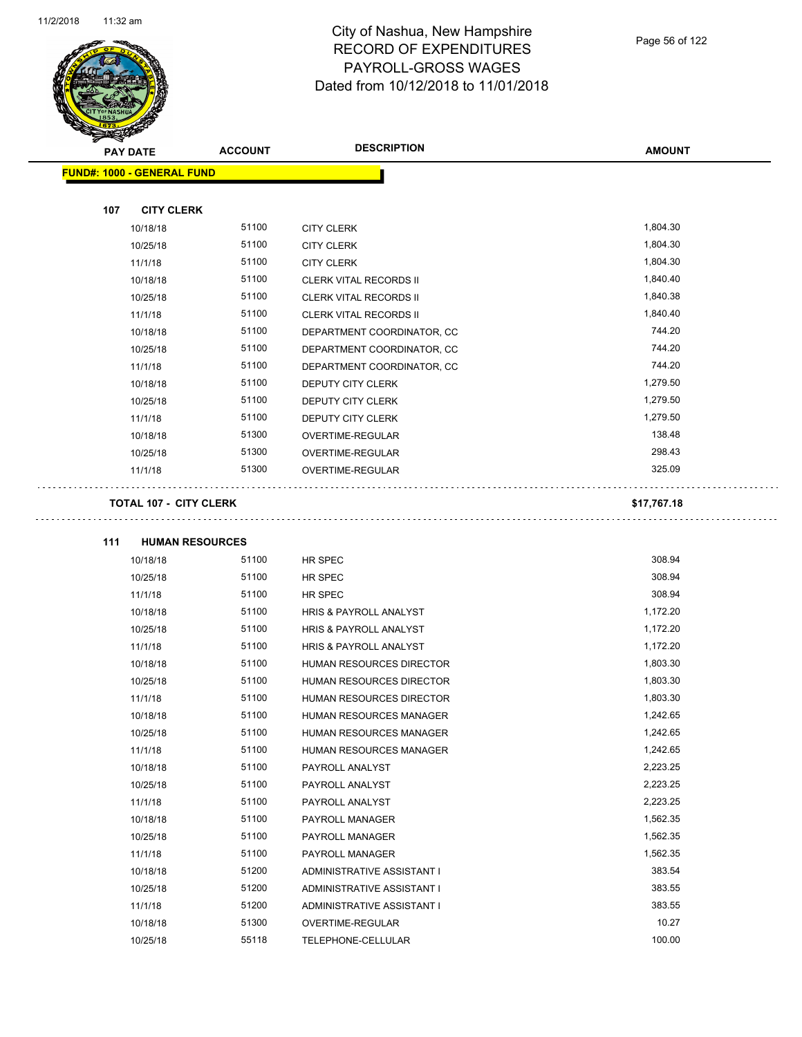

| <b>PAY DATE</b>                   | <b>ACCOUNT</b> | <b>DESCRIPTION</b>            | <b>AMOUNT</b> |
|-----------------------------------|----------------|-------------------------------|---------------|
| <b>FUND#: 1000 - GENERAL FUND</b> |                |                               |               |
|                                   |                |                               |               |
| <b>CITY CLERK</b><br>107          |                |                               |               |
| 10/18/18                          | 51100          | <b>CITY CLERK</b>             | 1,804.30      |
| 10/25/18                          | 51100          | <b>CITY CLERK</b>             | 1,804.30      |
| 11/1/18                           | 51100          | <b>CITY CLERK</b>             | 1,804.30      |
| 10/18/18                          | 51100          | <b>CLERK VITAL RECORDS II</b> | 1,840.40      |
| 10/25/18                          | 51100          | <b>CLERK VITAL RECORDS II</b> | 1,840.38      |
| 11/1/18                           | 51100          | <b>CLERK VITAL RECORDS II</b> | 1,840.40      |
| 10/18/18                          | 51100          | DEPARTMENT COORDINATOR, CC    | 744.20        |
| 10/25/18                          | 51100          | DEPARTMENT COORDINATOR, CC    | 744.20        |
| 11/1/18                           | 51100          | DEPARTMENT COORDINATOR, CC    | 744.20        |
| 10/18/18                          | 51100          | DEPUTY CITY CLERK             | 1,279.50      |
| 10/25/18                          | 51100          | DEPUTY CITY CLERK             | 1,279.50      |
| 11/1/18                           | 51100          | DEPUTY CITY CLERK             | 1,279.50      |
| 10/18/18                          | 51300          | OVERTIME-REGULAR              | 138.48        |
| 10/25/18                          | 51300          | OVERTIME-REGULAR              | 298.43        |
| 11/1/18                           | 51300          | OVERTIME-REGULAR              | 325.09        |
| <b>TOTAL 107 - CITY CLERK</b>     |                |                               | \$17,767.18   |
|                                   |                |                               |               |
| 111<br><b>HUMAN RESOURCES</b>     |                |                               |               |
| 10/18/18                          | 51100          | HR SPEC                       | 308.94        |
| 10/25/18                          | 51100          | HR SPEC                       | 308.94        |
| 11/1/18                           | 51100          | HR SPEC                       | 308.94        |
| 10/18/18                          | 51100          | HRIS & PAYROLL ANALYST        | 1,172.20      |
| 10/25/18                          | 51100          | HRIS & PAYROLL ANALYST        | 1,172.20      |
| 11/1/18                           | 51100          | HRIS & PAYROLL ANALYST        | 1,172.20      |
| 10/18/18                          | 51100          | HUMAN RESOURCES DIRECTOR      | 1,803.30      |
| 10/25/18                          | 51100          | HUMAN RESOURCES DIRECTOR      | 1,803.30      |
| 11/1/18                           | 51100          | HUMAN RESOURCES DIRECTOR      | 1,803.30      |
| 10/18/18                          | 51100          | HUMAN RESOURCES MANAGER       | 1,242.65      |
| 10/25/18                          | 51100          | HUMAN RESOURCES MANAGER       | 1,242.65      |
| 11/1/18                           | 51100          | HUMAN RESOURCES MANAGER       | 1,242.65      |
| 10/18/18                          | 51100          | PAYROLL ANALYST               | 2,223.25      |
| 10/25/18                          | 51100          | PAYROLL ANALYST               | 2,223.25      |
| 11/1/18                           | 51100          | PAYROLL ANALYST               | 2,223.25      |
| 10/18/18                          | 51100          | PAYROLL MANAGER               | 1,562.35      |
| 10/25/18                          | 51100          | PAYROLL MANAGER               | 1,562.35      |
| 11/1/18                           | 51100          | PAYROLL MANAGER               | 1,562.35      |
| 10/18/18                          | 51200          | ADMINISTRATIVE ASSISTANT I    | 383.54        |
| 10/25/18                          | 51200          | ADMINISTRATIVE ASSISTANT I    | 383.55        |
| 11/1/18                           | 51200          | ADMINISTRATIVE ASSISTANT I    | 383.55        |
| 10/18/18                          | 51300          | OVERTIME-REGULAR              | 10.27         |
| 10/25/18                          | 55118          | TELEPHONE-CELLULAR            | 100.00        |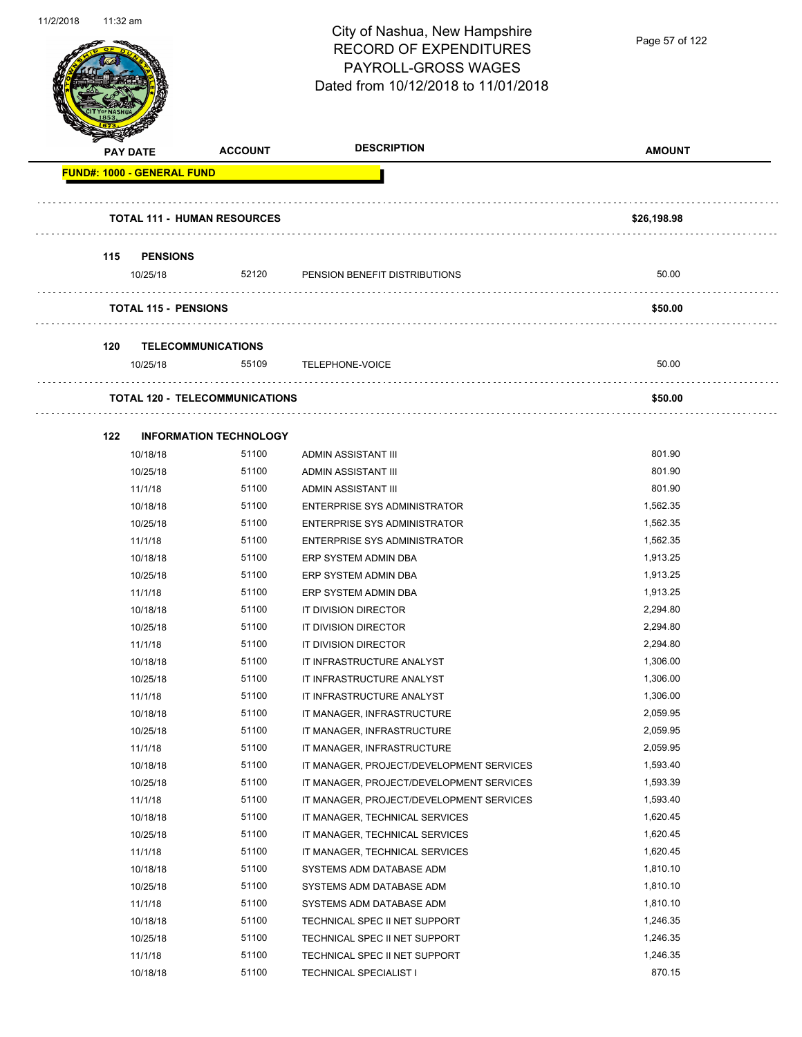

|     | <b>PAY DATE</b>                    | <b>ACCOUNT</b>                        | <b>DESCRIPTION</b>                       | <b>AMOUNT</b> |
|-----|------------------------------------|---------------------------------------|------------------------------------------|---------------|
|     | <b>FUND#: 1000 - GENERAL FUND</b>  |                                       |                                          |               |
|     |                                    |                                       |                                          |               |
|     | <b>TOTAL 111 - HUMAN RESOURCES</b> |                                       |                                          | \$26,198.98   |
|     |                                    |                                       |                                          |               |
| 115 | <b>PENSIONS</b>                    |                                       |                                          |               |
|     | 10/25/18                           | 52120                                 | PENSION BENEFIT DISTRIBUTIONS            | 50.00         |
|     | <b>TOTAL 115 - PENSIONS</b>        |                                       |                                          | \$50.00       |
|     |                                    |                                       |                                          |               |
| 120 | <b>TELECOMMUNICATIONS</b>          |                                       |                                          |               |
|     | 10/25/18                           | 55109                                 | TELEPHONE-VOICE                          | 50.00         |
|     |                                    | <b>TOTAL 120 - TELECOMMUNICATIONS</b> |                                          | \$50.00       |
|     |                                    |                                       |                                          |               |
| 122 |                                    | <b>INFORMATION TECHNOLOGY</b>         |                                          |               |
|     | 10/18/18                           | 51100                                 | ADMIN ASSISTANT III                      | 801.90        |
|     | 10/25/18                           | 51100                                 | ADMIN ASSISTANT III                      | 801.90        |
|     | 11/1/18                            | 51100                                 | ADMIN ASSISTANT III                      | 801.90        |
|     | 10/18/18                           | 51100                                 | ENTERPRISE SYS ADMINISTRATOR             | 1,562.35      |
|     | 10/25/18                           | 51100                                 | ENTERPRISE SYS ADMINISTRATOR             | 1,562.35      |
|     | 11/1/18                            | 51100                                 | ENTERPRISE SYS ADMINISTRATOR             | 1,562.35      |
|     | 10/18/18                           | 51100                                 | ERP SYSTEM ADMIN DBA                     | 1,913.25      |
|     | 10/25/18                           | 51100                                 | ERP SYSTEM ADMIN DBA                     | 1,913.25      |
|     | 11/1/18                            | 51100                                 | ERP SYSTEM ADMIN DBA                     | 1,913.25      |
|     | 10/18/18                           | 51100                                 | IT DIVISION DIRECTOR                     | 2,294.80      |
|     | 10/25/18                           | 51100                                 | IT DIVISION DIRECTOR                     | 2,294.80      |
|     | 11/1/18                            | 51100                                 | IT DIVISION DIRECTOR                     | 2,294.80      |
|     | 10/18/18                           | 51100                                 | IT INFRASTRUCTURE ANALYST                | 1,306.00      |
|     | 10/25/18                           | 51100                                 | IT INFRASTRUCTURE ANALYST                | 1,306.00      |
|     | 11/1/18                            | 51100                                 | IT INFRASTRUCTURE ANALYST                | 1,306.00      |
|     | 10/18/18                           | 51100                                 | IT MANAGER, INFRASTRUCTURE               | 2,059.95      |
|     | 10/25/18                           | 51100                                 | IT MANAGER, INFRASTRUCTURE               | 2,059.95      |
|     | 11/1/18                            | 51100                                 | IT MANAGER, INFRASTRUCTURE               | 2,059.95      |
|     | 10/18/18                           | 51100                                 | IT MANAGER, PROJECT/DEVELOPMENT SERVICES | 1,593.40      |
|     | 10/25/18                           | 51100                                 | IT MANAGER, PROJECT/DEVELOPMENT SERVICES | 1,593.39      |
|     | 11/1/18                            | 51100                                 | IT MANAGER, PROJECT/DEVELOPMENT SERVICES | 1,593.40      |
|     | 10/18/18                           | 51100                                 | IT MANAGER, TECHNICAL SERVICES           | 1,620.45      |
|     | 10/25/18                           | 51100                                 | IT MANAGER, TECHNICAL SERVICES           | 1,620.45      |
|     | 11/1/18                            | 51100                                 | IT MANAGER, TECHNICAL SERVICES           | 1,620.45      |
|     | 10/18/18                           | 51100                                 | SYSTEMS ADM DATABASE ADM                 | 1,810.10      |
|     | 10/25/18                           | 51100                                 | SYSTEMS ADM DATABASE ADM                 | 1,810.10      |
|     | 11/1/18                            | 51100                                 | SYSTEMS ADM DATABASE ADM                 | 1,810.10      |
|     | 10/18/18                           | 51100                                 | TECHNICAL SPEC II NET SUPPORT            | 1,246.35      |
|     | 10/25/18                           | 51100                                 | TECHNICAL SPEC II NET SUPPORT            | 1,246.35      |
|     | 11/1/18                            | 51100                                 | TECHNICAL SPEC II NET SUPPORT            | 1,246.35      |
|     | 10/18/18                           | 51100                                 | TECHNICAL SPECIALIST I                   | 870.15        |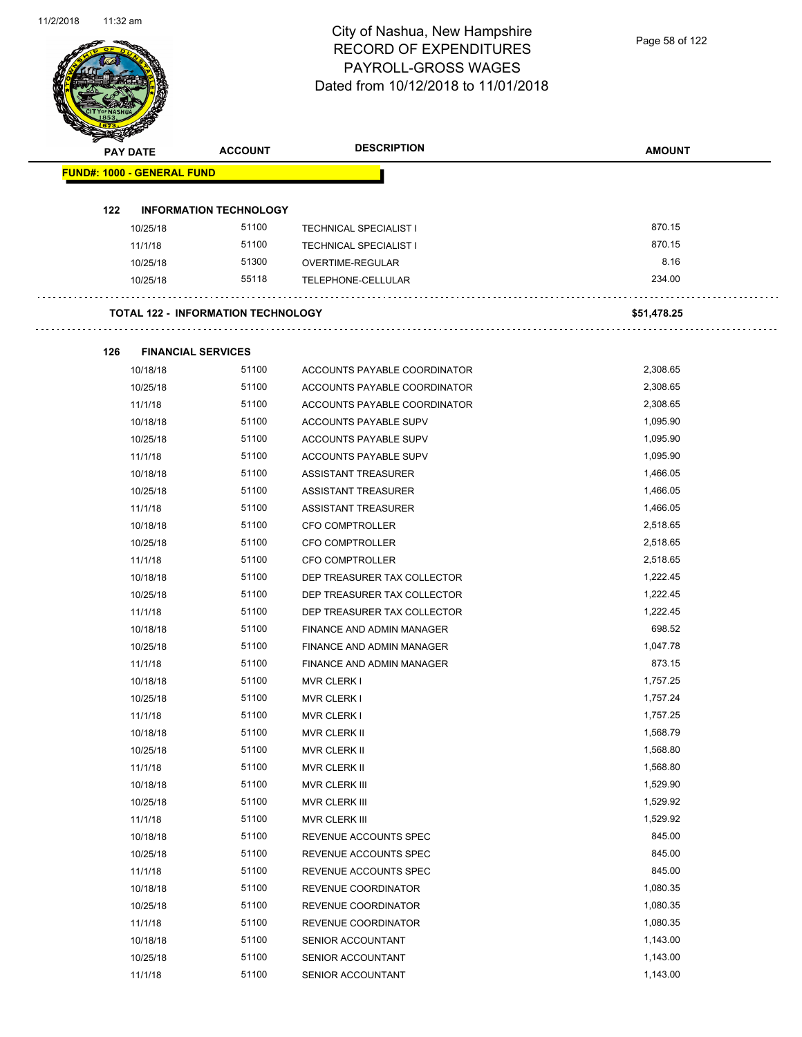| <b>PAY DATE</b>                   | <b>ACCOUNT</b>                            | <b>DESCRIPTION</b>               | <b>AMOUNT</b> |
|-----------------------------------|-------------------------------------------|----------------------------------|---------------|
| <b>FUND#: 1000 - GENERAL FUND</b> |                                           |                                  |               |
| 122                               | <b>INFORMATION TECHNOLOGY</b>             |                                  |               |
| 10/25/18                          | 51100                                     | <b>TECHNICAL SPECIALIST I</b>    | 870.15        |
| 11/1/18                           | 51100                                     | <b>TECHNICAL SPECIALIST I</b>    | 870.15        |
| 10/25/18                          | 51300                                     | OVERTIME-REGULAR                 | 8.16          |
| 10/25/18                          | 55118                                     | TELEPHONE-CELLULAR               | 234.00        |
|                                   | <b>TOTAL 122 - INFORMATION TECHNOLOGY</b> |                                  | \$51,478.25   |
| 126                               | <b>FINANCIAL SERVICES</b>                 |                                  |               |
| 10/18/18                          | 51100                                     | ACCOUNTS PAYABLE COORDINATOR     | 2,308.65      |
| 10/25/18                          | 51100                                     | ACCOUNTS PAYABLE COORDINATOR     | 2,308.65      |
| 11/1/18                           | 51100                                     | ACCOUNTS PAYABLE COORDINATOR     | 2,308.65      |
| 10/18/18                          | 51100                                     | ACCOUNTS PAYABLE SUPV            | 1,095.90      |
| 10/25/18                          | 51100                                     | ACCOUNTS PAYABLE SUPV            | 1,095.90      |
| 11/1/18                           | 51100                                     | ACCOUNTS PAYABLE SUPV            | 1,095.90      |
| 10/18/18                          | 51100                                     | <b>ASSISTANT TREASURER</b>       | 1,466.05      |
| 10/25/18                          | 51100                                     | ASSISTANT TREASURER              | 1,466.05      |
| 11/1/18                           | 51100                                     | ASSISTANT TREASURER              | 1,466.05      |
| 10/18/18                          | 51100                                     | <b>CFO COMPTROLLER</b>           | 2,518.65      |
| 10/25/18                          | 51100                                     | <b>CFO COMPTROLLER</b>           | 2,518.65      |
| 11/1/18                           | 51100                                     | <b>CFO COMPTROLLER</b>           | 2,518.65      |
| 10/18/18                          | 51100                                     | DEP TREASURER TAX COLLECTOR      | 1,222.45      |
| 10/25/18                          | 51100                                     | DEP TREASURER TAX COLLECTOR      | 1,222.45      |
| 11/1/18                           | 51100                                     | DEP TREASURER TAX COLLECTOR      | 1,222.45      |
| 10/18/18                          | 51100                                     | FINANCE AND ADMIN MANAGER        | 698.52        |
| 10/25/18                          | 51100                                     | <b>FINANCE AND ADMIN MANAGER</b> | 1,047.78      |
| 11/1/18                           | 51100                                     | FINANCE AND ADMIN MANAGER        | 873.15        |
| 10/18/18                          | 51100                                     | <b>MVR CLERK I</b>               | 1.757.25      |
| 10/25/18                          | 51100                                     | <b>MVR CLERK I</b>               | 1,757.24      |
| 11/1/18                           | 51100                                     | <b>MVR CLERK I</b>               | 1,757.25      |
| 10/18/18                          | 51100                                     | MVR CLERK II                     | 1,568.79      |
| 10/25/18                          | 51100                                     | MVR CLERK II                     | 1,568.80      |
| 11/1/18                           | 51100                                     | MVR CLERK II                     | 1,568.80      |
| 10/18/18                          | 51100                                     | MVR CLERK III                    | 1,529.90      |
| 10/25/18                          | 51100                                     | MVR CLERK III                    | 1,529.92      |
| 11/1/18                           | 51100                                     | MVR CLERK III                    | 1,529.92      |
| 10/18/18                          | 51100                                     | REVENUE ACCOUNTS SPEC            | 845.00        |
| 10/25/18                          | 51100                                     | REVENUE ACCOUNTS SPEC            | 845.00        |
| 11/1/18                           | 51100                                     | REVENUE ACCOUNTS SPEC            | 845.00        |
| 10/18/18                          | 51100                                     | REVENUE COORDINATOR              | 1,080.35      |
| 10/25/18                          | 51100                                     | REVENUE COORDINATOR              | 1,080.35      |
| 11/1/18                           | 51100                                     | REVENUE COORDINATOR              | 1,080.35      |
| 10/18/18                          | 51100                                     | SENIOR ACCOUNTANT                | 1,143.00      |
| 10/25/18                          | 51100                                     | SENIOR ACCOUNTANT                | 1,143.00      |
| 11/1/18                           | 51100                                     | SENIOR ACCOUNTANT                | 1,143.00      |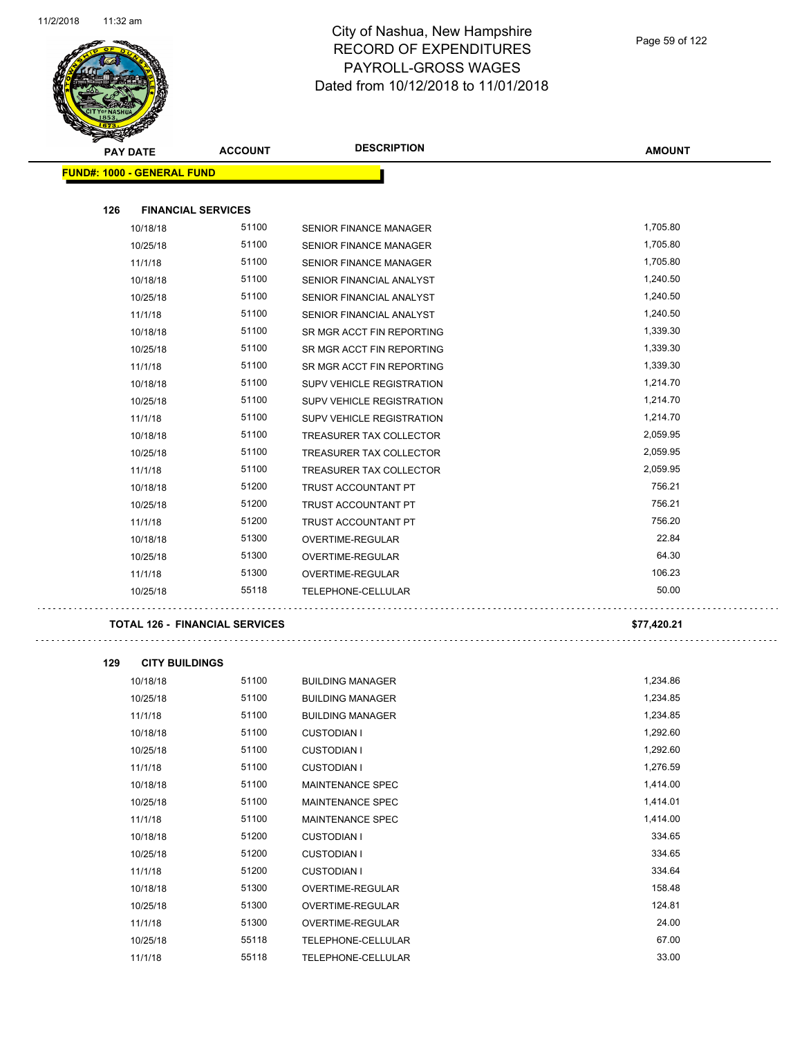

| <b>STARGER</b><br><b>PAY DATE</b> | <b>ACCOUNT</b>            | <b>DESCRIPTION</b>               | <b>AMOUNT</b> |
|-----------------------------------|---------------------------|----------------------------------|---------------|
| <b>FUND#: 1000 - GENERAL FUND</b> |                           |                                  |               |
|                                   |                           |                                  |               |
| 126                               | <b>FINANCIAL SERVICES</b> |                                  |               |
| 10/18/18                          | 51100                     | <b>SENIOR FINANCE MANAGER</b>    | 1,705.80      |
| 10/25/18                          | 51100                     | SENIOR FINANCE MANAGER           | 1,705.80      |
| 11/1/18                           | 51100                     | <b>SENIOR FINANCE MANAGER</b>    | 1,705.80      |
| 10/18/18                          | 51100                     | SENIOR FINANCIAL ANALYST         | 1,240.50      |
| 10/25/18                          | 51100                     | SENIOR FINANCIAL ANALYST         | 1,240.50      |
| 11/1/18                           | 51100                     | SENIOR FINANCIAL ANALYST         | 1,240.50      |
| 10/18/18                          | 51100                     | SR MGR ACCT FIN REPORTING        | 1,339.30      |
| 10/25/18                          | 51100                     | SR MGR ACCT FIN REPORTING        | 1,339.30      |
| 11/1/18                           | 51100                     | SR MGR ACCT FIN REPORTING        | 1,339.30      |
| 10/18/18                          | 51100                     | SUPV VEHICLE REGISTRATION        | 1,214.70      |
| 10/25/18                          | 51100                     | <b>SUPV VEHICLE REGISTRATION</b> | 1,214.70      |
| 11/1/18                           | 51100                     | <b>SUPV VEHICLE REGISTRATION</b> | 1,214.70      |
| 10/18/18                          | 51100                     | TREASURER TAX COLLECTOR          | 2,059.95      |
| 10/25/18                          | 51100                     | TREASURER TAX COLLECTOR          | 2,059.95      |
| 11/1/18                           | 51100                     | <b>TREASURER TAX COLLECTOR</b>   | 2,059.95      |
| 10/18/18                          | 51200                     | TRUST ACCOUNTANT PT              | 756.21        |
| 10/25/18                          | 51200                     | TRUST ACCOUNTANT PT              | 756.21        |
| 11/1/18                           | 51200                     | TRUST ACCOUNTANT PT              | 756.20        |
| 10/18/18                          | 51300                     | <b>OVERTIME-REGULAR</b>          | 22.84         |
| 10/25/18                          | 51300                     | OVERTIME-REGULAR                 | 64.30         |
| 11/1/18                           | 51300                     | OVERTIME-REGULAR                 | 106.23        |
| 10/25/18                          | 55118                     | <b>TELEPHONE-CELLULAR</b>        | 50.00         |

#### **TOTAL 126 - FINANCIAL SERVICES \$77,420.21**

÷,

**129 CITY BUILDINGS** 10/18/18 51100 BUILDING MANAGER 1,234.86 10/25/18 51100 BUILDING MANAGER 51100 51100 11/1/18 51100 BUILDING MANAGER 1,234.85 10/18/18 51100 CUSTODIAN I 1,292.60 10/25/18 51100 CUSTODIAN I 1,292.60 11/1/18 51100 CUSTODIAN I 1,276.59 10/18/18 51100 MAINTENANCE SPEC 1,414.00 10/25/18 51100 MAINTENANCE SPEC 1,414.01 11/1/18 51100 MAINTENANCE SPEC 1,414.00 10/18/18 51200 CUSTODIAN I 334.65 10/25/18 51200 CUSTODIAN I 334.65 11/1/18 51200 CUSTODIAN I 334.64 10/18/18 51300 OVERTIME-REGULAR 158.48 10/25/18 51300 OVERTIME-REGULAR 124.81 11/1/18 51300 OVERTIME-REGULAR 24.00 10/25/18 55118 TELEPHONE-CELLULAR 67.00

11/1/18 55118 TELEPHONE-CELLULAR 33.00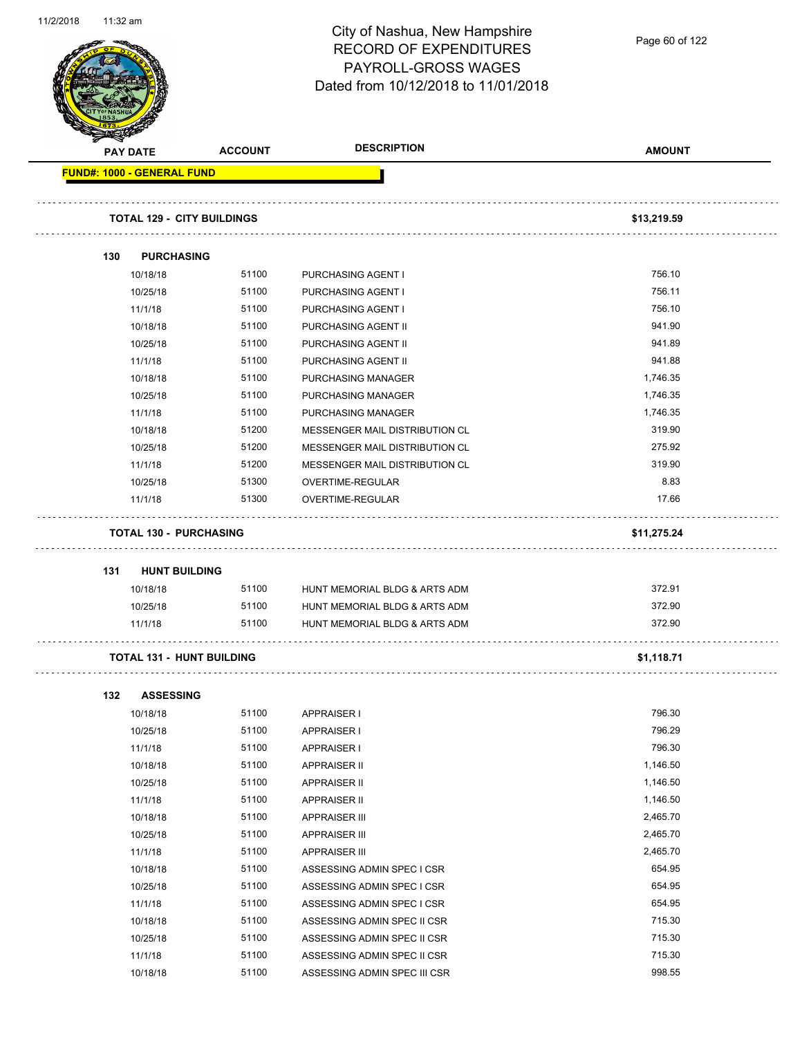

Page 60 of 122

| <b>PAY DATE</b>                   | <b>ACCOUNT</b>                    | <b>DESCRIPTION</b>             | <b>AMOUNT</b> |
|-----------------------------------|-----------------------------------|--------------------------------|---------------|
| <b>FUND#: 1000 - GENERAL FUND</b> |                                   |                                |               |
|                                   |                                   |                                |               |
|                                   | <b>TOTAL 129 - CITY BUILDINGS</b> |                                | \$13,219.59   |
| 130                               | <b>PURCHASING</b>                 |                                |               |
| 10/18/18                          | 51100                             | <b>PURCHASING AGENT I</b>      | 756.10        |
| 10/25/18                          | 51100                             | PURCHASING AGENT I             | 756.11        |
| 11/1/18                           | 51100                             | PURCHASING AGENT I             | 756.10        |
| 10/18/18                          | 51100                             | PURCHASING AGENT II            | 941.90        |
| 10/25/18                          | 51100                             | PURCHASING AGENT II            | 941.89        |
| 11/1/18                           | 51100                             | PURCHASING AGENT II            | 941.88        |
| 10/18/18                          | 51100                             | PURCHASING MANAGER             | 1,746.35      |
| 10/25/18                          | 51100                             | <b>PURCHASING MANAGER</b>      | 1,746.35      |
| 11/1/18                           | 51100                             | PURCHASING MANAGER             | 1,746.35      |
| 10/18/18                          | 51200                             | MESSENGER MAIL DISTRIBUTION CL | 319.90        |
| 10/25/18                          | 51200                             | MESSENGER MAIL DISTRIBUTION CL | 275.92        |
| 11/1/18                           | 51200                             | MESSENGER MAIL DISTRIBUTION CL | 319.90        |
| 10/25/18                          | 51300                             | OVERTIME-REGULAR               | 8.83          |
| 11/1/18                           | 51300                             | OVERTIME-REGULAR               | 17.66         |
|                                   | <b>TOTAL 130 - PURCHASING</b>     |                                | \$11,275.24   |
|                                   |                                   |                                |               |
| 131                               | <b>HUNT BUILDING</b>              |                                |               |
| 10/18/18                          | 51100                             | HUNT MEMORIAL BLDG & ARTS ADM  | 372.91        |
| 10/25/18                          | 51100                             | HUNT MEMORIAL BLDG & ARTS ADM  | 372.90        |
| 11/1/18                           | 51100                             | HUNT MEMORIAL BLDG & ARTS ADM  | 372.90        |
|                                   | <b>TOTAL 131 - HUNT BUILDING</b>  |                                | \$1,118.71    |
| 132                               | <b>ASSESSING</b>                  |                                |               |
| 10/18/18                          | 51100                             | <b>APPRAISER I</b>             | 796.30        |
| 10/25/18                          | 51100                             | <b>APPRAISER I</b>             | 796.29        |
| 11/1/18                           | 51100                             | <b>APPRAISER I</b>             | 796.30        |
| 10/18/18                          | 51100                             | <b>APPRAISER II</b>            | 1,146.50      |
| 10/25/18                          | 51100                             | <b>APPRAISER II</b>            | 1,146.50      |
| 11/1/18                           | 51100                             | <b>APPRAISER II</b>            | 1,146.50      |
| 10/18/18                          | 51100                             | <b>APPRAISER III</b>           | 2,465.70      |
| 10/25/18                          | 51100                             | <b>APPRAISER III</b>           | 2,465.70      |
| 11/1/18                           | 51100                             | <b>APPRAISER III</b>           | 2,465.70      |
| 10/18/18                          | 51100                             | ASSESSING ADMIN SPEC I CSR     | 654.95        |
| 10/25/18                          | 51100                             | ASSESSING ADMIN SPEC I CSR     | 654.95        |
| 11/1/18                           | 51100                             | ASSESSING ADMIN SPEC I CSR     | 654.95        |
| 10/18/18                          | 51100                             | ASSESSING ADMIN SPEC II CSR    | 715.30        |
| 10/25/18                          | 51100                             | ASSESSING ADMIN SPEC II CSR    | 715.30        |
| 11/1/18                           | 51100                             | ASSESSING ADMIN SPEC II CSR    | 715.30        |

10/18/18 51100 ASSESSING ADMIN SPEC III CSR 51100 51100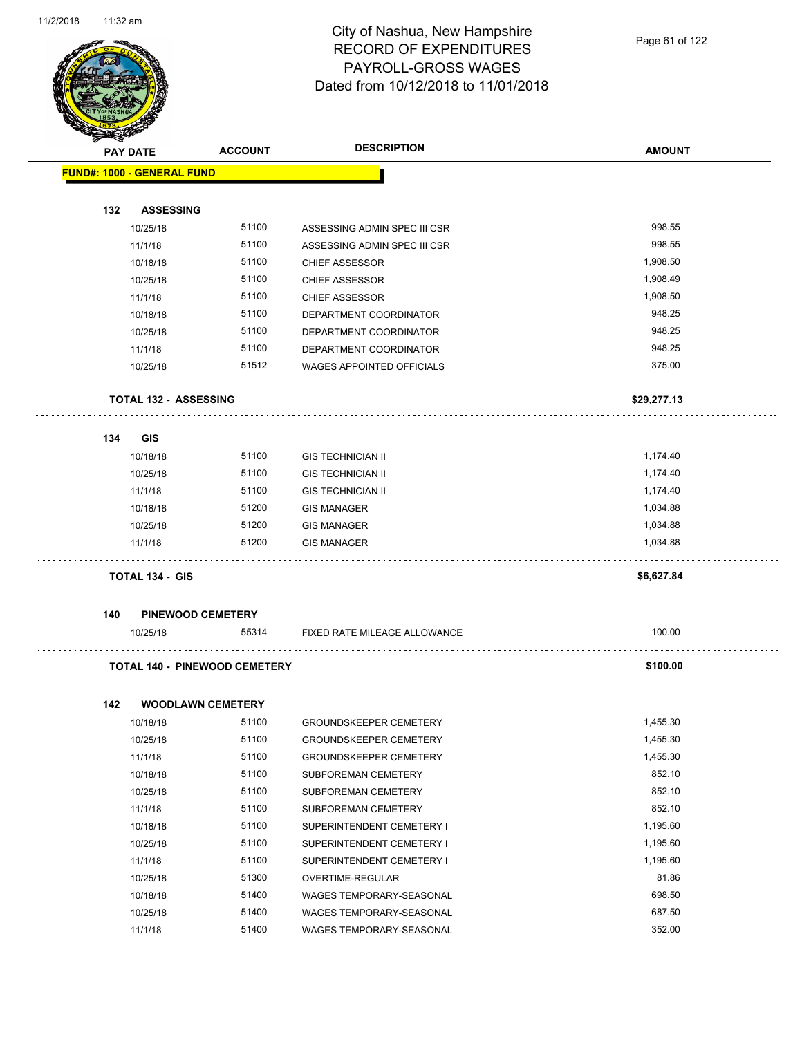

| <b>FUND#: 1000 - GENERAL FUND</b><br>132<br><b>ASSESSING</b><br>998.55<br>51100<br>10/25/18<br>ASSESSING ADMIN SPEC III CSR<br>998.55<br>51100<br>11/1/18<br>ASSESSING ADMIN SPEC III CSR<br>1,908.50<br>51100<br>10/18/18<br><b>CHIEF ASSESSOR</b><br>51100<br><b>CHIEF ASSESSOR</b><br>1,908.49<br>10/25/18<br>51100<br>1,908.50<br>11/1/18<br><b>CHIEF ASSESSOR</b><br>948.25<br>51100<br>10/18/18<br>DEPARTMENT COORDINATOR<br>948.25<br>51100<br>10/25/18<br>DEPARTMENT COORDINATOR<br>948.25<br>51100<br>11/1/18<br>DEPARTMENT COORDINATOR<br>51512<br>375.00<br>10/25/18<br>WAGES APPOINTED OFFICIALS<br><b>TOTAL 132 - ASSESSING</b><br>\$29,277.13<br>134<br><b>GIS</b><br>51100<br>1,174.40<br>10/18/18<br><b>GIS TECHNICIAN II</b><br>10/25/18<br>51100<br>1,174.40<br><b>GIS TECHNICIAN II</b><br>51100<br>1,174.40<br>11/1/18<br><b>GIS TECHNICIAN II</b><br>51200<br>1,034.88<br>10/18/18<br><b>GIS MANAGER</b><br>10/25/18<br>51200<br>1,034.88<br><b>GIS MANAGER</b><br>51200<br>1,034.88<br>11/1/18<br><b>GIS MANAGER</b><br><b>TOTAL 134 - GIS</b><br>\$6,627.84<br>PINEWOOD CEMETERY<br>140<br>100.00<br>55314<br>10/25/18<br>FIXED RATE MILEAGE ALLOWANCE<br><b>TOTAL 140 - PINEWOOD CEMETERY</b><br>\$100.00<br>142<br><b>WOODLAWN CEMETERY</b><br>1,455.30<br>51100<br>10/18/18<br>GROUNDSKEEPER CEMETERY<br>51100<br>1,455.30<br>10/25/18<br><b>GROUNDSKEEPER CEMETERY</b><br>51100<br>1,455.30<br>11/1/18<br><b>GROUNDSKEEPER CEMETERY</b><br>852.10<br>51100<br>10/18/18<br>SUBFOREMAN CEMETERY<br>852.10<br>51100<br>10/25/18<br>SUBFOREMAN CEMETERY<br>852.10<br>51100<br>11/1/18<br>SUBFOREMAN CEMETERY<br>51100<br>1,195.60<br>SUPERINTENDENT CEMETERY I<br>10/18/18<br>51100<br>1,195.60<br>SUPERINTENDENT CEMETERY I<br>10/25/18<br>11/1/18<br>51100<br>1,195.60<br>SUPERINTENDENT CEMETERY I | <b>PAY DATE</b> | <b>ACCOUNT</b> | <b>DESCRIPTION</b> | <b>AMOUNT</b> |
|------------------------------------------------------------------------------------------------------------------------------------------------------------------------------------------------------------------------------------------------------------------------------------------------------------------------------------------------------------------------------------------------------------------------------------------------------------------------------------------------------------------------------------------------------------------------------------------------------------------------------------------------------------------------------------------------------------------------------------------------------------------------------------------------------------------------------------------------------------------------------------------------------------------------------------------------------------------------------------------------------------------------------------------------------------------------------------------------------------------------------------------------------------------------------------------------------------------------------------------------------------------------------------------------------------------------------------------------------------------------------------------------------------------------------------------------------------------------------------------------------------------------------------------------------------------------------------------------------------------------------------------------------------------------------------------------------------------------------------------------------------------------------------------------------------------------------|-----------------|----------------|--------------------|---------------|
|                                                                                                                                                                                                                                                                                                                                                                                                                                                                                                                                                                                                                                                                                                                                                                                                                                                                                                                                                                                                                                                                                                                                                                                                                                                                                                                                                                                                                                                                                                                                                                                                                                                                                                                                                                                                                              |                 |                |                    |               |
|                                                                                                                                                                                                                                                                                                                                                                                                                                                                                                                                                                                                                                                                                                                                                                                                                                                                                                                                                                                                                                                                                                                                                                                                                                                                                                                                                                                                                                                                                                                                                                                                                                                                                                                                                                                                                              |                 |                |                    |               |
|                                                                                                                                                                                                                                                                                                                                                                                                                                                                                                                                                                                                                                                                                                                                                                                                                                                                                                                                                                                                                                                                                                                                                                                                                                                                                                                                                                                                                                                                                                                                                                                                                                                                                                                                                                                                                              |                 |                |                    |               |
|                                                                                                                                                                                                                                                                                                                                                                                                                                                                                                                                                                                                                                                                                                                                                                                                                                                                                                                                                                                                                                                                                                                                                                                                                                                                                                                                                                                                                                                                                                                                                                                                                                                                                                                                                                                                                              |                 |                |                    |               |
|                                                                                                                                                                                                                                                                                                                                                                                                                                                                                                                                                                                                                                                                                                                                                                                                                                                                                                                                                                                                                                                                                                                                                                                                                                                                                                                                                                                                                                                                                                                                                                                                                                                                                                                                                                                                                              |                 |                |                    |               |
|                                                                                                                                                                                                                                                                                                                                                                                                                                                                                                                                                                                                                                                                                                                                                                                                                                                                                                                                                                                                                                                                                                                                                                                                                                                                                                                                                                                                                                                                                                                                                                                                                                                                                                                                                                                                                              |                 |                |                    |               |
|                                                                                                                                                                                                                                                                                                                                                                                                                                                                                                                                                                                                                                                                                                                                                                                                                                                                                                                                                                                                                                                                                                                                                                                                                                                                                                                                                                                                                                                                                                                                                                                                                                                                                                                                                                                                                              |                 |                |                    |               |
|                                                                                                                                                                                                                                                                                                                                                                                                                                                                                                                                                                                                                                                                                                                                                                                                                                                                                                                                                                                                                                                                                                                                                                                                                                                                                                                                                                                                                                                                                                                                                                                                                                                                                                                                                                                                                              |                 |                |                    |               |
|                                                                                                                                                                                                                                                                                                                                                                                                                                                                                                                                                                                                                                                                                                                                                                                                                                                                                                                                                                                                                                                                                                                                                                                                                                                                                                                                                                                                                                                                                                                                                                                                                                                                                                                                                                                                                              |                 |                |                    |               |
|                                                                                                                                                                                                                                                                                                                                                                                                                                                                                                                                                                                                                                                                                                                                                                                                                                                                                                                                                                                                                                                                                                                                                                                                                                                                                                                                                                                                                                                                                                                                                                                                                                                                                                                                                                                                                              |                 |                |                    |               |
|                                                                                                                                                                                                                                                                                                                                                                                                                                                                                                                                                                                                                                                                                                                                                                                                                                                                                                                                                                                                                                                                                                                                                                                                                                                                                                                                                                                                                                                                                                                                                                                                                                                                                                                                                                                                                              |                 |                |                    |               |
|                                                                                                                                                                                                                                                                                                                                                                                                                                                                                                                                                                                                                                                                                                                                                                                                                                                                                                                                                                                                                                                                                                                                                                                                                                                                                                                                                                                                                                                                                                                                                                                                                                                                                                                                                                                                                              |                 |                |                    |               |
|                                                                                                                                                                                                                                                                                                                                                                                                                                                                                                                                                                                                                                                                                                                                                                                                                                                                                                                                                                                                                                                                                                                                                                                                                                                                                                                                                                                                                                                                                                                                                                                                                                                                                                                                                                                                                              |                 |                |                    |               |
|                                                                                                                                                                                                                                                                                                                                                                                                                                                                                                                                                                                                                                                                                                                                                                                                                                                                                                                                                                                                                                                                                                                                                                                                                                                                                                                                                                                                                                                                                                                                                                                                                                                                                                                                                                                                                              |                 |                |                    |               |
|                                                                                                                                                                                                                                                                                                                                                                                                                                                                                                                                                                                                                                                                                                                                                                                                                                                                                                                                                                                                                                                                                                                                                                                                                                                                                                                                                                                                                                                                                                                                                                                                                                                                                                                                                                                                                              |                 |                |                    |               |
|                                                                                                                                                                                                                                                                                                                                                                                                                                                                                                                                                                                                                                                                                                                                                                                                                                                                                                                                                                                                                                                                                                                                                                                                                                                                                                                                                                                                                                                                                                                                                                                                                                                                                                                                                                                                                              |                 |                |                    |               |
|                                                                                                                                                                                                                                                                                                                                                                                                                                                                                                                                                                                                                                                                                                                                                                                                                                                                                                                                                                                                                                                                                                                                                                                                                                                                                                                                                                                                                                                                                                                                                                                                                                                                                                                                                                                                                              |                 |                |                    |               |
|                                                                                                                                                                                                                                                                                                                                                                                                                                                                                                                                                                                                                                                                                                                                                                                                                                                                                                                                                                                                                                                                                                                                                                                                                                                                                                                                                                                                                                                                                                                                                                                                                                                                                                                                                                                                                              |                 |                |                    |               |
|                                                                                                                                                                                                                                                                                                                                                                                                                                                                                                                                                                                                                                                                                                                                                                                                                                                                                                                                                                                                                                                                                                                                                                                                                                                                                                                                                                                                                                                                                                                                                                                                                                                                                                                                                                                                                              |                 |                |                    |               |
|                                                                                                                                                                                                                                                                                                                                                                                                                                                                                                                                                                                                                                                                                                                                                                                                                                                                                                                                                                                                                                                                                                                                                                                                                                                                                                                                                                                                                                                                                                                                                                                                                                                                                                                                                                                                                              |                 |                |                    |               |
|                                                                                                                                                                                                                                                                                                                                                                                                                                                                                                                                                                                                                                                                                                                                                                                                                                                                                                                                                                                                                                                                                                                                                                                                                                                                                                                                                                                                                                                                                                                                                                                                                                                                                                                                                                                                                              |                 |                |                    |               |
|                                                                                                                                                                                                                                                                                                                                                                                                                                                                                                                                                                                                                                                                                                                                                                                                                                                                                                                                                                                                                                                                                                                                                                                                                                                                                                                                                                                                                                                                                                                                                                                                                                                                                                                                                                                                                              |                 |                |                    |               |
|                                                                                                                                                                                                                                                                                                                                                                                                                                                                                                                                                                                                                                                                                                                                                                                                                                                                                                                                                                                                                                                                                                                                                                                                                                                                                                                                                                                                                                                                                                                                                                                                                                                                                                                                                                                                                              |                 |                |                    |               |
|                                                                                                                                                                                                                                                                                                                                                                                                                                                                                                                                                                                                                                                                                                                                                                                                                                                                                                                                                                                                                                                                                                                                                                                                                                                                                                                                                                                                                                                                                                                                                                                                                                                                                                                                                                                                                              |                 |                |                    |               |
|                                                                                                                                                                                                                                                                                                                                                                                                                                                                                                                                                                                                                                                                                                                                                                                                                                                                                                                                                                                                                                                                                                                                                                                                                                                                                                                                                                                                                                                                                                                                                                                                                                                                                                                                                                                                                              |                 |                |                    |               |
|                                                                                                                                                                                                                                                                                                                                                                                                                                                                                                                                                                                                                                                                                                                                                                                                                                                                                                                                                                                                                                                                                                                                                                                                                                                                                                                                                                                                                                                                                                                                                                                                                                                                                                                                                                                                                              |                 |                |                    |               |
|                                                                                                                                                                                                                                                                                                                                                                                                                                                                                                                                                                                                                                                                                                                                                                                                                                                                                                                                                                                                                                                                                                                                                                                                                                                                                                                                                                                                                                                                                                                                                                                                                                                                                                                                                                                                                              |                 |                |                    |               |
|                                                                                                                                                                                                                                                                                                                                                                                                                                                                                                                                                                                                                                                                                                                                                                                                                                                                                                                                                                                                                                                                                                                                                                                                                                                                                                                                                                                                                                                                                                                                                                                                                                                                                                                                                                                                                              |                 |                |                    |               |
|                                                                                                                                                                                                                                                                                                                                                                                                                                                                                                                                                                                                                                                                                                                                                                                                                                                                                                                                                                                                                                                                                                                                                                                                                                                                                                                                                                                                                                                                                                                                                                                                                                                                                                                                                                                                                              |                 |                |                    |               |
|                                                                                                                                                                                                                                                                                                                                                                                                                                                                                                                                                                                                                                                                                                                                                                                                                                                                                                                                                                                                                                                                                                                                                                                                                                                                                                                                                                                                                                                                                                                                                                                                                                                                                                                                                                                                                              |                 |                |                    |               |
|                                                                                                                                                                                                                                                                                                                                                                                                                                                                                                                                                                                                                                                                                                                                                                                                                                                                                                                                                                                                                                                                                                                                                                                                                                                                                                                                                                                                                                                                                                                                                                                                                                                                                                                                                                                                                              |                 |                |                    |               |
|                                                                                                                                                                                                                                                                                                                                                                                                                                                                                                                                                                                                                                                                                                                                                                                                                                                                                                                                                                                                                                                                                                                                                                                                                                                                                                                                                                                                                                                                                                                                                                                                                                                                                                                                                                                                                              |                 |                |                    |               |
|                                                                                                                                                                                                                                                                                                                                                                                                                                                                                                                                                                                                                                                                                                                                                                                                                                                                                                                                                                                                                                                                                                                                                                                                                                                                                                                                                                                                                                                                                                                                                                                                                                                                                                                                                                                                                              |                 |                |                    |               |
|                                                                                                                                                                                                                                                                                                                                                                                                                                                                                                                                                                                                                                                                                                                                                                                                                                                                                                                                                                                                                                                                                                                                                                                                                                                                                                                                                                                                                                                                                                                                                                                                                                                                                                                                                                                                                              |                 |                |                    |               |
|                                                                                                                                                                                                                                                                                                                                                                                                                                                                                                                                                                                                                                                                                                                                                                                                                                                                                                                                                                                                                                                                                                                                                                                                                                                                                                                                                                                                                                                                                                                                                                                                                                                                                                                                                                                                                              |                 |                |                    |               |
| 51300<br>81.86<br>10/25/18<br>OVERTIME-REGULAR                                                                                                                                                                                                                                                                                                                                                                                                                                                                                                                                                                                                                                                                                                                                                                                                                                                                                                                                                                                                                                                                                                                                                                                                                                                                                                                                                                                                                                                                                                                                                                                                                                                                                                                                                                               |                 |                |                    |               |
| 698.50<br>51400<br>10/18/18<br>WAGES TEMPORARY-SEASONAL                                                                                                                                                                                                                                                                                                                                                                                                                                                                                                                                                                                                                                                                                                                                                                                                                                                                                                                                                                                                                                                                                                                                                                                                                                                                                                                                                                                                                                                                                                                                                                                                                                                                                                                                                                      |                 |                |                    |               |
| 687.50<br>51400<br>10/25/18<br>WAGES TEMPORARY-SEASONAL                                                                                                                                                                                                                                                                                                                                                                                                                                                                                                                                                                                                                                                                                                                                                                                                                                                                                                                                                                                                                                                                                                                                                                                                                                                                                                                                                                                                                                                                                                                                                                                                                                                                                                                                                                      |                 |                |                    |               |

11/1/18 51400 WAGES TEMPORARY-SEASONAL 352.00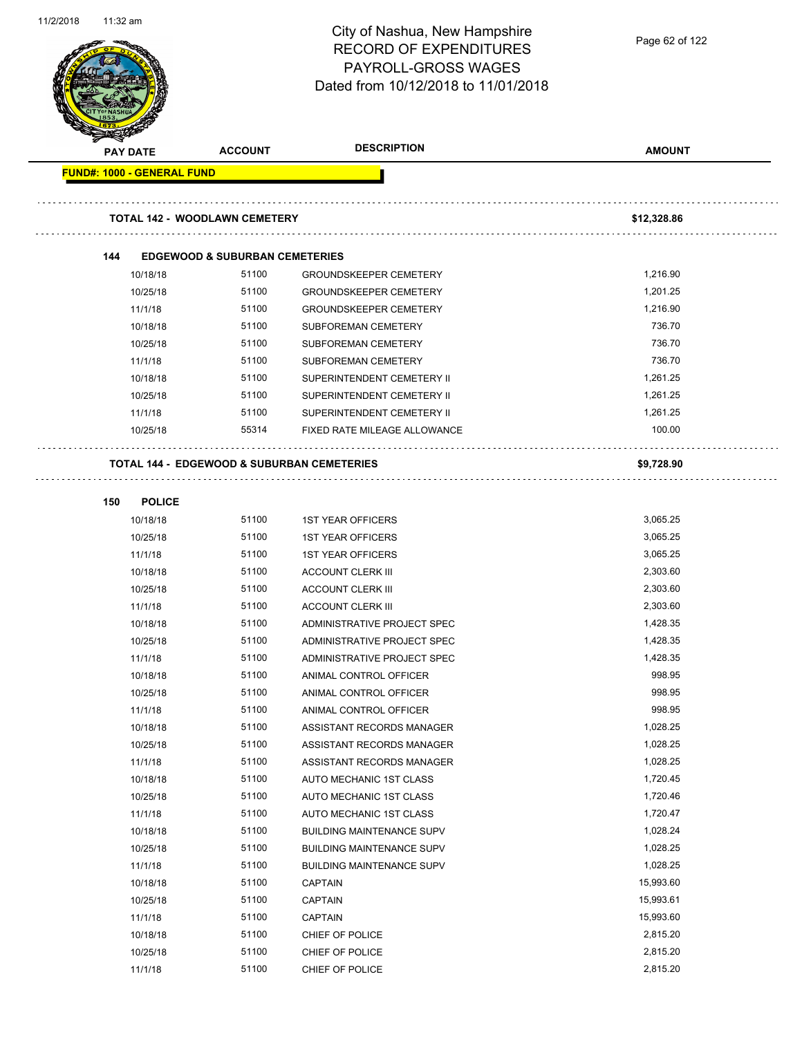|          |                            |                                           | <b>RECORD OF EXPENDITURES</b><br>PAYROLL-GROSS WAGES<br>Dated from 10/12/2018 to 11/01/2018 |                      |
|----------|----------------------------|-------------------------------------------|---------------------------------------------------------------------------------------------|----------------------|
| PAY DATE |                            | <b>ACCOUNT</b>                            | <b>DESCRIPTION</b>                                                                          | <b>AMOUNT</b>        |
|          | FUND#: 1000 - GENERAL FUND |                                           |                                                                                             |                      |
|          |                            | <b>TOTAL 142 - WOODLAWN CEMETERY</b>      |                                                                                             | \$12,328.86          |
| 144      |                            | <b>EDGEWOOD &amp; SUBURBAN CEMETERIES</b> |                                                                                             |                      |
|          | 10/18/18                   | 51100                                     | <b>GROUNDSKEEPER CEMETERY</b>                                                               | 1,216.90             |
|          | 10/25/18                   | 51100                                     | <b>GROUNDSKEEPER CEMETERY</b>                                                               | 1,201.25             |
|          | 11/1/18                    | 51100                                     | <b>GROUNDSKEEPER CEMETERY</b>                                                               | 1,216.90             |
|          | 10/18/18                   | 51100                                     | SUBFOREMAN CEMETERY                                                                         | 736.70               |
|          | 10/25/18                   | 51100                                     | SUBFOREMAN CEMETERY                                                                         | 736.70               |
|          | 11/1/18                    | 51100                                     | SUBFOREMAN CEMETERY                                                                         | 736.70               |
|          | 10/18/18                   | 51100                                     | SUPERINTENDENT CEMETERY II                                                                  | 1,261.25             |
|          | 10/25/18                   | 51100                                     | SUPERINTENDENT CEMETERY II                                                                  | 1,261.25             |
|          | 11/1/18                    | 51100                                     | SUPERINTENDENT CEMETERY II                                                                  | 1,261.25             |
|          | 10/25/18                   | 55314                                     | FIXED RATE MILEAGE ALLOWANCE                                                                | 100.00               |
|          |                            |                                           | <b>TOTAL 144 - EDGEWOOD &amp; SUBURBAN CEMETERIES</b>                                       | \$9,728.90           |
| 150      | <b>POLICE</b>              |                                           |                                                                                             |                      |
|          | 10/18/18                   | 51100                                     | <b>1ST YEAR OFFICERS</b>                                                                    | 3,065.25             |
|          | 10/25/18                   | 51100                                     | <b>1ST YEAR OFFICERS</b>                                                                    | 3,065.25             |
|          | 11/1/18                    | 51100                                     | <b>1ST YEAR OFFICERS</b>                                                                    | 3,065.25             |
|          | 10/18/18                   | 51100                                     | <b>ACCOUNT CLERK III</b>                                                                    | 2,303.60             |
|          | 10/25/18                   | 51100                                     | <b>ACCOUNT CLERK III</b>                                                                    | 2,303.60             |
|          | 11/1/18                    | 51100                                     | <b>ACCOUNT CLERK III</b>                                                                    | 2,303.60             |
|          | 10/18/18                   | 51100                                     | ADMINISTRATIVE PROJECT SPEC                                                                 | 1,428.35             |
|          | 10/25/18                   | 51100                                     | ADMINISTRATIVE PROJECT SPEC                                                                 | 1,428.35             |
|          | 11/1/18                    | 51100                                     | ADMINISTRATIVE PROJECT SPEC                                                                 | 1,428.35             |
|          | 10/18/18                   | 51100                                     | ANIMAL CONTROL OFFICER                                                                      | 998.95               |
|          | 10/25/18                   | 51100                                     | ANIMAL CONTROL OFFICER                                                                      | 998.95               |
|          | 11/1/18                    | 51100                                     | ANIMAL CONTROL OFFICER                                                                      | 998.95               |
|          | 10/18/18                   | 51100                                     | ASSISTANT RECORDS MANAGER                                                                   | 1,028.25             |
|          | 10/25/18                   | 51100                                     | ASSISTANT RECORDS MANAGER                                                                   | 1,028.25             |
|          | 11/1/18                    | 51100                                     | ASSISTANT RECORDS MANAGER                                                                   | 1,028.25             |
|          | 10/18/18                   | 51100                                     | AUTO MECHANIC 1ST CLASS                                                                     | 1,720.45             |
|          | 10/25/18                   | 51100                                     | AUTO MECHANIC 1ST CLASS                                                                     | 1,720.46             |
|          | 11/1/18                    | 51100                                     | AUTO MECHANIC 1ST CLASS                                                                     | 1,720.47             |
|          | 10/18/18                   | 51100                                     | <b>BUILDING MAINTENANCE SUPV</b>                                                            | 1,028.24             |
|          | 10/25/18                   | 51100                                     | <b>BUILDING MAINTENANCE SUPV</b>                                                            | 1,028.25             |
|          | 11/1/18                    | 51100                                     | <b>BUILDING MAINTENANCE SUPV</b>                                                            | 1,028.25             |
|          | 10/18/18                   | 51100                                     | <b>CAPTAIN</b>                                                                              | 15,993.60            |
|          | 10/25/18                   | 51100                                     | CAPTAIN                                                                                     | 15,993.61            |
|          |                            |                                           |                                                                                             |                      |
|          | 11/1/18                    | 51100                                     | <b>CAPTAIN</b>                                                                              | 15,993.60            |
|          | 10/18/18<br>10/25/18       | 51100<br>51100                            | CHIEF OF POLICE                                                                             | 2,815.20<br>2,815.20 |

City of Nashua, New Hampshire

11/2/2018 11:32 am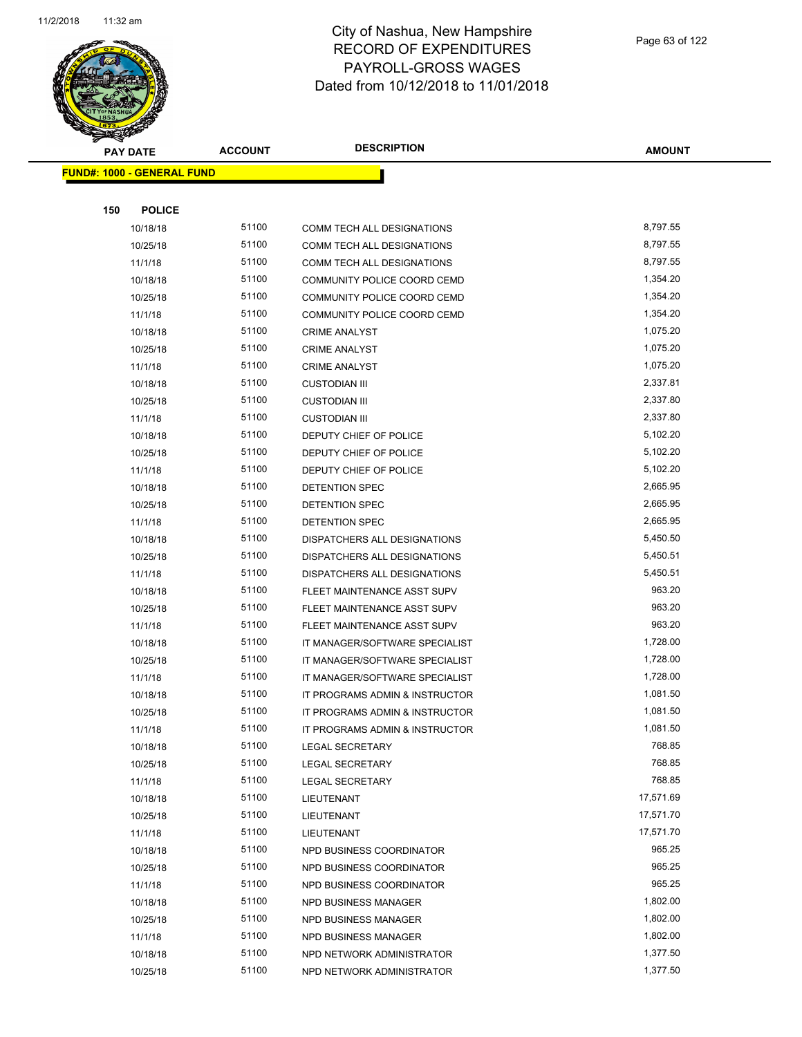

|     | <b>PAY DATE</b>                   | <b>ACCOUNT</b> | <b>DESCRIPTION</b>                           | <b>AMOUNT</b>        |  |
|-----|-----------------------------------|----------------|----------------------------------------------|----------------------|--|
|     | <b>FUND#: 1000 - GENERAL FUND</b> |                |                                              |                      |  |
|     |                                   |                |                                              |                      |  |
| 150 | <b>POLICE</b>                     |                |                                              |                      |  |
|     | 10/18/18                          | 51100          | COMM TECH ALL DESIGNATIONS                   | 8,797.55             |  |
|     | 10/25/18                          | 51100          | COMM TECH ALL DESIGNATIONS                   | 8,797.55             |  |
|     | 11/1/18                           | 51100          | COMM TECH ALL DESIGNATIONS                   | 8,797.55             |  |
|     | 10/18/18                          | 51100          | COMMUNITY POLICE COORD CEMD                  | 1,354.20             |  |
|     | 10/25/18                          | 51100          | COMMUNITY POLICE COORD CEMD                  | 1,354.20             |  |
|     | 11/1/18                           | 51100          | COMMUNITY POLICE COORD CEMD                  | 1,354.20             |  |
|     | 10/18/18                          | 51100          | <b>CRIME ANALYST</b>                         | 1,075.20             |  |
|     | 10/25/18                          | 51100          | <b>CRIME ANALYST</b>                         | 1,075.20             |  |
|     | 11/1/18                           | 51100          | <b>CRIME ANALYST</b>                         | 1,075.20             |  |
|     | 10/18/18                          | 51100          | <b>CUSTODIAN III</b>                         | 2,337.81             |  |
|     | 10/25/18                          | 51100          | <b>CUSTODIAN III</b>                         | 2,337.80             |  |
|     | 11/1/18                           | 51100          | <b>CUSTODIAN III</b>                         | 2,337.80             |  |
|     | 10/18/18                          | 51100          | DEPUTY CHIEF OF POLICE                       | 5,102.20             |  |
|     | 10/25/18                          | 51100          | DEPUTY CHIEF OF POLICE                       | 5,102.20             |  |
|     | 11/1/18                           | 51100          | DEPUTY CHIEF OF POLICE                       | 5,102.20             |  |
|     | 10/18/18                          | 51100          | DETENTION SPEC                               | 2,665.95             |  |
|     | 10/25/18                          | 51100          | DETENTION SPEC                               | 2,665.95             |  |
|     | 11/1/18                           | 51100          | DETENTION SPEC                               | 2,665.95             |  |
|     | 10/18/18                          | 51100          | DISPATCHERS ALL DESIGNATIONS                 | 5,450.50             |  |
|     | 10/25/18                          | 51100          | DISPATCHERS ALL DESIGNATIONS                 | 5,450.51             |  |
|     | 11/1/18                           | 51100          | DISPATCHERS ALL DESIGNATIONS                 | 5,450.51             |  |
|     | 10/18/18                          | 51100          | FLEET MAINTENANCE ASST SUPV                  | 963.20               |  |
|     | 10/25/18                          | 51100          | FLEET MAINTENANCE ASST SUPV                  | 963.20               |  |
|     | 11/1/18                           | 51100          | FLEET MAINTENANCE ASST SUPV                  | 963.20               |  |
|     | 10/18/18                          | 51100          | IT MANAGER/SOFTWARE SPECIALIST               | 1,728.00             |  |
|     | 10/25/18                          | 51100          | IT MANAGER/SOFTWARE SPECIALIST               | 1,728.00             |  |
|     | 11/1/18                           | 51100          | IT MANAGER/SOFTWARE SPECIALIST               | 1,728.00             |  |
|     | 10/18/18                          | 51100          | IT PROGRAMS ADMIN & INSTRUCTOR               | 1,081.50             |  |
|     | 10/25/18                          | 51100          | IT PROGRAMS ADMIN & INSTRUCTOR               | 1,081.50             |  |
|     | 11/1/18                           | 51100          | IT PROGRAMS ADMIN & INSTRUCTOR               | 1,081.50             |  |
|     | 10/18/18                          | 51100          | <b>LEGAL SECRETARY</b>                       | 768.85               |  |
|     | 10/25/18                          | 51100          | LEGAL SECRETARY                              | 768.85               |  |
|     | 11/1/18                           | 51100          | <b>LEGAL SECRETARY</b>                       | 768.85               |  |
|     | 10/18/18                          | 51100          | LIEUTENANT                                   | 17,571.69            |  |
|     | 10/25/18                          | 51100          | LIEUTENANT                                   | 17,571.70            |  |
|     | 11/1/18                           | 51100          | LIEUTENANT                                   | 17,571.70            |  |
|     | 10/18/18                          | 51100          | NPD BUSINESS COORDINATOR                     | 965.25               |  |
|     | 10/25/18                          | 51100          | NPD BUSINESS COORDINATOR                     | 965.25<br>965.25     |  |
|     | 11/1/18                           | 51100          | NPD BUSINESS COORDINATOR                     |                      |  |
|     | 10/18/18                          | 51100<br>51100 | NPD BUSINESS MANAGER                         | 1,802.00<br>1,802.00 |  |
|     | 10/25/18<br>11/1/18               | 51100          | NPD BUSINESS MANAGER<br>NPD BUSINESS MANAGER | 1,802.00             |  |
|     | 10/18/18                          | 51100          | NPD NETWORK ADMINISTRATOR                    | 1,377.50             |  |
|     | 10/25/18                          | 51100          | NPD NETWORK ADMINISTRATOR                    | 1,377.50             |  |
|     |                                   |                |                                              |                      |  |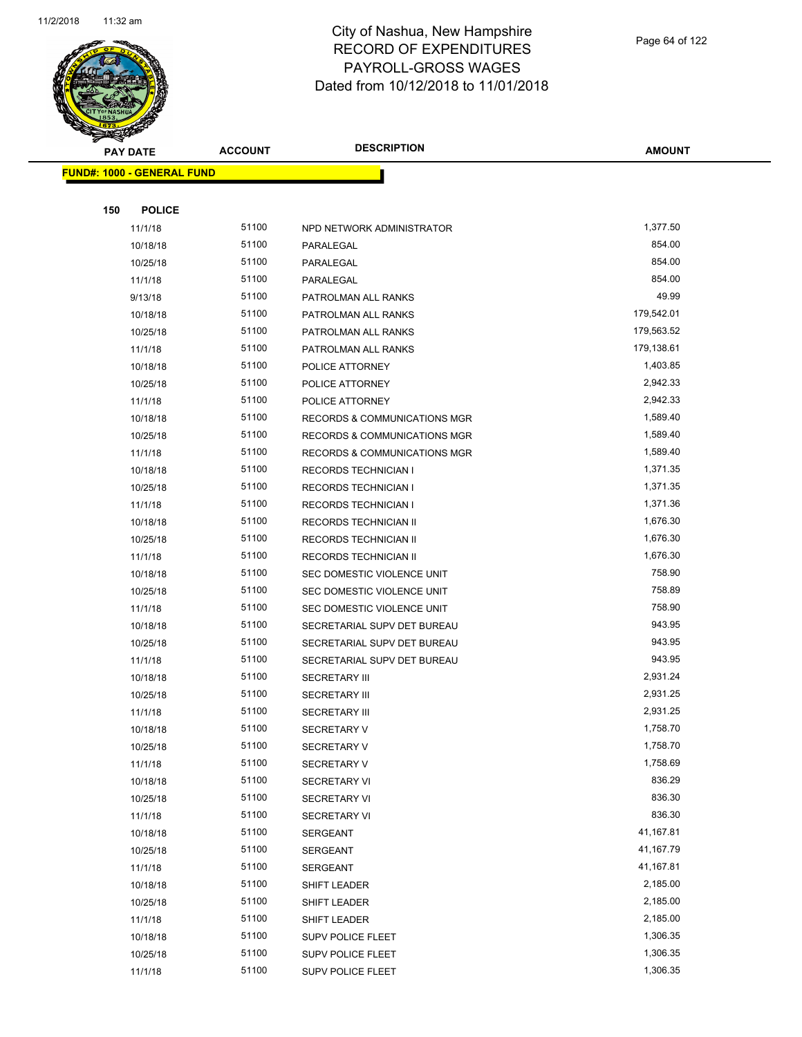

Page 64 of 122

|     | <b>PAY DATE</b>                   | <b>ACCOUNT</b> | <b>DESCRIPTION</b>           | <b>AMOUNT</b> |
|-----|-----------------------------------|----------------|------------------------------|---------------|
|     | <b>FUND#: 1000 - GENERAL FUND</b> |                |                              |               |
|     |                                   |                |                              |               |
| 150 | <b>POLICE</b>                     |                |                              |               |
|     | 11/1/18                           | 51100          | NPD NETWORK ADMINISTRATOR    | 1,377.50      |
|     | 10/18/18                          | 51100          | PARALEGAL                    | 854.00        |
|     | 10/25/18                          | 51100          | PARALEGAL                    | 854.00        |
|     | 11/1/18                           | 51100          | PARALEGAL                    | 854.00        |
|     | 9/13/18                           | 51100          | PATROLMAN ALL RANKS          | 49.99         |
|     | 10/18/18                          | 51100          | PATROLMAN ALL RANKS          | 179,542.01    |
|     | 10/25/18                          | 51100          | PATROLMAN ALL RANKS          | 179,563.52    |
|     | 11/1/18                           | 51100          | PATROLMAN ALL RANKS          | 179,138.61    |
|     | 10/18/18                          | 51100          | POLICE ATTORNEY              | 1,403.85      |
|     | 10/25/18                          | 51100          | POLICE ATTORNEY              | 2,942.33      |
|     | 11/1/18                           | 51100          | POLICE ATTORNEY              | 2,942.33      |
|     | 10/18/18                          | 51100          | RECORDS & COMMUNICATIONS MGR | 1,589.40      |
|     | 10/25/18                          | 51100          | RECORDS & COMMUNICATIONS MGR | 1,589.40      |
|     | 11/1/18                           | 51100          | RECORDS & COMMUNICATIONS MGR | 1,589.40      |
|     | 10/18/18                          | 51100          | <b>RECORDS TECHNICIAN I</b>  | 1,371.35      |
|     | 10/25/18                          | 51100          | <b>RECORDS TECHNICIAN I</b>  | 1,371.35      |
|     | 11/1/18                           | 51100          | <b>RECORDS TECHNICIAN I</b>  | 1,371.36      |
|     | 10/18/18                          | 51100          | RECORDS TECHNICIAN II        | 1,676.30      |
|     | 10/25/18                          | 51100          | RECORDS TECHNICIAN II        | 1,676.30      |
|     | 11/1/18                           | 51100          | RECORDS TECHNICIAN II        | 1,676.30      |
|     | 10/18/18                          | 51100          | SEC DOMESTIC VIOLENCE UNIT   | 758.90        |
|     | 10/25/18                          | 51100          | SEC DOMESTIC VIOLENCE UNIT   | 758.89        |
|     | 11/1/18                           | 51100          | SEC DOMESTIC VIOLENCE UNIT   | 758.90        |
|     | 10/18/18                          | 51100          | SECRETARIAL SUPV DET BUREAU  | 943.95        |
|     | 10/25/18                          | 51100          | SECRETARIAL SUPV DET BUREAU  | 943.95        |
|     | 11/1/18                           | 51100          | SECRETARIAL SUPV DET BUREAU  | 943.95        |
|     | 10/18/18                          | 51100          | <b>SECRETARY III</b>         | 2,931.24      |
|     | 10/25/18                          | 51100          | <b>SECRETARY III</b>         | 2,931.25      |
|     | 11/1/18                           | 51100          | <b>SECRETARY III</b>         | 2,931.25      |
|     | 10/18/18                          | 51100          | <b>SECRETARY V</b>           | 1,758.70      |
|     | 10/25/18                          | 51100          | <b>SECRETARY V</b>           | 1,758.70      |
|     | 11/1/18                           | 51100          | SECRETARY V                  | 1,758.69      |
|     | 10/18/18                          | 51100          | <b>SECRETARY VI</b>          | 836.29        |
|     | 10/25/18                          | 51100          | <b>SECRETARY VI</b>          | 836.30        |
|     | 11/1/18                           | 51100          | <b>SECRETARY VI</b>          | 836.30        |
|     | 10/18/18                          | 51100          | SERGEANT                     | 41,167.81     |
|     | 10/25/18                          | 51100          | SERGEANT                     | 41,167.79     |
|     | 11/1/18                           | 51100          | SERGEANT                     | 41,167.81     |
|     | 10/18/18                          | 51100          | SHIFT LEADER                 | 2,185.00      |
|     | 10/25/18                          | 51100          | SHIFT LEADER                 | 2,185.00      |
|     | 11/1/18                           | 51100          | SHIFT LEADER                 | 2,185.00      |
|     | 10/18/18                          | 51100          | <b>SUPV POLICE FLEET</b>     | 1,306.35      |
|     | 10/25/18                          | 51100          | <b>SUPV POLICE FLEET</b>     | 1,306.35      |
|     | 11/1/18                           | 51100          | <b>SUPV POLICE FLEET</b>     | 1,306.35      |
|     |                                   |                |                              |               |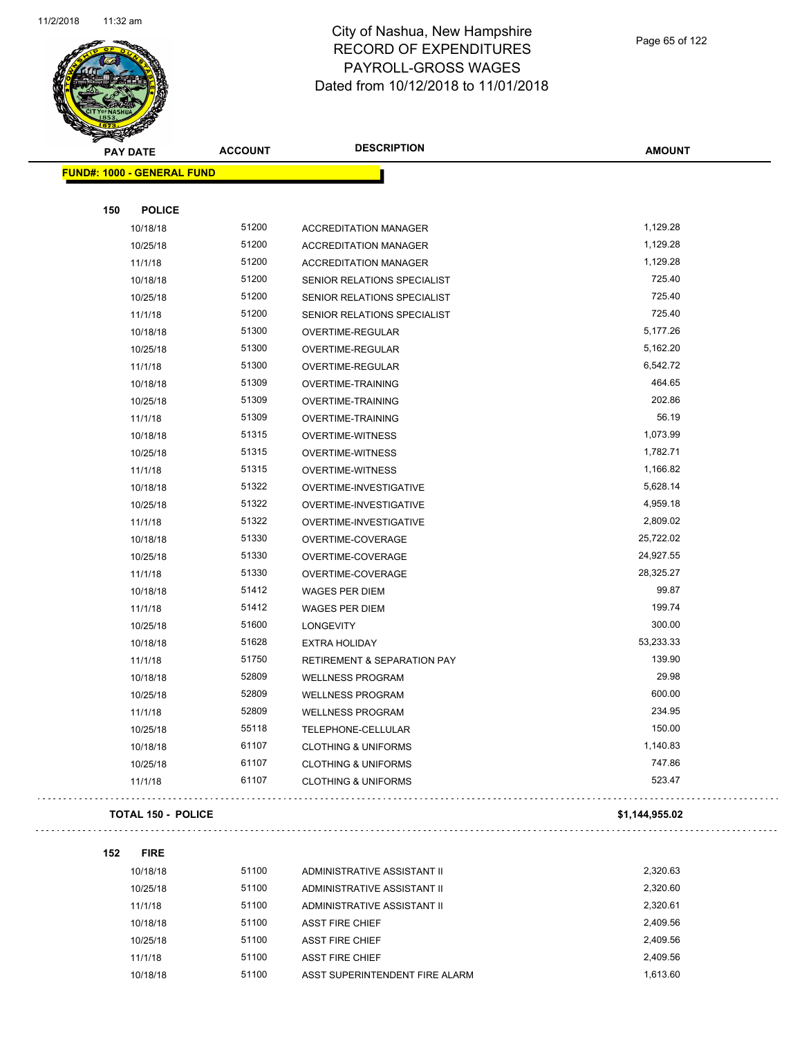

Page 65 of 122

| <b>PAY DATE</b>                   |                           | <b>ACCOUNT</b> | <b>DESCRIPTION</b>             | <b>AMOUNT</b>  |
|-----------------------------------|---------------------------|----------------|--------------------------------|----------------|
| <b>FUND#: 1000 - GENERAL FUND</b> |                           |                |                                |                |
|                                   |                           |                |                                |                |
| 150                               | <b>POLICE</b>             |                |                                |                |
|                                   | 10/18/18                  | 51200          | <b>ACCREDITATION MANAGER</b>   | 1,129.28       |
|                                   | 10/25/18                  | 51200          | <b>ACCREDITATION MANAGER</b>   | 1,129.28       |
|                                   | 11/1/18                   | 51200          | <b>ACCREDITATION MANAGER</b>   | 1,129.28       |
|                                   | 10/18/18                  | 51200          | SENIOR RELATIONS SPECIALIST    | 725.40         |
|                                   | 10/25/18                  | 51200          | SENIOR RELATIONS SPECIALIST    | 725.40         |
|                                   | 11/1/18                   | 51200          | SENIOR RELATIONS SPECIALIST    | 725.40         |
|                                   | 10/18/18                  | 51300          | OVERTIME-REGULAR               | 5,177.26       |
|                                   | 10/25/18                  | 51300          | <b>OVERTIME-REGULAR</b>        | 5,162.20       |
|                                   | 11/1/18                   | 51300          | OVERTIME-REGULAR               | 6,542.72       |
|                                   | 10/18/18                  | 51309          | OVERTIME-TRAINING              | 464.65         |
|                                   | 10/25/18                  | 51309          | <b>OVERTIME-TRAINING</b>       | 202.86         |
|                                   | 11/1/18                   | 51309          | <b>OVERTIME-TRAINING</b>       | 56.19          |
|                                   | 10/18/18                  | 51315          | <b>OVERTIME-WITNESS</b>        | 1,073.99       |
|                                   | 10/25/18                  | 51315          | <b>OVERTIME-WITNESS</b>        | 1,782.71       |
|                                   | 11/1/18                   | 51315          | <b>OVERTIME-WITNESS</b>        | 1,166.82       |
|                                   | 10/18/18                  | 51322          | OVERTIME-INVESTIGATIVE         | 5,628.14       |
|                                   | 10/25/18                  | 51322          | OVERTIME-INVESTIGATIVE         | 4,959.18       |
|                                   | 11/1/18                   | 51322          | OVERTIME-INVESTIGATIVE         | 2,809.02       |
|                                   | 10/18/18                  | 51330          | OVERTIME-COVERAGE              | 25,722.02      |
|                                   | 10/25/18                  | 51330          | OVERTIME-COVERAGE              | 24,927.55      |
|                                   | 11/1/18                   | 51330          | OVERTIME-COVERAGE              | 28,325.27      |
|                                   | 10/18/18                  | 51412          | <b>WAGES PER DIEM</b>          | 99.87          |
|                                   | 11/1/18                   | 51412          | <b>WAGES PER DIEM</b>          | 199.74         |
|                                   | 10/25/18                  | 51600          | <b>LONGEVITY</b>               | 300.00         |
|                                   | 10/18/18                  | 51628          | <b>EXTRA HOLIDAY</b>           | 53,233.33      |
|                                   | 11/1/18                   | 51750          | RETIREMENT & SEPARATION PAY    | 139.90         |
|                                   | 10/18/18                  | 52809          | <b>WELLNESS PROGRAM</b>        | 29.98          |
|                                   | 10/25/18                  | 52809          | <b>WELLNESS PROGRAM</b>        | 600.00         |
|                                   | 11/1/18                   | 52809          | <b>WELLNESS PROGRAM</b>        | 234.95         |
|                                   | 10/25/18                  | 55118          | TELEPHONE-CELLULAR             | 150.00         |
|                                   | 10/18/18                  | 61107          | <b>CLOTHING &amp; UNIFORMS</b> | 1,140.83       |
|                                   | 10/25/18                  | 61107          | <b>CLOTHING &amp; UNIFORMS</b> | 747.86         |
|                                   | 11/1/18                   | 61107          | <b>CLOTHING &amp; UNIFORMS</b> | 523.47         |
|                                   | <b>TOTAL 150 - POLICE</b> |                |                                | \$1,144,955.02 |
|                                   |                           |                |                                |                |

#### **152 FIRE**

10/18/18 51100 ADMINISTRATIVE ASSISTANT II 2,320.63 10/25/18 51100 ADMINISTRATIVE ASSISTANT II 2,320.60 11/1/18 51100 ADMINISTRATIVE ASSISTANT II 2,320.61 10/18/18 51100 ASST FIRE CHIEF 2,409.56 10/25/18 51100 ASST FIRE CHIEF 3 2,409.56 11/1/18 51100 ASST FIRE CHIEF 2,409.56 10/18/18 51100 ASST SUPERINTENDENT FIRE ALARM 1,613.60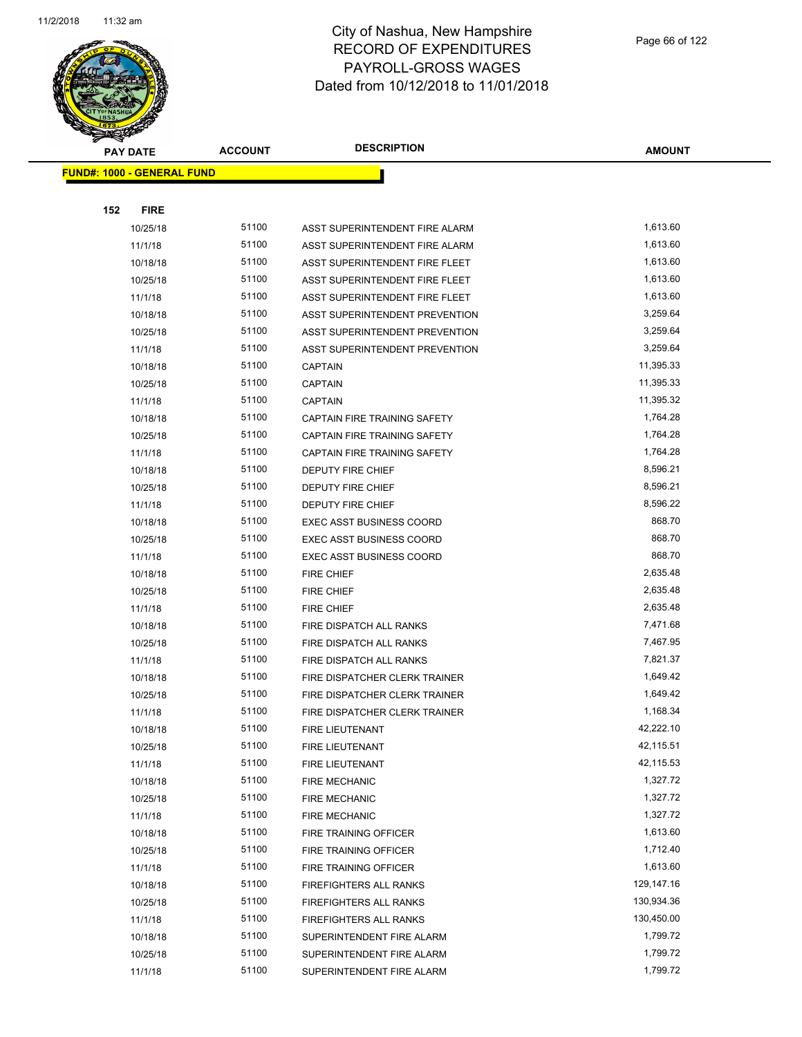

|     | <b>PAY DATE</b>                   | <b>ACCOUNT</b> | <b>DESCRIPTION</b>                  | <b>AMOUNT</b> |
|-----|-----------------------------------|----------------|-------------------------------------|---------------|
|     | <b>FUND#: 1000 - GENERAL FUND</b> |                |                                     |               |
|     |                                   |                |                                     |               |
| 152 | <b>FIRE</b>                       |                |                                     |               |
|     | 10/25/18                          | 51100          | ASST SUPERINTENDENT FIRE ALARM      | 1,613.60      |
|     | 11/1/18                           | 51100          | ASST SUPERINTENDENT FIRE ALARM      | 1,613.60      |
|     | 10/18/18                          | 51100          | ASST SUPERINTENDENT FIRE FLEET      | 1,613.60      |
|     | 10/25/18                          | 51100          | ASST SUPERINTENDENT FIRE FLEET      | 1,613.60      |
|     | 11/1/18                           | 51100          | ASST SUPERINTENDENT FIRE FLEET      | 1,613.60      |
|     | 10/18/18                          | 51100          | ASST SUPERINTENDENT PREVENTION      | 3,259.64      |
|     | 10/25/18                          | 51100          | ASST SUPERINTENDENT PREVENTION      | 3,259.64      |
|     | 11/1/18                           | 51100          | ASST SUPERINTENDENT PREVENTION      | 3,259.64      |
|     | 10/18/18                          | 51100          | <b>CAPTAIN</b>                      | 11,395.33     |
|     | 10/25/18                          | 51100          | <b>CAPTAIN</b>                      | 11,395.33     |
|     | 11/1/18                           | 51100          | <b>CAPTAIN</b>                      | 11,395.32     |
|     | 10/18/18                          | 51100          | <b>CAPTAIN FIRE TRAINING SAFETY</b> | 1,764.28      |
|     | 10/25/18                          | 51100          | CAPTAIN FIRE TRAINING SAFETY        | 1,764.28      |
|     | 11/1/18                           | 51100          | CAPTAIN FIRE TRAINING SAFETY        | 1,764.28      |
|     | 10/18/18                          | 51100          | <b>DEPUTY FIRE CHIEF</b>            | 8,596.21      |
|     | 10/25/18                          | 51100          | <b>DEPUTY FIRE CHIEF</b>            | 8,596.21      |
|     | 11/1/18                           | 51100          | <b>DEPUTY FIRE CHIEF</b>            | 8,596.22      |
|     | 10/18/18                          | 51100          | <b>EXEC ASST BUSINESS COORD</b>     | 868.70        |
|     | 10/25/18                          | 51100          | <b>EXEC ASST BUSINESS COORD</b>     | 868.70        |
|     | 11/1/18                           | 51100          | <b>EXEC ASST BUSINESS COORD</b>     | 868.70        |
|     | 10/18/18                          | 51100          | <b>FIRE CHIEF</b>                   | 2,635.48      |
|     | 10/25/18                          | 51100          | <b>FIRE CHIEF</b>                   | 2,635.48      |
|     | 11/1/18                           | 51100          | <b>FIRE CHIEF</b>                   | 2,635.48      |
|     | 10/18/18                          | 51100          | FIRE DISPATCH ALL RANKS             | 7,471.68      |
|     | 10/25/18                          | 51100          | FIRE DISPATCH ALL RANKS             | 7,467.95      |
|     | 11/1/18                           | 51100          | FIRE DISPATCH ALL RANKS             | 7,821.37      |
|     | 10/18/18                          | 51100          | FIRE DISPATCHER CLERK TRAINER       | 1,649.42      |
|     | 10/25/18                          | 51100          | FIRE DISPATCHER CLERK TRAINER       | 1,649.42      |
|     | 11/1/18                           | 51100          | FIRE DISPATCHER CLERK TRAINER       | 1,168.34      |
|     | 10/18/18                          | 51100          | FIRE LIEUTENANT                     | 42,222.10     |
|     | 10/25/18                          | 51100          | FIRE LIEUTENANT                     | 42,115.51     |
|     | 11/1/18                           | 51100          | <b>FIRE LIEUTENANT</b>              | 42,115.53     |
|     | 10/18/18                          | 51100          | <b>FIRE MECHANIC</b>                | 1,327.72      |
|     | 10/25/18                          | 51100          | <b>FIRE MECHANIC</b>                | 1,327.72      |
|     | 11/1/18                           | 51100          | <b>FIRE MECHANIC</b>                | 1,327.72      |
|     | 10/18/18                          | 51100          | FIRE TRAINING OFFICER               | 1,613.60      |
|     | 10/25/18                          | 51100          | FIRE TRAINING OFFICER               | 1,712.40      |
|     | 11/1/18                           | 51100          | FIRE TRAINING OFFICER               | 1,613.60      |
|     | 10/18/18                          | 51100          | FIREFIGHTERS ALL RANKS              | 129,147.16    |
|     | 10/25/18                          | 51100          | FIREFIGHTERS ALL RANKS              | 130,934.36    |
|     | 11/1/18                           | 51100          | FIREFIGHTERS ALL RANKS              | 130,450.00    |
|     | 10/18/18                          | 51100          | SUPERINTENDENT FIRE ALARM           | 1,799.72      |
|     | 10/25/18                          | 51100          | SUPERINTENDENT FIRE ALARM           | 1,799.72      |
|     | 11/1/18                           | 51100          | SUPERINTENDENT FIRE ALARM           | 1,799.72      |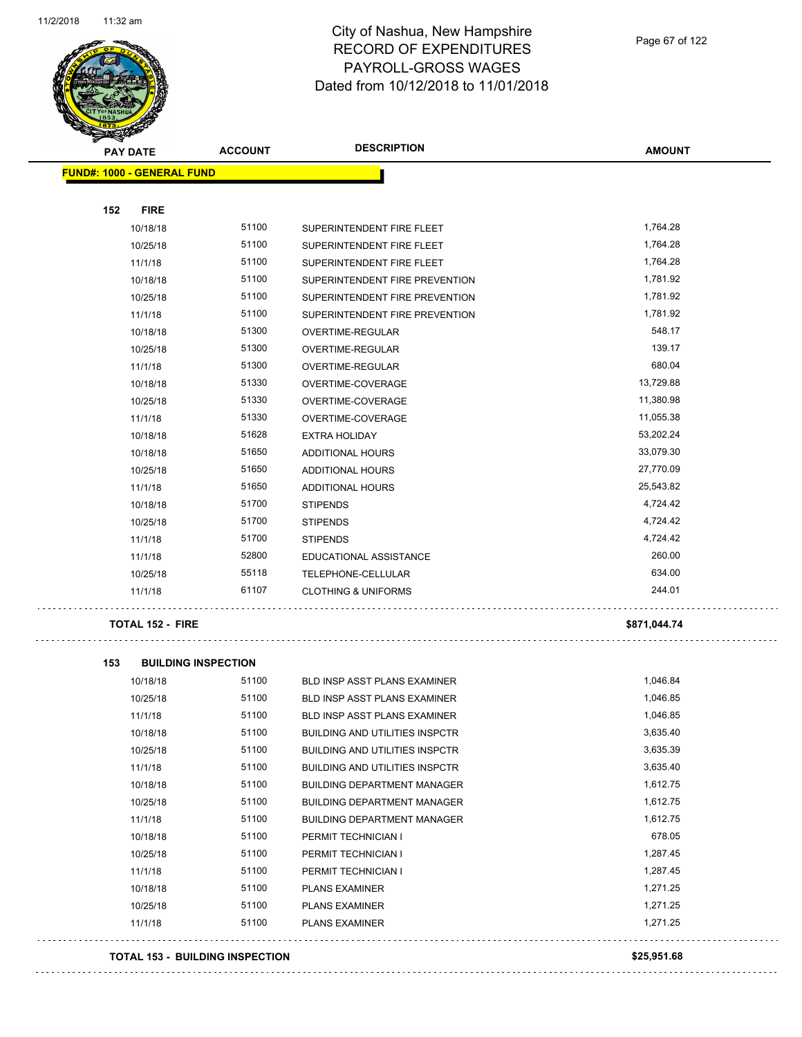

Page 67 of 122

| <b>PAY DATE</b>                   | <b>ACCOUNT</b> | <b>DESCRIPTION</b>             | <b>AMOUNT</b> |
|-----------------------------------|----------------|--------------------------------|---------------|
| <b>FUND#: 1000 - GENERAL FUND</b> |                |                                |               |
|                                   |                |                                |               |
| <b>FIRE</b><br>152                |                |                                |               |
| 10/18/18                          | 51100          | SUPERINTENDENT FIRE FLEET      | 1,764.28      |
| 10/25/18                          | 51100          | SUPERINTENDENT FIRE FLEET      | 1,764.28      |
| 11/1/18                           | 51100          | SUPERINTENDENT FIRE FLEET      | 1,764.28      |
| 10/18/18                          | 51100          | SUPERINTENDENT FIRE PREVENTION | 1,781.92      |
| 10/25/18                          | 51100          | SUPERINTENDENT FIRE PREVENTION | 1,781.92      |
| 11/1/18                           | 51100          | SUPERINTENDENT FIRE PREVENTION | 1,781.92      |
| 10/18/18                          | 51300          | OVERTIME-REGULAR               | 548.17        |
| 10/25/18                          | 51300          | OVERTIME-REGULAR               | 139.17        |
| 11/1/18                           | 51300          | OVERTIME-REGULAR               | 680.04        |
| 10/18/18                          | 51330          | OVERTIME-COVERAGE              | 13,729.88     |
| 10/25/18                          | 51330          | OVERTIME-COVERAGE              | 11,380.98     |
| 11/1/18                           | 51330          | OVERTIME-COVERAGE              | 11,055.38     |
| 10/18/18                          | 51628          | <b>EXTRA HOLIDAY</b>           | 53,202.24     |
| 10/18/18                          | 51650          | <b>ADDITIONAL HOURS</b>        | 33,079.30     |
| 10/25/18                          | 51650          | <b>ADDITIONAL HOURS</b>        | 27,770.09     |
| 11/1/18                           | 51650          | <b>ADDITIONAL HOURS</b>        | 25,543.82     |
| 10/18/18                          | 51700          | <b>STIPENDS</b>                | 4,724.42      |
| 10/25/18                          | 51700          | <b>STIPENDS</b>                | 4,724.42      |
| 11/1/18                           | 51700          | <b>STIPENDS</b>                | 4,724.42      |
| 11/1/18                           | 52800          | EDUCATIONAL ASSISTANCE         | 260.00        |
| 10/25/18                          | 55118          | TELEPHONE-CELLULAR             | 634.00        |
| 11/1/18                           | 61107          | <b>CLOTHING &amp; UNIFORMS</b> | 244.01        |
|                                   |                |                                |               |

#### **TOTAL 152 - FIRE \$871,044.74**

. . .

**153 BUILDING INSPECTION** 10/18/18 51100 BLD INSP ASST PLANS EXAMINER 1,046.84 10/25/18 51100 BLD INSP ASST PLANS EXAMINER 1,046.85 11/1/18 51100 BLD INSP ASST PLANS EXAMINER 1,046.85 10/18/18 51100 BUILDING AND UTILITIES INSPCTR 3,635.40 10/25/18 51100 BUILDING AND UTILITIES INSPCTR 3,635.39 11/1/18 51100 BUILDING AND UTILITIES INSPCTR 3,635.40 10/18/18 51100 BUILDING DEPARTMENT MANAGER 1,612.75 10/25/18 51100 BUILDING DEPARTMENT MANAGER 1,612.75 11/1/18 51100 BUILDING DEPARTMENT MANAGER 1,612.75 10/18/18 51100 PERMIT TECHNICIAN I 678.05 10/25/18 51100 PERMIT TECHNICIAN I 1,287.45 11/1/18 51100 PERMIT TECHNICIAN I 1,287.45 10/18/18 51100 PLANS EXAMINER 1,271.25 10/25/18 51100 PLANS EXAMINER 1,271.25 11/1/18 51100 PLANS EXAMINER 1,271.25 . . . . . . . . . . . . . . . . . . . . . . . . . . . . . . .

#### **TOTAL 153 - BUILDING INSPECTION \$25,951.68**

. . . . . . . . . . . . . . . . . . .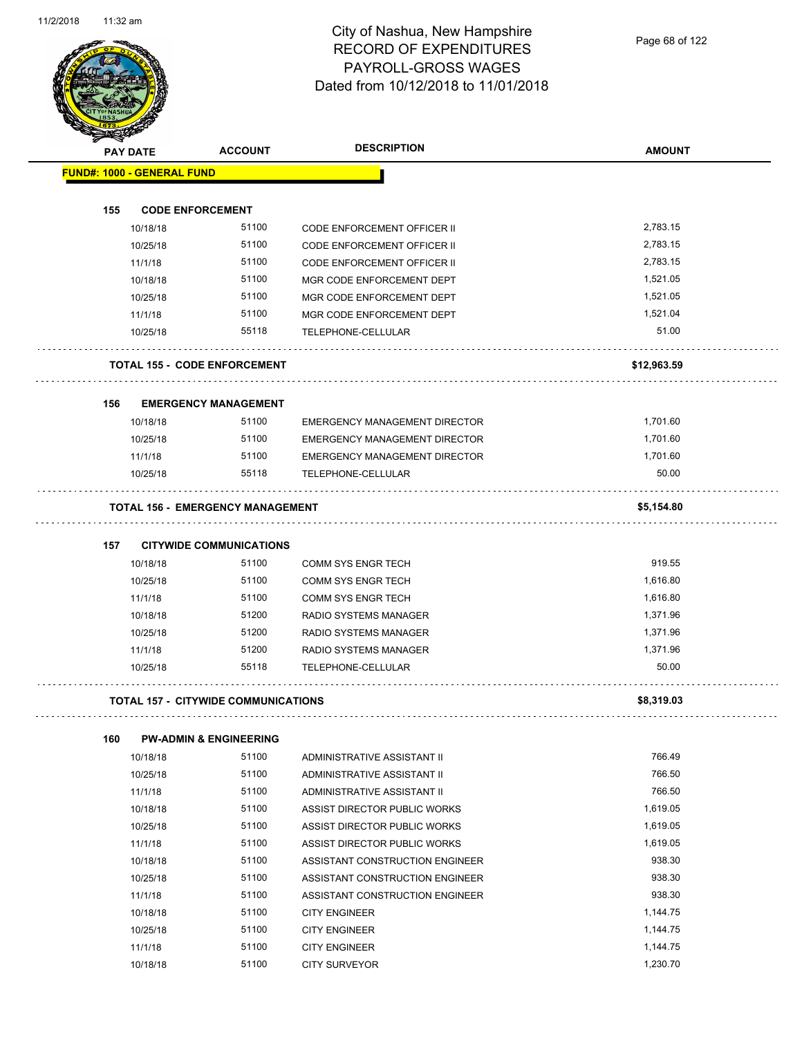Page 68 of 122

|     | <b>PAY DATE</b>                            | <b>ACCOUNT</b>                    | <b>DESCRIPTION</b>                          | <b>AMOUNT</b>     |
|-----|--------------------------------------------|-----------------------------------|---------------------------------------------|-------------------|
|     | <b>FUND#: 1000 - GENERAL FUND</b>          |                                   |                                             |                   |
|     |                                            |                                   |                                             |                   |
| 155 | <b>CODE ENFORCEMENT</b>                    |                                   |                                             |                   |
|     | 10/18/18                                   | 51100                             | <b>CODE ENFORCEMENT OFFICER II</b>          | 2,783.15          |
|     | 10/25/18                                   | 51100                             | <b>CODE ENFORCEMENT OFFICER II</b>          | 2,783.15          |
|     | 11/1/18                                    | 51100                             | <b>CODE ENFORCEMENT OFFICER II</b>          | 2,783.15          |
|     | 10/18/18                                   | 51100                             | MGR CODE ENFORCEMENT DEPT                   | 1,521.05          |
|     | 10/25/18                                   | 51100                             | MGR CODE ENFORCEMENT DEPT                   | 1,521.05          |
|     | 11/1/18                                    | 51100                             | MGR CODE ENFORCEMENT DEPT                   | 1,521.04          |
|     | 10/25/18                                   | 55118                             | TELEPHONE-CELLULAR                          | 51.00             |
|     | <b>TOTAL 155 - CODE ENFORCEMENT</b>        |                                   |                                             | \$12,963.59       |
| 156 |                                            | <b>EMERGENCY MANAGEMENT</b>       |                                             |                   |
|     | 10/18/18                                   | 51100                             | <b>EMERGENCY MANAGEMENT DIRECTOR</b>        | 1,701.60          |
|     | 10/25/18                                   | 51100                             | <b>EMERGENCY MANAGEMENT DIRECTOR</b>        | 1,701.60          |
|     | 11/1/18                                    | 51100                             | <b>EMERGENCY MANAGEMENT DIRECTOR</b>        | 1,701.60          |
|     | 10/25/18                                   | 55118                             | TELEPHONE-CELLULAR                          | 50.00             |
|     | <b>TOTAL 156 - EMERGENCY MANAGEMENT</b>    |                                   |                                             | \$5,154.80        |
| 157 |                                            | <b>CITYWIDE COMMUNICATIONS</b>    |                                             |                   |
|     | 10/18/18                                   | 51100                             |                                             | 919.55            |
|     |                                            | 51100                             | <b>COMM SYS ENGR TECH</b>                   | 1,616.80          |
|     | 10/25/18                                   |                                   | COMM SYS ENGR TECH                          |                   |
|     | 11/1/18                                    | 51100                             | COMM SYS ENGR TECH                          | 1,616.80          |
|     | 10/18/18                                   | 51200                             | RADIO SYSTEMS MANAGER                       | 1,371.96          |
|     | 10/25/18                                   | 51200                             | RADIO SYSTEMS MANAGER                       | 1,371.96          |
|     | 11/1/18<br>10/25/18                        | 51200<br>55118                    | RADIO SYSTEMS MANAGER<br>TELEPHONE-CELLULAR | 1,371.96<br>50.00 |
|     | <b>TOTAL 157 - CITYWIDE COMMUNICATIONS</b> |                                   |                                             | \$8,319.03        |
|     |                                            |                                   |                                             |                   |
| 160 |                                            | <b>PW-ADMIN &amp; ENGINEERING</b> |                                             |                   |
|     | 10/18/18                                   | 51100                             | ADMINISTRATIVE ASSISTANT II                 | 766.49            |
|     | 10/25/18                                   | 51100                             | ADMINISTRATIVE ASSISTANT II                 | 766.50            |
|     | 11/1/18                                    | 51100                             | ADMINISTRATIVE ASSISTANT II                 | 766.50            |
|     | 10/18/18                                   | 51100                             | ASSIST DIRECTOR PUBLIC WORKS                | 1,619.05          |
|     | 10/25/18                                   | 51100                             | ASSIST DIRECTOR PUBLIC WORKS                | 1,619.05          |
|     | 11/1/18                                    | 51100                             | ASSIST DIRECTOR PUBLIC WORKS                | 1,619.05          |
|     | 10/18/18                                   | 51100                             | ASSISTANT CONSTRUCTION ENGINEER             | 938.30            |
|     | 10/25/18                                   | 51100                             | ASSISTANT CONSTRUCTION ENGINEER             | 938.30            |
|     | 11/1/18                                    | 51100                             | ASSISTANT CONSTRUCTION ENGINEER             | 938.30            |
|     | 10/18/18                                   | 51100                             | <b>CITY ENGINEER</b>                        | 1,144.75          |
|     | 10/25/18                                   | 51100                             | <b>CITY ENGINEER</b>                        | 1,144.75          |
|     | 11/1/18                                    | 51100                             | <b>CITY ENGINEER</b>                        | 1,144.75          |
|     | 10/18/18                                   | 51100                             | <b>CITY SURVEYOR</b>                        | 1,230.70          |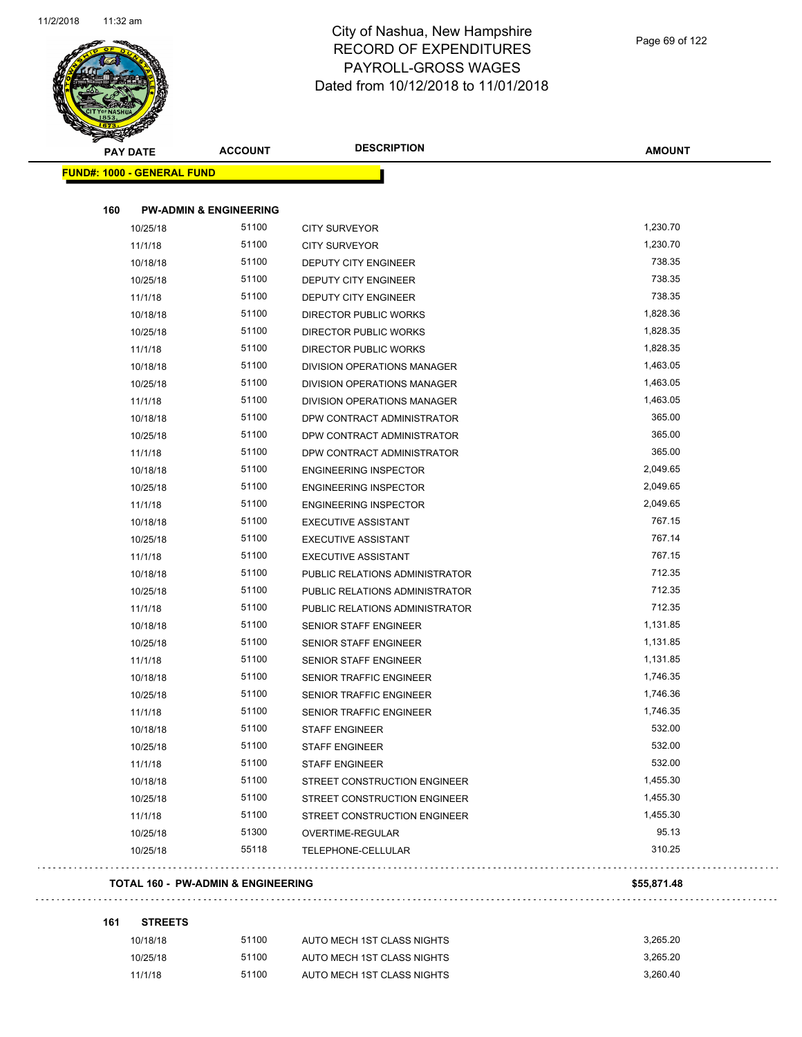

Page 69 of 122

| STATE OF |                                               |                                   |                                    |               |
|----------|-----------------------------------------------|-----------------------------------|------------------------------------|---------------|
|          | <b>PAY DATE</b>                               | <b>ACCOUNT</b>                    | <b>DESCRIPTION</b>                 | <b>AMOUNT</b> |
|          | <b>FUND#: 1000 - GENERAL FUND</b>             |                                   |                                    |               |
|          |                                               |                                   |                                    |               |
| 160      |                                               | <b>PW-ADMIN &amp; ENGINEERING</b> |                                    |               |
|          | 10/25/18                                      | 51100                             | <b>CITY SURVEYOR</b>               | 1,230.70      |
|          | 11/1/18                                       | 51100                             | <b>CITY SURVEYOR</b>               | 1,230.70      |
|          | 10/18/18                                      | 51100                             | DEPUTY CITY ENGINEER               | 738.35        |
|          | 10/25/18                                      | 51100                             | DEPUTY CITY ENGINEER               | 738.35        |
|          | 11/1/18                                       | 51100                             | <b>DEPUTY CITY ENGINEER</b>        | 738.35        |
|          | 10/18/18                                      | 51100                             | <b>DIRECTOR PUBLIC WORKS</b>       | 1,828.36      |
|          | 10/25/18                                      | 51100                             | DIRECTOR PUBLIC WORKS              | 1,828.35      |
|          | 11/1/18                                       | 51100                             | DIRECTOR PUBLIC WORKS              | 1,828.35      |
|          | 10/18/18                                      | 51100                             | DIVISION OPERATIONS MANAGER        | 1,463.05      |
|          | 10/25/18                                      | 51100                             | DIVISION OPERATIONS MANAGER        | 1,463.05      |
|          | 11/1/18                                       | 51100                             | <b>DIVISION OPERATIONS MANAGER</b> | 1,463.05      |
|          | 10/18/18                                      | 51100                             | DPW CONTRACT ADMINISTRATOR         | 365.00        |
|          | 10/25/18                                      | 51100                             | DPW CONTRACT ADMINISTRATOR         | 365.00        |
|          | 11/1/18                                       | 51100                             | DPW CONTRACT ADMINISTRATOR         | 365.00        |
|          | 10/18/18                                      | 51100                             | <b>ENGINEERING INSPECTOR</b>       | 2,049.65      |
|          | 10/25/18                                      | 51100                             | <b>ENGINEERING INSPECTOR</b>       | 2,049.65      |
|          | 11/1/18                                       | 51100                             | <b>ENGINEERING INSPECTOR</b>       | 2,049.65      |
|          | 10/18/18                                      | 51100                             | <b>EXECUTIVE ASSISTANT</b>         | 767.15        |
|          | 10/25/18                                      | 51100                             | <b>EXECUTIVE ASSISTANT</b>         | 767.14        |
|          | 11/1/18                                       | 51100                             | <b>EXECUTIVE ASSISTANT</b>         | 767.15        |
|          | 10/18/18                                      | 51100                             | PUBLIC RELATIONS ADMINISTRATOR     | 712.35        |
|          | 10/25/18                                      | 51100                             | PUBLIC RELATIONS ADMINISTRATOR     | 712.35        |
|          | 11/1/18                                       | 51100                             | PUBLIC RELATIONS ADMINISTRATOR     | 712.35        |
|          | 10/18/18                                      | 51100                             | <b>SENIOR STAFF ENGINEER</b>       | 1,131.85      |
|          | 10/25/18                                      | 51100                             | <b>SENIOR STAFF ENGINEER</b>       | 1,131.85      |
|          | 11/1/18                                       | 51100                             | SENIOR STAFF ENGINEER              | 1,131.85      |
|          | 10/18/18                                      | 51100                             | SENIOR TRAFFIC ENGINEER            | 1,746.35      |
|          | 10/25/18                                      | 51100                             | SENIOR TRAFFIC ENGINEER            | 1,746.36      |
|          | 11/1/18                                       | 51100                             | SENIOR TRAFFIC ENGINEER            | 1,746.35      |
|          | 10/18/18                                      | 51100                             | <b>STAFF ENGINEER</b>              | 532.00        |
|          | 10/25/18                                      | 51100                             | <b>STAFF ENGINEER</b>              | 532.00        |
|          | 11/1/18                                       | 51100                             | <b>STAFF ENGINEER</b>              | 532.00        |
|          | 10/18/18                                      | 51100                             | STREET CONSTRUCTION ENGINEER       | 1,455.30      |
|          | 10/25/18                                      | 51100                             | STREET CONSTRUCTION ENGINEER       | 1,455.30      |
|          | 11/1/18                                       | 51100                             | STREET CONSTRUCTION ENGINEER       | 1,455.30      |
|          | 10/25/18                                      | 51300                             | OVERTIME-REGULAR                   | 95.13         |
|          | 10/25/18                                      | 55118                             | TELEPHONE-CELLULAR                 | 310.25        |
|          |                                               |                                   |                                    |               |
|          | <b>TOTAL 160 - PW-ADMIN &amp; ENGINEERING</b> |                                   |                                    | \$55,871.48   |
| 161      | <b>STREETS</b>                                |                                   |                                    |               |
|          | 10/18/18                                      | 51100                             | AUTO MECH 1ST CLASS NIGHTS         | 3,265.20      |
|          | 10/25/18                                      | 51100                             | AUTO MECH 1ST CLASS NIGHTS         | 3,265.20      |
|          | 11/1/18                                       | 51100                             | AUTO MECH 1ST CLASS NIGHTS         | 3,260.40      |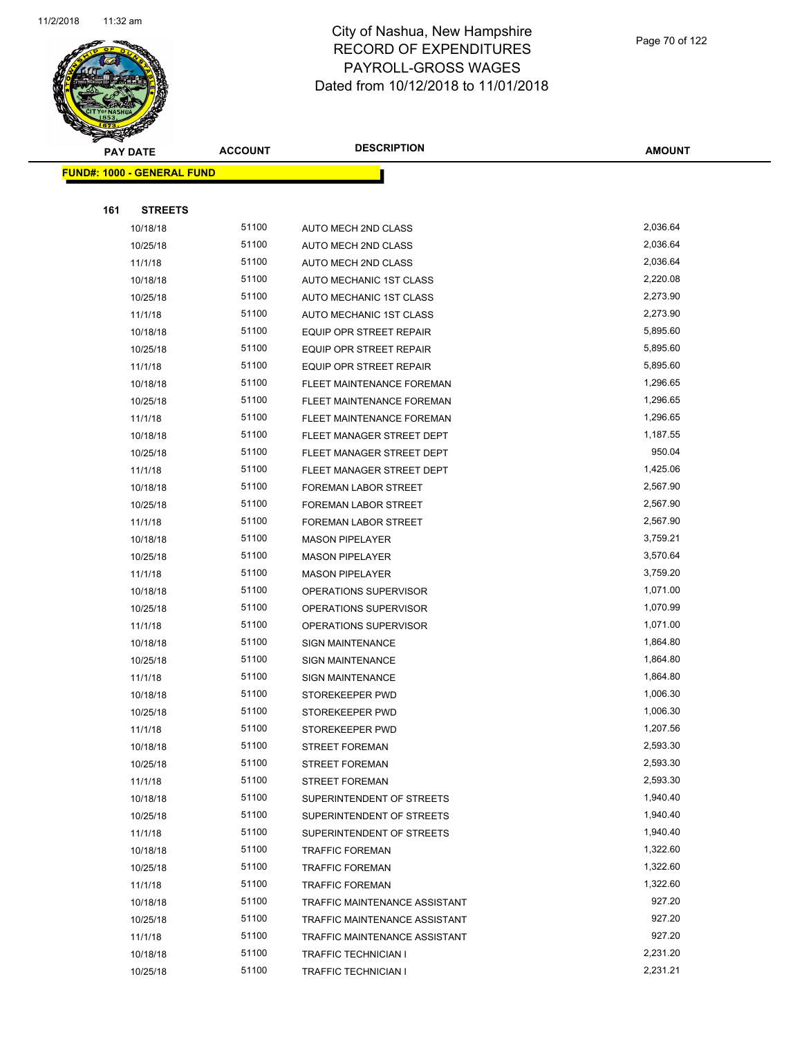

|     | <b>PAY DATE</b>                    | <b>ACCOUNT</b> | <b>DESCRIPTION</b>               | <b>AMOUNT</b> |
|-----|------------------------------------|----------------|----------------------------------|---------------|
|     | <u> FUND#: 1000 - GENERAL FUND</u> |                |                                  |               |
|     |                                    |                |                                  |               |
| 161 | <b>STREETS</b>                     |                |                                  |               |
|     | 10/18/18                           | 51100          | AUTO MECH 2ND CLASS              | 2,036.64      |
|     | 10/25/18                           | 51100          | AUTO MECH 2ND CLASS              | 2,036.64      |
|     | 11/1/18                            | 51100          | AUTO MECH 2ND CLASS              | 2,036.64      |
|     | 10/18/18                           | 51100          | AUTO MECHANIC 1ST CLASS          | 2,220.08      |
|     | 10/25/18                           | 51100          | AUTO MECHANIC 1ST CLASS          | 2,273.90      |
|     | 11/1/18                            | 51100          | AUTO MECHANIC 1ST CLASS          | 2,273.90      |
|     | 10/18/18                           | 51100          | <b>EQUIP OPR STREET REPAIR</b>   | 5,895.60      |
|     | 10/25/18                           | 51100          | EQUIP OPR STREET REPAIR          | 5,895.60      |
|     | 11/1/18                            | 51100          | <b>EQUIP OPR STREET REPAIR</b>   | 5,895.60      |
|     | 10/18/18                           | 51100          | FLEET MAINTENANCE FOREMAN        | 1,296.65      |
|     | 10/25/18                           | 51100          | <b>FLEET MAINTENANCE FOREMAN</b> | 1,296.65      |
|     | 11/1/18                            | 51100          | FLEET MAINTENANCE FOREMAN        | 1,296.65      |
|     | 10/18/18                           | 51100          | FLEET MANAGER STREET DEPT        | 1,187.55      |
|     | 10/25/18                           | 51100          | FLEET MANAGER STREET DEPT        | 950.04        |
|     | 11/1/18                            | 51100          | FLEET MANAGER STREET DEPT        | 1,425.06      |
|     | 10/18/18                           | 51100          | FOREMAN LABOR STREET             | 2,567.90      |
|     | 10/25/18                           | 51100          | FOREMAN LABOR STREET             | 2,567.90      |
|     | 11/1/18                            | 51100          | <b>FOREMAN LABOR STREET</b>      | 2,567.90      |
|     | 10/18/18                           | 51100          | <b>MASON PIPELAYER</b>           | 3,759.21      |
|     | 10/25/18                           | 51100          | <b>MASON PIPELAYER</b>           | 3,570.64      |
|     | 11/1/18                            | 51100          | <b>MASON PIPELAYER</b>           | 3,759.20      |
|     | 10/18/18                           | 51100          | OPERATIONS SUPERVISOR            | 1,071.00      |
|     | 10/25/18                           | 51100          | OPERATIONS SUPERVISOR            | 1,070.99      |
|     | 11/1/18                            | 51100          | OPERATIONS SUPERVISOR            | 1,071.00      |
|     | 10/18/18                           | 51100          | <b>SIGN MAINTENANCE</b>          | 1,864.80      |
|     | 10/25/18                           | 51100          | <b>SIGN MAINTENANCE</b>          | 1,864.80      |
|     | 11/1/18                            | 51100          | <b>SIGN MAINTENANCE</b>          | 1,864.80      |
|     | 10/18/18                           | 51100          | STOREKEEPER PWD                  | 1,006.30      |
|     | 10/25/18                           | 51100          | STOREKEEPER PWD                  | 1,006.30      |
|     | 11/1/18                            | 51100          | STOREKEEPER PWD                  | 1,207.56      |
|     | 10/18/18                           | 51100          | <b>STREET FOREMAN</b>            | 2,593.30      |
|     | 10/25/18                           | 51100          | <b>STREET FOREMAN</b>            | 2,593.30      |
|     | 11/1/18                            | 51100          | <b>STREET FOREMAN</b>            | 2,593.30      |
|     | 10/18/18                           | 51100          | SUPERINTENDENT OF STREETS        | 1,940.40      |
|     | 10/25/18                           | 51100          | SUPERINTENDENT OF STREETS        | 1,940.40      |
|     | 11/1/18                            | 51100          | SUPERINTENDENT OF STREETS        | 1,940.40      |
|     | 10/18/18                           | 51100          | <b>TRAFFIC FOREMAN</b>           | 1,322.60      |
|     | 10/25/18                           | 51100          | <b>TRAFFIC FOREMAN</b>           | 1,322.60      |
|     | 11/1/18                            | 51100          | <b>TRAFFIC FOREMAN</b>           | 1,322.60      |
|     | 10/18/18                           | 51100          | TRAFFIC MAINTENANCE ASSISTANT    | 927.20        |
|     | 10/25/18                           | 51100          | TRAFFIC MAINTENANCE ASSISTANT    | 927.20        |
|     | 11/1/18                            | 51100          | TRAFFIC MAINTENANCE ASSISTANT    | 927.20        |
|     | 10/18/18                           | 51100          | TRAFFIC TECHNICIAN I             | 2,231.20      |
|     | 10/25/18                           | 51100          | TRAFFIC TECHNICIAN I             | 2,231.21      |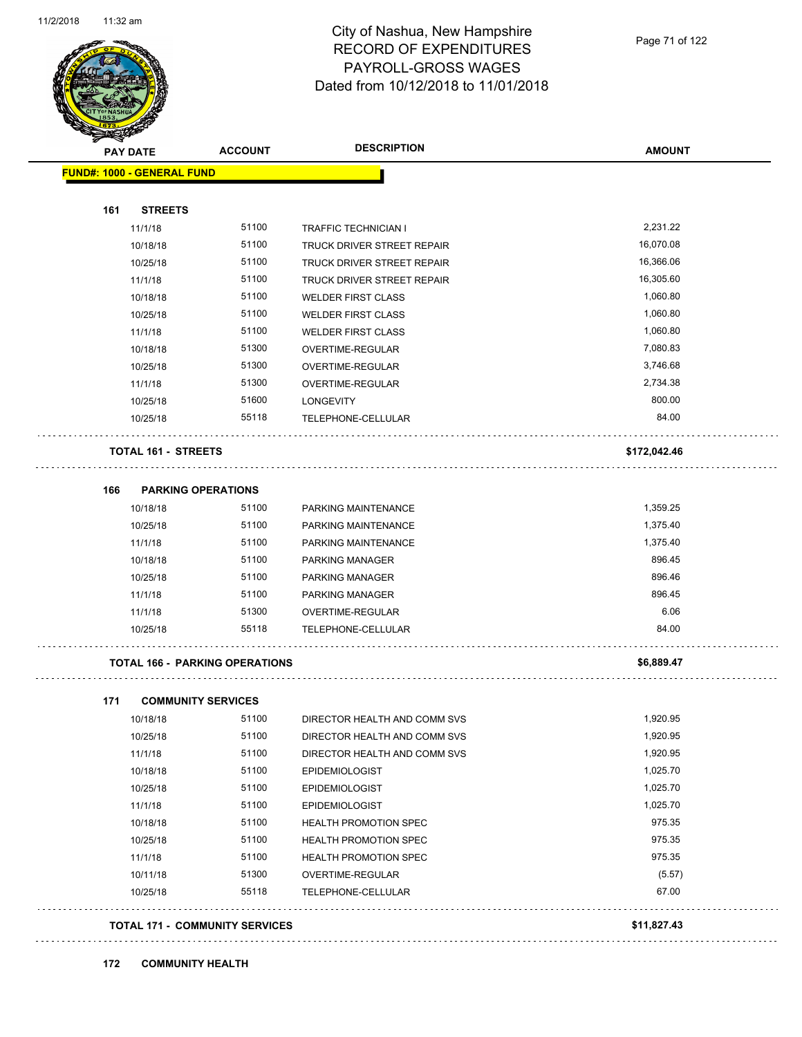l,



#### City of Nashua, New Hampshire RECORD OF EXPENDITURES PAYROLL-GROSS WAGES Dated from 10/12/2018 to 11/01/2018

| <b>PAY DATE</b>                       | <b>ACCOUNT</b>                        | <b>DESCRIPTION</b>                | <b>AMOUNT</b> |
|---------------------------------------|---------------------------------------|-----------------------------------|---------------|
| <b>FUND#: 1000 - GENERAL FUND</b>     |                                       |                                   |               |
|                                       |                                       |                                   |               |
| 161<br><b>STREETS</b>                 |                                       |                                   |               |
| 11/1/18                               | 51100                                 | <b>TRAFFIC TECHNICIAN I</b>       | 2,231.22      |
| 10/18/18                              | 51100                                 | <b>TRUCK DRIVER STREET REPAIR</b> | 16,070.08     |
| 10/25/18                              | 51100                                 | TRUCK DRIVER STREET REPAIR        | 16,366.06     |
| 11/1/18                               | 51100                                 | TRUCK DRIVER STREET REPAIR        | 16,305.60     |
| 10/18/18                              | 51100                                 | <b>WELDER FIRST CLASS</b>         | 1,060.80      |
| 10/25/18                              | 51100                                 | <b>WELDER FIRST CLASS</b>         | 1,060.80      |
| 11/1/18                               | 51100                                 | <b>WELDER FIRST CLASS</b>         | 1,060.80      |
| 10/18/18                              | 51300                                 | OVERTIME-REGULAR                  | 7,080.83      |
| 10/25/18                              | 51300                                 | OVERTIME-REGULAR                  | 3,746.68      |
| 11/1/18                               | 51300                                 | OVERTIME-REGULAR                  | 2,734.38      |
| 10/25/18                              | 51600                                 | <b>LONGEVITY</b>                  | 800.00        |
| 10/25/18                              | 55118                                 | TELEPHONE-CELLULAR                | 84.00         |
| <b>TOTAL 161 - STREETS</b>            |                                       |                                   | \$172,042.46  |
| 166<br><b>PARKING OPERATIONS</b>      |                                       |                                   |               |
| 10/18/18                              | 51100                                 | PARKING MAINTENANCE               | 1,359.25      |
| 10/25/18                              | 51100                                 | PARKING MAINTENANCE               | 1,375.40      |
| 11/1/18                               | 51100                                 | PARKING MAINTENANCE               | 1,375.40      |
| 10/18/18                              | 51100                                 | <b>PARKING MANAGER</b>            | 896.45        |
| 10/25/18                              | 51100                                 | <b>PARKING MANAGER</b>            | 896.46        |
| 11/1/18                               | 51100                                 | <b>PARKING MANAGER</b>            | 896.45        |
| 11/1/18                               | 51300                                 | OVERTIME-REGULAR                  | 6.06          |
| 10/25/18                              | 55118                                 | TELEPHONE-CELLULAR                | 84.00         |
| <b>TOTAL 166 - PARKING OPERATIONS</b> |                                       |                                   | \$6,889.47    |
| 171<br><b>COMMUNITY SERVICES</b>      |                                       |                                   |               |
| 10/18/18                              | 51100                                 | DIRECTOR HEALTH AND COMM SVS      | 1,920.95      |
| 10/25/18                              | 51100                                 | DIRECTOR HEALTH AND COMM SVS      | 1,920.95      |
| 11/1/18                               | 51100                                 | DIRECTOR HEALTH AND COMM SVS      | 1,920.95      |
| 10/18/18                              | 51100                                 | <b>EPIDEMIOLOGIST</b>             | 1,025.70      |
| 10/25/18                              | 51100                                 | <b>EPIDEMIOLOGIST</b>             | 1,025.70      |
| 11/1/18                               | 51100                                 | <b>EPIDEMIOLOGIST</b>             | 1,025.70      |
| 10/18/18                              | 51100                                 | HEALTH PROMOTION SPEC             | 975.35        |
| 10/25/18                              | 51100                                 | HEALTH PROMOTION SPEC             | 975.35        |
| 11/1/18                               | 51100                                 | HEALTH PROMOTION SPEC             | 975.35        |
| 10/11/18                              | 51300                                 | OVERTIME-REGULAR                  | (5.57)        |
| 10/25/18                              | 55118                                 | TELEPHONE-CELLULAR                | 67.00         |
|                                       | <b>TOTAL 171 - COMMUNITY SERVICES</b> |                                   | \$11,827.43   |

#### **172 COMMUNITY HEALTH**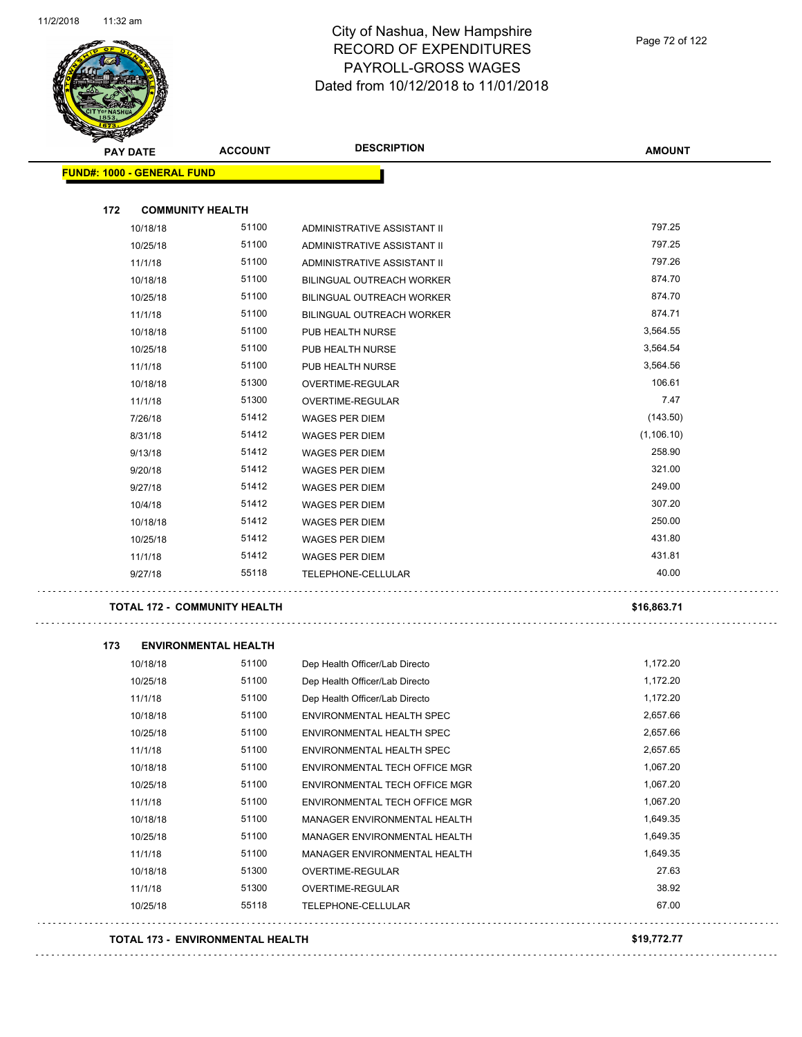$\bar{\psi}$  .

 $\bar{\psi}$  .

 $\ddot{\phantom{a}}$  :



#### City of Nashua, New Hampshire RECORD OF EXPENDITURES PAYROLL-GROSS WAGES Dated from 10/12/2018 to 11/01/2018

|     | <b>PAY DATE</b>            | <b>ACCOUNT</b>                      | <b>DESCRIPTION</b>               | <b>AMOUNT</b> |
|-----|----------------------------|-------------------------------------|----------------------------------|---------------|
|     | FUND#: 1000 - GENERAL FUND |                                     |                                  |               |
| 172 | <b>COMMUNITY HEALTH</b>    |                                     |                                  |               |
|     | 10/18/18                   | 51100                               | ADMINISTRATIVE ASSISTANT II      | 797.25        |
|     | 10/25/18                   | 51100                               | ADMINISTRATIVE ASSISTANT II      | 797.25        |
|     | 11/1/18                    | 51100                               | ADMINISTRATIVE ASSISTANT II      | 797.26        |
|     | 10/18/18                   | 51100                               | BILINGUAL OUTREACH WORKER        | 874.70        |
|     | 10/25/18                   | 51100                               | <b>BILINGUAL OUTREACH WORKER</b> | 874.70        |
|     | 11/1/18                    | 51100                               | <b>BILINGUAL OUTREACH WORKER</b> | 874.71        |
|     | 10/18/18                   | 51100                               | PUB HEALTH NURSE                 | 3,564.55      |
|     | 10/25/18                   | 51100                               | PUB HEALTH NURSE                 | 3,564.54      |
|     | 11/1/18                    | 51100                               | PUB HEALTH NURSE                 | 3,564.56      |
|     | 10/18/18                   | 51300                               | OVERTIME-REGULAR                 | 106.61        |
|     | 11/1/18                    | 51300                               | OVERTIME-REGULAR                 | 7.47          |
|     | 7/26/18                    | 51412                               | WAGES PER DIEM                   | (143.50)      |
|     | 8/31/18                    | 51412                               | <b>WAGES PER DIEM</b>            | (1, 106.10)   |
|     | 9/13/18                    | 51412                               | <b>WAGES PER DIEM</b>            | 258.90        |
|     | 9/20/18                    | 51412                               | <b>WAGES PER DIEM</b>            | 321.00        |
|     | 9/27/18                    | 51412                               | <b>WAGES PER DIEM</b>            | 249.00        |
|     | 10/4/18                    | 51412                               | <b>WAGES PER DIEM</b>            | 307.20        |
|     | 10/18/18                   | 51412                               | <b>WAGES PER DIEM</b>            | 250.00        |
|     | 10/25/18                   | 51412                               | <b>WAGES PER DIEM</b>            | 431.80        |
|     | 11/1/18                    | 51412                               | <b>WAGES PER DIEM</b>            | 431.81        |
|     | 9/27/18                    | 55118                               | TELEPHONE-CELLULAR               | 40.00         |
|     |                            | <b>TOTAL 172 - COMMUNITY HEALTH</b> |                                  | \$16,863.71   |
| 173 |                            | <b>ENVIRONMENTAL HEALTH</b>         |                                  |               |
|     | 10/18/18                   | 51100                               | Dep Health Officer/Lab Directo   | 1,172.20      |
|     | 10/25/18                   | 51100                               | Dep Health Officer/Lab Directo   | 1,172.20      |
|     | 11/1/18                    | 51100                               | Dep Health Officer/Lab Directo   | 1,172.20      |
|     | 10/18/18                   | 51100                               | ENVIRONMENTAL HEALTH SPEC        | 2,657.66      |
|     | 10/25/18                   | 51100                               | ENVIRONMENTAL HEALTH SPEC        | 2,657.66      |
|     | 11/1/18                    | 51100                               | ENVIRONMENTAL HEALTH SPEC        | 2,657.65      |
|     | 10/18/18                   | 51100                               | ENVIRONMENTAL TECH OFFICE MGR    | 1,067.20      |
|     | 10/25/18                   | 51100                               | ENVIRONMENTAL TECH OFFICE MGR    | 1,067.20      |
|     | 11/1/18                    | 51100                               | ENVIRONMENTAL TECH OFFICE MGR    | 1,067.20      |
|     | 10/18/18                   | 51100                               | MANAGER ENVIRONMENTAL HEALTH     | 1,649.35      |
|     | 10/25/18                   | 51100                               | MANAGER ENVIRONMENTAL HEALTH     | 1,649.35      |
|     | 11/1/18                    | 51100                               | MANAGER ENVIRONMENTAL HEALTH     | 1,649.35      |
|     | 10/18/18                   | 51300                               | OVERTIME-REGULAR                 | 27.63         |
|     | 11/1/18                    | 51300                               | OVERTIME-REGULAR                 | 38.92         |
|     | 10/25/18                   | 55118                               | TELEPHONE-CELLULAR               | 67.00         |

**TOTAL 173 - ENVIRONMENTAL HEALTH \$19,772.77**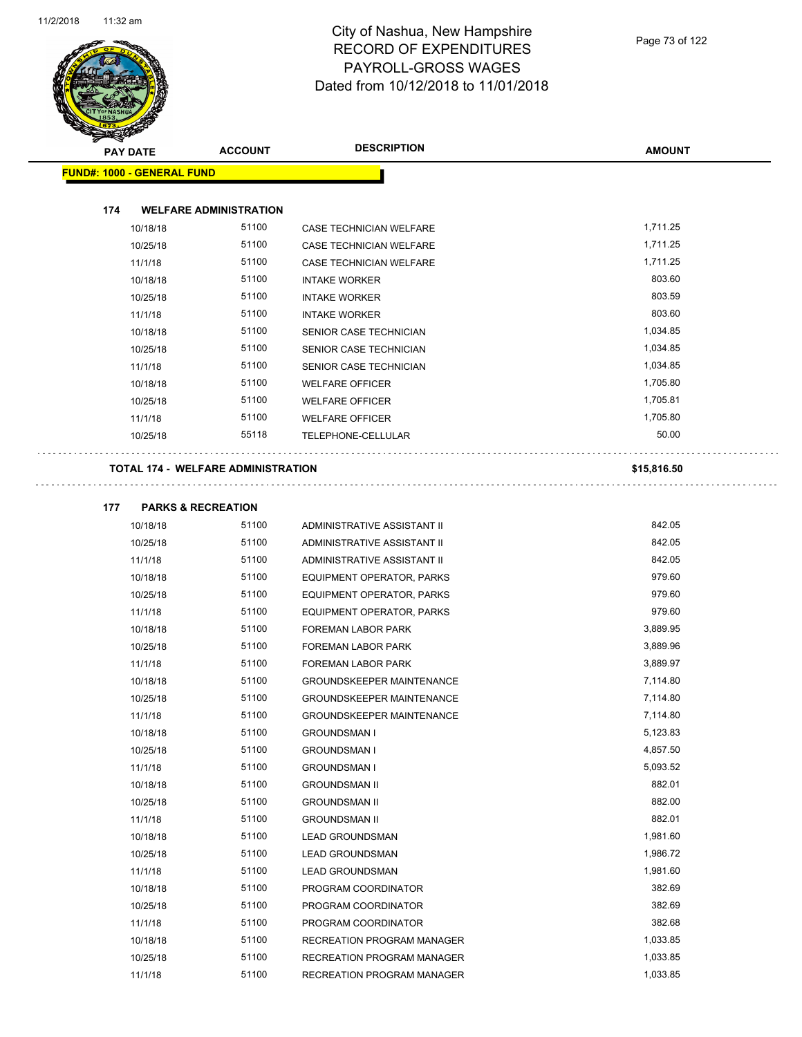

| ❤                                 |                                           |                                  |               |
|-----------------------------------|-------------------------------------------|----------------------------------|---------------|
| <b>PAY DATE</b>                   | <b>ACCOUNT</b>                            | <b>DESCRIPTION</b>               | <b>AMOUNT</b> |
| <b>FUND#: 1000 - GENERAL FUND</b> |                                           |                                  |               |
|                                   |                                           |                                  |               |
| 174                               | <b>WELFARE ADMINISTRATION</b>             |                                  |               |
| 10/18/18                          | 51100                                     | CASE TECHNICIAN WELFARE          | 1,711.25      |
| 10/25/18                          | 51100                                     | CASE TECHNICIAN WELFARE          | 1,711.25      |
| 11/1/18                           | 51100                                     | CASE TECHNICIAN WELFARE          | 1,711.25      |
| 10/18/18                          | 51100                                     | <b>INTAKE WORKER</b>             | 803.60        |
| 10/25/18                          | 51100                                     | <b>INTAKE WORKER</b>             | 803.59        |
| 11/1/18                           | 51100                                     | <b>INTAKE WORKER</b>             | 803.60        |
| 10/18/18                          | 51100                                     | <b>SENIOR CASE TECHNICIAN</b>    | 1,034.85      |
| 10/25/18                          | 51100                                     | SENIOR CASE TECHNICIAN           | 1,034.85      |
| 11/1/18                           | 51100                                     | SENIOR CASE TECHNICIAN           | 1,034.85      |
| 10/18/18                          | 51100                                     | <b>WELFARE OFFICER</b>           | 1,705.80      |
| 10/25/18                          | 51100                                     | <b>WELFARE OFFICER</b>           | 1,705.81      |
| 11/1/18                           | 51100                                     | <b>WELFARE OFFICER</b>           | 1,705.80      |
| 10/25/18                          | 55118                                     | TELEPHONE-CELLULAR               | 50.00         |
|                                   | <b>TOTAL 174 - WELFARE ADMINISTRATION</b> |                                  | \$15,816.50   |
|                                   |                                           |                                  |               |
| 177                               | <b>PARKS &amp; RECREATION</b>             |                                  |               |
| 10/18/18                          | 51100                                     | ADMINISTRATIVE ASSISTANT II      | 842.05        |
| 10/25/18                          | 51100                                     | ADMINISTRATIVE ASSISTANT II      | 842.05        |
| 11/1/18                           | 51100                                     | ADMINISTRATIVE ASSISTANT II      | 842.05        |
| 10/18/18                          | 51100                                     | EQUIPMENT OPERATOR, PARKS        | 979.60        |
| 10/25/18                          | 51100                                     | EQUIPMENT OPERATOR, PARKS        | 979.60        |
| 11/1/18                           | 51100                                     | EQUIPMENT OPERATOR, PARKS        | 979.60        |
| 10/18/18                          | 51100                                     | <b>FOREMAN LABOR PARK</b>        | 3,889.95      |
| 10/25/18                          | 51100                                     | FOREMAN LABOR PARK               | 3,889.96      |
| 11/1/18                           | 51100                                     | FOREMAN LABOR PARK               | 3,889.97      |
| 10/18/18                          | 51100                                     | <b>GROUNDSKEEPER MAINTENANCE</b> | 7,114.80      |
| 10/25/18                          | 51100                                     | <b>GROUNDSKEEPER MAINTENANCE</b> | 7,114.80      |
| 11/1/18                           | 51100                                     | <b>GROUNDSKEEPER MAINTENANCE</b> | 7,114.80      |
| 10/18/18                          | 51100                                     | <b>GROUNDSMAN I</b>              | 5,123.83      |
| 10/25/18                          | 51100                                     | <b>GROUNDSMAN I</b>              | 4,857.50      |

11/1/18 51100 GROUNDSMAN I 5,093.52 10/18/18 51100 GROUNDSMAN II 882.01 10/25/18 51100 GROUNDSMAN II 882.00 11/1/18 51100 GROUNDSMAN II 882.01 10/18/18 51100 LEAD GROUNDSMAN 1,981.60 10/25/18 51100 LEAD GROUNDSMAN 1,986.72 11/1/18 51100 LEAD GROUNDSMAN 1,981.60 10/18/18 51100 PROGRAM COORDINATOR 382.69 10/25/18 51100 PROGRAM COORDINATOR 382.69 11/1/18 51100 PROGRAM COORDINATOR 382.68 10/18/18 51100 RECREATION PROGRAM MANAGER 1,033.85 10/25/18 51100 RECREATION PROGRAM MANAGER 1,033.85 11/1/18 51100 RECREATION PROGRAM MANAGER 1,033.85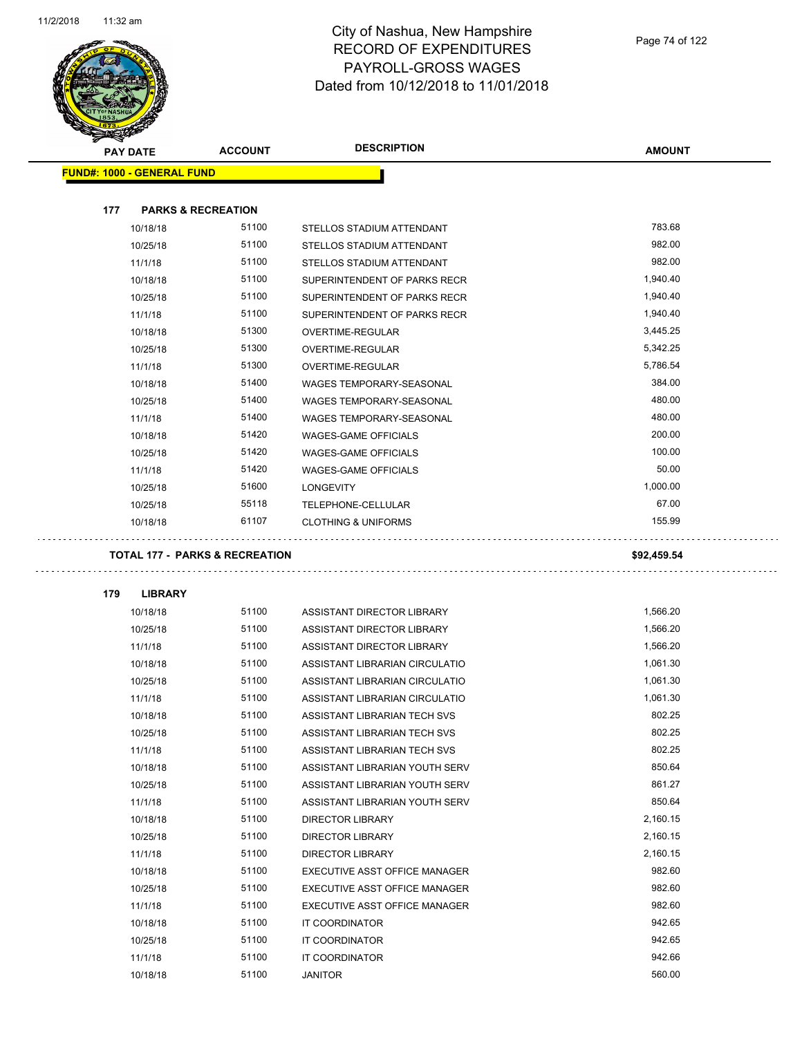

 $\mathcal{L}^{\mathcal{L}}$ 

Ω,

| $\tilde{\phantom{a}}$<br><b>PAY DATE</b>  | <b>ACCOUNT</b> | <b>DESCRIPTION</b>                   | <b>AMOUNT</b> |
|-------------------------------------------|----------------|--------------------------------------|---------------|
| <b>FUND#: 1000 - GENERAL FUND</b>         |                |                                      |               |
|                                           |                |                                      |               |
| 177<br><b>PARKS &amp; RECREATION</b>      |                |                                      |               |
| 10/18/18                                  | 51100          | STELLOS STADIUM ATTENDANT            | 783.68        |
| 10/25/18                                  | 51100          | STELLOS STADIUM ATTENDANT            | 982.00        |
| 11/1/18                                   | 51100          | STELLOS STADIUM ATTENDANT            | 982.00        |
| 10/18/18                                  | 51100          | SUPERINTENDENT OF PARKS RECR         | 1,940.40      |
| 10/25/18                                  | 51100          | SUPERINTENDENT OF PARKS RECR         | 1,940.40      |
| 11/1/18                                   | 51100          | SUPERINTENDENT OF PARKS RECR         | 1,940.40      |
| 10/18/18                                  | 51300          | OVERTIME-REGULAR                     | 3,445.25      |
| 10/25/18                                  | 51300          | OVERTIME-REGULAR                     | 5,342.25      |
| 11/1/18                                   | 51300          | OVERTIME-REGULAR                     | 5,786.54      |
| 10/18/18                                  | 51400          | WAGES TEMPORARY-SEASONAL             | 384.00        |
| 10/25/18                                  | 51400          | WAGES TEMPORARY-SEASONAL             | 480.00        |
| 11/1/18                                   | 51400          | WAGES TEMPORARY-SEASONAL             | 480.00        |
| 10/18/18                                  | 51420          | <b>WAGES-GAME OFFICIALS</b>          | 200.00        |
| 10/25/18                                  | 51420          | <b>WAGES-GAME OFFICIALS</b>          | 100.00        |
| 11/1/18                                   | 51420          | <b>WAGES-GAME OFFICIALS</b>          | 50.00         |
| 10/25/18                                  | 51600          | <b>LONGEVITY</b>                     | 1,000.00      |
| 10/25/18                                  | 55118          | TELEPHONE-CELLULAR                   | 67.00         |
| 10/18/18                                  | 61107          | <b>CLOTHING &amp; UNIFORMS</b>       | 155.99        |
|                                           |                |                                      |               |
| <b>TOTAL 177 - PARKS &amp; RECREATION</b> |                |                                      | \$92,459.54   |
|                                           |                |                                      |               |
| 179<br><b>LIBRARY</b>                     |                |                                      |               |
| 10/18/18                                  | 51100          | ASSISTANT DIRECTOR LIBRARY           | 1,566.20      |
| 10/25/18                                  | 51100          | ASSISTANT DIRECTOR LIBRARY           | 1,566.20      |
| 11/1/18                                   | 51100          | ASSISTANT DIRECTOR LIBRARY           | 1,566.20      |
| 10/18/18                                  | 51100          | ASSISTANT LIBRARIAN CIRCULATIO       | 1,061.30      |
| 10/25/18                                  | 51100          | ASSISTANT LIBRARIAN CIRCULATIO       | 1,061.30      |
| 11/1/18                                   | 51100          | ASSISTANT LIBRARIAN CIRCULATIO       | 1,061.30      |
| 10/18/18                                  | 51100          | ASSISTANT LIBRARIAN TECH SVS         | 802.25        |
| 10/25/18                                  | 51100          | ASSISTANT LIBRARIAN TECH SVS         | 802.25        |
| 11/1/18                                   | 51100          | ASSISTANT LIBRARIAN TECH SVS         | 802.25        |
| 10/18/18                                  | 51100          | ASSISTANT LIBRARIAN YOUTH SERV       | 850.64        |
| 10/25/18                                  | 51100          | ASSISTANT LIBRARIAN YOUTH SERV       | 861.27        |
| 11/1/18                                   | 51100          | ASSISTANT LIBRARIAN YOUTH SERV       | 850.64        |
| 10/18/18                                  | 51100          | <b>DIRECTOR LIBRARY</b>              | 2,160.15      |
| 10/25/18                                  | 51100          | <b>DIRECTOR LIBRARY</b>              | 2,160.15      |
| 11/1/18                                   | 51100          | <b>DIRECTOR LIBRARY</b>              | 2,160.15      |
| 10/18/18                                  | 51100          | EXECUTIVE ASST OFFICE MANAGER        | 982.60        |
| 10/25/18                                  | 51100          | <b>EXECUTIVE ASST OFFICE MANAGER</b> | 982.60        |
| 11/1/18                                   | 51100          | EXECUTIVE ASST OFFICE MANAGER        | 982.60        |
| 10/18/18                                  | 51100          | IT COORDINATOR                       | 942.65        |
| 10/25/18                                  | 51100          | IT COORDINATOR                       | 942.65        |
| 11/1/18                                   | 51100          | IT COORDINATOR                       | 942.66        |
| 10/18/18                                  | 51100          | JANITOR                              | 560.00        |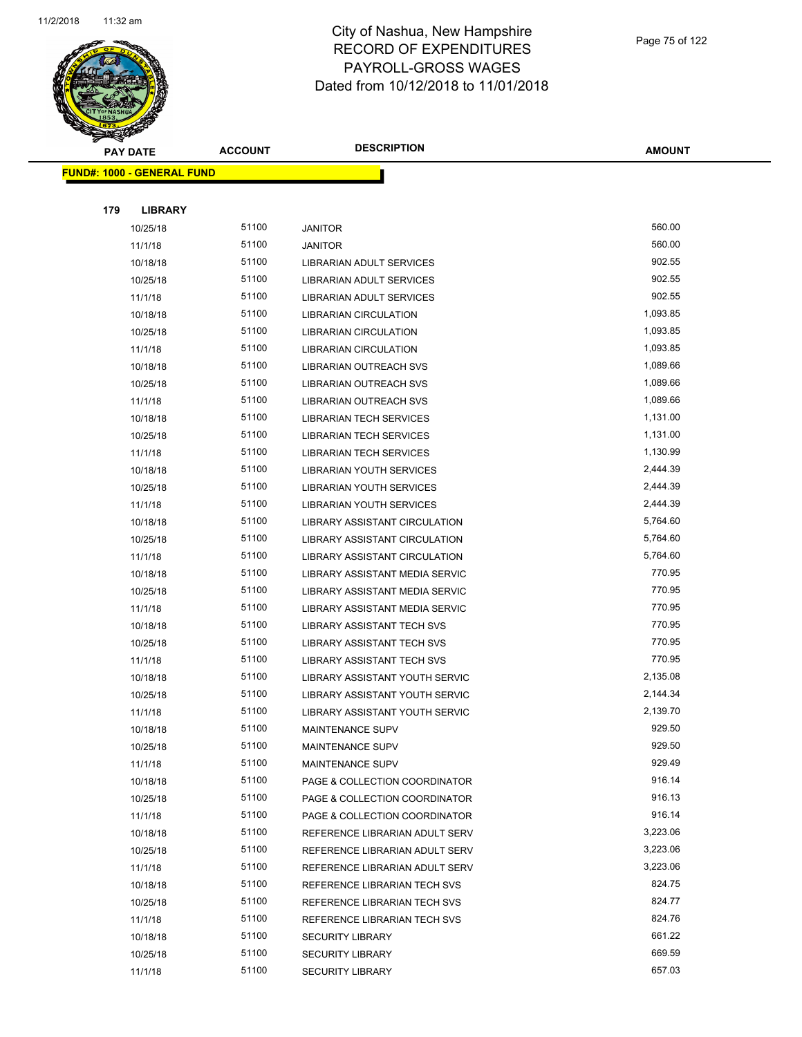

|     | <b>PAY DATE</b>                   | <b>ACCOUNT</b> | <b>DESCRIPTION</b>                | <b>AMOUNT</b> |
|-----|-----------------------------------|----------------|-----------------------------------|---------------|
|     | <b>FUND#: 1000 - GENERAL FUND</b> |                |                                   |               |
|     |                                   |                |                                   |               |
| 179 | <b>LIBRARY</b>                    |                |                                   |               |
|     | 10/25/18                          | 51100          | <b>JANITOR</b>                    | 560.00        |
|     | 11/1/18                           | 51100          | <b>JANITOR</b>                    | 560.00        |
|     | 10/18/18                          | 51100          | LIBRARIAN ADULT SERVICES          | 902.55        |
|     | 10/25/18                          | 51100          | LIBRARIAN ADULT SERVICES          | 902.55        |
|     | 11/1/18                           | 51100          | LIBRARIAN ADULT SERVICES          | 902.55        |
|     | 10/18/18                          | 51100          | <b>LIBRARIAN CIRCULATION</b>      | 1,093.85      |
|     | 10/25/18                          | 51100          | <b>LIBRARIAN CIRCULATION</b>      | 1,093.85      |
|     | 11/1/18                           | 51100          | LIBRARIAN CIRCULATION             | 1,093.85      |
|     | 10/18/18                          | 51100          | LIBRARIAN OUTREACH SVS            | 1,089.66      |
|     | 10/25/18                          | 51100          | LIBRARIAN OUTREACH SVS            | 1,089.66      |
|     | 11/1/18                           | 51100          | LIBRARIAN OUTREACH SVS            | 1,089.66      |
|     | 10/18/18                          | 51100          | <b>LIBRARIAN TECH SERVICES</b>    | 1,131.00      |
|     | 10/25/18                          | 51100          | LIBRARIAN TECH SERVICES           | 1,131.00      |
|     | 11/1/18                           | 51100          | <b>LIBRARIAN TECH SERVICES</b>    | 1,130.99      |
|     | 10/18/18                          | 51100          | <b>LIBRARIAN YOUTH SERVICES</b>   | 2,444.39      |
|     | 10/25/18                          | 51100          | LIBRARIAN YOUTH SERVICES          | 2,444.39      |
|     | 11/1/18                           | 51100          | <b>LIBRARIAN YOUTH SERVICES</b>   | 2,444.39      |
|     | 10/18/18                          | 51100          | LIBRARY ASSISTANT CIRCULATION     | 5,764.60      |
|     | 10/25/18                          | 51100          | LIBRARY ASSISTANT CIRCULATION     | 5,764.60      |
|     | 11/1/18                           | 51100          | LIBRARY ASSISTANT CIRCULATION     | 5,764.60      |
|     | 10/18/18                          | 51100          | LIBRARY ASSISTANT MEDIA SERVIC    | 770.95        |
|     | 10/25/18                          | 51100          | LIBRARY ASSISTANT MEDIA SERVIC    | 770.95        |
|     | 11/1/18                           | 51100          | LIBRARY ASSISTANT MEDIA SERVIC    | 770.95        |
|     | 10/18/18                          | 51100          | LIBRARY ASSISTANT TECH SVS        | 770.95        |
|     | 10/25/18                          | 51100          | <b>LIBRARY ASSISTANT TECH SVS</b> | 770.95        |
|     | 11/1/18                           | 51100          | <b>LIBRARY ASSISTANT TECH SVS</b> | 770.95        |
|     | 10/18/18                          | 51100          | LIBRARY ASSISTANT YOUTH SERVIC    | 2,135.08      |
|     | 10/25/18                          | 51100          | LIBRARY ASSISTANT YOUTH SERVIC    | 2,144.34      |
|     | 11/1/18                           | 51100          | LIBRARY ASSISTANT YOUTH SERVIC    | 2,139.70      |
|     | 10/18/18                          | 51100          | MAINTENANCE SUPV                  | 929.50        |
|     | 10/25/18                          | 51100          | <b>MAINTENANCE SUPV</b>           | 929.50        |
|     | 11/1/18                           | 51100          | MAINTENANCE SUPV                  | 929.49        |
|     | 10/18/18                          | 51100          | PAGE & COLLECTION COORDINATOR     | 916.14        |
|     | 10/25/18                          | 51100          | PAGE & COLLECTION COORDINATOR     | 916.13        |
|     | 11/1/18                           | 51100          | PAGE & COLLECTION COORDINATOR     | 916.14        |
|     | 10/18/18                          | 51100          | REFERENCE LIBRARIAN ADULT SERV    | 3,223.06      |
|     | 10/25/18                          | 51100          | REFERENCE LIBRARIAN ADULT SERV    | 3,223.06      |
|     | 11/1/18                           | 51100          | REFERENCE LIBRARIAN ADULT SERV    | 3,223.06      |
|     | 10/18/18                          | 51100          | REFERENCE LIBRARIAN TECH SVS      | 824.75        |
|     | 10/25/18                          | 51100          | REFERENCE LIBRARIAN TECH SVS      | 824.77        |
|     | 11/1/18                           | 51100          | REFERENCE LIBRARIAN TECH SVS      | 824.76        |
|     | 10/18/18                          | 51100          | <b>SECURITY LIBRARY</b>           | 661.22        |
|     | 10/25/18                          | 51100          | <b>SECURITY LIBRARY</b>           | 669.59        |
|     | 11/1/18                           | 51100          | <b>SECURITY LIBRARY</b>           | 657.03        |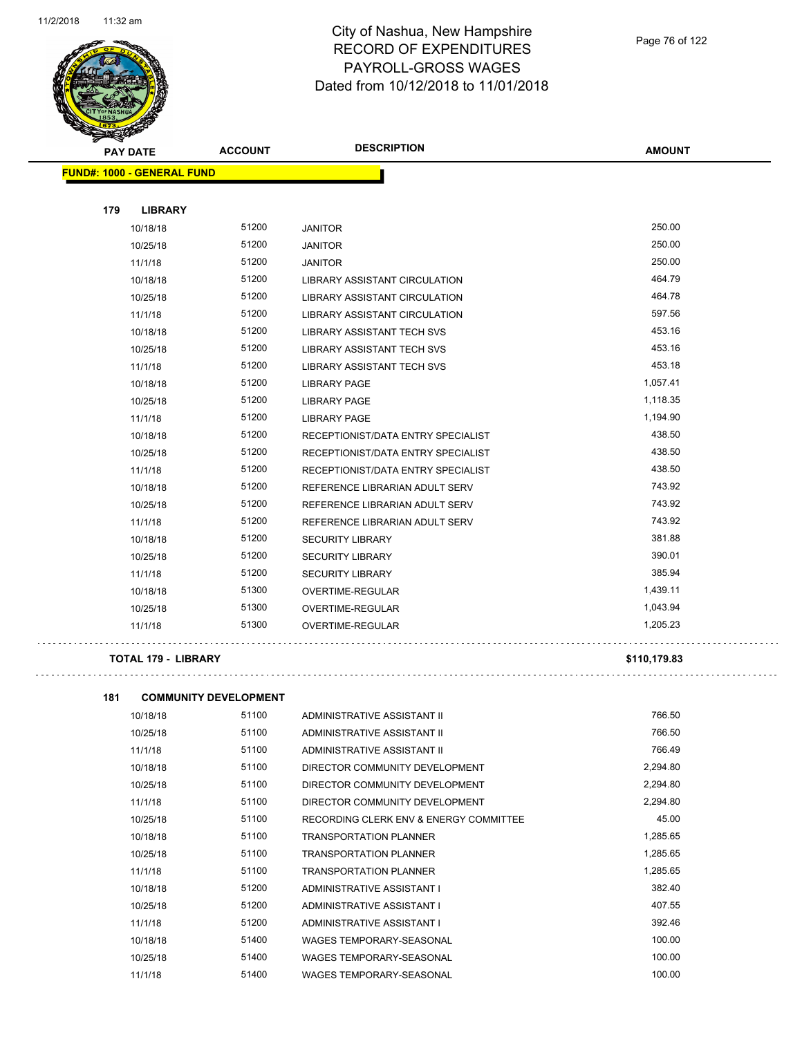

Page 76 of 122

| <b>STARSHA</b>                    |                              |                                        |               |
|-----------------------------------|------------------------------|----------------------------------------|---------------|
| <b>PAY DATE</b>                   | <b>ACCOUNT</b>               | <b>DESCRIPTION</b>                     | <b>AMOUNT</b> |
| <b>FUND#: 1000 - GENERAL FUND</b> |                              |                                        |               |
|                                   |                              |                                        |               |
| 179<br><b>LIBRARY</b>             |                              |                                        |               |
| 10/18/18                          | 51200                        | <b>JANITOR</b>                         | 250.00        |
| 10/25/18                          | 51200                        | <b>JANITOR</b>                         | 250.00        |
| 11/1/18                           | 51200                        | <b>JANITOR</b>                         | 250.00        |
| 10/18/18                          | 51200                        | LIBRARY ASSISTANT CIRCULATION          | 464.79        |
| 10/25/18                          | 51200                        | LIBRARY ASSISTANT CIRCULATION          | 464.78        |
| 11/1/18                           | 51200                        | LIBRARY ASSISTANT CIRCULATION          | 597.56        |
| 10/18/18                          | 51200                        | LIBRARY ASSISTANT TECH SVS             | 453.16        |
| 10/25/18                          | 51200                        | <b>LIBRARY ASSISTANT TECH SVS</b>      | 453.16        |
| 11/1/18                           | 51200                        | LIBRARY ASSISTANT TECH SVS             | 453.18        |
| 10/18/18                          | 51200                        | <b>LIBRARY PAGE</b>                    | 1,057.41      |
| 10/25/18                          | 51200                        | <b>LIBRARY PAGE</b>                    | 1,118.35      |
| 11/1/18                           | 51200                        | <b>LIBRARY PAGE</b>                    | 1,194.90      |
| 10/18/18                          | 51200                        | RECEPTIONIST/DATA ENTRY SPECIALIST     | 438.50        |
| 10/25/18                          | 51200                        | RECEPTIONIST/DATA ENTRY SPECIALIST     | 438.50        |
| 11/1/18                           | 51200                        | RECEPTIONIST/DATA ENTRY SPECIALIST     | 438.50        |
| 10/18/18                          | 51200                        | REFERENCE LIBRARIAN ADULT SERV         | 743.92        |
| 10/25/18                          | 51200                        | REFERENCE LIBRARIAN ADULT SERV         | 743.92        |
| 11/1/18                           | 51200                        | REFERENCE LIBRARIAN ADULT SERV         | 743.92        |
| 10/18/18                          | 51200                        | <b>SECURITY LIBRARY</b>                | 381.88        |
| 10/25/18                          | 51200                        | <b>SECURITY LIBRARY</b>                | 390.01        |
| 11/1/18                           | 51200                        | <b>SECURITY LIBRARY</b>                | 385.94        |
| 10/18/18                          | 51300                        | OVERTIME-REGULAR                       | 1,439.11      |
| 10/25/18                          | 51300                        | OVERTIME-REGULAR                       | 1,043.94      |
| 11/1/18                           | 51300                        | OVERTIME-REGULAR                       | 1,205.23      |
|                                   |                              |                                        |               |
| TOTAL 179 - LIBRARY               |                              |                                        | \$110,179.83  |
|                                   |                              |                                        |               |
| 181                               | <b>COMMUNITY DEVELOPMENT</b> |                                        |               |
| 10/18/18                          | 51100                        | ADMINISTRATIVE ASSISTANT II            | 766.50        |
| 10/25/18                          | 51100                        | ADMINISTRATIVE ASSISTANT II            | 766.50        |
| 11/1/18                           | 51100                        | ADMINISTRATIVE ASSISTANT II            | 766.49        |
| 10/18/18                          | 51100                        | DIRECTOR COMMUNITY DEVELOPMENT         | 2,294.80      |
| 10/25/18                          | 51100                        | DIRECTOR COMMUNITY DEVELOPMENT         | 2,294.80      |
| 11/1/18                           | 51100                        | DIRECTOR COMMUNITY DEVELOPMENT         | 2,294.80      |
| 10/25/18                          | 51100                        | RECORDING CLERK ENV & ENERGY COMMITTEE | 45.00         |
| 10/18/18                          | 51100                        | <b>TRANSPORTATION PLANNER</b>          | 1,285.65      |
| 10/25/18                          | 51100                        | <b>TRANSPORTATION PLANNER</b>          | 1,285.65      |
| 11/1/18                           | 51100                        | <b>TRANSPORTATION PLANNER</b>          | 1,285.65      |
| 10/18/18                          | 51200                        | ADMINISTRATIVE ASSISTANT I             | 382.40        |

10/25/18 51200 ADMINISTRATIVE ASSISTANT I 407.55 11/1/18 51200 ADMINISTRATIVE ASSISTANT I 392.46 10/18/18 51400 WAGES TEMPORARY-SEASONAL 100.00 10/25/18 51400 WAGES TEMPORARY-SEASONAL 100.00 100.00 11/1/18 51400 WAGES TEMPORARY-SEASONAL 11/1/18 100.00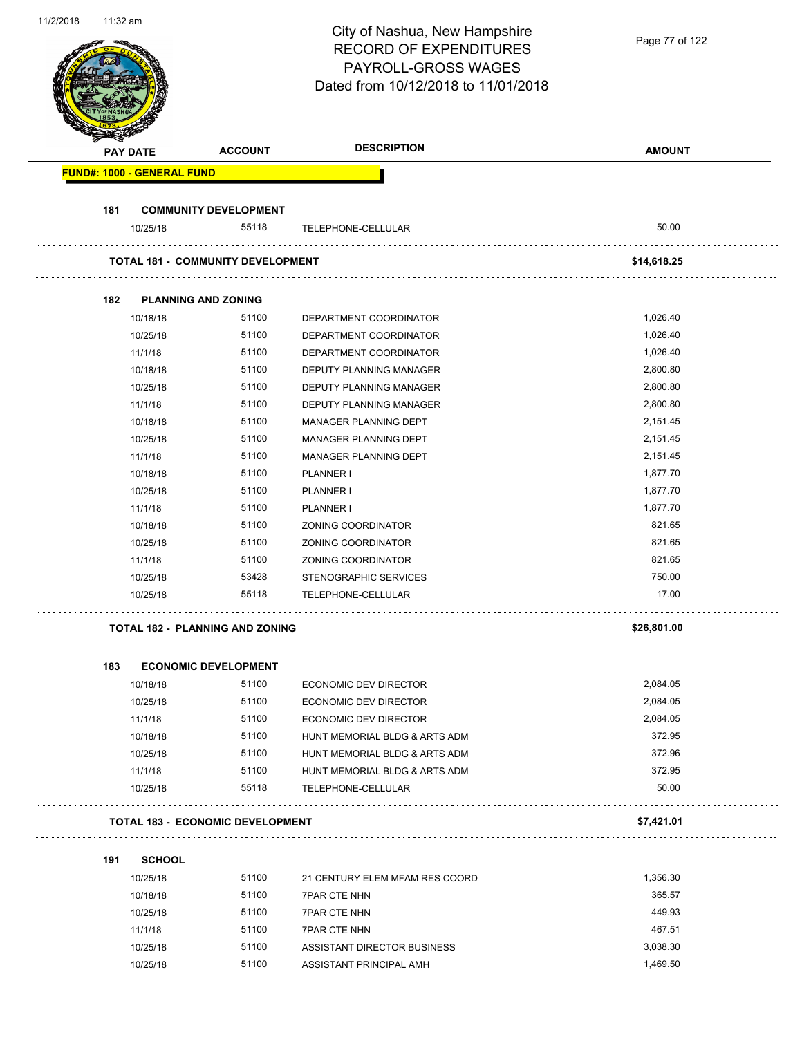| 111212010 | 11.32 ani                         |                                          | City of Nashua, New Hampshire<br><b>RECORD OF EXPENDITURES</b><br>PAYROLL-GROSS WAGES | Page 77 of 122 |
|-----------|-----------------------------------|------------------------------------------|---------------------------------------------------------------------------------------|----------------|
|           |                                   |                                          | Dated from 10/12/2018 to 11/01/2018                                                   |                |
|           | <b>PAY DATE</b>                   | <b>ACCOUNT</b>                           | <b>DESCRIPTION</b>                                                                    | <b>AMOUNT</b>  |
|           | <b>FUND#: 1000 - GENERAL FUND</b> |                                          |                                                                                       |                |
| 181       |                                   | <b>COMMUNITY DEVELOPMENT</b>             |                                                                                       |                |
|           | 10/25/18                          | 55118                                    | TELEPHONE-CELLULAR                                                                    | 50.00          |
|           |                                   | <b>TOTAL 181 - COMMUNITY DEVELOPMENT</b> |                                                                                       | \$14,618.25    |
| 182       |                                   | <b>PLANNING AND ZONING</b>               |                                                                                       |                |
|           | 10/18/18                          | 51100                                    | DEPARTMENT COORDINATOR                                                                | 1,026.40       |
|           | 10/25/18                          | 51100                                    | DEPARTMENT COORDINATOR                                                                | 1,026.40       |
|           | 11/1/18                           | 51100                                    | DEPARTMENT COORDINATOR                                                                | 1,026.40       |
|           | 10/18/18                          | 51100                                    | DEPUTY PLANNING MANAGER                                                               | 2,800.80       |
|           | 10/25/18                          | 51100                                    | DEPUTY PLANNING MANAGER                                                               | 2,800.80       |
|           | 11/1/18                           | 51100                                    | DEPUTY PLANNING MANAGER                                                               | 2,800.80       |
|           | 10/18/18                          | 51100                                    | MANAGER PLANNING DEPT                                                                 | 2,151.45       |
|           | 10/25/18                          | 51100                                    | MANAGER PLANNING DEPT                                                                 | 2,151.45       |
|           | 11/1/18                           | 51100                                    | MANAGER PLANNING DEPT                                                                 | 2,151.45       |
|           | 10/18/18                          | 51100                                    | PLANNER I                                                                             | 1,877.70       |
|           | 10/25/18                          | 51100                                    | PLANNER I                                                                             | 1,877.70       |
|           | 11/1/18                           | 51100                                    | PLANNER I                                                                             | 1,877.70       |
|           | 10/18/18                          | 51100                                    | ZONING COORDINATOR                                                                    | 821.65         |
|           |                                   | 51100                                    | ZONING COORDINATOR                                                                    | 821.65         |
|           | 10/25/18<br>11/1/18               | 51100                                    | ZONING COORDINATOR                                                                    | 821.65         |
|           | 10/25/18                          | 53428                                    | STENOGRAPHIC SERVICES                                                                 | 750.00         |
|           | 10/25/18                          | 55118                                    | TELEPHONE-CELLULAR                                                                    | 17.00          |
|           |                                   | <b>TOTAL 182 - PLANNING AND ZONING</b>   |                                                                                       | \$26,801.00    |
|           |                                   |                                          |                                                                                       |                |
| 183       |                                   | <b>ECONOMIC DEVELOPMENT</b>              |                                                                                       |                |
|           | 10/18/18                          | 51100                                    | ECONOMIC DEV DIRECTOR                                                                 | 2,084.05       |
|           | 10/25/18                          | 51100                                    | <b>ECONOMIC DEV DIRECTOR</b>                                                          | 2,084.05       |
|           | 11/1/18                           | 51100                                    | <b>ECONOMIC DEV DIRECTOR</b>                                                          | 2,084.05       |
|           | 10/18/18                          | 51100                                    | HUNT MEMORIAL BLDG & ARTS ADM                                                         | 372.95         |
|           | 10/25/18                          | 51100                                    | HUNT MEMORIAL BLDG & ARTS ADM                                                         | 372.96         |
|           | 11/1/18                           | 51100                                    | HUNT MEMORIAL BLDG & ARTS ADM                                                         | 372.95         |
|           | 10/25/18                          | 55118                                    | TELEPHONE-CELLULAR                                                                    | 50.00          |
|           |                                   | <b>TOTAL 183 - ECONOMIC DEVELOPMENT</b>  |                                                                                       | \$7,421.01     |
| 191       | <b>SCHOOL</b>                     |                                          |                                                                                       |                |
|           | 10/25/18                          | 51100                                    | 21 CENTURY ELEM MFAM RES COORD                                                        | 1,356.30       |
|           | 10/18/18                          | 51100                                    | <b>7PAR CTE NHN</b>                                                                   | 365.57         |
|           | 10/25/18                          | 51100                                    | <b>7PAR CTE NHN</b>                                                                   | 449.93         |
|           | 11/1/18                           | 51100                                    | <b>7PAR CTE NHN</b>                                                                   | 467.51         |
|           | 10/25/18                          | 51100                                    | ASSISTANT DIRECTOR BUSINESS                                                           | 3,038.30       |
|           | 10/25/18                          | 51100                                    | ASSISTANT PRINCIPAL AMH                                                               | 1,469.50       |

11/2/2018 11:32 am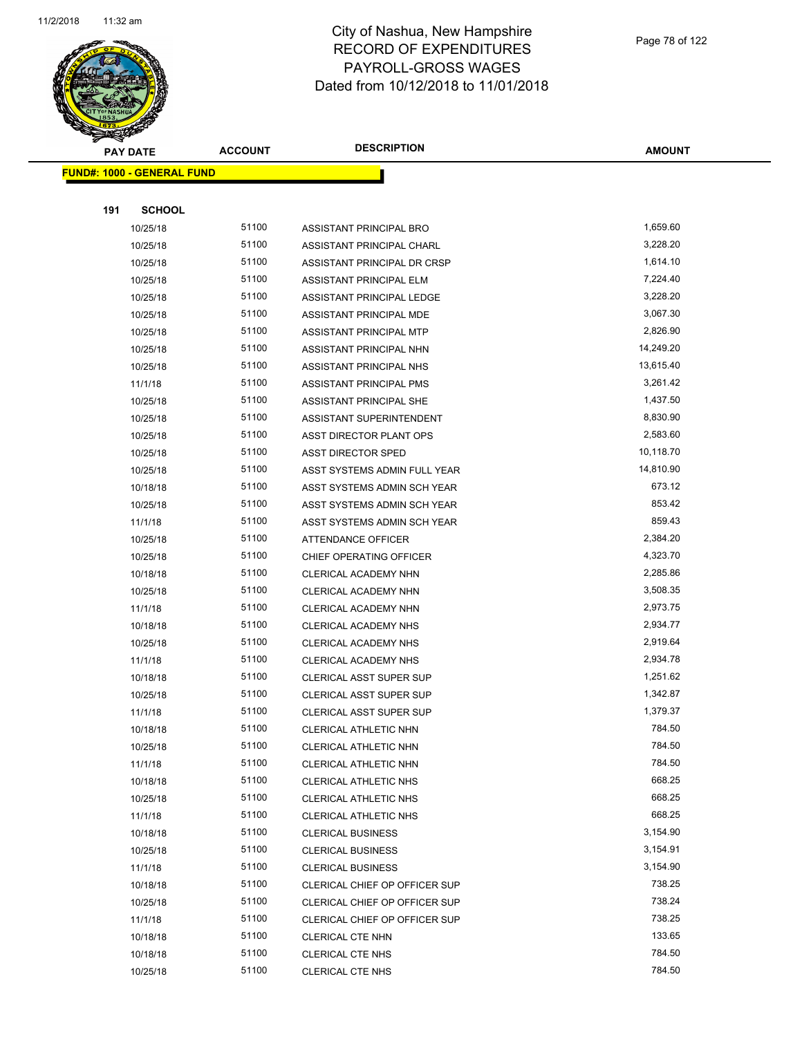

|     | <b>PAY DATE</b>                   | <b>ACCOUNT</b> | <b>DESCRIPTION</b>             | <b>AMOUNT</b> |
|-----|-----------------------------------|----------------|--------------------------------|---------------|
|     | <b>FUND#: 1000 - GENERAL FUND</b> |                |                                |               |
|     |                                   |                |                                |               |
| 191 | <b>SCHOOL</b>                     |                |                                |               |
|     | 10/25/18                          | 51100          | ASSISTANT PRINCIPAL BRO        | 1,659.60      |
|     | 10/25/18                          | 51100          | ASSISTANT PRINCIPAL CHARL      | 3,228.20      |
|     | 10/25/18                          | 51100          | ASSISTANT PRINCIPAL DR CRSP    | 1,614.10      |
|     | 10/25/18                          | 51100          | ASSISTANT PRINCIPAL ELM        | 7,224.40      |
|     | 10/25/18                          | 51100          | ASSISTANT PRINCIPAL LEDGE      | 3,228.20      |
|     | 10/25/18                          | 51100          | ASSISTANT PRINCIPAL MDE        | 3,067.30      |
|     | 10/25/18                          | 51100          | ASSISTANT PRINCIPAL MTP        | 2,826.90      |
|     | 10/25/18                          | 51100          | ASSISTANT PRINCIPAL NHN        | 14,249.20     |
|     | 10/25/18                          | 51100          | ASSISTANT PRINCIPAL NHS        | 13,615.40     |
|     | 11/1/18                           | 51100          | ASSISTANT PRINCIPAL PMS        | 3,261.42      |
|     | 10/25/18                          | 51100          | ASSISTANT PRINCIPAL SHE        | 1,437.50      |
|     | 10/25/18                          | 51100          | ASSISTANT SUPERINTENDENT       | 8,830.90      |
|     | 10/25/18                          | 51100          | ASST DIRECTOR PLANT OPS        | 2,583.60      |
|     | 10/25/18                          | 51100          | <b>ASST DIRECTOR SPED</b>      | 10,118.70     |
|     | 10/25/18                          | 51100          | ASST SYSTEMS ADMIN FULL YEAR   | 14,810.90     |
|     | 10/18/18                          | 51100          | ASST SYSTEMS ADMIN SCH YEAR    | 673.12        |
|     | 10/25/18                          | 51100          | ASST SYSTEMS ADMIN SCH YEAR    | 853.42        |
|     | 11/1/18                           | 51100          | ASST SYSTEMS ADMIN SCH YEAR    | 859.43        |
|     | 10/25/18                          | 51100          | ATTENDANCE OFFICER             | 2,384.20      |
|     | 10/25/18                          | 51100          | CHIEF OPERATING OFFICER        | 4,323.70      |
|     | 10/18/18                          | 51100          | CLERICAL ACADEMY NHN           | 2,285.86      |
|     | 10/25/18                          | 51100          | CLERICAL ACADEMY NHN           | 3,508.35      |
|     | 11/1/18                           | 51100          | CLERICAL ACADEMY NHN           | 2,973.75      |
|     | 10/18/18                          | 51100          | CLERICAL ACADEMY NHS           | 2,934.77      |
|     | 10/25/18                          | 51100          | CLERICAL ACADEMY NHS           | 2,919.64      |
|     | 11/1/18                           | 51100          | CLERICAL ACADEMY NHS           | 2,934.78      |
|     | 10/18/18                          | 51100          | CLERICAL ASST SUPER SUP        | 1,251.62      |
|     | 10/25/18                          | 51100          | <b>CLERICAL ASST SUPER SUP</b> | 1,342.87      |
|     | 11/1/18                           | 51100          | <b>CLERICAL ASST SUPER SUP</b> | 1,379.37      |
|     | 10/18/18                          | 51100          | CLERICAL ATHLETIC NHN          | 784.50        |
|     | 10/25/18                          | 51100          | CLERICAL ATHLETIC NHN          | 784.50        |
|     | 11/1/18                           | 51100          | CLERICAL ATHLETIC NHN          | 784.50        |
|     | 10/18/18                          | 51100          | CLERICAL ATHLETIC NHS          | 668.25        |
|     | 10/25/18                          | 51100          | CLERICAL ATHLETIC NHS          | 668.25        |
|     | 11/1/18                           | 51100          | CLERICAL ATHLETIC NHS          | 668.25        |
|     | 10/18/18                          | 51100          | <b>CLERICAL BUSINESS</b>       | 3,154.90      |
|     | 10/25/18                          | 51100          | <b>CLERICAL BUSINESS</b>       | 3,154.91      |
|     | 11/1/18                           | 51100          | <b>CLERICAL BUSINESS</b>       | 3,154.90      |
|     | 10/18/18                          | 51100          | CLERICAL CHIEF OP OFFICER SUP  | 738.25        |
|     | 10/25/18                          | 51100          | CLERICAL CHIEF OP OFFICER SUP  | 738.24        |
|     | 11/1/18                           | 51100          | CLERICAL CHIEF OP OFFICER SUP  | 738.25        |
|     | 10/18/18                          | 51100          | CLERICAL CTE NHN               | 133.65        |
|     | 10/18/18                          | 51100          | <b>CLERICAL CTE NHS</b>        | 784.50        |
|     | 10/25/18                          | 51100          | CLERICAL CTE NHS               | 784.50        |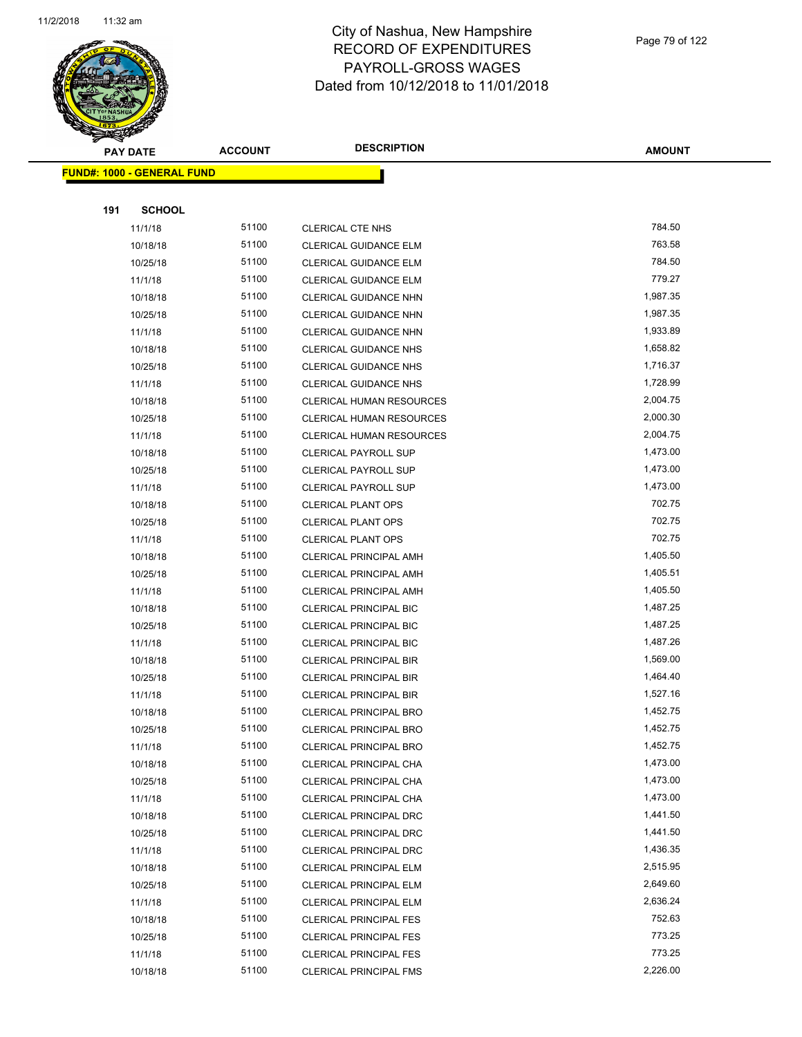

Page 79 of 122

|     | <b>PAY DATE</b>                   | <b>ACCOUNT</b> | <b>DESCRIPTION</b>              | <b>AMOUNT</b>        |
|-----|-----------------------------------|----------------|---------------------------------|----------------------|
|     | <b>FUND#: 1000 - GENERAL FUND</b> |                |                                 |                      |
|     |                                   |                |                                 |                      |
| 191 | <b>SCHOOL</b>                     |                |                                 |                      |
|     | 11/1/18                           | 51100          | <b>CLERICAL CTE NHS</b>         | 784.50               |
|     | 10/18/18                          | 51100          | CLERICAL GUIDANCE ELM           | 763.58               |
|     | 10/25/18                          | 51100          | CLERICAL GUIDANCE ELM           | 784.50               |
|     | 11/1/18                           | 51100          | CLERICAL GUIDANCE ELM           | 779.27               |
|     | 10/18/18                          | 51100          | <b>CLERICAL GUIDANCE NHN</b>    | 1,987.35             |
|     | 10/25/18                          | 51100          | CLERICAL GUIDANCE NHN           | 1,987.35             |
|     | 11/1/18                           | 51100          | CLERICAL GUIDANCE NHN           | 1,933.89             |
|     | 10/18/18                          | 51100          | CLERICAL GUIDANCE NHS           | 1,658.82             |
|     | 10/25/18                          | 51100          | <b>CLERICAL GUIDANCE NHS</b>    | 1,716.37             |
|     | 11/1/18                           | 51100          | <b>CLERICAL GUIDANCE NHS</b>    | 1,728.99             |
|     | 10/18/18                          | 51100          | CLERICAL HUMAN RESOURCES        | 2,004.75             |
|     | 10/25/18                          | 51100          | CLERICAL HUMAN RESOURCES        | 2,000.30             |
|     | 11/1/18                           | 51100          | <b>CLERICAL HUMAN RESOURCES</b> | 2,004.75             |
|     | 10/18/18                          | 51100          | <b>CLERICAL PAYROLL SUP</b>     | 1,473.00             |
|     | 10/25/18                          | 51100          | <b>CLERICAL PAYROLL SUP</b>     | 1,473.00             |
|     | 11/1/18                           | 51100          | <b>CLERICAL PAYROLL SUP</b>     | 1,473.00             |
|     | 10/18/18                          | 51100          | <b>CLERICAL PLANT OPS</b>       | 702.75               |
|     | 10/25/18                          | 51100          | <b>CLERICAL PLANT OPS</b>       | 702.75               |
|     | 11/1/18                           | 51100          | <b>CLERICAL PLANT OPS</b>       | 702.75               |
|     | 10/18/18                          | 51100          | <b>CLERICAL PRINCIPAL AMH</b>   | 1,405.50             |
|     | 10/25/18                          | 51100          | <b>CLERICAL PRINCIPAL AMH</b>   | 1,405.51             |
|     | 11/1/18                           | 51100          | <b>CLERICAL PRINCIPAL AMH</b>   | 1,405.50             |
|     | 10/18/18                          | 51100          | CLERICAL PRINCIPAL BIC          | 1,487.25             |
|     | 10/25/18                          | 51100          | <b>CLERICAL PRINCIPAL BIC</b>   | 1,487.25             |
|     | 11/1/18                           | 51100          | <b>CLERICAL PRINCIPAL BIC</b>   | 1,487.26             |
|     | 10/18/18                          | 51100          | <b>CLERICAL PRINCIPAL BIR</b>   | 1,569.00             |
|     | 10/25/18                          | 51100          | <b>CLERICAL PRINCIPAL BIR</b>   | 1,464.40             |
|     | 11/1/18                           | 51100          | <b>CLERICAL PRINCIPAL BIR</b>   | 1,527.16             |
|     | 10/18/18                          | 51100          | CLERICAL PRINCIPAL BRO          | 1,452.75             |
|     | 10/25/18                          | 51100          | CLERICAL PRINCIPAL BRO          | 1,452.75             |
|     | 11/1/18                           | 51100          | <b>CLERICAL PRINCIPAL BRO</b>   | 1,452.75             |
|     | 10/18/18                          | 51100          | CLERICAL PRINCIPAL CHA          | 1,473.00             |
|     | 10/25/18                          | 51100          | CLERICAL PRINCIPAL CHA          | 1,473.00             |
|     | 11/1/18                           | 51100          | CLERICAL PRINCIPAL CHA          | 1,473.00             |
|     | 10/18/18                          | 51100          | CLERICAL PRINCIPAL DRC          | 1,441.50             |
|     | 10/25/18                          | 51100          | CLERICAL PRINCIPAL DRC          | 1,441.50             |
|     | 11/1/18                           | 51100          | CLERICAL PRINCIPAL DRC          | 1,436.35             |
|     | 10/18/18                          | 51100          | <b>CLERICAL PRINCIPAL ELM</b>   | 2,515.95<br>2,649.60 |
|     | 10/25/18                          | 51100          | <b>CLERICAL PRINCIPAL ELM</b>   |                      |
|     | 11/1/18                           | 51100<br>51100 | <b>CLERICAL PRINCIPAL ELM</b>   | 2,636.24<br>752.63   |
|     | 10/18/18                          | 51100          | <b>CLERICAL PRINCIPAL FES</b>   | 773.25               |
|     | 10/25/18                          | 51100          | <b>CLERICAL PRINCIPAL FES</b>   | 773.25               |
|     | 11/1/18                           |                | <b>CLERICAL PRINCIPAL FES</b>   | 2,226.00             |
|     | 10/18/18                          | 51100          | <b>CLERICAL PRINCIPAL FMS</b>   |                      |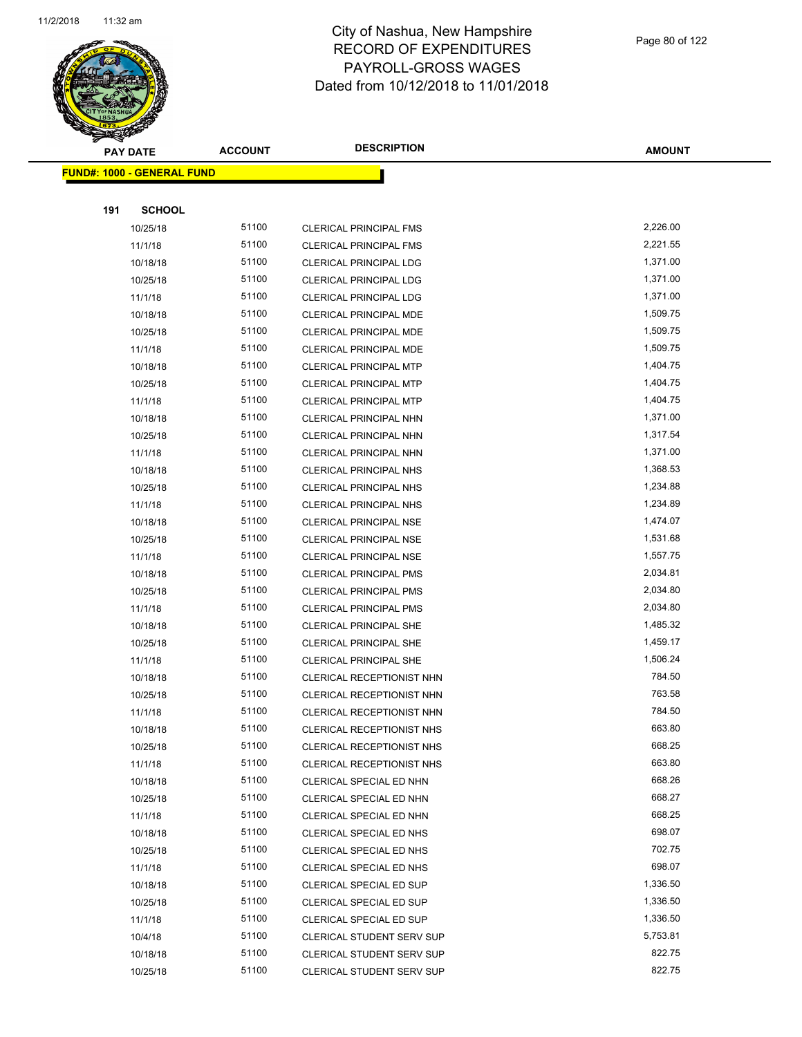

Page 80 of 122

|     | <b>PAY DATE</b>                   | <b>ACCOUNT</b> | <b>DESCRIPTION</b>                                 | <b>AMOUNT</b>    |  |
|-----|-----------------------------------|----------------|----------------------------------------------------|------------------|--|
|     | <b>FUND#: 1000 - GENERAL FUND</b> |                |                                                    |                  |  |
|     |                                   |                |                                                    |                  |  |
| 191 | <b>SCHOOL</b>                     |                |                                                    |                  |  |
|     | 10/25/18                          | 51100          | <b>CLERICAL PRINCIPAL FMS</b>                      | 2,226.00         |  |
|     | 11/1/18                           | 51100          | <b>CLERICAL PRINCIPAL FMS</b>                      | 2,221.55         |  |
|     | 10/18/18                          | 51100          | <b>CLERICAL PRINCIPAL LDG</b>                      | 1,371.00         |  |
|     | 10/25/18                          | 51100          | <b>CLERICAL PRINCIPAL LDG</b>                      | 1,371.00         |  |
|     | 11/1/18                           | 51100          | CLERICAL PRINCIPAL LDG                             | 1,371.00         |  |
|     | 10/18/18                          | 51100          | CLERICAL PRINCIPAL MDE                             | 1,509.75         |  |
|     | 10/25/18                          | 51100          | CLERICAL PRINCIPAL MDE                             | 1,509.75         |  |
|     | 11/1/18                           | 51100          | CLERICAL PRINCIPAL MDE                             | 1,509.75         |  |
|     | 10/18/18                          | 51100          | <b>CLERICAL PRINCIPAL MTP</b>                      | 1,404.75         |  |
|     | 10/25/18                          | 51100          | CLERICAL PRINCIPAL MTP                             | 1,404.75         |  |
|     | 11/1/18                           | 51100          | <b>CLERICAL PRINCIPAL MTP</b>                      | 1,404.75         |  |
|     | 10/18/18                          | 51100          | <b>CLERICAL PRINCIPAL NHN</b>                      | 1,371.00         |  |
|     | 10/25/18                          | 51100          | CLERICAL PRINCIPAL NHN                             | 1,317.54         |  |
|     | 11/1/18                           | 51100          | <b>CLERICAL PRINCIPAL NHN</b>                      | 1,371.00         |  |
|     | 10/18/18                          | 51100          | <b>CLERICAL PRINCIPAL NHS</b>                      | 1,368.53         |  |
|     | 10/25/18                          | 51100          | CLERICAL PRINCIPAL NHS                             | 1,234.88         |  |
|     | 11/1/18                           | 51100          | <b>CLERICAL PRINCIPAL NHS</b>                      | 1,234.89         |  |
|     | 10/18/18                          | 51100          | CLERICAL PRINCIPAL NSE                             | 1,474.07         |  |
|     | 10/25/18                          | 51100          | <b>CLERICAL PRINCIPAL NSE</b>                      | 1,531.68         |  |
|     | 11/1/18                           | 51100          | <b>CLERICAL PRINCIPAL NSE</b>                      | 1,557.75         |  |
|     | 10/18/18                          | 51100          | <b>CLERICAL PRINCIPAL PMS</b>                      | 2,034.81         |  |
|     | 10/25/18                          | 51100          | <b>CLERICAL PRINCIPAL PMS</b>                      | 2,034.80         |  |
|     | 11/1/18                           | 51100          | <b>CLERICAL PRINCIPAL PMS</b>                      | 2,034.80         |  |
|     | 10/18/18                          | 51100          | <b>CLERICAL PRINCIPAL SHE</b>                      | 1,485.32         |  |
|     | 10/25/18                          | 51100          | CLERICAL PRINCIPAL SHE                             | 1,459.17         |  |
|     | 11/1/18                           | 51100          | CLERICAL PRINCIPAL SHE                             | 1,506.24         |  |
|     | 10/18/18                          | 51100          | CLERICAL RECEPTIONIST NHN                          | 784.50           |  |
|     | 10/25/18                          | 51100          | CLERICAL RECEPTIONIST NHN                          | 763.58           |  |
|     | 11/1/18                           | 51100          | CLERICAL RECEPTIONIST NHN                          | 784.50           |  |
|     | 10/18/18                          | 51100          | CLERICAL RECEPTIONIST NHS                          | 663.80           |  |
|     | 10/25/18                          | 51100          | CLERICAL RECEPTIONIST NHS                          | 668.25           |  |
|     | 11/1/18                           | 51100          | CLERICAL RECEPTIONIST NHS                          | 663.80<br>668.26 |  |
|     | 10/18/18<br>10/25/18              | 51100<br>51100 | CLERICAL SPECIAL ED NHN<br>CLERICAL SPECIAL ED NHN | 668.27           |  |
|     | 11/1/18                           | 51100          | CLERICAL SPECIAL ED NHN                            | 668.25           |  |
|     | 10/18/18                          | 51100          | CLERICAL SPECIAL ED NHS                            | 698.07           |  |
|     | 10/25/18                          | 51100          | CLERICAL SPECIAL ED NHS                            | 702.75           |  |
|     | 11/1/18                           | 51100          | CLERICAL SPECIAL ED NHS                            | 698.07           |  |
|     | 10/18/18                          | 51100          | <b>CLERICAL SPECIAL ED SUP</b>                     | 1,336.50         |  |
|     | 10/25/18                          | 51100          | <b>CLERICAL SPECIAL ED SUP</b>                     | 1,336.50         |  |
|     | 11/1/18                           | 51100          | <b>CLERICAL SPECIAL ED SUP</b>                     | 1,336.50         |  |
|     | 10/4/18                           | 51100          | CLERICAL STUDENT SERV SUP                          | 5,753.81         |  |
|     | 10/18/18                          | 51100          | CLERICAL STUDENT SERV SUP                          | 822.75           |  |
|     | 10/25/18                          | 51100          | CLERICAL STUDENT SERV SUP                          | 822.75           |  |
|     |                                   |                |                                                    |                  |  |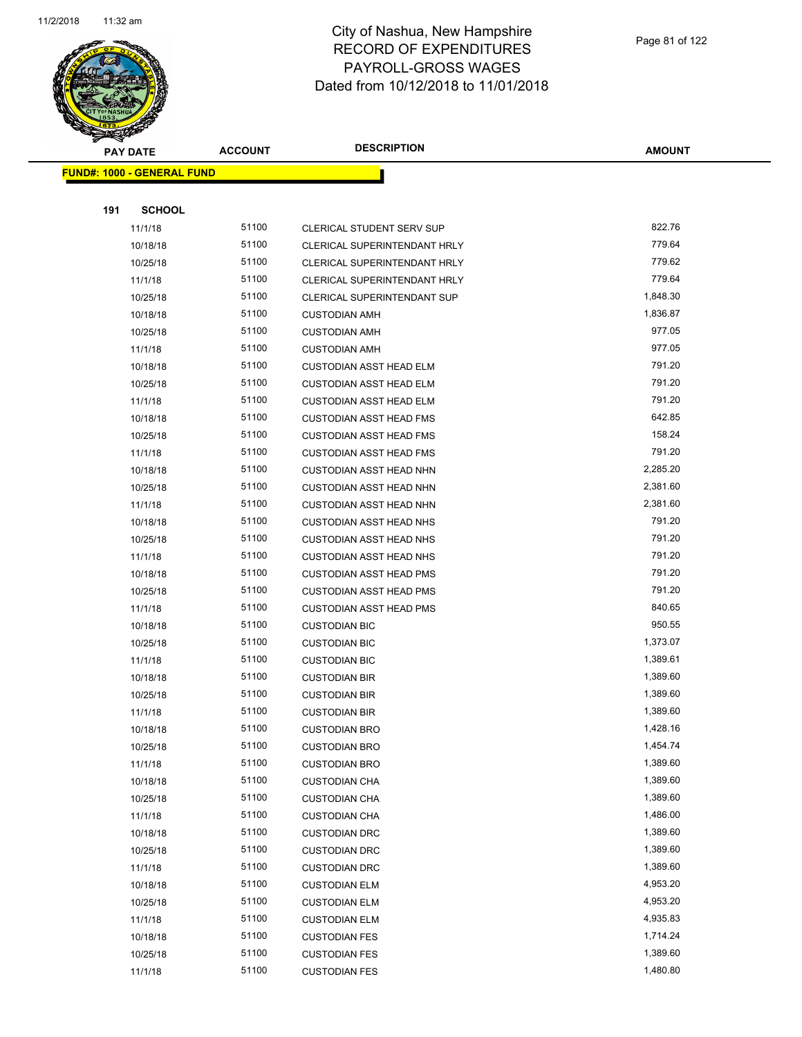

|     | <b>PAY DATE</b>                   | <b>ACCOUNT</b> | <b>DESCRIPTION</b>                 | <b>AMOUNT</b> |
|-----|-----------------------------------|----------------|------------------------------------|---------------|
|     | <b>FUND#: 1000 - GENERAL FUND</b> |                |                                    |               |
|     |                                   |                |                                    |               |
| 191 | <b>SCHOOL</b>                     |                |                                    |               |
|     | 11/1/18                           | 51100          | CLERICAL STUDENT SERV SUP          | 822.76        |
|     | 10/18/18                          | 51100          | CLERICAL SUPERINTENDANT HRLY       | 779.64        |
|     | 10/25/18                          | 51100          | CLERICAL SUPERINTENDANT HRLY       | 779.62        |
|     | 11/1/18                           | 51100          | CLERICAL SUPERINTENDANT HRLY       | 779.64        |
|     | 10/25/18                          | 51100          | <b>CLERICAL SUPERINTENDANT SUP</b> | 1,848.30      |
|     | 10/18/18                          | 51100          | <b>CUSTODIAN AMH</b>               | 1,836.87      |
|     | 10/25/18                          | 51100          | <b>CUSTODIAN AMH</b>               | 977.05        |
|     | 11/1/18                           | 51100          | <b>CUSTODIAN AMH</b>               | 977.05        |
|     | 10/18/18                          | 51100          | <b>CUSTODIAN ASST HEAD ELM</b>     | 791.20        |
|     | 10/25/18                          | 51100          | <b>CUSTODIAN ASST HEAD ELM</b>     | 791.20        |
|     | 11/1/18                           | 51100          | <b>CUSTODIAN ASST HEAD ELM</b>     | 791.20        |
|     | 10/18/18                          | 51100          | <b>CUSTODIAN ASST HEAD FMS</b>     | 642.85        |
|     | 10/25/18                          | 51100          | <b>CUSTODIAN ASST HEAD FMS</b>     | 158.24        |
|     | 11/1/18                           | 51100          | <b>CUSTODIAN ASST HEAD FMS</b>     | 791.20        |
|     | 10/18/18                          | 51100          | <b>CUSTODIAN ASST HEAD NHN</b>     | 2,285.20      |
|     | 10/25/18                          | 51100          | <b>CUSTODIAN ASST HEAD NHN</b>     | 2,381.60      |
|     | 11/1/18                           | 51100          | <b>CUSTODIAN ASST HEAD NHN</b>     | 2,381.60      |
|     | 10/18/18                          | 51100          | <b>CUSTODIAN ASST HEAD NHS</b>     | 791.20        |
|     | 10/25/18                          | 51100          | <b>CUSTODIAN ASST HEAD NHS</b>     | 791.20        |
|     | 11/1/18                           | 51100          | <b>CUSTODIAN ASST HEAD NHS</b>     | 791.20        |
|     | 10/18/18                          | 51100          | <b>CUSTODIAN ASST HEAD PMS</b>     | 791.20        |
|     | 10/25/18                          | 51100          | <b>CUSTODIAN ASST HEAD PMS</b>     | 791.20        |
|     | 11/1/18                           | 51100          | <b>CUSTODIAN ASST HEAD PMS</b>     | 840.65        |
|     | 10/18/18                          | 51100          | <b>CUSTODIAN BIC</b>               | 950.55        |
|     | 10/25/18                          | 51100          | <b>CUSTODIAN BIC</b>               | 1,373.07      |
|     | 11/1/18                           | 51100          | <b>CUSTODIAN BIC</b>               | 1,389.61      |
|     | 10/18/18                          | 51100          | <b>CUSTODIAN BIR</b>               | 1,389.60      |
|     | 10/25/18                          | 51100          | <b>CUSTODIAN BIR</b>               | 1,389.60      |
|     | 11/1/18                           | 51100          | <b>CUSTODIAN BIR</b>               | 1,389.60      |
|     | 10/18/18                          | 51100          | <b>CUSTODIAN BRO</b>               | 1,428.16      |
|     | 10/25/18                          | 51100          | <b>CUSTODIAN BRO</b>               | 1,454.74      |
|     | 11/1/18                           | 51100          | <b>CUSTODIAN BRO</b>               | 1,389.60      |
|     | 10/18/18                          | 51100          | <b>CUSTODIAN CHA</b>               | 1,389.60      |
|     | 10/25/18                          | 51100          | <b>CUSTODIAN CHA</b>               | 1,389.60      |
|     | 11/1/18                           | 51100          | <b>CUSTODIAN CHA</b>               | 1,486.00      |
|     | 10/18/18                          | 51100          | <b>CUSTODIAN DRC</b>               | 1,389.60      |
|     | 10/25/18                          | 51100          | <b>CUSTODIAN DRC</b>               | 1,389.60      |
|     | 11/1/18                           | 51100          | <b>CUSTODIAN DRC</b>               | 1,389.60      |
|     | 10/18/18                          | 51100          | <b>CUSTODIAN ELM</b>               | 4,953.20      |
|     | 10/25/18                          | 51100          | <b>CUSTODIAN ELM</b>               | 4,953.20      |
|     | 11/1/18                           | 51100          | <b>CUSTODIAN ELM</b>               | 4,935.83      |
|     | 10/18/18                          | 51100          | <b>CUSTODIAN FES</b>               | 1,714.24      |
|     | 10/25/18                          | 51100          | <b>CUSTODIAN FES</b>               | 1,389.60      |
|     | 11/1/18                           | 51100          | <b>CUSTODIAN FES</b>               | 1,480.80      |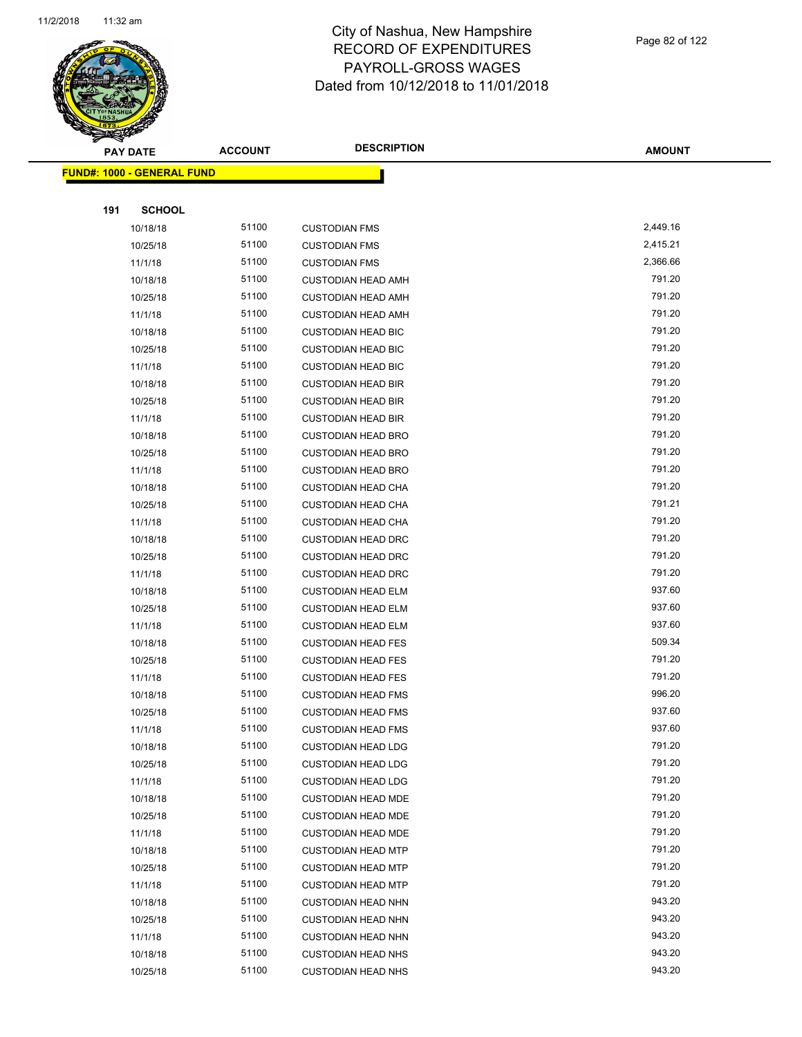

Page 82 of 122

| $\tilde{\phantom{a}}$ | <b>PAY DATE</b>                   | <b>ACCOUNT</b> | <b>DESCRIPTION</b>        | <b>AMOUNT</b> |
|-----------------------|-----------------------------------|----------------|---------------------------|---------------|
|                       | <b>FUND#: 1000 - GENERAL FUND</b> |                |                           |               |
|                       |                                   |                |                           |               |
| 191                   | <b>SCHOOL</b>                     |                |                           |               |
|                       | 10/18/18                          | 51100          | <b>CUSTODIAN FMS</b>      | 2,449.16      |
|                       | 10/25/18                          | 51100          | <b>CUSTODIAN FMS</b>      | 2,415.21      |
|                       | 11/1/18                           | 51100          | <b>CUSTODIAN FMS</b>      | 2,366.66      |
|                       | 10/18/18                          | 51100          | <b>CUSTODIAN HEAD AMH</b> | 791.20        |
|                       | 10/25/18                          | 51100          | <b>CUSTODIAN HEAD AMH</b> | 791.20        |
|                       | 11/1/18                           | 51100          | <b>CUSTODIAN HEAD AMH</b> | 791.20        |
|                       | 10/18/18                          | 51100          | <b>CUSTODIAN HEAD BIC</b> | 791.20        |
|                       | 10/25/18                          | 51100          | <b>CUSTODIAN HEAD BIC</b> | 791.20        |
|                       | 11/1/18                           | 51100          | <b>CUSTODIAN HEAD BIC</b> | 791.20        |
|                       | 10/18/18                          | 51100          | <b>CUSTODIAN HEAD BIR</b> | 791.20        |
|                       | 10/25/18                          | 51100          | <b>CUSTODIAN HEAD BIR</b> | 791.20        |
|                       | 11/1/18                           | 51100          | <b>CUSTODIAN HEAD BIR</b> | 791.20        |
|                       | 10/18/18                          | 51100          | <b>CUSTODIAN HEAD BRO</b> | 791.20        |
|                       | 10/25/18                          | 51100          | <b>CUSTODIAN HEAD BRO</b> | 791.20        |
|                       | 11/1/18                           | 51100          | <b>CUSTODIAN HEAD BRO</b> | 791.20        |
|                       | 10/18/18                          | 51100          | <b>CUSTODIAN HEAD CHA</b> | 791.20        |
|                       | 10/25/18                          | 51100          | <b>CUSTODIAN HEAD CHA</b> | 791.21        |
|                       | 11/1/18                           | 51100          | <b>CUSTODIAN HEAD CHA</b> | 791.20        |
|                       | 10/18/18                          | 51100          | <b>CUSTODIAN HEAD DRC</b> | 791.20        |
|                       | 10/25/18                          | 51100          | <b>CUSTODIAN HEAD DRC</b> | 791.20        |
|                       | 11/1/18                           | 51100          | <b>CUSTODIAN HEAD DRC</b> | 791.20        |
|                       | 10/18/18                          | 51100          | <b>CUSTODIAN HEAD ELM</b> | 937.60        |
|                       | 10/25/18                          | 51100          | <b>CUSTODIAN HEAD ELM</b> | 937.60        |
|                       | 11/1/18                           | 51100          | <b>CUSTODIAN HEAD ELM</b> | 937.60        |
|                       | 10/18/18                          | 51100          | <b>CUSTODIAN HEAD FES</b> | 509.34        |
|                       | 10/25/18                          | 51100          | <b>CUSTODIAN HEAD FES</b> | 791.20        |
|                       | 11/1/18                           | 51100          | <b>CUSTODIAN HEAD FES</b> | 791.20        |
|                       | 10/18/18                          | 51100          | <b>CUSTODIAN HEAD FMS</b> | 996.20        |
|                       | 10/25/18                          | 51100          | <b>CUSTODIAN HEAD FMS</b> | 937.60        |
|                       | 11/1/18                           | 51100          | <b>CUSTODIAN HEAD FMS</b> | 937.60        |
|                       | 10/18/18                          | 51100          | <b>CUSTODIAN HEAD LDG</b> | 791.20        |
|                       | 10/25/18                          | 51100          | <b>CUSTODIAN HEAD LDG</b> | 791.20        |
|                       | 11/1/18                           | 51100          | <b>CUSTODIAN HEAD LDG</b> | 791.20        |
|                       | 10/18/18                          | 51100          | <b>CUSTODIAN HEAD MDE</b> | 791.20        |
|                       | 10/25/18                          | 51100          | <b>CUSTODIAN HEAD MDE</b> | 791.20        |
|                       | 11/1/18                           | 51100          | <b>CUSTODIAN HEAD MDE</b> | 791.20        |
|                       | 10/18/18                          | 51100          | <b>CUSTODIAN HEAD MTP</b> | 791.20        |
|                       | 10/25/18                          | 51100          | <b>CUSTODIAN HEAD MTP</b> | 791.20        |
|                       | 11/1/18                           | 51100          | <b>CUSTODIAN HEAD MTP</b> | 791.20        |
|                       | 10/18/18                          | 51100          | <b>CUSTODIAN HEAD NHN</b> | 943.20        |
|                       | 10/25/18                          | 51100          | <b>CUSTODIAN HEAD NHN</b> | 943.20        |
|                       | 11/1/18                           | 51100          | <b>CUSTODIAN HEAD NHN</b> | 943.20        |
|                       | 10/18/18                          | 51100          | <b>CUSTODIAN HEAD NHS</b> | 943.20        |
|                       | 10/25/18                          | 51100          | <b>CUSTODIAN HEAD NHS</b> | 943.20        |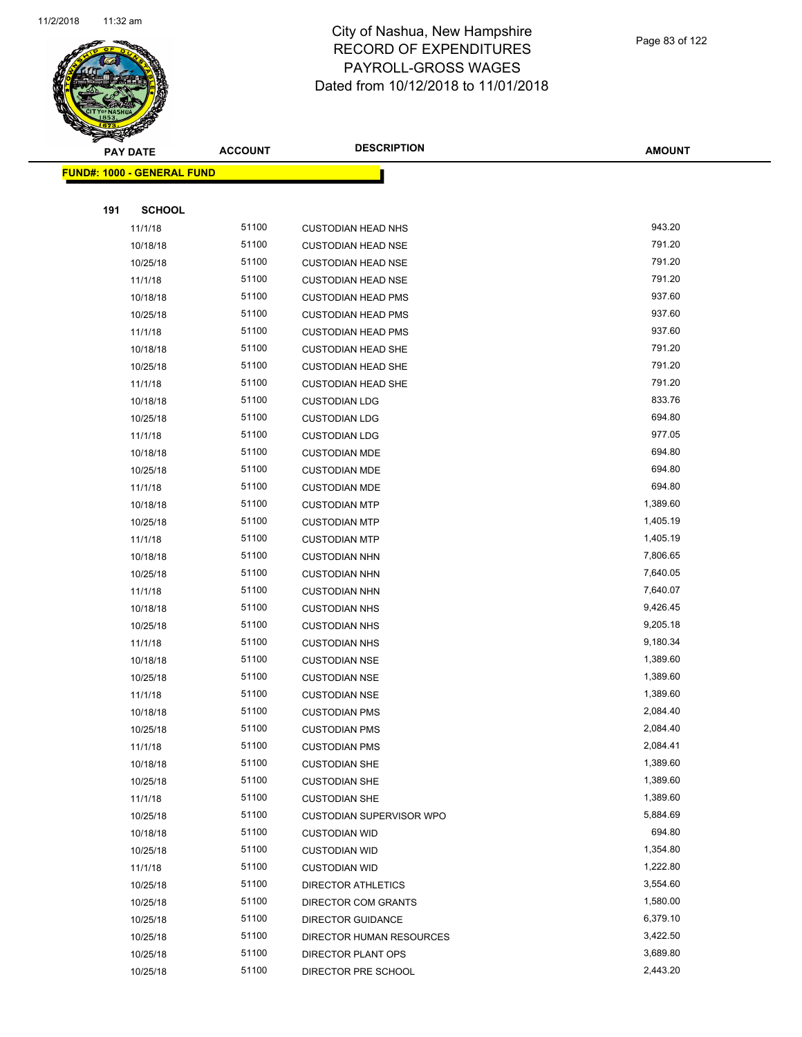

Page 83 of 122

|     | <b>PAY DATE</b>                   | <b>ACCOUNT</b> | <b>DESCRIPTION</b>        | <b>AMOUNT</b> |
|-----|-----------------------------------|----------------|---------------------------|---------------|
|     | <b>FUND#: 1000 - GENERAL FUND</b> |                |                           |               |
|     |                                   |                |                           |               |
| 191 | <b>SCHOOL</b>                     |                |                           |               |
|     | 11/1/18                           | 51100          | <b>CUSTODIAN HEAD NHS</b> | 943.20        |
|     | 10/18/18                          | 51100          | <b>CUSTODIAN HEAD NSE</b> | 791.20        |
|     | 10/25/18                          | 51100          | <b>CUSTODIAN HEAD NSE</b> | 791.20        |
|     | 11/1/18                           | 51100          | <b>CUSTODIAN HEAD NSE</b> | 791.20        |
|     | 10/18/18                          | 51100          | <b>CUSTODIAN HEAD PMS</b> | 937.60        |
|     | 10/25/18                          | 51100          | <b>CUSTODIAN HEAD PMS</b> | 937.60        |
|     | 11/1/18                           | 51100          | <b>CUSTODIAN HEAD PMS</b> | 937.60        |
|     | 10/18/18                          | 51100          | <b>CUSTODIAN HEAD SHE</b> | 791.20        |
|     | 10/25/18                          | 51100          | <b>CUSTODIAN HEAD SHE</b> | 791.20        |
|     | 11/1/18                           | 51100          | <b>CUSTODIAN HEAD SHE</b> | 791.20        |
|     | 10/18/18                          | 51100          | <b>CUSTODIAN LDG</b>      | 833.76        |
|     | 10/25/18                          | 51100          | <b>CUSTODIAN LDG</b>      | 694.80        |
|     | 11/1/18                           | 51100          | <b>CUSTODIAN LDG</b>      | 977.05        |
|     | 10/18/18                          | 51100          | <b>CUSTODIAN MDE</b>      | 694.80        |
|     | 10/25/18                          | 51100          | <b>CUSTODIAN MDE</b>      | 694.80        |
|     | 11/1/18                           | 51100          | <b>CUSTODIAN MDE</b>      | 694.80        |
|     | 10/18/18                          | 51100          | <b>CUSTODIAN MTP</b>      | 1,389.60      |
|     | 10/25/18                          | 51100          | <b>CUSTODIAN MTP</b>      | 1,405.19      |
|     | 11/1/18                           | 51100          | <b>CUSTODIAN MTP</b>      | 1,405.19      |
|     | 10/18/18                          | 51100          | <b>CUSTODIAN NHN</b>      | 7,806.65      |
|     | 10/25/18                          | 51100          | <b>CUSTODIAN NHN</b>      | 7,640.05      |
|     | 11/1/18                           | 51100          | <b>CUSTODIAN NHN</b>      | 7,640.07      |
|     | 10/18/18                          | 51100          | <b>CUSTODIAN NHS</b>      | 9,426.45      |
|     | 10/25/18                          | 51100          | <b>CUSTODIAN NHS</b>      | 9,205.18      |
|     | 11/1/18                           | 51100          | <b>CUSTODIAN NHS</b>      | 9,180.34      |
|     | 10/18/18                          | 51100          | <b>CUSTODIAN NSE</b>      | 1,389.60      |
|     | 10/25/18                          | 51100          | <b>CUSTODIAN NSE</b>      | 1,389.60      |
|     | 11/1/18                           | 51100          | <b>CUSTODIAN NSE</b>      | 1,389.60      |
|     | 10/18/18                          | 51100          | <b>CUSTODIAN PMS</b>      | 2,084.40      |
|     | 10/25/18                          | 51100          | <b>CUSTODIAN PMS</b>      | 2,084.40      |
|     | 11/1/18                           | 51100          | <b>CUSTODIAN PMS</b>      | 2,084.41      |
|     | 10/18/18                          | 51100          | <b>CUSTODIAN SHE</b>      | 1,389.60      |
|     | 10/25/18                          | 51100          | <b>CUSTODIAN SHE</b>      | 1,389.60      |
|     | 11/1/18                           | 51100          | <b>CUSTODIAN SHE</b>      | 1,389.60      |
|     | 10/25/18                          | 51100          | CUSTODIAN SUPERVISOR WPO  | 5,884.69      |
|     | 10/18/18                          | 51100          | <b>CUSTODIAN WID</b>      | 694.80        |
|     | 10/25/18                          | 51100          | <b>CUSTODIAN WID</b>      | 1,354.80      |
|     | 11/1/18                           | 51100          | <b>CUSTODIAN WID</b>      | 1,222.80      |
|     | 10/25/18                          | 51100          | <b>DIRECTOR ATHLETICS</b> | 3,554.60      |
|     | 10/25/18                          | 51100          | DIRECTOR COM GRANTS       | 1,580.00      |
|     | 10/25/18                          | 51100          | <b>DIRECTOR GUIDANCE</b>  | 6,379.10      |
|     | 10/25/18                          | 51100          | DIRECTOR HUMAN RESOURCES  | 3,422.50      |
|     | 10/25/18                          | 51100          | DIRECTOR PLANT OPS        | 3,689.80      |
|     | 10/25/18                          | 51100          | DIRECTOR PRE SCHOOL       | 2,443.20      |
|     |                                   |                |                           |               |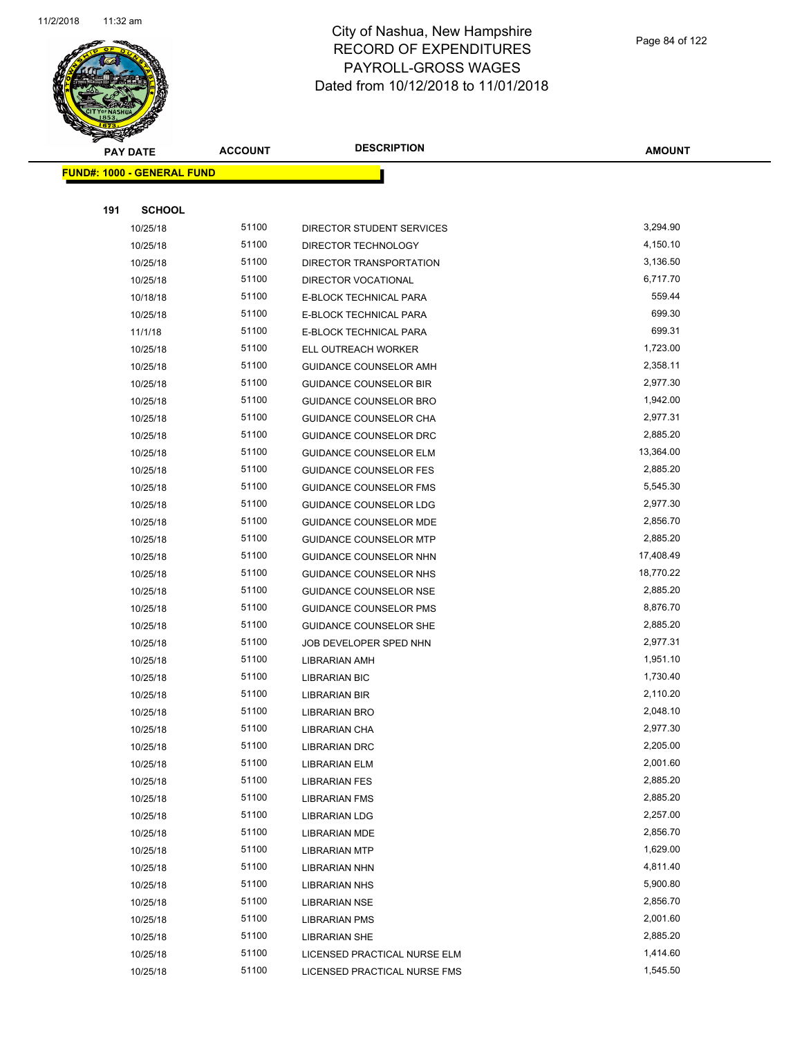

Page 84 of 122

| ॼ   | <b>PAY DATE</b>                   | <b>ACCOUNT</b> | <b>DESCRIPTION</b>            | <b>AMOUNT</b> |
|-----|-----------------------------------|----------------|-------------------------------|---------------|
|     | <b>FUND#: 1000 - GENERAL FUND</b> |                |                               |               |
|     |                                   |                |                               |               |
| 191 | <b>SCHOOL</b>                     |                |                               |               |
|     | 10/25/18                          | 51100          | DIRECTOR STUDENT SERVICES     | 3,294.90      |
|     | 10/25/18                          | 51100          | DIRECTOR TECHNOLOGY           | 4,150.10      |
|     | 10/25/18                          | 51100          | DIRECTOR TRANSPORTATION       | 3,136.50      |
|     | 10/25/18                          | 51100          | DIRECTOR VOCATIONAL           | 6,717.70      |
|     | 10/18/18                          | 51100          | E-BLOCK TECHNICAL PARA        | 559.44        |
|     | 10/25/18                          | 51100          | E-BLOCK TECHNICAL PARA        | 699.30        |
|     | 11/1/18                           | 51100          | E-BLOCK TECHNICAL PARA        | 699.31        |
|     | 10/25/18                          | 51100          | ELL OUTREACH WORKER           | 1,723.00      |
|     | 10/25/18                          | 51100          | GUIDANCE COUNSELOR AMH        | 2,358.11      |
|     | 10/25/18                          | 51100          | <b>GUIDANCE COUNSELOR BIR</b> | 2,977.30      |
|     | 10/25/18                          | 51100          | <b>GUIDANCE COUNSELOR BRO</b> | 1,942.00      |
|     | 10/25/18                          | 51100          | <b>GUIDANCE COUNSELOR CHA</b> | 2,977.31      |
|     | 10/25/18                          | 51100          | <b>GUIDANCE COUNSELOR DRC</b> | 2,885.20      |
|     | 10/25/18                          | 51100          | <b>GUIDANCE COUNSELOR ELM</b> | 13,364.00     |
|     | 10/25/18                          | 51100          | <b>GUIDANCE COUNSELOR FES</b> | 2,885.20      |
|     | 10/25/18                          | 51100          | <b>GUIDANCE COUNSELOR FMS</b> | 5,545.30      |
|     | 10/25/18                          | 51100          | <b>GUIDANCE COUNSELOR LDG</b> | 2,977.30      |
|     | 10/25/18                          | 51100          | <b>GUIDANCE COUNSELOR MDE</b> | 2,856.70      |
|     | 10/25/18                          | 51100          | <b>GUIDANCE COUNSELOR MTP</b> | 2,885.20      |
|     | 10/25/18                          | 51100          | GUIDANCE COUNSELOR NHN        | 17,408.49     |
|     | 10/25/18                          | 51100          | <b>GUIDANCE COUNSELOR NHS</b> | 18,770.22     |
|     | 10/25/18                          | 51100          | <b>GUIDANCE COUNSELOR NSE</b> | 2,885.20      |
|     | 10/25/18                          | 51100          | <b>GUIDANCE COUNSELOR PMS</b> | 8,876.70      |
|     | 10/25/18                          | 51100          | <b>GUIDANCE COUNSELOR SHE</b> | 2,885.20      |
|     | 10/25/18                          | 51100          | JOB DEVELOPER SPED NHN        | 2,977.31      |
|     | 10/25/18                          | 51100          | <b>LIBRARIAN AMH</b>          | 1,951.10      |
|     | 10/25/18                          | 51100          | <b>LIBRARIAN BIC</b>          | 1,730.40      |
|     | 10/25/18                          | 51100          | LIBRARIAN BIR                 | 2,110.20      |
|     | 10/25/18                          | 51100          | <b>LIBRARIAN BRO</b>          | 2,048.10      |
|     | 10/25/18                          | 51100          | <b>LIBRARIAN CHA</b>          | 2,977.30      |
|     | 10/25/18                          | 51100          | <b>LIBRARIAN DRC</b>          | 2,205.00      |
|     | 10/25/18                          | 51100          | <b>LIBRARIAN ELM</b>          | 2,001.60      |
|     | 10/25/18                          | 51100          | <b>LIBRARIAN FES</b>          | 2,885.20      |
|     | 10/25/18                          | 51100          | <b>LIBRARIAN FMS</b>          | 2,885.20      |
|     | 10/25/18                          | 51100          | <b>LIBRARIAN LDG</b>          | 2,257.00      |
|     | 10/25/18                          | 51100          | <b>LIBRARIAN MDE</b>          | 2,856.70      |
|     | 10/25/18                          | 51100          | <b>LIBRARIAN MTP</b>          | 1,629.00      |
|     | 10/25/18                          | 51100          | <b>LIBRARIAN NHN</b>          | 4,811.40      |
|     | 10/25/18                          | 51100          | LIBRARIAN NHS                 | 5,900.80      |
|     | 10/25/18                          | 51100          | <b>LIBRARIAN NSE</b>          | 2,856.70      |
|     | 10/25/18                          | 51100          | <b>LIBRARIAN PMS</b>          | 2,001.60      |
|     | 10/25/18                          | 51100          | <b>LIBRARIAN SHE</b>          | 2,885.20      |
|     | 10/25/18                          | 51100          | LICENSED PRACTICAL NURSE ELM  | 1,414.60      |
|     | 10/25/18                          | 51100          | LICENSED PRACTICAL NURSE FMS  | 1,545.50      |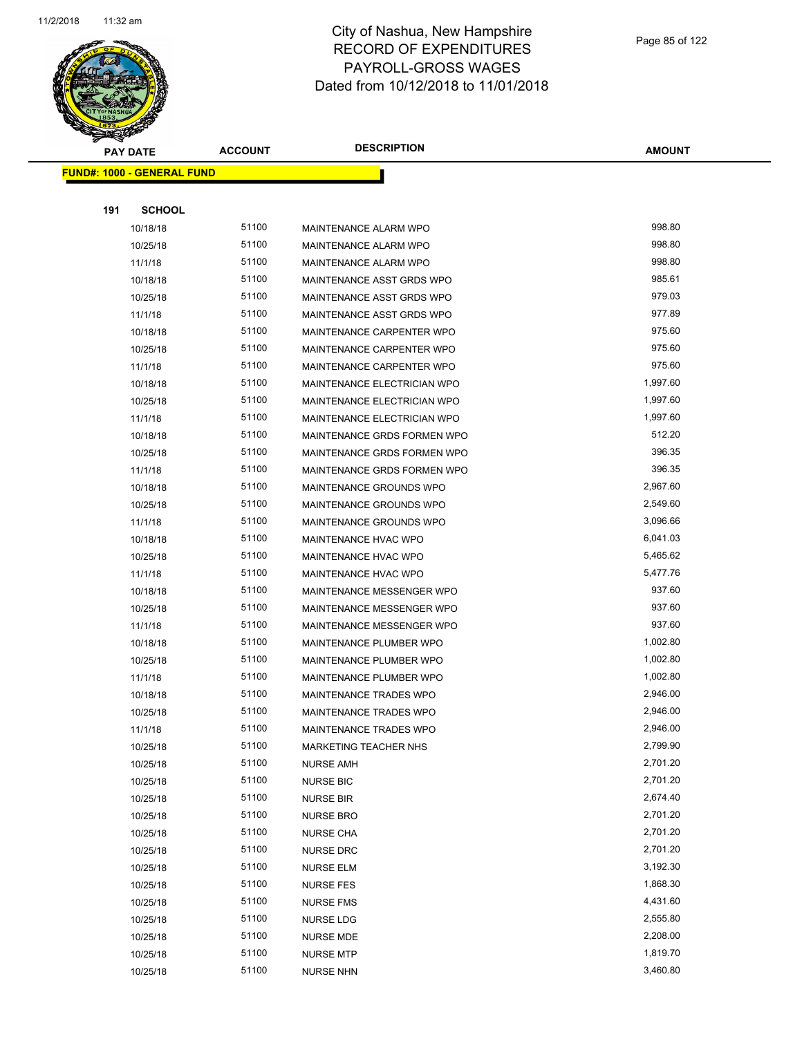

|     | <b>PAY DATE</b>                   | <b>ACCOUNT</b> | <b>DESCRIPTION</b>               | <b>AMOUNT</b> |
|-----|-----------------------------------|----------------|----------------------------------|---------------|
|     | <b>FUND#: 1000 - GENERAL FUND</b> |                |                                  |               |
|     |                                   |                |                                  |               |
| 191 | <b>SCHOOL</b>                     |                |                                  |               |
|     | 10/18/18                          | 51100          | MAINTENANCE ALARM WPO            | 998.80        |
|     | 10/25/18                          | 51100          | MAINTENANCE ALARM WPO            | 998.80        |
|     | 11/1/18                           | 51100          | <b>MAINTENANCE ALARM WPO</b>     | 998.80        |
|     | 10/18/18                          | 51100          | MAINTENANCE ASST GRDS WPO        | 985.61        |
|     | 10/25/18                          | 51100          | MAINTENANCE ASST GRDS WPO        | 979.03        |
|     | 11/1/18                           | 51100          | MAINTENANCE ASST GRDS WPO        | 977.89        |
|     | 10/18/18                          | 51100          | <b>MAINTENANCE CARPENTER WPO</b> | 975.60        |
|     | 10/25/18                          | 51100          | MAINTENANCE CARPENTER WPO        | 975.60        |
|     | 11/1/18                           | 51100          | MAINTENANCE CARPENTER WPO        | 975.60        |
|     | 10/18/18                          | 51100          | MAINTENANCE ELECTRICIAN WPO      | 1,997.60      |
|     | 10/25/18                          | 51100          | MAINTENANCE ELECTRICIAN WPO      | 1,997.60      |
|     | 11/1/18                           | 51100          | MAINTENANCE ELECTRICIAN WPO      | 1,997.60      |
|     | 10/18/18                          | 51100          | MAINTENANCE GRDS FORMEN WPO      | 512.20        |
|     | 10/25/18                          | 51100          | MAINTENANCE GRDS FORMEN WPO      | 396.35        |
|     | 11/1/18                           | 51100          | MAINTENANCE GRDS FORMEN WPO      | 396.35        |
|     | 10/18/18                          | 51100          | MAINTENANCE GROUNDS WPO          | 2,967.60      |
|     | 10/25/18                          | 51100          | MAINTENANCE GROUNDS WPO          | 2,549.60      |
|     | 11/1/18                           | 51100          | MAINTENANCE GROUNDS WPO          | 3,096.66      |
|     | 10/18/18                          | 51100          | MAINTENANCE HVAC WPO             | 6,041.03      |
|     | 10/25/18                          | 51100          | MAINTENANCE HVAC WPO             | 5,465.62      |
|     | 11/1/18                           | 51100          | MAINTENANCE HVAC WPO             | 5,477.76      |
|     | 10/18/18                          | 51100          | MAINTENANCE MESSENGER WPO        | 937.60        |
|     | 10/25/18                          | 51100          | <b>MAINTENANCE MESSENGER WPO</b> | 937.60        |
|     | 11/1/18                           | 51100          | MAINTENANCE MESSENGER WPO        | 937.60        |
|     | 10/18/18                          | 51100          | MAINTENANCE PLUMBER WPO          | 1,002.80      |
|     | 10/25/18                          | 51100          | MAINTENANCE PLUMBER WPO          | 1,002.80      |
|     | 11/1/18                           | 51100          | MAINTENANCE PLUMBER WPO          | 1,002.80      |
|     | 10/18/18                          | 51100          | MAINTENANCE TRADES WPO           | 2,946.00      |
|     | 10/25/18                          | 51100          | MAINTENANCE TRADES WPO           | 2,946.00      |
|     | 11/1/18                           | 51100          | MAINTENANCE TRADES WPO           | 2,946.00      |
|     | 10/25/18                          | 51100          | <b>MARKETING TEACHER NHS</b>     | 2,799.90      |
|     | 10/25/18                          | 51100          | <b>NURSE AMH</b>                 | 2,701.20      |
|     | 10/25/18                          | 51100          | <b>NURSE BIC</b>                 | 2,701.20      |
|     | 10/25/18                          | 51100          | <b>NURSE BIR</b>                 | 2,674.40      |
|     | 10/25/18                          | 51100          | <b>NURSE BRO</b>                 | 2,701.20      |
|     | 10/25/18                          | 51100          | <b>NURSE CHA</b>                 | 2,701.20      |
|     | 10/25/18                          | 51100          | <b>NURSE DRC</b>                 | 2,701.20      |
|     | 10/25/18                          | 51100          | <b>NURSE ELM</b>                 | 3,192.30      |
|     | 10/25/18                          | 51100          | <b>NURSE FES</b>                 | 1,868.30      |
|     | 10/25/18                          | 51100          | <b>NURSE FMS</b>                 | 4,431.60      |
|     | 10/25/18                          | 51100          | <b>NURSE LDG</b>                 | 2,555.80      |
|     | 10/25/18                          | 51100          | NURSE MDE                        | 2,208.00      |
|     | 10/25/18                          | 51100          | <b>NURSE MTP</b>                 | 1,819.70      |
|     | 10/25/18                          | 51100          | <b>NURSE NHN</b>                 | 3,460.80      |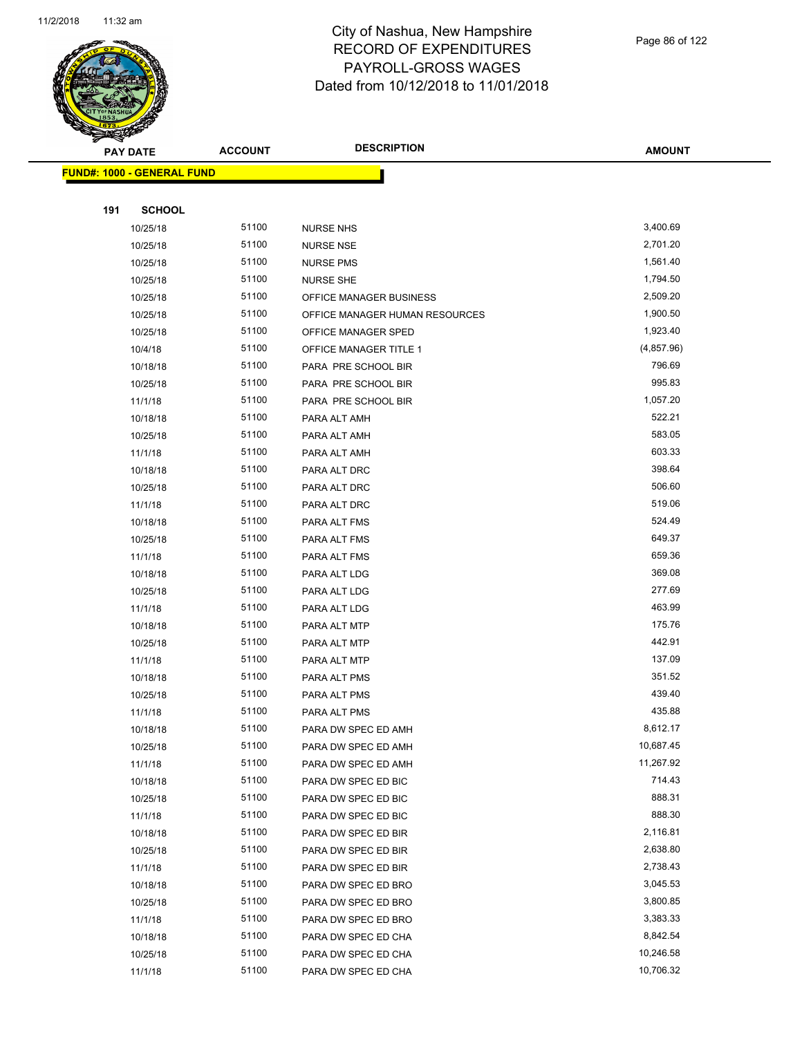

Page 86 of 122

| $\tilde{\phantom{a}}$<br><b>PAY DATE</b> | <b>ACCOUNT</b> | <b>DESCRIPTION</b>             | <b>AMOUNT</b> |
|------------------------------------------|----------------|--------------------------------|---------------|
| <b>FUND#: 1000 - GENERAL FUND</b>        |                |                                |               |
|                                          |                |                                |               |
| 191<br><b>SCHOOL</b>                     |                |                                |               |
| 10/25/18                                 | 51100          | <b>NURSE NHS</b>               | 3,400.69      |
| 10/25/18                                 | 51100          | <b>NURSE NSE</b>               | 2,701.20      |
| 10/25/18                                 | 51100          | <b>NURSE PMS</b>               | 1,561.40      |
| 10/25/18                                 | 51100          | NURSE SHE                      | 1,794.50      |
| 10/25/18                                 | 51100          | OFFICE MANAGER BUSINESS        | 2,509.20      |
| 10/25/18                                 | 51100          | OFFICE MANAGER HUMAN RESOURCES | 1,900.50      |
| 10/25/18                                 | 51100          | OFFICE MANAGER SPED            | 1,923.40      |
| 10/4/18                                  | 51100          | OFFICE MANAGER TITLE 1         | (4,857.96)    |
| 10/18/18                                 | 51100          | PARA PRE SCHOOL BIR            | 796.69        |
| 10/25/18                                 | 51100          | PARA PRE SCHOOL BIR            | 995.83        |
| 11/1/18                                  | 51100          | PARA PRE SCHOOL BIR            | 1,057.20      |
| 10/18/18                                 | 51100          | PARA ALT AMH                   | 522.21        |
| 10/25/18                                 | 51100          | PARA ALT AMH                   | 583.05        |
| 11/1/18                                  | 51100          | PARA ALT AMH                   | 603.33        |
| 10/18/18                                 | 51100          | PARA ALT DRC                   | 398.64        |
| 10/25/18                                 | 51100          | PARA ALT DRC                   | 506.60        |
| 11/1/18                                  | 51100          | PARA ALT DRC                   | 519.06        |
| 10/18/18                                 | 51100          | PARA ALT FMS                   | 524.49        |
| 10/25/18                                 | 51100          | PARA ALT FMS                   | 649.37        |
| 11/1/18                                  | 51100          | PARA ALT FMS                   | 659.36        |
| 10/18/18                                 | 51100          | PARA ALT LDG                   | 369.08        |
| 10/25/18                                 | 51100          | PARA ALT LDG                   | 277.69        |
| 11/1/18                                  | 51100          | PARA ALT LDG                   | 463.99        |
| 10/18/18                                 | 51100          | PARA ALT MTP                   | 175.76        |
| 10/25/18                                 | 51100          | PARA ALT MTP                   | 442.91        |
| 11/1/18                                  | 51100          | PARA ALT MTP                   | 137.09        |
| 10/18/18                                 | 51100          | PARA ALT PMS                   | 351.52        |
| 10/25/18                                 | 51100          | PARA ALT PMS                   | 439.40        |
| 11/1/18                                  | 51100          | PARA ALT PMS                   | 435.88        |
| 10/18/18                                 | 51100          | PARA DW SPEC ED AMH            | 8,612.17      |
| 10/25/18                                 | 51100          | PARA DW SPEC ED AMH            | 10,687.45     |
| 11/1/18                                  | 51100          | PARA DW SPEC ED AMH            | 11,267.92     |
| 10/18/18                                 | 51100          | PARA DW SPEC ED BIC            | 714.43        |
| 10/25/18                                 | 51100          | PARA DW SPEC ED BIC            | 888.31        |
| 11/1/18                                  | 51100          | PARA DW SPEC ED BIC            | 888.30        |
| 10/18/18                                 | 51100          | PARA DW SPEC ED BIR            | 2,116.81      |
| 10/25/18                                 | 51100          | PARA DW SPEC ED BIR            | 2,638.80      |
| 11/1/18                                  | 51100          | PARA DW SPEC ED BIR            | 2,738.43      |
| 10/18/18                                 | 51100          | PARA DW SPEC ED BRO            | 3,045.53      |
| 10/25/18                                 | 51100          | PARA DW SPEC ED BRO            | 3,800.85      |
| 11/1/18                                  | 51100          | PARA DW SPEC ED BRO            | 3,383.33      |
| 10/18/18                                 | 51100          | PARA DW SPEC ED CHA            | 8,842.54      |
| 10/25/18                                 | 51100          | PARA DW SPEC ED CHA            | 10,246.58     |
| 11/1/18                                  | 51100          | PARA DW SPEC ED CHA            | 10,706.32     |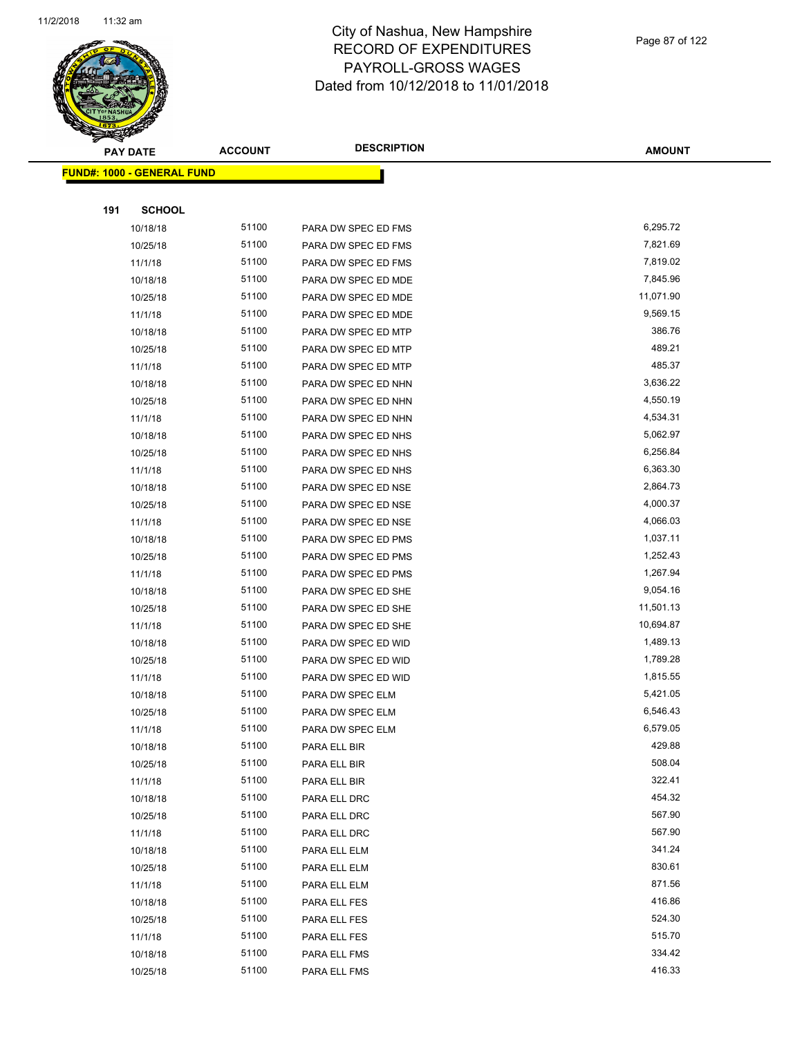

|     | PAY DATE                          | <b>ACCOUNT</b> | <b>DESCRIPTION</b>  | <b>AMOUNT</b> |
|-----|-----------------------------------|----------------|---------------------|---------------|
|     | <b>FUND#: 1000 - GENERAL FUND</b> |                |                     |               |
|     |                                   |                |                     |               |
| 191 | <b>SCHOOL</b>                     |                |                     |               |
|     | 10/18/18                          | 51100          | PARA DW SPEC ED FMS | 6,295.72      |
|     | 10/25/18                          | 51100          | PARA DW SPEC ED FMS | 7,821.69      |
|     | 11/1/18                           | 51100          | PARA DW SPEC ED FMS | 7,819.02      |
|     | 10/18/18                          | 51100          | PARA DW SPEC ED MDE | 7,845.96      |
|     | 10/25/18                          | 51100          | PARA DW SPEC ED MDE | 11,071.90     |
|     | 11/1/18                           | 51100          | PARA DW SPEC ED MDE | 9,569.15      |
|     | 10/18/18                          | 51100          | PARA DW SPEC ED MTP | 386.76        |
|     | 10/25/18                          | 51100          | PARA DW SPEC ED MTP | 489.21        |
|     | 11/1/18                           | 51100          | PARA DW SPEC ED MTP | 485.37        |
|     | 10/18/18                          | 51100          | PARA DW SPEC ED NHN | 3,636.22      |
|     | 10/25/18                          | 51100          | PARA DW SPEC ED NHN | 4,550.19      |
|     | 11/1/18                           | 51100          | PARA DW SPEC ED NHN | 4,534.31      |
|     | 10/18/18                          | 51100          | PARA DW SPEC ED NHS | 5,062.97      |
|     | 10/25/18                          | 51100          | PARA DW SPEC ED NHS | 6,256.84      |
|     | 11/1/18                           | 51100          | PARA DW SPEC ED NHS | 6,363.30      |
|     | 10/18/18                          | 51100          | PARA DW SPEC ED NSE | 2,864.73      |
|     | 10/25/18                          | 51100          | PARA DW SPEC ED NSE | 4,000.37      |
|     | 11/1/18                           | 51100          | PARA DW SPEC ED NSE | 4,066.03      |
|     | 10/18/18                          | 51100          | PARA DW SPEC ED PMS | 1,037.11      |
|     | 10/25/18                          | 51100          | PARA DW SPEC ED PMS | 1,252.43      |
|     | 11/1/18                           | 51100          | PARA DW SPEC ED PMS | 1,267.94      |
|     | 10/18/18                          | 51100          | PARA DW SPEC ED SHE | 9,054.16      |
|     | 10/25/18                          | 51100          | PARA DW SPEC ED SHE | 11,501.13     |
|     | 11/1/18                           | 51100          | PARA DW SPEC ED SHE | 10,694.87     |
|     | 10/18/18                          | 51100          | PARA DW SPEC ED WID | 1,489.13      |
|     | 10/25/18                          | 51100          | PARA DW SPEC ED WID | 1,789.28      |
|     | 11/1/18                           | 51100          | PARA DW SPEC ED WID | 1,815.55      |
|     | 10/18/18                          | 51100          | PARA DW SPEC ELM    | 5,421.05      |
|     | 10/25/18                          | 51100          | PARA DW SPEC ELM    | 6,546.43      |
|     | 11/1/18                           | 51100          | PARA DW SPEC ELM    | 6,579.05      |
|     | 10/18/18                          | 51100          | PARA ELL BIR        | 429.88        |
|     | 10/25/18                          | 51100          | PARA ELL BIR        | 508.04        |
|     | 11/1/18                           | 51100          | PARA ELL BIR        | 322.41        |
|     | 10/18/18                          | 51100          | PARA ELL DRC        | 454.32        |
|     | 10/25/18                          | 51100          | PARA ELL DRC        | 567.90        |
|     | 11/1/18                           | 51100          | PARA ELL DRC        | 567.90        |
|     | 10/18/18                          | 51100          | PARA ELL ELM        | 341.24        |
|     | 10/25/18                          | 51100          | PARA ELL ELM        | 830.61        |
|     | 11/1/18                           | 51100          | PARA ELL ELM        | 871.56        |
|     | 10/18/18                          | 51100          | PARA ELL FES        | 416.86        |
|     | 10/25/18                          | 51100          | PARA ELL FES        | 524.30        |
|     | 11/1/18                           | 51100          | PARA ELL FES        | 515.70        |
|     | 10/18/18                          | 51100          | PARA ELL FMS        | 334.42        |
|     | 10/25/18                          | 51100          | PARA ELL FMS        | 416.33        |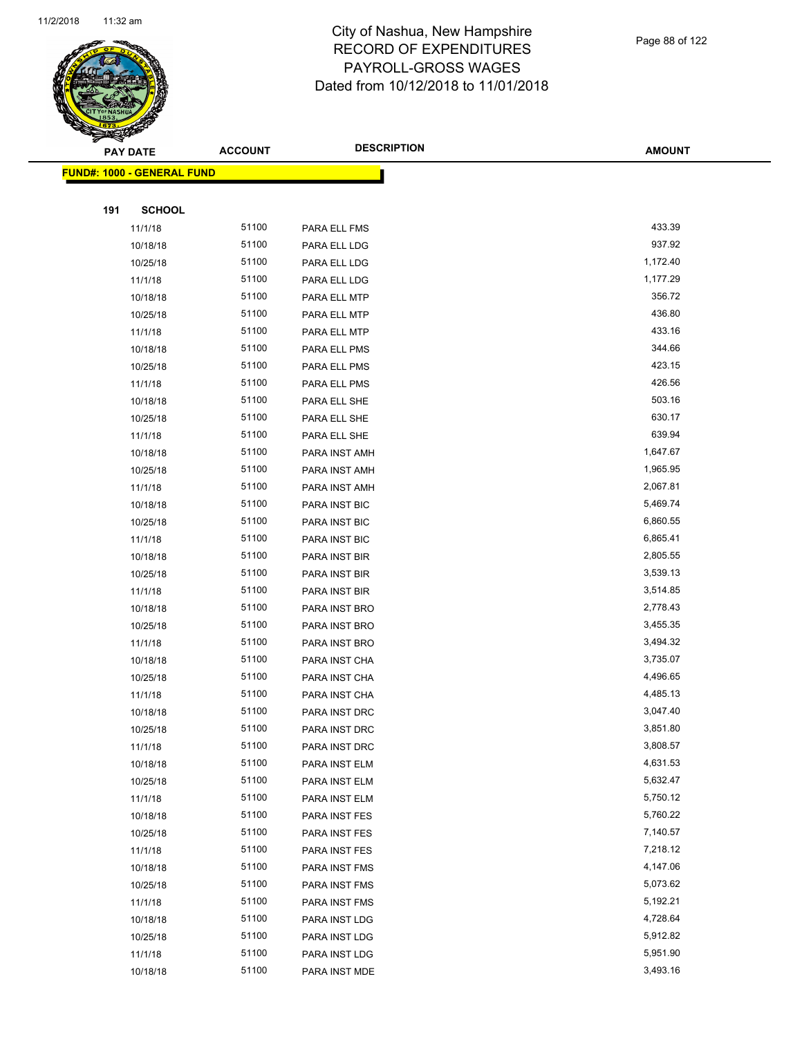

Page 88 of 122

| ॼ   | <b>PAY DATE</b>                   | <b>ACCOUNT</b> | <b>DESCRIPTION</b> | <b>AMOUNT</b> |
|-----|-----------------------------------|----------------|--------------------|---------------|
|     | <b>FUND#: 1000 - GENERAL FUND</b> |                |                    |               |
|     |                                   |                |                    |               |
| 191 | <b>SCHOOL</b>                     |                |                    |               |
|     | 11/1/18                           | 51100          | PARA ELL FMS       | 433.39        |
|     | 10/18/18                          | 51100          | PARA ELL LDG       | 937.92        |
|     | 10/25/18                          | 51100          | PARA ELL LDG       | 1,172.40      |
|     | 11/1/18                           | 51100          | PARA ELL LDG       | 1,177.29      |
|     | 10/18/18                          | 51100          | PARA ELL MTP       | 356.72        |
|     | 10/25/18                          | 51100          | PARA ELL MTP       | 436.80        |
|     | 11/1/18                           | 51100          | PARA ELL MTP       | 433.16        |
|     | 10/18/18                          | 51100          | PARA ELL PMS       | 344.66        |
|     | 10/25/18                          | 51100          | PARA ELL PMS       | 423.15        |
|     | 11/1/18                           | 51100          | PARA ELL PMS       | 426.56        |
|     | 10/18/18                          | 51100          | PARA ELL SHE       | 503.16        |
|     | 10/25/18                          | 51100          | PARA ELL SHE       | 630.17        |
|     | 11/1/18                           | 51100          | PARA ELL SHE       | 639.94        |
|     | 10/18/18                          | 51100          | PARA INST AMH      | 1,647.67      |
|     | 10/25/18                          | 51100          | PARA INST AMH      | 1,965.95      |
|     | 11/1/18                           | 51100          | PARA INST AMH      | 2,067.81      |
|     | 10/18/18                          | 51100          | PARA INST BIC      | 5,469.74      |
|     | 10/25/18                          | 51100          | PARA INST BIC      | 6,860.55      |
|     | 11/1/18                           | 51100          | PARA INST BIC      | 6,865.41      |
|     | 10/18/18                          | 51100          | PARA INST BIR      | 2,805.55      |
|     | 10/25/18                          | 51100          | PARA INST BIR      | 3,539.13      |
|     | 11/1/18                           | 51100          | PARA INST BIR      | 3,514.85      |
|     | 10/18/18                          | 51100          | PARA INST BRO      | 2,778.43      |
|     | 10/25/18                          | 51100          | PARA INST BRO      | 3,455.35      |
|     | 11/1/18                           | 51100          | PARA INST BRO      | 3,494.32      |
|     | 10/18/18                          | 51100          | PARA INST CHA      | 3,735.07      |
|     | 10/25/18                          | 51100          | PARA INST CHA      | 4,496.65      |
|     | 11/1/18                           | 51100          | PARA INST CHA      | 4,485.13      |
|     | 10/18/18                          | 51100          | PARA INST DRC      | 3,047.40      |
|     | 10/25/18                          | 51100          | PARA INST DRC      | 3,851.80      |
|     | 11/1/18                           | 51100          | PARA INST DRC      | 3,808.57      |
|     | 10/18/18                          | 51100          | PARA INST ELM      | 4,631.53      |
|     | 10/25/18                          | 51100          | PARA INST ELM      | 5,632.47      |
|     | 11/1/18                           | 51100          | PARA INST ELM      | 5,750.12      |
|     | 10/18/18                          | 51100          | PARA INST FES      | 5,760.22      |
|     | 10/25/18                          | 51100          | PARA INST FES      | 7,140.57      |
|     | 11/1/18                           | 51100          | PARA INST FES      | 7,218.12      |
|     | 10/18/18                          | 51100          | PARA INST FMS      | 4,147.06      |
|     | 10/25/18                          | 51100          | PARA INST FMS      | 5,073.62      |
|     | 11/1/18                           | 51100          | PARA INST FMS      | 5,192.21      |
|     | 10/18/18                          | 51100          | PARA INST LDG      | 4,728.64      |
|     | 10/25/18                          | 51100          | PARA INST LDG      | 5,912.82      |
|     | 11/1/18                           | 51100          | PARA INST LDG      | 5,951.90      |
|     | 10/18/18                          | 51100          | PARA INST MDE      | 3,493.16      |
|     |                                   |                |                    |               |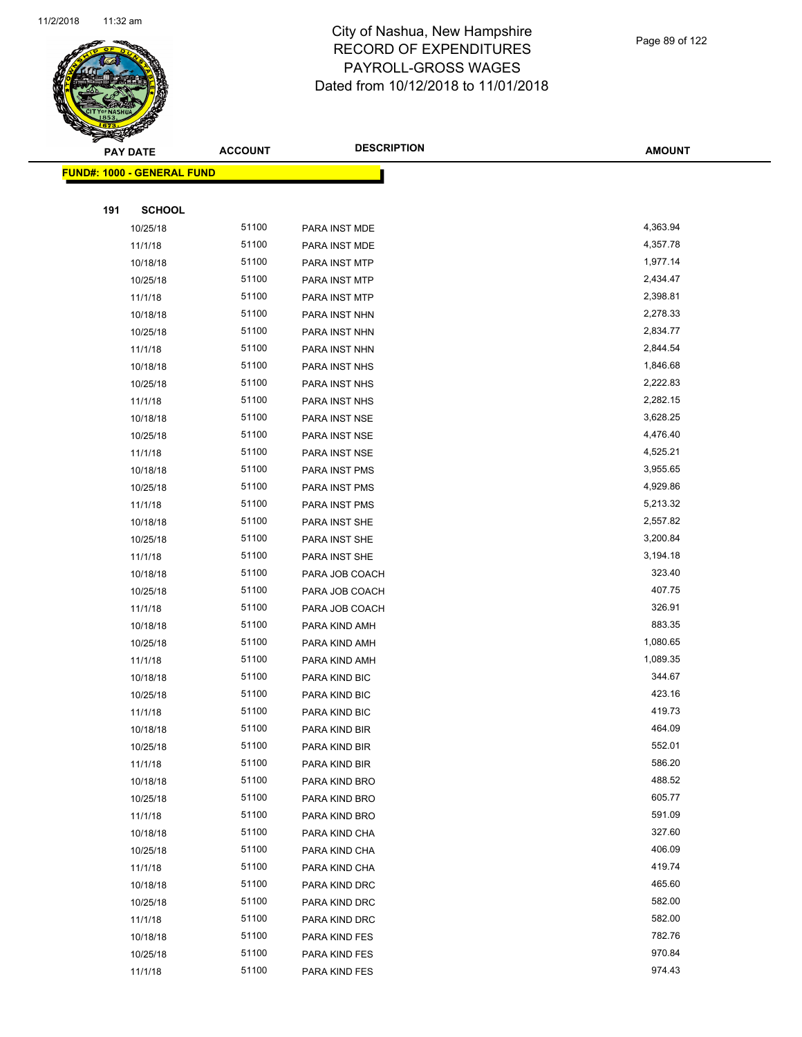

|     | <b>PAY DATE</b>                    | <b>ACCOUNT</b> | <b>DESCRIPTION</b> | <b>AMOUNT</b> |
|-----|------------------------------------|----------------|--------------------|---------------|
|     | <u> FUND#: 1000 - GENERAL FUND</u> |                |                    |               |
|     |                                    |                |                    |               |
| 191 | <b>SCHOOL</b>                      |                |                    |               |
|     | 10/25/18                           | 51100          | PARA INST MDE      | 4,363.94      |
|     | 11/1/18                            | 51100          | PARA INST MDE      | 4,357.78      |
|     | 10/18/18                           | 51100          | PARA INST MTP      | 1,977.14      |
|     | 10/25/18                           | 51100          | PARA INST MTP      | 2,434.47      |
|     | 11/1/18                            | 51100          | PARA INST MTP      | 2,398.81      |
|     | 10/18/18                           | 51100          | PARA INST NHN      | 2,278.33      |
|     | 10/25/18                           | 51100          | PARA INST NHN      | 2,834.77      |
|     | 11/1/18                            | 51100          | PARA INST NHN      | 2,844.54      |
|     | 10/18/18                           | 51100          | PARA INST NHS      | 1,846.68      |
|     | 10/25/18                           | 51100          | PARA INST NHS      | 2,222.83      |
|     | 11/1/18                            | 51100          | PARA INST NHS      | 2,282.15      |
|     | 10/18/18                           | 51100          | PARA INST NSE      | 3,628.25      |
|     | 10/25/18                           | 51100          | PARA INST NSE      | 4,476.40      |
|     | 11/1/18                            | 51100          | PARA INST NSE      | 4,525.21      |
|     | 10/18/18                           | 51100          | PARA INST PMS      | 3,955.65      |
|     | 10/25/18                           | 51100          | PARA INST PMS      | 4,929.86      |
|     | 11/1/18                            | 51100          | PARA INST PMS      | 5,213.32      |
|     | 10/18/18                           | 51100          | PARA INST SHE      | 2,557.82      |
|     | 10/25/18                           | 51100          | PARA INST SHE      | 3,200.84      |
|     | 11/1/18                            | 51100          | PARA INST SHE      | 3,194.18      |
|     | 10/18/18                           | 51100          | PARA JOB COACH     | 323.40        |
|     | 10/25/18                           | 51100          | PARA JOB COACH     | 407.75        |
|     | 11/1/18                            | 51100          | PARA JOB COACH     | 326.91        |
|     | 10/18/18                           | 51100          | PARA KIND AMH      | 883.35        |
|     | 10/25/18                           | 51100          | PARA KIND AMH      | 1,080.65      |
|     | 11/1/18                            | 51100          | PARA KIND AMH      | 1,089.35      |
|     | 10/18/18                           | 51100          | PARA KIND BIC      | 344.67        |
|     | 10/25/18                           | 51100          | PARA KIND BIC      | 423.16        |
|     | 11/1/18                            | 51100          | PARA KIND BIC      | 419.73        |
|     | 10/18/18                           | 51100          | PARA KIND BIR      | 464.09        |
|     | 10/25/18                           | 51100          | PARA KIND BIR      | 552.01        |
|     | 11/1/18                            | 51100          | PARA KIND BIR      | 586.20        |
|     | 10/18/18                           | 51100          | PARA KIND BRO      | 488.52        |
|     | 10/25/18                           | 51100          | PARA KIND BRO      | 605.77        |
|     | 11/1/18                            | 51100          | PARA KIND BRO      | 591.09        |
|     | 10/18/18                           | 51100          | PARA KIND CHA      | 327.60        |
|     | 10/25/18                           | 51100          | PARA KIND CHA      | 406.09        |
|     | 11/1/18                            | 51100          | PARA KIND CHA      | 419.74        |
|     | 10/18/18                           | 51100          | PARA KIND DRC      | 465.60        |
|     | 10/25/18                           | 51100          | PARA KIND DRC      | 582.00        |
|     | 11/1/18                            | 51100          | PARA KIND DRC      | 582.00        |
|     | 10/18/18                           | 51100          | PARA KIND FES      | 782.76        |
|     | 10/25/18                           | 51100          | PARA KIND FES      | 970.84        |
|     | 11/1/18                            | 51100          | PARA KIND FES      | 974.43        |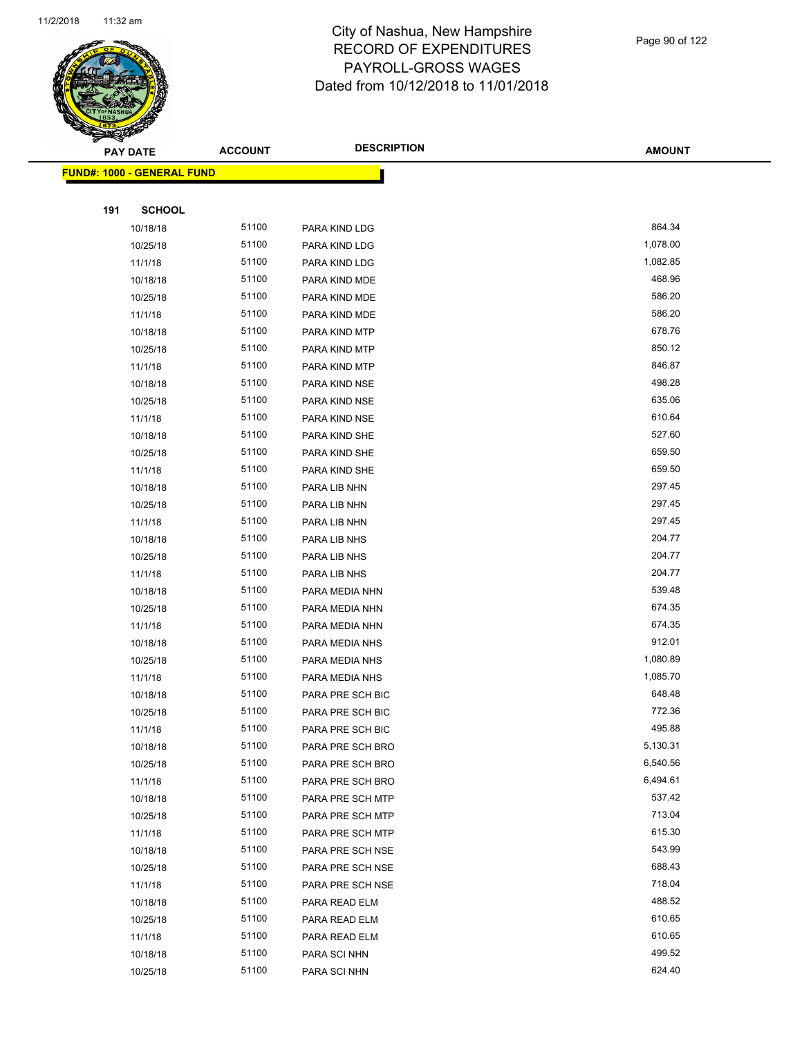

| ॼ   | <b>PAY DATE</b>            | <b>ACCOUNT</b> | <b>DESCRIPTION</b> | <b>AMOUNT</b>    |
|-----|----------------------------|----------------|--------------------|------------------|
|     | FUND#: 1000 - GENERAL FUND |                |                    |                  |
|     |                            |                |                    |                  |
| 191 | <b>SCHOOL</b>              |                |                    |                  |
|     | 10/18/18                   | 51100          | PARA KIND LDG      | 864.34           |
|     | 10/25/18                   | 51100          | PARA KIND LDG      | 1,078.00         |
|     | 11/1/18                    | 51100          | PARA KIND LDG      | 1,082.85         |
|     | 10/18/18                   | 51100          | PARA KIND MDE      | 468.96           |
|     | 10/25/18                   | 51100          | PARA KIND MDE      | 586.20           |
|     | 11/1/18                    | 51100          | PARA KIND MDE      | 586.20           |
|     | 10/18/18                   | 51100          | PARA KIND MTP      | 678.76           |
|     | 10/25/18                   | 51100          | PARA KIND MTP      | 850.12           |
|     | 11/1/18                    | 51100          | PARA KIND MTP      | 846.87           |
|     | 10/18/18                   | 51100          | PARA KIND NSE      | 498.28           |
|     | 10/25/18                   | 51100          | PARA KIND NSE      | 635.06           |
|     | 11/1/18                    | 51100          | PARA KIND NSE      | 610.64           |
|     | 10/18/18                   | 51100          | PARA KIND SHE      | 527.60           |
|     | 10/25/18                   | 51100          | PARA KIND SHE      | 659.50           |
|     | 11/1/18                    | 51100          | PARA KIND SHE      | 659.50           |
|     | 10/18/18                   | 51100          | PARA LIB NHN       | 297.45           |
|     | 10/25/18                   | 51100          | PARA LIB NHN       | 297.45           |
|     | 11/1/18                    | 51100          | PARA LIB NHN       | 297.45           |
|     | 10/18/18                   | 51100          | PARA LIB NHS       | 204.77           |
|     | 10/25/18                   | 51100          | PARA LIB NHS       | 204.77           |
|     | 11/1/18                    | 51100          | PARA LIB NHS       | 204.77           |
|     | 10/18/18                   | 51100          | PARA MEDIA NHN     | 539.48           |
|     | 10/25/18                   | 51100          | PARA MEDIA NHN     | 674.35           |
|     | 11/1/18                    | 51100          | PARA MEDIA NHN     | 674.35           |
|     | 10/18/18                   | 51100          | PARA MEDIA NHS     | 912.01           |
|     | 10/25/18                   | 51100          | PARA MEDIA NHS     | 1,080.89         |
|     | 11/1/18                    | 51100          | PARA MEDIA NHS     | 1,085.70         |
|     | 10/18/18                   | 51100          | PARA PRE SCH BIC   | 648.48           |
|     | 10/25/18                   | 51100          | PARA PRE SCH BIC   | 772.36           |
|     | 11/1/18                    | 51100          | PARA PRE SCH BIC   | 495.88           |
|     | 10/18/18                   | 51100          | PARA PRE SCH BRO   | 5,130.31         |
|     | 10/25/18                   | 51100          | PARA PRE SCH BRO   | 6,540.56         |
|     | 11/1/18                    | 51100          | PARA PRE SCH BRO   | 6,494.61         |
|     | 10/18/18                   | 51100          | PARA PRE SCH MTP   | 537.42           |
|     | 10/25/18                   | 51100          | PARA PRE SCH MTP   | 713.04           |
|     | 11/1/18                    | 51100          | PARA PRE SCH MTP   | 615.30           |
|     | 10/18/18                   | 51100          | PARA PRE SCH NSE   | 543.99           |
|     | 10/25/18                   | 51100          | PARA PRE SCH NSE   | 688.43           |
|     | 11/1/18                    | 51100          | PARA PRE SCH NSE   | 718.04           |
|     | 10/18/18                   | 51100          | PARA READ ELM      | 488.52           |
|     | 10/25/18                   | 51100          | PARA READ ELM      | 610.65<br>610.65 |
|     | 11/1/18                    | 51100          | PARA READ ELM      | 499.52           |
|     | 10/18/18                   | 51100<br>51100 | PARA SCI NHN       | 624.40           |
|     | 10/25/18                   |                | PARA SCI NHN       |                  |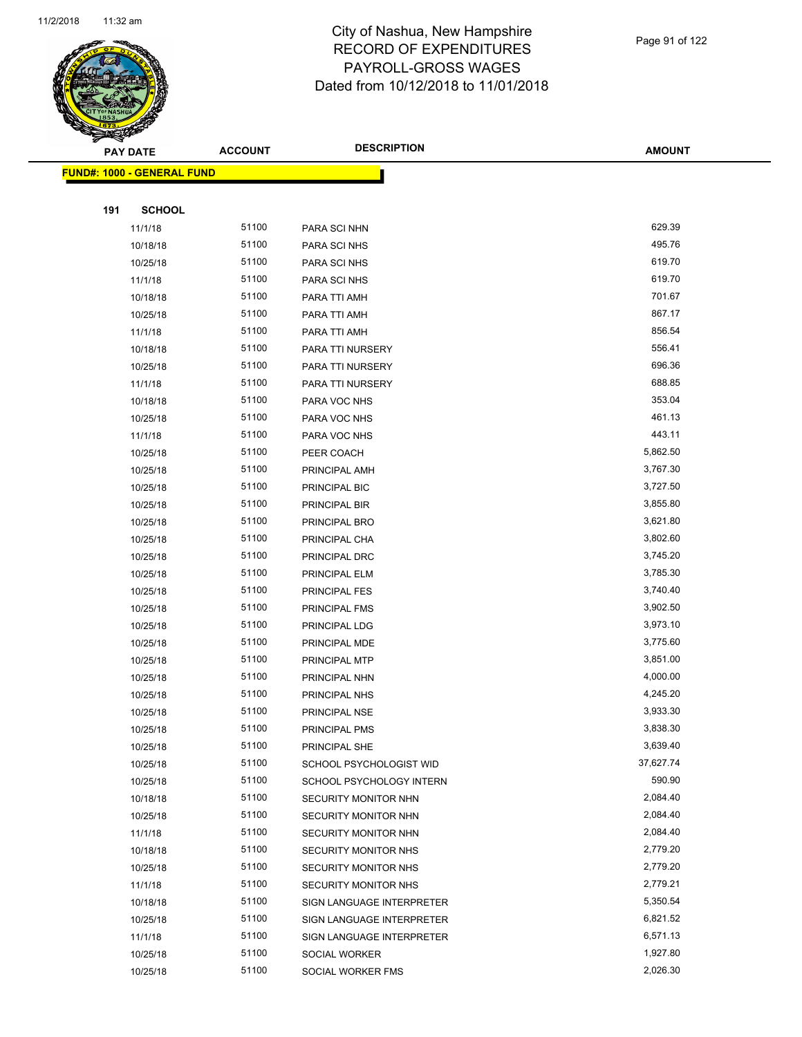

Page 91 of 122

|     | <b>PAY DATE</b>                   | <b>ACCOUNT</b> | <b>DESCRIPTION</b>                 | <b>AMOUNT</b>        |
|-----|-----------------------------------|----------------|------------------------------------|----------------------|
|     | <b>FUND#: 1000 - GENERAL FUND</b> |                |                                    |                      |
|     |                                   |                |                                    |                      |
| 191 | <b>SCHOOL</b>                     |                |                                    |                      |
|     | 11/1/18                           | 51100          | PARA SCI NHN                       | 629.39               |
|     | 10/18/18                          | 51100          | PARA SCI NHS                       | 495.76               |
|     | 10/25/18                          | 51100          | PARA SCI NHS                       | 619.70               |
|     | 11/1/18                           | 51100          | PARA SCI NHS                       | 619.70               |
|     | 10/18/18                          | 51100          | PARA TTI AMH                       | 701.67               |
|     | 10/25/18                          | 51100          | PARA TTI AMH                       | 867.17               |
|     | 11/1/18                           | 51100          | PARA TTI AMH                       | 856.54               |
|     | 10/18/18                          | 51100          | PARA TTI NURSERY                   | 556.41               |
|     | 10/25/18                          | 51100          | PARA TTI NURSERY                   | 696.36               |
|     | 11/1/18                           | 51100          | PARA TTI NURSERY                   | 688.85               |
|     | 10/18/18                          | 51100          | PARA VOC NHS                       | 353.04               |
|     | 10/25/18                          | 51100          | PARA VOC NHS                       | 461.13               |
|     | 11/1/18                           | 51100          | PARA VOC NHS                       | 443.11               |
|     | 10/25/18                          | 51100          | PEER COACH                         | 5,862.50             |
|     | 10/25/18                          | 51100          | PRINCIPAL AMH                      | 3,767.30             |
|     | 10/25/18                          | 51100          | PRINCIPAL BIC                      | 3,727.50             |
|     | 10/25/18                          | 51100          | PRINCIPAL BIR                      | 3,855.80             |
|     | 10/25/18                          | 51100          | PRINCIPAL BRO                      | 3,621.80             |
|     | 10/25/18                          | 51100          | PRINCIPAL CHA                      | 3,802.60             |
|     | 10/25/18                          | 51100          | PRINCIPAL DRC                      | 3,745.20             |
|     | 10/25/18                          | 51100          | PRINCIPAL ELM                      | 3,785.30             |
|     | 10/25/18                          | 51100          | PRINCIPAL FES                      | 3,740.40             |
|     | 10/25/18                          | 51100          | PRINCIPAL FMS                      | 3,902.50             |
|     | 10/25/18                          | 51100          | PRINCIPAL LDG                      | 3,973.10             |
|     | 10/25/18                          | 51100          | PRINCIPAL MDE                      | 3,775.60             |
|     | 10/25/18                          | 51100          | PRINCIPAL MTP                      | 3,851.00             |
|     | 10/25/18                          | 51100          | PRINCIPAL NHN                      | 4,000.00             |
|     | 10/25/18                          | 51100          | PRINCIPAL NHS                      | 4,245.20             |
|     | 10/25/18                          | 51100          | PRINCIPAL NSE                      | 3,933.30             |
|     | 10/25/18                          | 51100          | PRINCIPAL PMS                      | 3,838.30             |
|     | 10/25/18                          | 51100          | PRINCIPAL SHE                      | 3,639.40             |
|     | 10/25/18                          | 51100          | SCHOOL PSYCHOLOGIST WID            | 37,627.74            |
|     | 10/25/18                          | 51100          | SCHOOL PSYCHOLOGY INTERN           | 590.90               |
|     | 10/18/18                          | 51100          | SECURITY MONITOR NHN               | 2,084.40             |
|     | 10/25/18                          | 51100          | SECURITY MONITOR NHN               | 2,084.40             |
|     | 11/1/18                           | 51100          | SECURITY MONITOR NHN               | 2,084.40             |
|     | 10/18/18                          | 51100          | SECURITY MONITOR NHS               | 2,779.20             |
|     | 10/25/18                          | 51100          | SECURITY MONITOR NHS               | 2,779.20             |
|     | 11/1/18                           | 51100          | SECURITY MONITOR NHS               | 2,779.21             |
|     | 10/18/18                          | 51100<br>51100 | SIGN LANGUAGE INTERPRETER          | 5,350.54<br>6,821.52 |
|     | 10/25/18                          | 51100          | SIGN LANGUAGE INTERPRETER          | 6,571.13             |
|     | 11/1/18<br>10/25/18               | 51100          | SIGN LANGUAGE INTERPRETER          | 1,927.80             |
|     | 10/25/18                          | 51100          | SOCIAL WORKER<br>SOCIAL WORKER FMS | 2,026.30             |
|     |                                   |                |                                    |                      |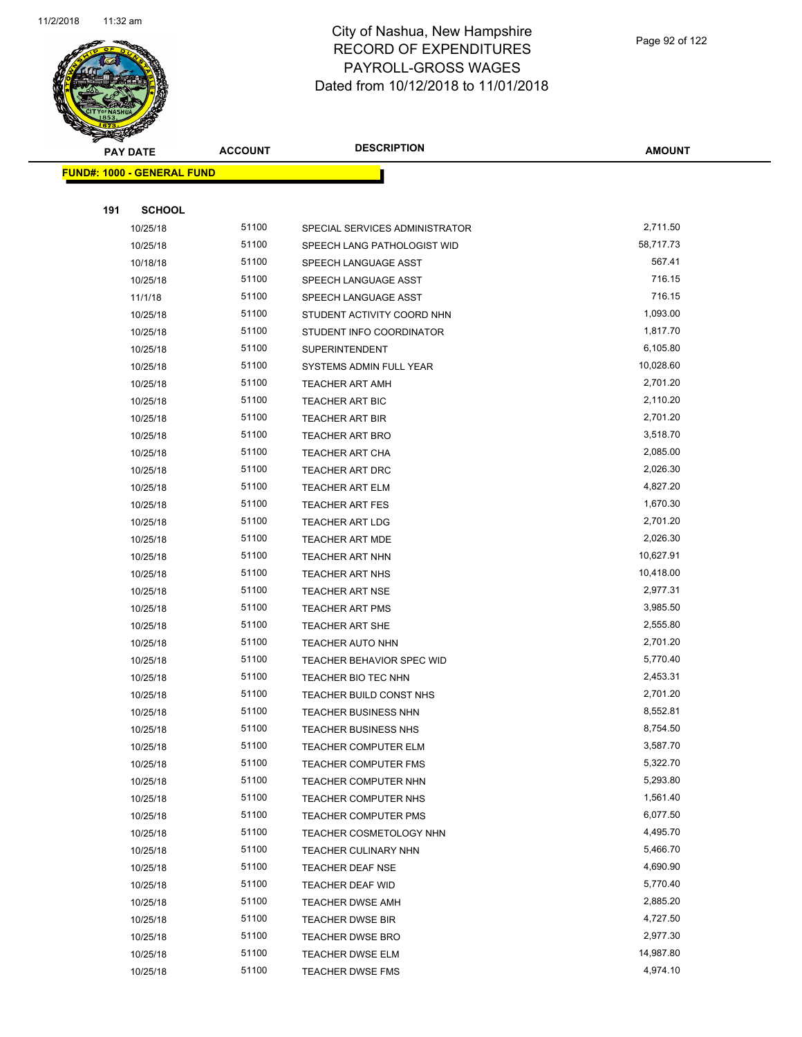

**AMOUNT**

|     | <b>FUND#: 1000 - GENERAL FUND</b> |       |                                  |           |
|-----|-----------------------------------|-------|----------------------------------|-----------|
|     |                                   |       |                                  |           |
| 191 | <b>SCHOOL</b>                     |       |                                  |           |
|     | 10/25/18                          | 51100 | SPECIAL SERVICES ADMINISTRATOR   | 2,711.50  |
|     | 10/25/18                          | 51100 | SPEECH LANG PATHOLOGIST WID      | 58,717.73 |
|     | 10/18/18                          | 51100 | SPEECH LANGUAGE ASST             | 567.41    |
|     | 10/25/18                          | 51100 | SPEECH LANGUAGE ASST             | 716.15    |
|     | 11/1/18                           | 51100 | SPEECH LANGUAGE ASST             | 716.15    |
|     | 10/25/18                          | 51100 | STUDENT ACTIVITY COORD NHN       | 1,093.00  |
|     | 10/25/18                          | 51100 | STUDENT INFO COORDINATOR         | 1,817.70  |
|     | 10/25/18                          | 51100 | <b>SUPERINTENDENT</b>            | 6,105.80  |
|     | 10/25/18                          | 51100 | SYSTEMS ADMIN FULL YEAR          | 10,028.60 |
|     | 10/25/18                          | 51100 | <b>TEACHER ART AMH</b>           | 2,701.20  |
|     | 10/25/18                          | 51100 | <b>TEACHER ART BIC</b>           | 2,110.20  |
|     | 10/25/18                          | 51100 | TEACHER ART BIR                  | 2,701.20  |
|     | 10/25/18                          | 51100 | <b>TEACHER ART BRO</b>           | 3,518.70  |
|     | 10/25/18                          | 51100 | <b>TEACHER ART CHA</b>           | 2,085.00  |
|     | 10/25/18                          | 51100 | <b>TEACHER ART DRC</b>           | 2,026.30  |
|     | 10/25/18                          | 51100 | <b>TEACHER ART ELM</b>           | 4,827.20  |
|     | 10/25/18                          | 51100 | <b>TEACHER ART FES</b>           | 1,670.30  |
|     | 10/25/18                          | 51100 | <b>TEACHER ART LDG</b>           | 2,701.20  |
|     | 10/25/18                          | 51100 | TEACHER ART MDE                  | 2,026.30  |
|     | 10/25/18                          | 51100 | <b>TEACHER ART NHN</b>           | 10,627.91 |
|     | 10/25/18                          | 51100 | <b>TEACHER ART NHS</b>           | 10,418.00 |
|     | 10/25/18                          | 51100 | <b>TEACHER ART NSE</b>           | 2,977.31  |
|     | 10/25/18                          | 51100 | <b>TEACHER ART PMS</b>           | 3,985.50  |
|     | 10/25/18                          | 51100 | <b>TEACHER ART SHE</b>           | 2,555.80  |
|     | 10/25/18                          | 51100 | <b>TEACHER AUTO NHN</b>          | 2,701.20  |
|     | 10/25/18                          | 51100 | <b>TEACHER BEHAVIOR SPEC WID</b> | 5,770.40  |
|     | 10/25/18                          | 51100 | TEACHER BIO TEC NHN              | 2,453.31  |
|     | 10/25/18                          | 51100 | TEACHER BUILD CONST NHS          | 2,701.20  |
|     | 10/25/18                          | 51100 | <b>TEACHER BUSINESS NHN</b>      | 8,552.81  |
|     | 10/25/18                          | 51100 | <b>TEACHER BUSINESS NHS</b>      | 8,754.50  |
|     | 10/25/18                          | 51100 | TEACHER COMPUTER ELM             | 3,587.70  |
|     | 10/25/18                          | 51100 | <b>TEACHER COMPUTER FMS</b>      | 5,322.70  |
|     | 10/25/18                          | 51100 | <b>TEACHER COMPUTER NHN</b>      | 5,293.80  |
|     | 10/25/18                          | 51100 | TEACHER COMPUTER NHS             | 1,561.40  |
|     | 10/25/18                          | 51100 | <b>TEACHER COMPUTER PMS</b>      | 6,077.50  |
|     | 10/25/18                          | 51100 | TEACHER COSMETOLOGY NHN          | 4,495.70  |
|     | 10/25/18                          | 51100 | TEACHER CULINARY NHN             | 5,466.70  |
|     | 10/25/18                          | 51100 | TEACHER DEAF NSE                 | 4,690.90  |
|     | 10/25/18                          | 51100 | TEACHER DEAF WID                 | 5,770.40  |
|     | 10/25/18                          | 51100 | <b>TEACHER DWSE AMH</b>          | 2,885.20  |
|     | 10/25/18                          | 51100 | <b>TEACHER DWSE BIR</b>          | 4,727.50  |
|     | 10/25/18                          | 51100 | <b>TEACHER DWSE BRO</b>          | 2,977.30  |
|     | 10/25/18                          | 51100 | <b>TEACHER DWSE ELM</b>          | 14,987.80 |
|     | 10/25/18                          | 51100 | <b>TEACHER DWSE FMS</b>          | 4,974.10  |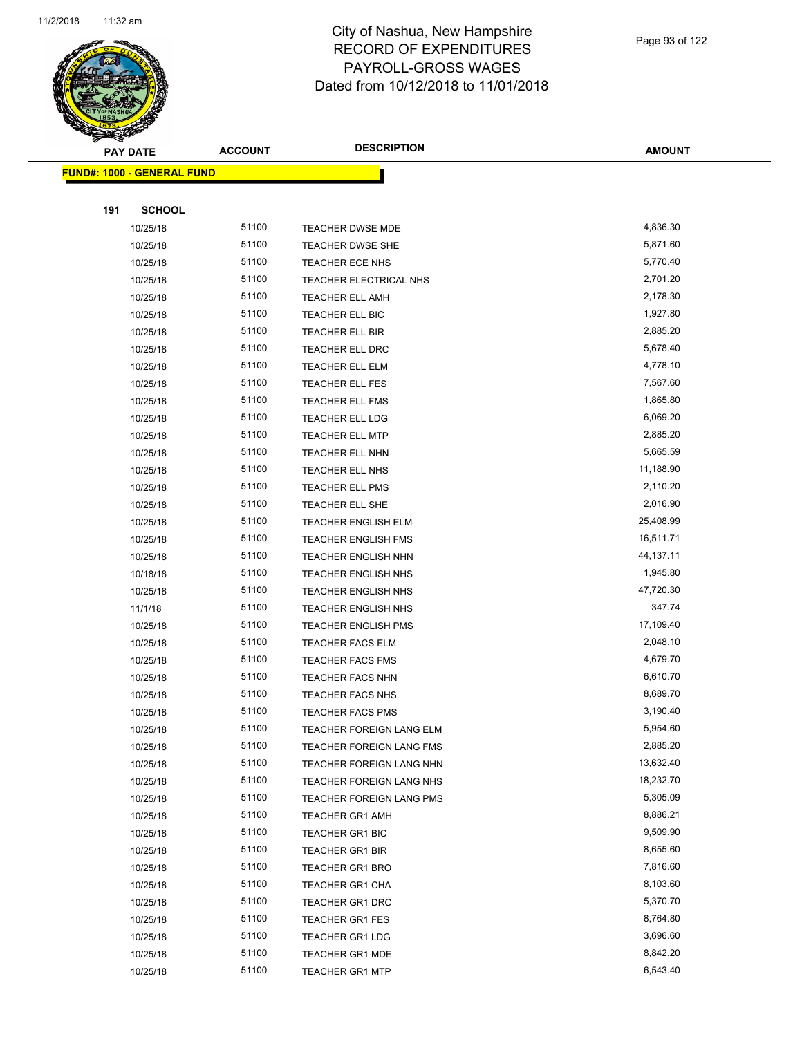

Page 93 of 122

|     | <b>PAY DATE</b>            | <b>ACCOUNT</b> | <b>DESCRIPTION</b>         | <b>AMOUNT</b> |  |
|-----|----------------------------|----------------|----------------------------|---------------|--|
|     | FUND#: 1000 - GENERAL FUND |                |                            |               |  |
|     |                            |                |                            |               |  |
| 191 | <b>SCHOOL</b>              |                |                            |               |  |
|     | 10/25/18                   | 51100          | TEACHER DWSE MDE           | 4,836.30      |  |
|     | 10/25/18                   | 51100          | TEACHER DWSE SHE           | 5,871.60      |  |
|     | 10/25/18                   | 51100          | TEACHER ECE NHS            | 5,770.40      |  |
|     | 10/25/18                   | 51100          | TEACHER ELECTRICAL NHS     | 2,701.20      |  |
|     | 10/25/18                   | 51100          | <b>TEACHER ELL AMH</b>     | 2,178.30      |  |
|     | 10/25/18                   | 51100          | TEACHER ELL BIC            | 1,927.80      |  |
|     | 10/25/18                   | 51100          | <b>TEACHER ELL BIR</b>     | 2,885.20      |  |
|     | 10/25/18                   | 51100          | TEACHER ELL DRC            | 5,678.40      |  |
|     | 10/25/18                   | 51100          | <b>TEACHER ELL ELM</b>     | 4,778.10      |  |
|     | 10/25/18                   | 51100          | TEACHER ELL FES            | 7,567.60      |  |
|     | 10/25/18                   | 51100          | TEACHER ELL FMS            | 1,865.80      |  |
|     | 10/25/18                   | 51100          | TEACHER ELL LDG            | 6,069.20      |  |
|     | 10/25/18                   | 51100          | TEACHER ELL MTP            | 2,885.20      |  |
|     | 10/25/18                   | 51100          | <b>TEACHER ELL NHN</b>     | 5,665.59      |  |
|     | 10/25/18                   | 51100          | TEACHER ELL NHS            | 11,188.90     |  |
|     | 10/25/18                   | 51100          | TEACHER ELL PMS            | 2,110.20      |  |
|     | 10/25/18                   | 51100          | TEACHER ELL SHE            | 2,016.90      |  |
|     | 10/25/18                   | 51100          | TEACHER ENGLISH ELM        | 25,408.99     |  |
|     | 10/25/18                   | 51100          | <b>TEACHER ENGLISH FMS</b> | 16,511.71     |  |
|     | 10/25/18                   | 51100          | TEACHER ENGLISH NHN        | 44,137.11     |  |
|     | 10/18/18                   | 51100          | <b>TEACHER ENGLISH NHS</b> | 1,945.80      |  |
|     | 10/25/18                   | 51100          | <b>TEACHER ENGLISH NHS</b> | 47,720.30     |  |
|     | 11/1/18                    | 51100          | TEACHER ENGLISH NHS        | 347.74        |  |
|     | 10/25/18                   | 51100          | <b>TEACHER ENGLISH PMS</b> | 17,109.40     |  |
|     | 10/25/18                   | 51100          | <b>TEACHER FACS ELM</b>    | 2,048.10      |  |
|     | 10/25/18                   | 51100          | <b>TEACHER FACS FMS</b>    | 4,679.70      |  |
|     | 10/25/18                   | 51100          | <b>TEACHER FACS NHN</b>    | 6,610.70      |  |
|     | 10/25/18                   | 51100          | TEACHER FACS NHS           | 8,689.70      |  |
|     | 10/25/18                   | 51100          | <b>TEACHER FACS PMS</b>    | 3,190.40      |  |
|     | 10/25/18                   | 51100          | TEACHER FOREIGN LANG ELM   | 5,954.60      |  |
|     | 10/25/18                   | 51100          | TEACHER FOREIGN LANG FMS   | 2,885.20      |  |
|     | 10/25/18                   | 51100          | TEACHER FOREIGN LANG NHN   | 13,632.40     |  |
|     | 10/25/18                   | 51100          | TEACHER FOREIGN LANG NHS   | 18,232.70     |  |
|     | 10/25/18                   | 51100          | TEACHER FOREIGN LANG PMS   | 5,305.09      |  |
|     | 10/25/18                   | 51100          | <b>TEACHER GR1 AMH</b>     | 8,886.21      |  |
|     | 10/25/18                   | 51100          | TEACHER GR1 BIC            | 9,509.90      |  |
|     | 10/25/18                   | 51100          | <b>TEACHER GR1 BIR</b>     | 8,655.60      |  |
|     | 10/25/18                   | 51100          | <b>TEACHER GR1 BRO</b>     | 7,816.60      |  |
|     | 10/25/18                   | 51100          | TEACHER GR1 CHA            | 8,103.60      |  |
|     | 10/25/18                   | 51100          | <b>TEACHER GR1 DRC</b>     | 5,370.70      |  |
|     | 10/25/18                   | 51100          | <b>TEACHER GR1 FES</b>     | 8,764.80      |  |
|     | 10/25/18                   | 51100          | <b>TEACHER GR1 LDG</b>     | 3,696.60      |  |
|     | 10/25/18                   | 51100          | <b>TEACHER GR1 MDE</b>     | 8,842.20      |  |
|     | 10/25/18                   | 51100          | <b>TEACHER GR1 MTP</b>     | 6,543.40      |  |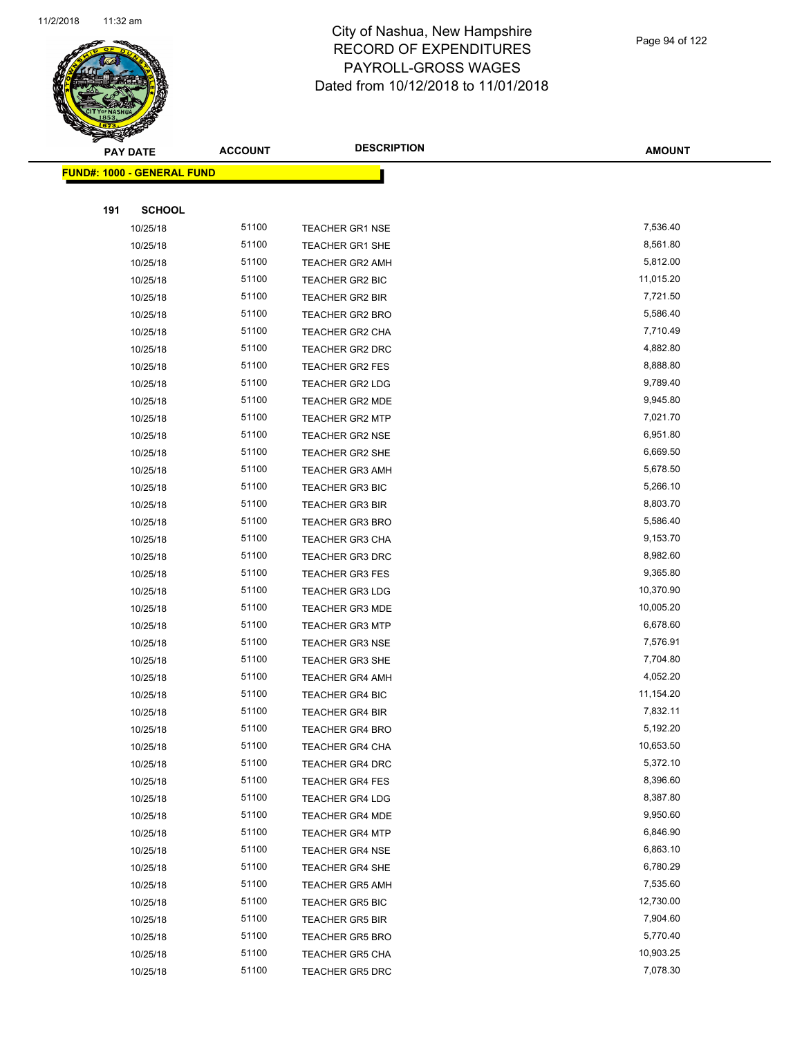

Page 94 of 122

|     | PAY DATE                          | <b>ACCOUNT</b> | <b>DESCRIPTION</b>     | <b>AMOUNT</b> |
|-----|-----------------------------------|----------------|------------------------|---------------|
|     | <b>FUND#: 1000 - GENERAL FUND</b> |                |                        |               |
|     |                                   |                |                        |               |
| 191 | <b>SCHOOL</b>                     |                |                        |               |
|     | 10/25/18                          | 51100          | <b>TEACHER GR1 NSE</b> | 7,536.40      |
|     | 10/25/18                          | 51100          | TEACHER GR1 SHE        | 8,561.80      |
|     | 10/25/18                          | 51100          | <b>TEACHER GR2 AMH</b> | 5,812.00      |
|     | 10/25/18                          | 51100          | TEACHER GR2 BIC        | 11,015.20     |
|     | 10/25/18                          | 51100          | <b>TEACHER GR2 BIR</b> | 7,721.50      |
|     | 10/25/18                          | 51100          | <b>TEACHER GR2 BRO</b> | 5,586.40      |
|     | 10/25/18                          | 51100          | <b>TEACHER GR2 CHA</b> | 7,710.49      |
|     | 10/25/18                          | 51100          | <b>TEACHER GR2 DRC</b> | 4,882.80      |
|     | 10/25/18                          | 51100          | <b>TEACHER GR2 FES</b> | 8,888.80      |
|     | 10/25/18                          | 51100          | <b>TEACHER GR2 LDG</b> | 9,789.40      |
|     | 10/25/18                          | 51100          | TEACHER GR2 MDE        | 9,945.80      |
|     | 10/25/18                          | 51100          | <b>TEACHER GR2 MTP</b> | 7,021.70      |
|     | 10/25/18                          | 51100          | <b>TEACHER GR2 NSE</b> | 6,951.80      |
|     | 10/25/18                          | 51100          | TEACHER GR2 SHE        | 6,669.50      |
|     | 10/25/18                          | 51100          | <b>TEACHER GR3 AMH</b> | 5,678.50      |
|     | 10/25/18                          | 51100          | TEACHER GR3 BIC        | 5,266.10      |
|     | 10/25/18                          | 51100          | <b>TEACHER GR3 BIR</b> | 8,803.70      |
|     | 10/25/18                          | 51100          | <b>TEACHER GR3 BRO</b> | 5,586.40      |
|     | 10/25/18                          | 51100          | <b>TEACHER GR3 CHA</b> | 9,153.70      |
|     | 10/25/18                          | 51100          | TEACHER GR3 DRC        | 8,982.60      |
|     | 10/25/18                          | 51100          | <b>TEACHER GR3 FES</b> | 9,365.80      |
|     | 10/25/18                          | 51100          | <b>TEACHER GR3 LDG</b> | 10,370.90     |
|     | 10/25/18                          | 51100          | <b>TEACHER GR3 MDE</b> | 10,005.20     |
|     | 10/25/18                          | 51100          | <b>TEACHER GR3 MTP</b> | 6,678.60      |
|     | 10/25/18                          | 51100          | <b>TEACHER GR3 NSE</b> | 7,576.91      |
|     | 10/25/18                          | 51100          | <b>TEACHER GR3 SHE</b> | 7,704.80      |
|     | 10/25/18                          | 51100          | <b>TEACHER GR4 AMH</b> | 4,052.20      |
|     | 10/25/18                          | 51100          | <b>TEACHER GR4 BIC</b> | 11,154.20     |
|     | 10/25/18                          | 51100          | <b>TEACHER GR4 BIR</b> | 7,832.11      |
|     | 10/25/18                          | 51100          | <b>TEACHER GR4 BRO</b> | 5,192.20      |
|     | 10/25/18                          | 51100          | TEACHER GR4 CHA        | 10,653.50     |
|     | 10/25/18                          | 51100          | TEACHER GR4 DRC        | 5,372.10      |
|     | 10/25/18                          | 51100          | <b>TEACHER GR4 FES</b> | 8,396.60      |
|     | 10/25/18                          | 51100          | TEACHER GR4 LDG        | 8,387.80      |
|     | 10/25/18                          | 51100          | <b>TEACHER GR4 MDE</b> | 9,950.60      |
|     | 10/25/18                          | 51100          | <b>TEACHER GR4 MTP</b> | 6,846.90      |
|     | 10/25/18                          | 51100          | <b>TEACHER GR4 NSE</b> | 6,863.10      |
|     | 10/25/18                          | 51100          | <b>TEACHER GR4 SHE</b> | 6,780.29      |
|     | 10/25/18                          | 51100          | <b>TEACHER GR5 AMH</b> | 7,535.60      |
|     | 10/25/18                          | 51100          | <b>TEACHER GR5 BIC</b> | 12,730.00     |
|     | 10/25/18                          | 51100          | TEACHER GR5 BIR        | 7,904.60      |
|     | 10/25/18                          | 51100          | <b>TEACHER GR5 BRO</b> | 5,770.40      |
|     | 10/25/18                          | 51100          | <b>TEACHER GR5 CHA</b> | 10,903.25     |
|     | 10/25/18                          | 51100          | TEACHER GR5 DRC        | 7,078.30      |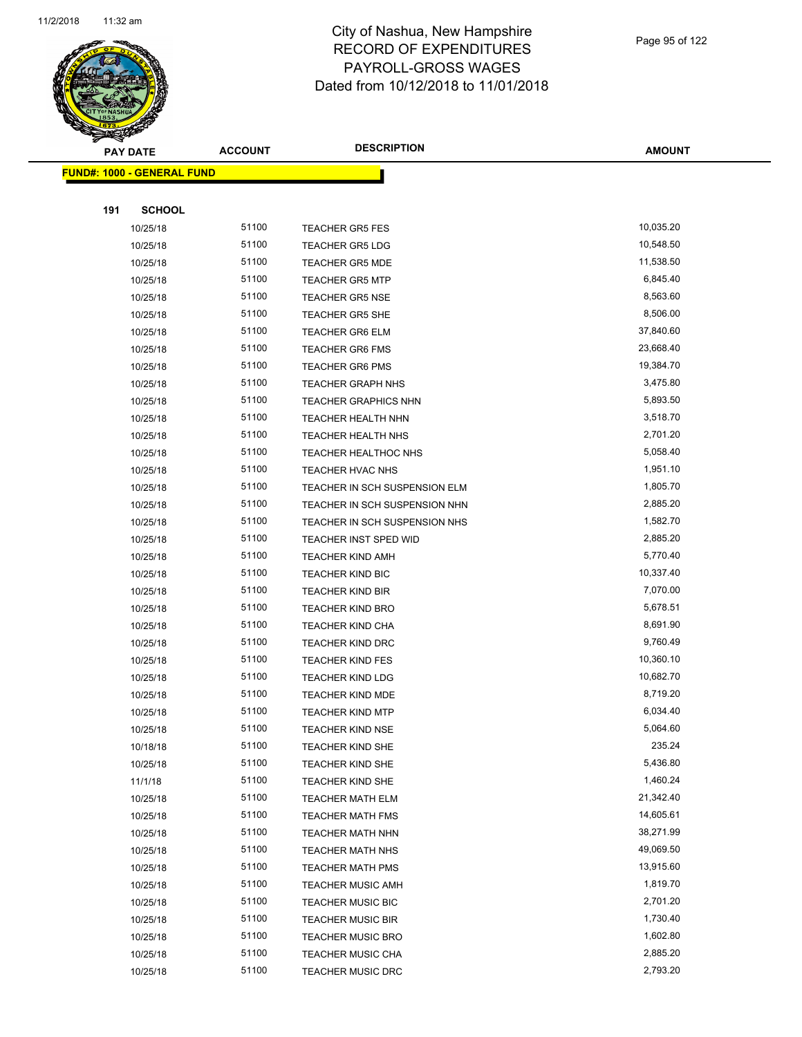

Page 95 of 122

|     | <b>PAY DATE</b>                   | <b>ACCOUNT</b> | <b>DESCRIPTION</b>            | <b>AMOUNT</b> |
|-----|-----------------------------------|----------------|-------------------------------|---------------|
|     | <b>FUND#: 1000 - GENERAL FUND</b> |                |                               |               |
|     |                                   |                |                               |               |
| 191 | <b>SCHOOL</b>                     |                |                               |               |
|     | 10/25/18                          | 51100          | <b>TEACHER GR5 FES</b>        | 10,035.20     |
|     | 10/25/18                          | 51100          | <b>TEACHER GR5 LDG</b>        | 10,548.50     |
|     | 10/25/18                          | 51100          | <b>TEACHER GR5 MDE</b>        | 11,538.50     |
|     | 10/25/18                          | 51100          | <b>TEACHER GR5 MTP</b>        | 6,845.40      |
|     | 10/25/18                          | 51100          | <b>TEACHER GR5 NSE</b>        | 8,563.60      |
|     | 10/25/18                          | 51100          | <b>TEACHER GR5 SHE</b>        | 8,506.00      |
|     | 10/25/18                          | 51100          | <b>TEACHER GR6 ELM</b>        | 37,840.60     |
|     | 10/25/18                          | 51100          | <b>TEACHER GR6 FMS</b>        | 23,668.40     |
|     | 10/25/18                          | 51100          | <b>TEACHER GR6 PMS</b>        | 19,384.70     |
|     | 10/25/18                          | 51100          | <b>TEACHER GRAPH NHS</b>      | 3,475.80      |
|     | 10/25/18                          | 51100          | <b>TEACHER GRAPHICS NHN</b>   | 5,893.50      |
|     | 10/25/18                          | 51100          | TEACHER HEALTH NHN            | 3,518.70      |
|     | 10/25/18                          | 51100          | <b>TEACHER HEALTH NHS</b>     | 2,701.20      |
|     | 10/25/18                          | 51100          | TEACHER HEALTHOC NHS          | 5,058.40      |
|     | 10/25/18                          | 51100          | TEACHER HVAC NHS              | 1,951.10      |
|     | 10/25/18                          | 51100          | TEACHER IN SCH SUSPENSION ELM | 1,805.70      |
|     | 10/25/18                          | 51100          | TEACHER IN SCH SUSPENSION NHN | 2,885.20      |
|     | 10/25/18                          | 51100          | TEACHER IN SCH SUSPENSION NHS | 1,582.70      |
|     | 10/25/18                          | 51100          | <b>TEACHER INST SPED WID</b>  | 2,885.20      |
|     | 10/25/18                          | 51100          | <b>TEACHER KIND AMH</b>       | 5,770.40      |
|     | 10/25/18                          | 51100          | TEACHER KIND BIC              | 10,337.40     |
|     | 10/25/18                          | 51100          | <b>TEACHER KIND BIR</b>       | 7,070.00      |
|     | 10/25/18                          | 51100          | <b>TEACHER KIND BRO</b>       | 5,678.51      |
|     | 10/25/18                          | 51100          | TEACHER KIND CHA              | 8,691.90      |
|     | 10/25/18                          | 51100          | <b>TEACHER KIND DRC</b>       | 9,760.49      |
|     | 10/25/18                          | 51100          | <b>TEACHER KIND FES</b>       | 10,360.10     |
|     | 10/25/18                          | 51100          | <b>TEACHER KIND LDG</b>       | 10,682.70     |
|     | 10/25/18                          | 51100          | <b>TEACHER KIND MDE</b>       | 8,719.20      |
|     | 10/25/18                          | 51100          | <b>TEACHER KIND MTP</b>       | 6,034.40      |
|     | 10/25/18                          | 51100          | TEACHER KIND NSE              | 5,064.60      |
|     | 10/18/18                          | 51100          | <b>TEACHER KIND SHE</b>       | 235.24        |
|     | 10/25/18                          | 51100          | TEACHER KIND SHE              | 5,436.80      |
|     | 11/1/18                           | 51100          | TEACHER KIND SHE              | 1,460.24      |
|     | 10/25/18                          | 51100          | <b>TEACHER MATH ELM</b>       | 21,342.40     |
|     | 10/25/18                          | 51100          | <b>TEACHER MATH FMS</b>       | 14,605.61     |
|     | 10/25/18                          | 51100          | <b>TEACHER MATH NHN</b>       | 38,271.99     |
|     | 10/25/18                          | 51100          | TEACHER MATH NHS              | 49,069.50     |
|     | 10/25/18                          | 51100          | <b>TEACHER MATH PMS</b>       | 13,915.60     |
|     | 10/25/18                          | 51100          | <b>TEACHER MUSIC AMH</b>      | 1,819.70      |
|     | 10/25/18                          | 51100          | TEACHER MUSIC BIC             | 2,701.20      |
|     | 10/25/18                          | 51100          | <b>TEACHER MUSIC BIR</b>      | 1,730.40      |
|     | 10/25/18                          | 51100          | <b>TEACHER MUSIC BRO</b>      | 1,602.80      |
|     | 10/25/18                          | 51100          | <b>TEACHER MUSIC CHA</b>      | 2,885.20      |
|     | 10/25/18                          | 51100          | <b>TEACHER MUSIC DRC</b>      | 2,793.20      |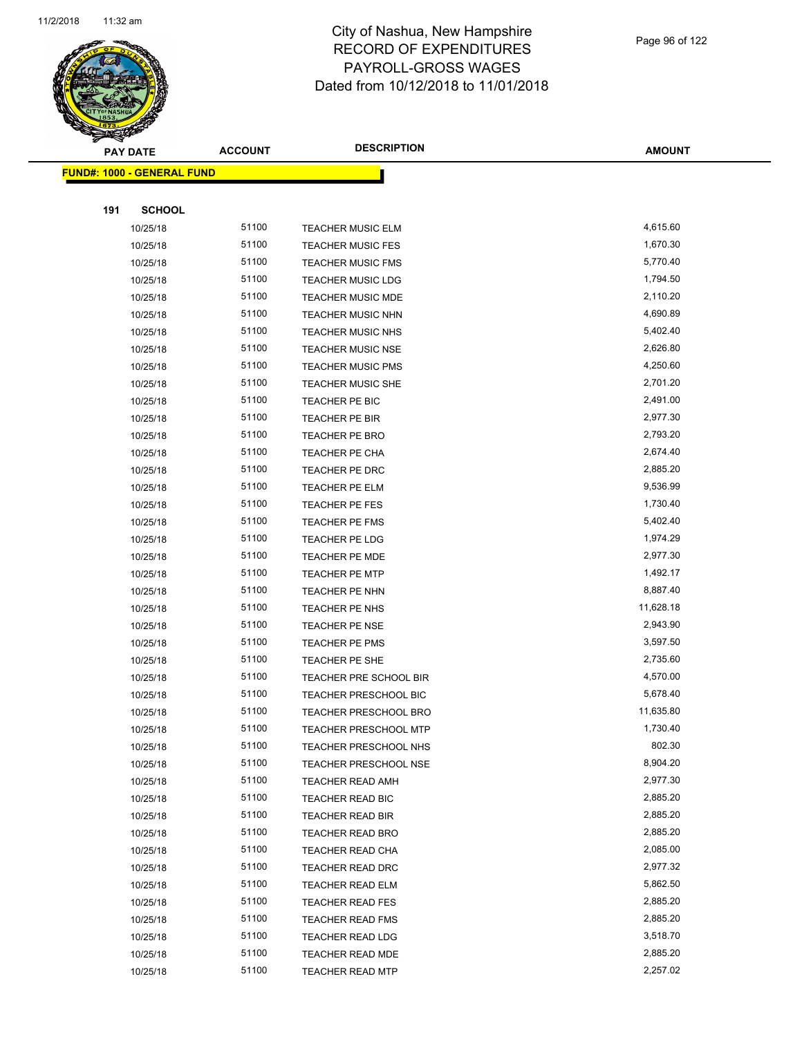

Page 96 of 122

|     | <b>PAY DATE</b>                   | <b>ACCOUNT</b> | <b>DESCRIPTION</b>                               | <b>AMOUNT</b>      |  |
|-----|-----------------------------------|----------------|--------------------------------------------------|--------------------|--|
|     | <b>FUND#: 1000 - GENERAL FUND</b> |                |                                                  |                    |  |
|     |                                   |                |                                                  |                    |  |
| 191 | <b>SCHOOL</b>                     |                |                                                  |                    |  |
|     | 10/25/18                          | 51100          | <b>TEACHER MUSIC ELM</b>                         | 4,615.60           |  |
|     | 10/25/18                          | 51100          | <b>TEACHER MUSIC FES</b>                         | 1,670.30           |  |
|     | 10/25/18                          | 51100          | <b>TEACHER MUSIC FMS</b>                         | 5,770.40           |  |
|     | 10/25/18                          | 51100          | <b>TEACHER MUSIC LDG</b>                         | 1,794.50           |  |
|     | 10/25/18                          | 51100          | <b>TEACHER MUSIC MDE</b>                         | 2,110.20           |  |
|     | 10/25/18                          | 51100          | <b>TEACHER MUSIC NHN</b>                         | 4,690.89           |  |
|     | 10/25/18                          | 51100          | <b>TEACHER MUSIC NHS</b>                         | 5,402.40           |  |
|     | 10/25/18                          | 51100          | TEACHER MUSIC NSE                                | 2,626.80           |  |
|     | 10/25/18                          | 51100          | <b>TEACHER MUSIC PMS</b>                         | 4,250.60           |  |
|     | 10/25/18                          | 51100          | <b>TEACHER MUSIC SHE</b>                         | 2,701.20           |  |
|     | 10/25/18                          | 51100          | TEACHER PE BIC                                   | 2,491.00           |  |
|     | 10/25/18                          | 51100          | TEACHER PE BIR                                   | 2,977.30           |  |
|     | 10/25/18                          | 51100          | <b>TEACHER PE BRO</b>                            | 2,793.20           |  |
|     | 10/25/18                          | 51100          | TEACHER PE CHA                                   | 2,674.40           |  |
|     | 10/25/18                          | 51100          | TEACHER PE DRC                                   | 2,885.20           |  |
|     | 10/25/18                          | 51100          | <b>TEACHER PE ELM</b>                            | 9,536.99           |  |
|     | 10/25/18                          | 51100          | TEACHER PE FES                                   | 1,730.40           |  |
|     | 10/25/18                          | 51100          | TEACHER PE FMS                                   | 5,402.40           |  |
|     | 10/25/18                          | 51100          | TEACHER PE LDG                                   | 1,974.29           |  |
|     | 10/25/18                          | 51100          | TEACHER PE MDE                                   | 2,977.30           |  |
|     | 10/25/18                          | 51100          | <b>TEACHER PE MTP</b>                            | 1,492.17           |  |
|     | 10/25/18                          | 51100          | TEACHER PE NHN                                   | 8,887.40           |  |
|     | 10/25/18                          | 51100          | TEACHER PE NHS                                   | 11,628.18          |  |
|     | 10/25/18                          | 51100          | <b>TEACHER PE NSE</b>                            | 2,943.90           |  |
|     | 10/25/18                          | 51100          | <b>TEACHER PE PMS</b>                            | 3,597.50           |  |
|     | 10/25/18                          | 51100          | TEACHER PE SHE                                   | 2,735.60           |  |
|     | 10/25/18                          | 51100          | TEACHER PRE SCHOOL BIR                           | 4,570.00           |  |
|     | 10/25/18                          | 51100          | TEACHER PRESCHOOL BIC                            | 5,678.40           |  |
|     | 10/25/18                          | 51100          | <b>TEACHER PRESCHOOL BRO</b>                     | 11,635.80          |  |
|     | 10/25/18                          | 51100          | TEACHER PRESCHOOL MTP                            | 1,730.40           |  |
|     | 10/25/18                          | 51100<br>51100 | <b>TEACHER PRESCHOOL NHS</b>                     | 802.30<br>8,904.20 |  |
|     | 10/25/18<br>10/25/18              | 51100          | <b>TEACHER PRESCHOOL NSE</b><br>TEACHER READ AMH | 2,977.30           |  |
|     | 10/25/18                          | 51100          | TEACHER READ BIC                                 | 2,885.20           |  |
|     | 10/25/18                          | 51100          | TEACHER READ BIR                                 | 2,885.20           |  |
|     | 10/25/18                          | 51100          | TEACHER READ BRO                                 | 2,885.20           |  |
|     | 10/25/18                          | 51100          | TEACHER READ CHA                                 | 2,085.00           |  |
|     | 10/25/18                          | 51100          | TEACHER READ DRC                                 | 2,977.32           |  |
|     | 10/25/18                          | 51100          | <b>TEACHER READ ELM</b>                          | 5,862.50           |  |
|     | 10/25/18                          | 51100          | <b>TEACHER READ FES</b>                          | 2,885.20           |  |
|     | 10/25/18                          | 51100          | <b>TEACHER READ FMS</b>                          | 2,885.20           |  |
|     | 10/25/18                          | 51100          | <b>TEACHER READ LDG</b>                          | 3,518.70           |  |
|     | 10/25/18                          | 51100          | TEACHER READ MDE                                 | 2,885.20           |  |
|     | 10/25/18                          | 51100          | <b>TEACHER READ MTP</b>                          | 2,257.02           |  |
|     |                                   |                |                                                  |                    |  |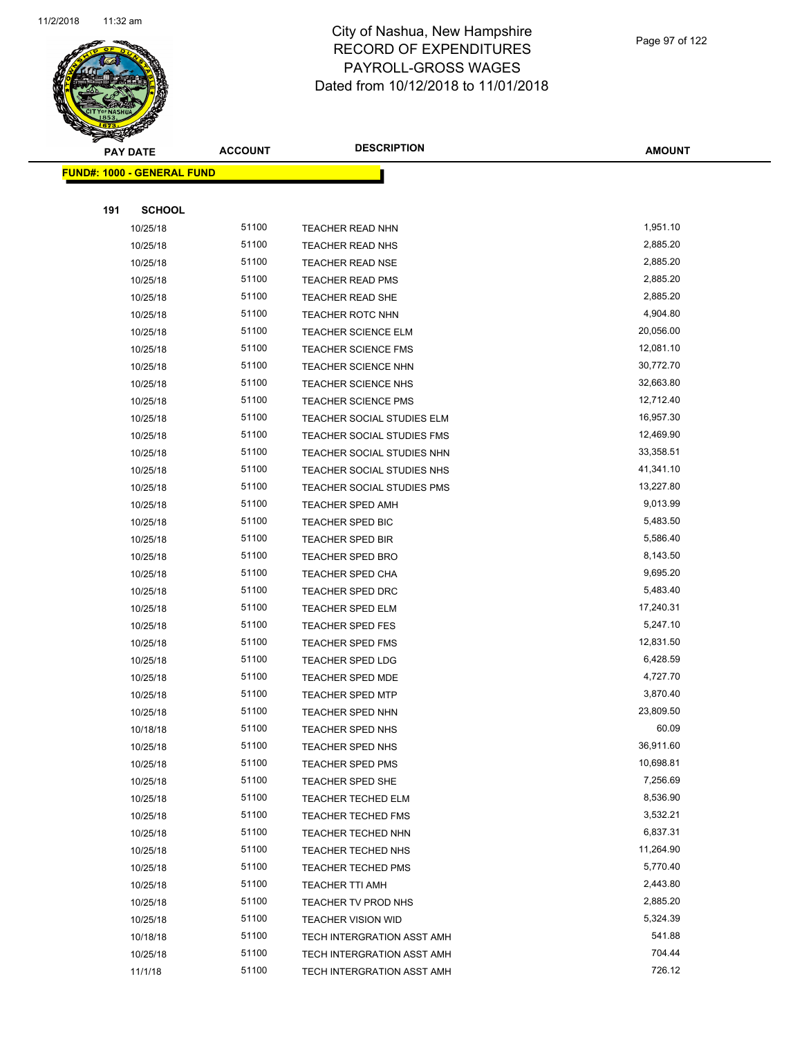

Page 97 of 122

| <b>PAY DATE</b>                   | <b>ACCOUNT</b> | <b>DESCRIPTION</b>         | <b>AMOUNT</b> |
|-----------------------------------|----------------|----------------------------|---------------|
| <b>FUND#: 1000 - GENERAL FUND</b> |                |                            |               |
|                                   |                |                            |               |
| 191<br><b>SCHOOL</b>              |                |                            |               |
| 10/25/18                          | 51100          | TEACHER READ NHN           | 1,951.10      |
| 10/25/18                          | 51100          | <b>TEACHER READ NHS</b>    | 2,885.20      |
| 10/25/18                          | 51100          | <b>TEACHER READ NSE</b>    | 2,885.20      |
| 10/25/18                          | 51100          | <b>TEACHER READ PMS</b>    | 2,885.20      |
| 10/25/18                          | 51100          | TEACHER READ SHE           | 2,885.20      |
| 10/25/18                          | 51100          | <b>TEACHER ROTC NHN</b>    | 4,904.80      |
| 10/25/18                          | 51100          | TEACHER SCIENCE ELM        | 20,056.00     |
| 10/25/18                          | 51100          | <b>TEACHER SCIENCE FMS</b> | 12,081.10     |
| 10/25/18                          | 51100          | <b>TEACHER SCIENCE NHN</b> | 30,772.70     |
| 10/25/18                          | 51100          | <b>TEACHER SCIENCE NHS</b> | 32,663.80     |
| 10/25/18                          | 51100          | <b>TEACHER SCIENCE PMS</b> | 12,712.40     |
| 10/25/18                          | 51100          | TEACHER SOCIAL STUDIES ELM | 16,957.30     |
| 10/25/18                          | 51100          | TEACHER SOCIAL STUDIES FMS | 12,469.90     |
| 10/25/18                          | 51100          | TEACHER SOCIAL STUDIES NHN | 33,358.51     |
| 10/25/18                          | 51100          | TEACHER SOCIAL STUDIES NHS | 41,341.10     |
| 10/25/18                          | 51100          | TEACHER SOCIAL STUDIES PMS | 13,227.80     |
| 10/25/18                          | 51100          | <b>TEACHER SPED AMH</b>    | 9,013.99      |
| 10/25/18                          | 51100          | TEACHER SPED BIC           | 5,483.50      |
| 10/25/18                          | 51100          | <b>TEACHER SPED BIR</b>    | 5,586.40      |
| 10/25/18                          | 51100          | <b>TEACHER SPED BRO</b>    | 8,143.50      |
| 10/25/18                          | 51100          | TEACHER SPED CHA           | 9,695.20      |
| 10/25/18                          | 51100          | <b>TEACHER SPED DRC</b>    | 5,483.40      |
| 10/25/18                          | 51100          | TEACHER SPED ELM           | 17,240.31     |
| 10/25/18                          | 51100          | <b>TEACHER SPED FES</b>    | 5,247.10      |
| 10/25/18                          | 51100          | <b>TEACHER SPED FMS</b>    | 12,831.50     |
| 10/25/18                          | 51100          | TEACHER SPED LDG           | 6,428.59      |
| 10/25/18                          | 51100          | <b>TEACHER SPED MDE</b>    | 4,727.70      |
| 10/25/18                          | 51100          | <b>TEACHER SPED MTP</b>    | 3,870.40      |
| 10/25/18                          | 51100          | <b>TEACHER SPED NHN</b>    | 23,809.50     |
| 10/18/18                          | 51100          | TEACHER SPED NHS           | 60.09         |
| 10/25/18                          | 51100          | TEACHER SPED NHS           | 36,911.60     |
| 10/25/18                          | 51100          | TEACHER SPED PMS           | 10,698.81     |
| 10/25/18                          | 51100          | TEACHER SPED SHE           | 7,256.69      |
| 10/25/18                          | 51100          | TEACHER TECHED ELM         | 8,536.90      |
| 10/25/18                          | 51100          | <b>TEACHER TECHED FMS</b>  | 3,532.21      |
| 10/25/18                          | 51100          | <b>TEACHER TECHED NHN</b>  | 6,837.31      |
| 10/25/18                          | 51100          | TEACHER TECHED NHS         | 11,264.90     |
| 10/25/18                          | 51100          | <b>TEACHER TECHED PMS</b>  | 5,770.40      |
| 10/25/18                          | 51100          | <b>TEACHER TTI AMH</b>     | 2,443.80      |
| 10/25/18                          | 51100          | TEACHER TV PROD NHS        | 2,885.20      |
| 10/25/18                          | 51100          | <b>TEACHER VISION WID</b>  | 5,324.39      |
| 10/18/18                          | 51100          | TECH INTERGRATION ASST AMH | 541.88        |
| 10/25/18                          | 51100          | TECH INTERGRATION ASST AMH | 704.44        |
| 11/1/18                           | 51100          | TECH INTERGRATION ASST AMH | 726.12        |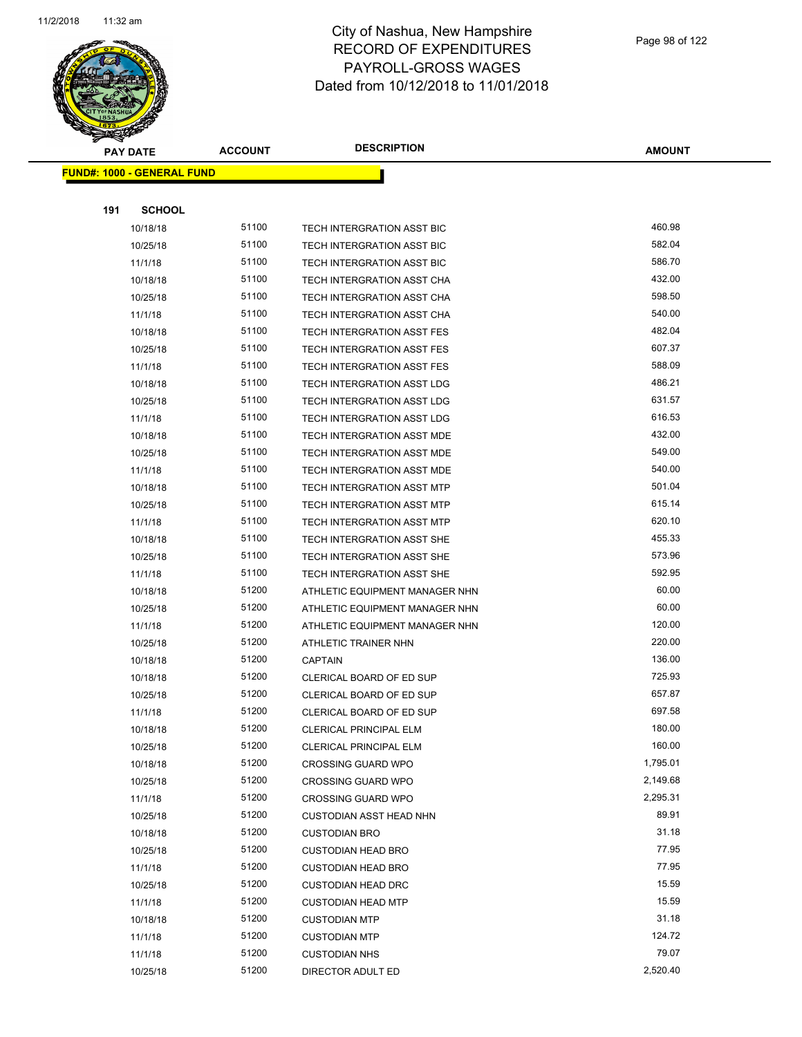

|     | <b>PAY DATE</b>                   | <b>ACCOUNT</b> | <b>DESCRIPTION</b>                | <b>AMOUNT</b> |
|-----|-----------------------------------|----------------|-----------------------------------|---------------|
|     | <b>FUND#: 1000 - GENERAL FUND</b> |                |                                   |               |
|     |                                   |                |                                   |               |
| 191 | <b>SCHOOL</b>                     |                |                                   |               |
|     | 10/18/18                          | 51100          | TECH INTERGRATION ASST BIC        | 460.98        |
|     | 10/25/18                          | 51100          | TECH INTERGRATION ASST BIC        | 582.04        |
|     | 11/1/18                           | 51100          | TECH INTERGRATION ASST BIC        | 586.70        |
|     | 10/18/18                          | 51100          | TECH INTERGRATION ASST CHA        | 432.00        |
|     | 10/25/18                          | 51100          | TECH INTERGRATION ASST CHA        | 598.50        |
|     | 11/1/18                           | 51100          | TECH INTERGRATION ASST CHA        | 540.00        |
|     | 10/18/18                          | 51100          | TECH INTERGRATION ASST FES        | 482.04        |
|     | 10/25/18                          | 51100          | TECH INTERGRATION ASST FES        | 607.37        |
|     | 11/1/18                           | 51100          | TECH INTERGRATION ASST FES        | 588.09        |
|     | 10/18/18                          | 51100          | TECH INTERGRATION ASST LDG        | 486.21        |
|     | 10/25/18                          | 51100          | TECH INTERGRATION ASST LDG        | 631.57        |
|     | 11/1/18                           | 51100          | TECH INTERGRATION ASST LDG        | 616.53        |
|     | 10/18/18                          | 51100          | TECH INTERGRATION ASST MDE        | 432.00        |
|     | 10/25/18                          | 51100          | <b>TECH INTERGRATION ASST MDE</b> | 549.00        |
|     | 11/1/18                           | 51100          | TECH INTERGRATION ASST MDE        | 540.00        |
|     | 10/18/18                          | 51100          | TECH INTERGRATION ASST MTP        | 501.04        |
|     | 10/25/18                          | 51100          | TECH INTERGRATION ASST MTP        | 615.14        |
|     | 11/1/18                           | 51100          | TECH INTERGRATION ASST MTP        | 620.10        |
|     | 10/18/18                          | 51100          | TECH INTERGRATION ASST SHE        | 455.33        |
|     | 10/25/18                          | 51100          | TECH INTERGRATION ASST SHE        | 573.96        |
|     | 11/1/18                           | 51100          | TECH INTERGRATION ASST SHE        | 592.95        |
|     | 10/18/18                          | 51200          | ATHLETIC EQUIPMENT MANAGER NHN    | 60.00         |
|     | 10/25/18                          | 51200          | ATHLETIC EQUIPMENT MANAGER NHN    | 60.00         |
|     | 11/1/18                           | 51200          | ATHLETIC EQUIPMENT MANAGER NHN    | 120.00        |
|     | 10/25/18                          | 51200          | ATHLETIC TRAINER NHN              | 220.00        |
|     | 10/18/18                          | 51200          | <b>CAPTAIN</b>                    | 136.00        |
|     | 10/18/18                          | 51200          | CLERICAL BOARD OF ED SUP          | 725.93        |
|     | 10/25/18                          | 51200          | CLERICAL BOARD OF ED SUP          | 657.87        |
|     | 11/1/18                           | 51200          | CLERICAL BOARD OF ED SUP          | 697.58        |
|     | 10/18/18                          | 51200          | CLERICAL PRINCIPAL ELM            | 180.00        |
|     | 10/25/18                          | 51200          | CLERICAL PRINCIPAL ELM            | 160.00        |
|     | 10/18/18                          | 51200          | <b>CROSSING GUARD WPO</b>         | 1,795.01      |
|     | 10/25/18                          | 51200          | <b>CROSSING GUARD WPO</b>         | 2,149.68      |
|     | 11/1/18                           | 51200          | <b>CROSSING GUARD WPO</b>         | 2,295.31      |
|     | 10/25/18                          | 51200          | <b>CUSTODIAN ASST HEAD NHN</b>    | 89.91         |
|     | 10/18/18                          | 51200          | <b>CUSTODIAN BRO</b>              | 31.18         |
|     | 10/25/18                          | 51200          | <b>CUSTODIAN HEAD BRO</b>         | 77.95         |
|     | 11/1/18                           | 51200          | <b>CUSTODIAN HEAD BRO</b>         | 77.95         |
|     | 10/25/18                          | 51200          | <b>CUSTODIAN HEAD DRC</b>         | 15.59         |
|     | 11/1/18                           | 51200          | <b>CUSTODIAN HEAD MTP</b>         | 15.59         |
|     | 10/18/18                          | 51200          | <b>CUSTODIAN MTP</b>              | 31.18         |
|     | 11/1/18                           | 51200          | <b>CUSTODIAN MTP</b>              | 124.72        |
|     | 11/1/18                           | 51200          | <b>CUSTODIAN NHS</b>              | 79.07         |
|     | 10/25/18                          | 51200          | DIRECTOR ADULT ED                 | 2,520.40      |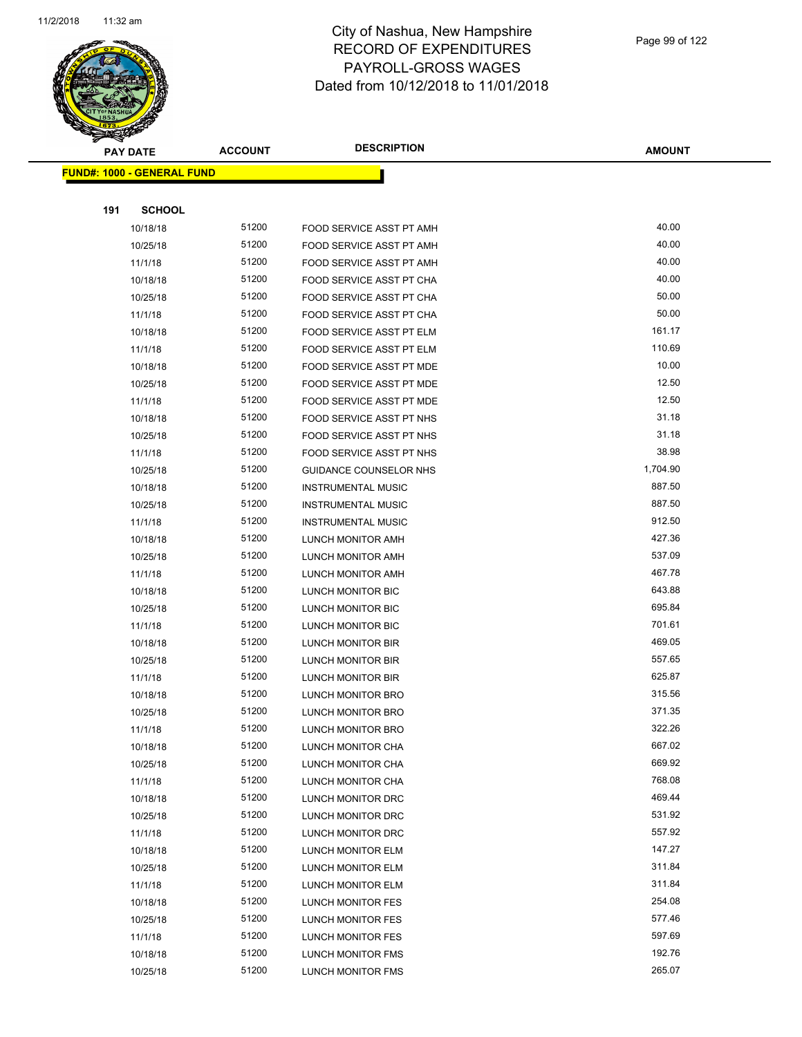

|     | <b>PAY DATE</b>                   | <b>ACCOUNT</b> | <b>DESCRIPTION</b>              | <b>AMOUNT</b> |
|-----|-----------------------------------|----------------|---------------------------------|---------------|
|     | <b>FUND#: 1000 - GENERAL FUND</b> |                |                                 |               |
|     |                                   |                |                                 |               |
| 191 | <b>SCHOOL</b>                     |                |                                 |               |
|     | 10/18/18                          | 51200          | FOOD SERVICE ASST PT AMH        | 40.00         |
|     | 10/25/18                          | 51200          | FOOD SERVICE ASST PT AMH        | 40.00         |
|     | 11/1/18                           | 51200          | FOOD SERVICE ASST PT AMH        | 40.00         |
|     | 10/18/18                          | 51200          | FOOD SERVICE ASST PT CHA        | 40.00         |
|     | 10/25/18                          | 51200          | FOOD SERVICE ASST PT CHA        | 50.00         |
|     | 11/1/18                           | 51200          | FOOD SERVICE ASST PT CHA        | 50.00         |
|     | 10/18/18                          | 51200          | <b>FOOD SERVICE ASST PT ELM</b> | 161.17        |
|     | 11/1/18                           | 51200          | FOOD SERVICE ASST PT ELM        | 110.69        |
|     | 10/18/18                          | 51200          | FOOD SERVICE ASST PT MDE        | 10.00         |
|     | 10/25/18                          | 51200          | FOOD SERVICE ASST PT MDE        | 12.50         |
|     | 11/1/18                           | 51200          | FOOD SERVICE ASST PT MDE        | 12.50         |
|     | 10/18/18                          | 51200          | FOOD SERVICE ASST PT NHS        | 31.18         |
|     | 10/25/18                          | 51200          | FOOD SERVICE ASST PT NHS        | 31.18         |
|     | 11/1/18                           | 51200          | FOOD SERVICE ASST PT NHS        | 38.98         |
|     | 10/25/18                          | 51200          | <b>GUIDANCE COUNSELOR NHS</b>   | 1,704.90      |
|     | 10/18/18                          | 51200          | <b>INSTRUMENTAL MUSIC</b>       | 887.50        |
|     | 10/25/18                          | 51200          | <b>INSTRUMENTAL MUSIC</b>       | 887.50        |
|     | 11/1/18                           | 51200          | <b>INSTRUMENTAL MUSIC</b>       | 912.50        |
|     | 10/18/18                          | 51200          | LUNCH MONITOR AMH               | 427.36        |
|     | 10/25/18                          | 51200          | LUNCH MONITOR AMH               | 537.09        |
|     | 11/1/18                           | 51200          | LUNCH MONITOR AMH               | 467.78        |
|     | 10/18/18                          | 51200          | LUNCH MONITOR BIC               | 643.88        |
|     | 10/25/18                          | 51200          | LUNCH MONITOR BIC               | 695.84        |
|     | 11/1/18                           | 51200          | LUNCH MONITOR BIC               | 701.61        |
|     | 10/18/18                          | 51200          | LUNCH MONITOR BIR               | 469.05        |
|     | 10/25/18                          | 51200          | LUNCH MONITOR BIR               | 557.65        |
|     | 11/1/18                           | 51200          | LUNCH MONITOR BIR               | 625.87        |
|     | 10/18/18                          | 51200          | LUNCH MONITOR BRO               | 315.56        |
|     | 10/25/18                          | 51200          | <b>LUNCH MONITOR BRO</b>        | 371.35        |
|     | 11/1/18                           | 51200          | LUNCH MONITOR BRO               | 322.26        |
|     | 10/18/18                          | 51200          | LUNCH MONITOR CHA               | 667.02        |
|     | 10/25/18                          | 51200          | LUNCH MONITOR CHA               | 669.92        |
|     | 11/1/18                           | 51200          | LUNCH MONITOR CHA               | 768.08        |
|     | 10/18/18                          | 51200          | LUNCH MONITOR DRC               | 469.44        |
|     | 10/25/18                          | 51200          | LUNCH MONITOR DRC               | 531.92        |
|     | 11/1/18                           | 51200          | LUNCH MONITOR DRC               | 557.92        |
|     | 10/18/18                          | 51200          | LUNCH MONITOR ELM               | 147.27        |
|     | 10/25/18                          | 51200          | LUNCH MONITOR ELM               | 311.84        |
|     | 11/1/18                           | 51200          | LUNCH MONITOR ELM               | 311.84        |
|     | 10/18/18                          | 51200          | LUNCH MONITOR FES               | 254.08        |
|     | 10/25/18                          | 51200          | LUNCH MONITOR FES               | 577.46        |
|     | 11/1/18                           | 51200          | LUNCH MONITOR FES               | 597.69        |
|     | 10/18/18                          | 51200          | LUNCH MONITOR FMS               | 192.76        |
|     | 10/25/18                          | 51200          | LUNCH MONITOR FMS               | 265.07        |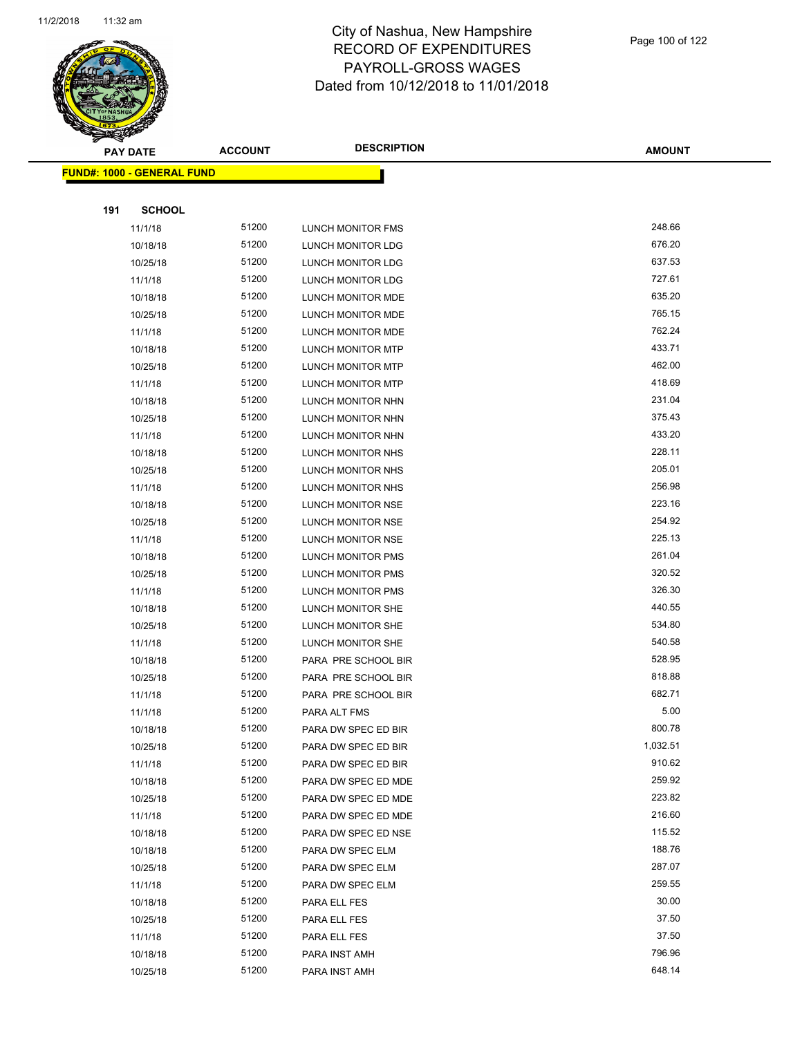

|     | <b>PAY DATE</b>                   | <b>ACCOUNT</b> | <b>DESCRIPTION</b>  | <b>AMOUNT</b> |
|-----|-----------------------------------|----------------|---------------------|---------------|
|     | <b>FUND#: 1000 - GENERAL FUND</b> |                |                     |               |
|     |                                   |                |                     |               |
| 191 | <b>SCHOOL</b>                     |                |                     |               |
|     | 11/1/18                           | 51200          | LUNCH MONITOR FMS   | 248.66        |
|     | 10/18/18                          | 51200          | LUNCH MONITOR LDG   | 676.20        |
|     | 10/25/18                          | 51200          | LUNCH MONITOR LDG   | 637.53        |
|     | 11/1/18                           | 51200          | LUNCH MONITOR LDG   | 727.61        |
|     | 10/18/18                          | 51200          | LUNCH MONITOR MDE   | 635.20        |
|     | 10/25/18                          | 51200          | LUNCH MONITOR MDE   | 765.15        |
|     | 11/1/18                           | 51200          | LUNCH MONITOR MDE   | 762.24        |
|     | 10/18/18                          | 51200          | LUNCH MONITOR MTP   | 433.71        |
|     | 10/25/18                          | 51200          | LUNCH MONITOR MTP   | 462.00        |
|     | 11/1/18                           | 51200          | LUNCH MONITOR MTP   | 418.69        |
|     | 10/18/18                          | 51200          | LUNCH MONITOR NHN   | 231.04        |
|     | 10/25/18                          | 51200          | LUNCH MONITOR NHN   | 375.43        |
|     | 11/1/18                           | 51200          | LUNCH MONITOR NHN   | 433.20        |
|     | 10/18/18                          | 51200          | LUNCH MONITOR NHS   | 228.11        |
|     | 10/25/18                          | 51200          | LUNCH MONITOR NHS   | 205.01        |
|     | 11/1/18                           | 51200          | LUNCH MONITOR NHS   | 256.98        |
|     | 10/18/18                          | 51200          | LUNCH MONITOR NSE   | 223.16        |
|     | 10/25/18                          | 51200          | LUNCH MONITOR NSE   | 254.92        |
|     | 11/1/18                           | 51200          | LUNCH MONITOR NSE   | 225.13        |
|     | 10/18/18                          | 51200          | LUNCH MONITOR PMS   | 261.04        |
|     | 10/25/18                          | 51200          | LUNCH MONITOR PMS   | 320.52        |
|     | 11/1/18                           | 51200          | LUNCH MONITOR PMS   | 326.30        |
|     | 10/18/18                          | 51200          | LUNCH MONITOR SHE   | 440.55        |
|     | 10/25/18                          | 51200          | LUNCH MONITOR SHE   | 534.80        |
|     | 11/1/18                           | 51200          | LUNCH MONITOR SHE   | 540.58        |
|     | 10/18/18                          | 51200          | PARA PRE SCHOOL BIR | 528.95        |
|     | 10/25/18                          | 51200          | PARA PRE SCHOOL BIR | 818.88        |
|     | 11/1/18                           | 51200          | PARA PRE SCHOOL BIR | 682.71        |
|     | 11/1/18                           | 51200          | PARA ALT FMS        | 5.00          |
|     | 10/18/18                          | 51200          | PARA DW SPEC ED BIR | 800.78        |
|     | 10/25/18                          | 51200          | PARA DW SPEC ED BIR | 1,032.51      |
|     | 11/1/18                           | 51200          | PARA DW SPEC ED BIR | 910.62        |
|     | 10/18/18                          | 51200          | PARA DW SPEC ED MDE | 259.92        |
|     | 10/25/18                          | 51200          | PARA DW SPEC ED MDE | 223.82        |
|     | 11/1/18                           | 51200          | PARA DW SPEC ED MDE | 216.60        |
|     | 10/18/18                          | 51200          | PARA DW SPEC ED NSE | 115.52        |
|     | 10/18/18                          | 51200          | PARA DW SPEC ELM    | 188.76        |
|     | 10/25/18                          | 51200          | PARA DW SPEC ELM    | 287.07        |
|     | 11/1/18                           | 51200          | PARA DW SPEC ELM    | 259.55        |
|     | 10/18/18                          | 51200          | PARA ELL FES        | 30.00         |
|     | 10/25/18                          | 51200          | PARA ELL FES        | 37.50         |
|     | 11/1/18                           | 51200          | PARA ELL FES        | 37.50         |
|     | 10/18/18                          | 51200          | PARA INST AMH       | 796.96        |
|     | 10/25/18                          | 51200          | PARA INST AMH       | 648.14        |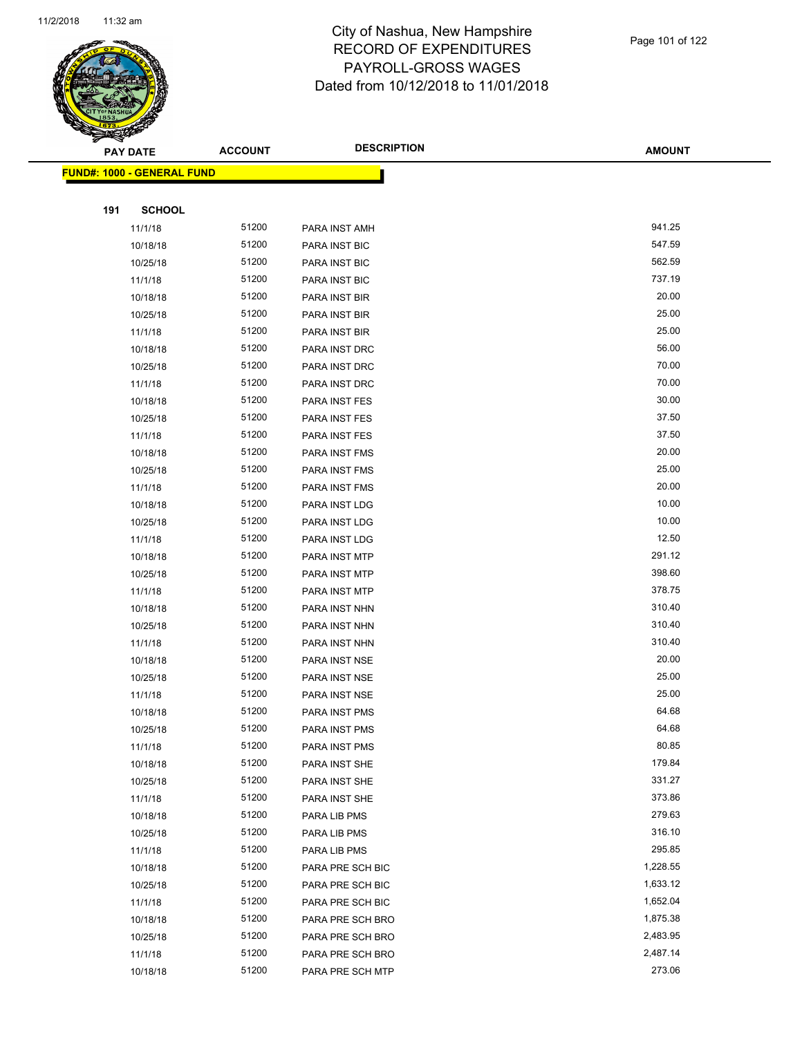

|     | <b>PAY DATE</b>                   | <b>ACCOUNT</b> | <b>DESCRIPTION</b> | <b>AMOUNT</b>      |
|-----|-----------------------------------|----------------|--------------------|--------------------|
|     | <b>FUND#: 1000 - GENERAL FUND</b> |                |                    |                    |
|     |                                   |                |                    |                    |
| 191 | <b>SCHOOL</b>                     |                |                    |                    |
|     | 11/1/18                           | 51200          | PARA INST AMH      | 941.25             |
|     | 10/18/18                          | 51200          | PARA INST BIC      | 547.59             |
|     | 10/25/18                          | 51200          | PARA INST BIC      | 562.59             |
|     | 11/1/18                           | 51200          | PARA INST BIC      | 737.19             |
|     | 10/18/18                          | 51200          | PARA INST BIR      | 20.00              |
|     | 10/25/18                          | 51200          | PARA INST BIR      | 25.00              |
|     | 11/1/18                           | 51200          | PARA INST BIR      | 25.00              |
|     | 10/18/18                          | 51200          | PARA INST DRC      | 56.00              |
|     | 10/25/18                          | 51200          | PARA INST DRC      | 70.00              |
|     | 11/1/18                           | 51200          | PARA INST DRC      | 70.00              |
|     | 10/18/18                          | 51200          | PARA INST FES      | 30.00              |
|     | 10/25/18                          | 51200          | PARA INST FES      | 37.50              |
|     | 11/1/18                           | 51200          | PARA INST FES      | 37.50              |
|     | 10/18/18                          | 51200          | PARA INST FMS      | 20.00              |
|     | 10/25/18                          | 51200          | PARA INST FMS      | 25.00              |
|     | 11/1/18                           | 51200          | PARA INST FMS      | 20.00              |
|     | 10/18/18                          | 51200          | PARA INST LDG      | 10.00              |
|     | 10/25/18                          | 51200          | PARA INST LDG      | 10.00              |
|     | 11/1/18                           | 51200          | PARA INST LDG      | 12.50              |
|     | 10/18/18                          | 51200          | PARA INST MTP      | 291.12             |
|     | 10/25/18                          | 51200          | PARA INST MTP      | 398.60             |
|     | 11/1/18                           | 51200          | PARA INST MTP      | 378.75             |
|     | 10/18/18                          | 51200          | PARA INST NHN      | 310.40             |
|     | 10/25/18                          | 51200          | PARA INST NHN      | 310.40             |
|     | 11/1/18                           | 51200          | PARA INST NHN      | 310.40             |
|     | 10/18/18                          | 51200          | PARA INST NSE      | 20.00              |
|     | 10/25/18                          | 51200          | PARA INST NSE      | 25.00              |
|     | 11/1/18                           | 51200          | PARA INST NSE      | 25.00              |
|     | 10/18/18                          | 51200          | PARA INST PMS      | 64.68              |
|     | 10/25/18                          | 51200          | PARA INST PMS      | 64.68              |
|     | 11/1/18                           | 51200          | PARA INST PMS      | 80.85              |
|     | 10/18/18                          | 51200          | PARA INST SHE      | 179.84             |
|     | 10/25/18                          | 51200          | PARA INST SHE      | 331.27             |
|     | 11/1/18                           | 51200          | PARA INST SHE      | 373.86             |
|     | 10/18/18                          | 51200          | PARA LIB PMS       | 279.63             |
|     | 10/25/18                          | 51200          | PARA LIB PMS       | 316.10             |
|     | 11/1/18                           | 51200          | PARA LIB PMS       | 295.85             |
|     | 10/18/18                          | 51200          | PARA PRE SCH BIC   | 1,228.55           |
|     | 10/25/18                          | 51200          | PARA PRE SCH BIC   | 1,633.12           |
|     | 11/1/18                           | 51200          | PARA PRE SCH BIC   | 1,652.04           |
|     | 10/18/18                          | 51200          | PARA PRE SCH BRO   | 1,875.38           |
|     | 10/25/18                          | 51200<br>51200 | PARA PRE SCH BRO   | 2,483.95           |
|     | 11/1/18                           | 51200          | PARA PRE SCH BRO   | 2,487.14<br>273.06 |
|     | 10/18/18                          |                | PARA PRE SCH MTP   |                    |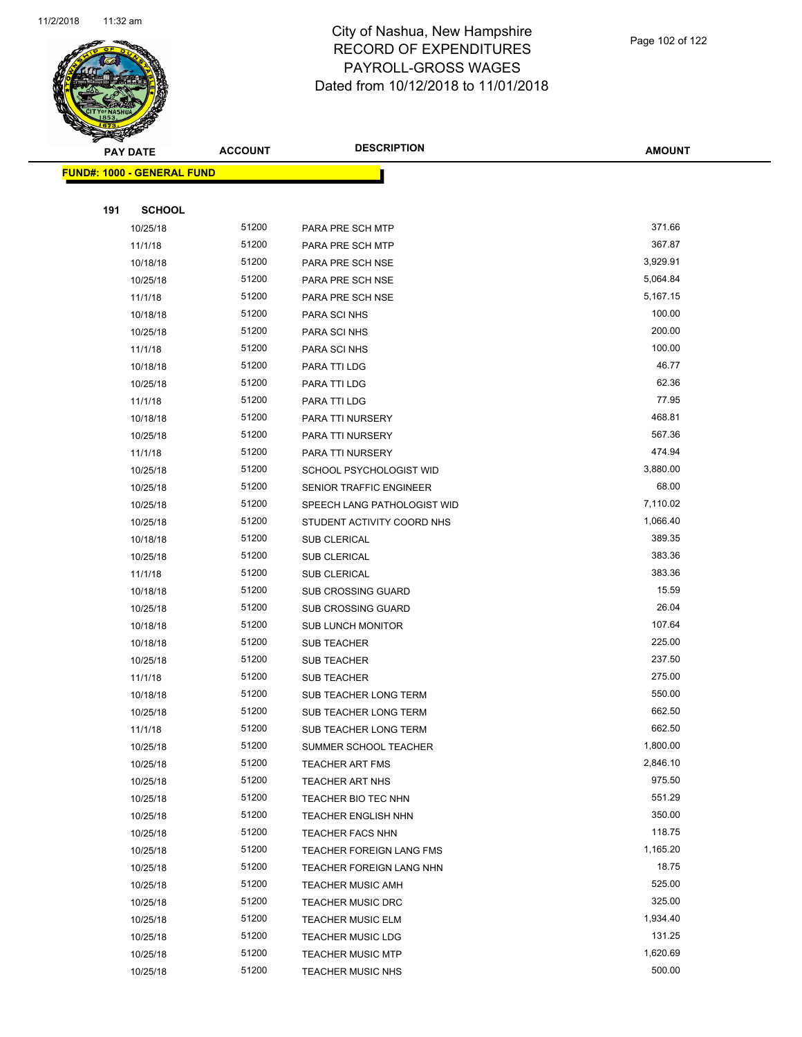

|     | <b>PAY DATE</b>                   | <b>ACCOUNT</b> | <b>DESCRIPTION</b>             | <b>AMOUNT</b> |
|-----|-----------------------------------|----------------|--------------------------------|---------------|
|     | <b>FUND#: 1000 - GENERAL FUND</b> |                |                                |               |
|     |                                   |                |                                |               |
| 191 | <b>SCHOOL</b>                     |                |                                |               |
|     | 10/25/18                          | 51200          | PARA PRE SCH MTP               | 371.66        |
|     | 11/1/18                           | 51200          | PARA PRE SCH MTP               | 367.87        |
|     | 10/18/18                          | 51200          | PARA PRE SCH NSE               | 3,929.91      |
|     | 10/25/18                          | 51200          | PARA PRE SCH NSE               | 5,064.84      |
|     | 11/1/18                           | 51200          | PARA PRE SCH NSE               | 5,167.15      |
|     | 10/18/18                          | 51200          | PARA SCI NHS                   | 100.00        |
|     | 10/25/18                          | 51200          | PARA SCI NHS                   | 200.00        |
|     | 11/1/18                           | 51200          | PARA SCI NHS                   | 100.00        |
|     | 10/18/18                          | 51200          | PARA TTI LDG                   | 46.77         |
|     | 10/25/18                          | 51200          | PARA TTI LDG                   | 62.36         |
|     | 11/1/18                           | 51200          | PARA TTI LDG                   | 77.95         |
|     | 10/18/18                          | 51200          | PARA TTI NURSERY               | 468.81        |
|     | 10/25/18                          | 51200          | PARA TTI NURSERY               | 567.36        |
|     | 11/1/18                           | 51200          | PARA TTI NURSERY               | 474.94        |
|     | 10/25/18                          | 51200          | SCHOOL PSYCHOLOGIST WID        | 3,880.00      |
|     | 10/25/18                          | 51200          | <b>SENIOR TRAFFIC ENGINEER</b> | 68.00         |
|     | 10/25/18                          | 51200          | SPEECH LANG PATHOLOGIST WID    | 7,110.02      |
|     | 10/25/18                          | 51200          | STUDENT ACTIVITY COORD NHS     | 1,066.40      |
|     | 10/18/18                          | 51200          | SUB CLERICAL                   | 389.35        |
|     | 10/25/18                          | 51200          | <b>SUB CLERICAL</b>            | 383.36        |
|     | 11/1/18                           | 51200          | SUB CLERICAL                   | 383.36        |
|     | 10/18/18                          | 51200          | <b>SUB CROSSING GUARD</b>      | 15.59         |
|     | 10/25/18                          | 51200          | <b>SUB CROSSING GUARD</b>      | 26.04         |
|     | 10/18/18                          | 51200          | <b>SUB LUNCH MONITOR</b>       | 107.64        |
|     | 10/18/18                          | 51200          | <b>SUB TEACHER</b>             | 225.00        |
|     | 10/25/18                          | 51200          | <b>SUB TEACHER</b>             | 237.50        |
|     | 11/1/18                           | 51200          | <b>SUB TEACHER</b>             | 275.00        |
|     | 10/18/18                          | 51200          | SUB TEACHER LONG TERM          | 550.00        |
|     | 10/25/18                          | 51200          | SUB TEACHER LONG TERM          | 662.50        |
|     | 11/1/18                           | 51200          | SUB TEACHER LONG TERM          | 662.50        |
|     | 10/25/18                          | 51200          | SUMMER SCHOOL TEACHER          | 1,800.00      |
|     | 10/25/18                          | 51200          | <b>TEACHER ART FMS</b>         | 2,846.10      |
|     | 10/25/18                          | 51200          | <b>TEACHER ART NHS</b>         | 975.50        |
|     | 10/25/18                          | 51200          | TEACHER BIO TEC NHN            | 551.29        |
|     | 10/25/18                          | 51200          | <b>TEACHER ENGLISH NHN</b>     | 350.00        |
|     | 10/25/18                          | 51200          | <b>TEACHER FACS NHN</b>        | 118.75        |
|     | 10/25/18                          | 51200          | TEACHER FOREIGN LANG FMS       | 1,165.20      |
|     | 10/25/18                          | 51200          | TEACHER FOREIGN LANG NHN       | 18.75         |
|     | 10/25/18                          | 51200          | <b>TEACHER MUSIC AMH</b>       | 525.00        |
|     | 10/25/18                          | 51200          | <b>TEACHER MUSIC DRC</b>       | 325.00        |
|     | 10/25/18                          | 51200          | TEACHER MUSIC ELM              | 1,934.40      |
|     | 10/25/18                          | 51200          | <b>TEACHER MUSIC LDG</b>       | 131.25        |
|     | 10/25/18                          | 51200          | <b>TEACHER MUSIC MTP</b>       | 1,620.69      |
|     | 10/25/18                          | 51200          | TEACHER MUSIC NHS              | 500.00        |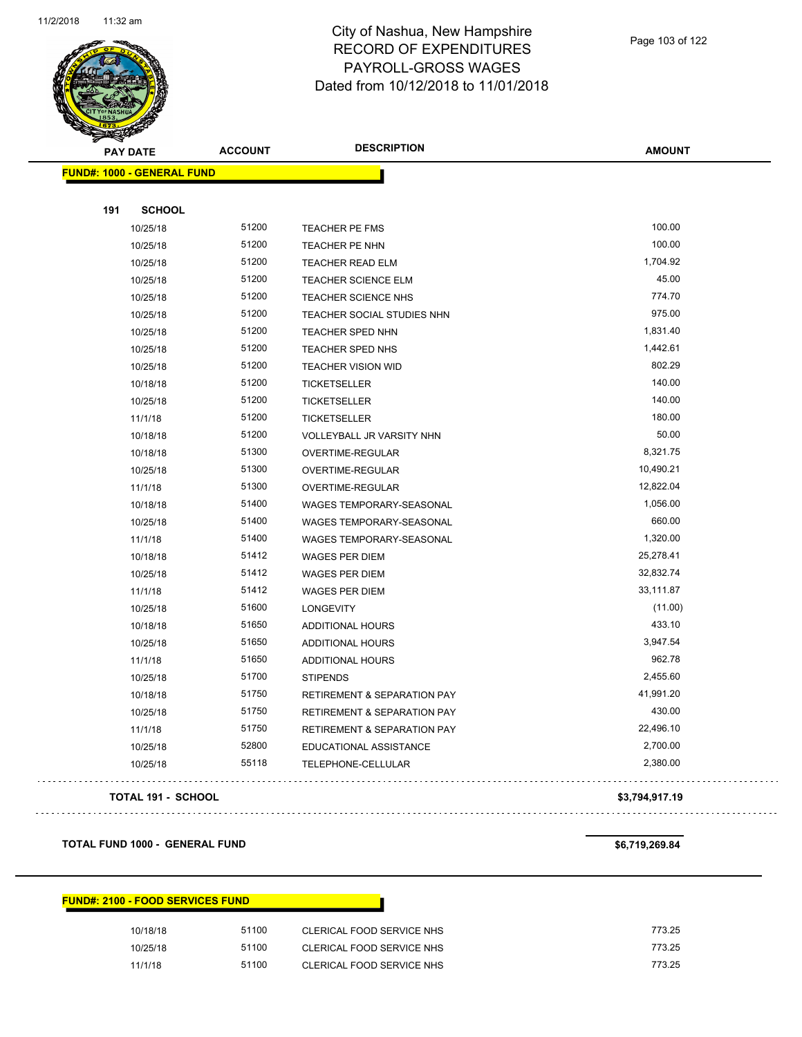

|     | <b>PAY DATE</b>                   | <b>ACCOUNT</b> | <b>DESCRIPTION</b>          | <b>AMOUNT</b> |
|-----|-----------------------------------|----------------|-----------------------------|---------------|
|     | <b>FUND#: 1000 - GENERAL FUND</b> |                |                             |               |
|     |                                   |                |                             |               |
| 191 | <b>SCHOOL</b>                     |                |                             |               |
|     | 10/25/18                          | 51200          | TEACHER PE FMS              | 100.00        |
|     | 10/25/18                          | 51200          | TEACHER PE NHN              | 100.00        |
|     | 10/25/18                          | 51200          | <b>TEACHER READ ELM</b>     | 1,704.92      |
|     | 10/25/18                          | 51200          | TEACHER SCIENCE ELM         | 45.00         |
|     | 10/25/18                          | 51200          | TEACHER SCIENCE NHS         | 774.70        |
|     | 10/25/18                          | 51200          | TEACHER SOCIAL STUDIES NHN  | 975.00        |
|     | 10/25/18                          | 51200          | TEACHER SPED NHN            | 1,831.40      |
|     | 10/25/18                          | 51200          | TEACHER SPED NHS            | 1,442.61      |
|     | 10/25/18                          | 51200          | TEACHER VISION WID          | 802.29        |
|     | 10/18/18                          | 51200          | <b>TICKETSELLER</b>         | 140.00        |
|     | 10/25/18                          | 51200          | <b>TICKETSELLER</b>         | 140.00        |
|     | 11/1/18                           | 51200          | <b>TICKETSELLER</b>         | 180.00        |
|     | 10/18/18                          | 51200          | VOLLEYBALL JR VARSITY NHN   | 50.00         |
|     | 10/18/18                          | 51300          | OVERTIME-REGULAR            | 8,321.75      |
|     | 10/25/18                          | 51300          | OVERTIME-REGULAR            | 10,490.21     |
|     | 11/1/18                           | 51300          | OVERTIME-REGULAR            | 12,822.04     |
|     | 10/18/18                          | 51400          | WAGES TEMPORARY-SEASONAL    | 1,056.00      |
|     | 10/25/18                          | 51400          | WAGES TEMPORARY-SEASONAL    | 660.00        |
|     | 11/1/18                           | 51400          | WAGES TEMPORARY-SEASONAL    | 1,320.00      |
|     | 10/18/18                          | 51412          | WAGES PER DIEM              | 25,278.41     |
|     | 10/25/18                          | 51412          | <b>WAGES PER DIEM</b>       | 32,832.74     |
|     | 11/1/18                           | 51412          | <b>WAGES PER DIEM</b>       | 33,111.87     |
|     | 10/25/18                          | 51600          | <b>LONGEVITY</b>            | (11.00)       |
|     | 10/18/18                          | 51650          | ADDITIONAL HOURS            | 433.10        |
|     | 10/25/18                          | 51650          | ADDITIONAL HOURS            | 3,947.54      |
|     | 11/1/18                           | 51650          | ADDITIONAL HOURS            | 962.78        |
|     | 10/25/18                          | 51700          | <b>STIPENDS</b>             | 2,455.60      |
|     | 10/18/18                          | 51750          | RETIREMENT & SEPARATION PAY | 41,991.20     |
|     | 10/25/18                          | 51750          | RETIREMENT & SEPARATION PAY | 430.00        |
|     | 11/1/18                           | 51750          | RETIREMENT & SEPARATION PAY | 22,496.10     |
|     | 10/25/18                          | 52800          | EDUCATIONAL ASSISTANCE      | 2,700.00      |
|     | 10/25/18                          | 55118          | TELEPHONE-CELLULAR          | 2,380.00      |

#### **TOTAL 191 - SCHOOL \$3,794,917.19**

**TOTAL FUND 1000 - GENERAL FUND \$6,719,269.84** 

 $\bar{z}$  is  $\bar{z}$  .

. . . . . . . . . . . . . . . .

. . . . . . . . . . . . . . .

#### **FUND#: 2100 - FOOD SERVICES FUND**

| 10/18/18 | 51100 | CLERICAL FOOD SERVICE NHS | 773.25 |
|----------|-------|---------------------------|--------|
| 10/25/18 | 51100 | CLERICAL FOOD SERVICE NHS | 773.25 |
| 11/1/18  | 51100 | CLERICAL FOOD SERVICE NHS | 773.25 |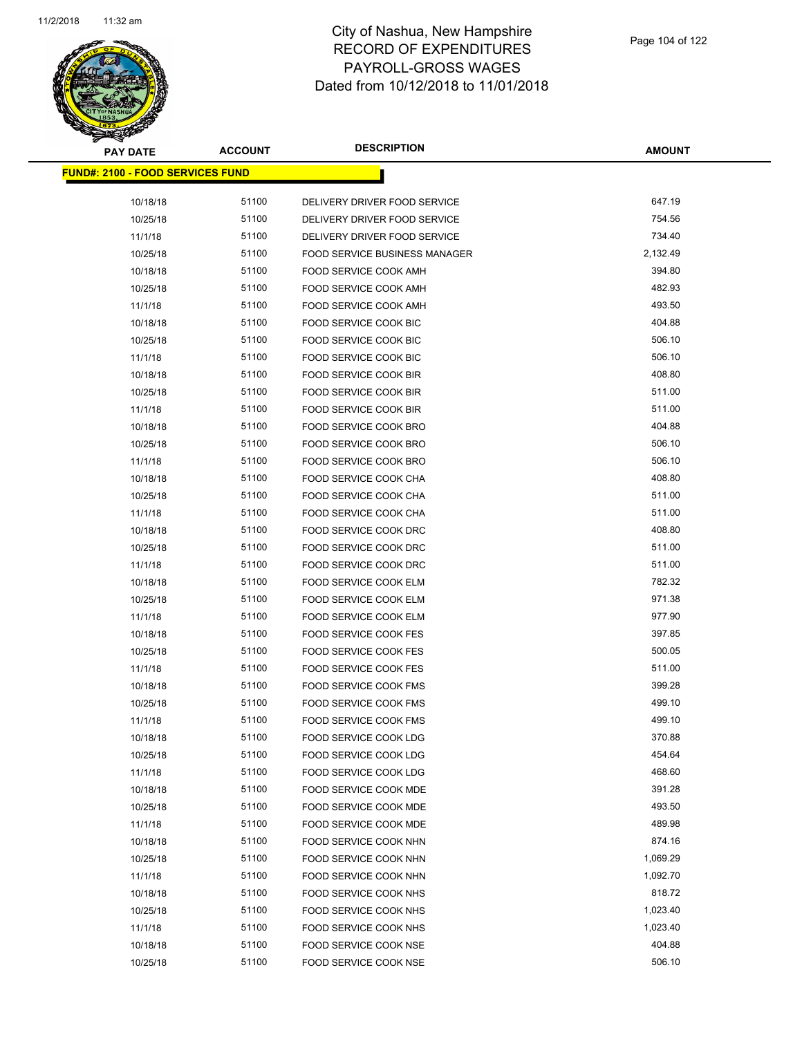

| <b>PAY DATE</b>                          | <b>ACCOUNT</b> | <b>DESCRIPTION</b>                                           | <b>AMOUNT</b> |
|------------------------------------------|----------------|--------------------------------------------------------------|---------------|
| <u> FUND#: 2100 - FOOD SERVICES FUND</u> |                |                                                              |               |
|                                          | 51100          |                                                              | 647.19        |
| 10/18/18                                 | 51100          | DELIVERY DRIVER FOOD SERVICE                                 | 754.56        |
| 10/25/18<br>11/1/18                      | 51100          | DELIVERY DRIVER FOOD SERVICE<br>DELIVERY DRIVER FOOD SERVICE | 734.40        |
|                                          | 51100          | <b>FOOD SERVICE BUSINESS MANAGER</b>                         | 2,132.49      |
| 10/25/18                                 | 51100          | <b>FOOD SERVICE COOK AMH</b>                                 | 394.80        |
| 10/18/18                                 | 51100          |                                                              | 482.93        |
| 10/25/18                                 |                | FOOD SERVICE COOK AMH                                        | 493.50        |
| 11/1/18                                  | 51100          | <b>FOOD SERVICE COOK AMH</b>                                 |               |
| 10/18/18                                 | 51100          | FOOD SERVICE COOK BIC                                        | 404.88        |
| 10/25/18                                 | 51100          | FOOD SERVICE COOK BIC                                        | 506.10        |
| 11/1/18                                  | 51100          | FOOD SERVICE COOK BIC                                        | 506.10        |
| 10/18/18                                 | 51100          | FOOD SERVICE COOK BIR                                        | 408.80        |
| 10/25/18                                 | 51100          | FOOD SERVICE COOK BIR                                        | 511.00        |
| 11/1/18                                  | 51100          | FOOD SERVICE COOK BIR                                        | 511.00        |
| 10/18/18                                 | 51100          | <b>FOOD SERVICE COOK BRO</b>                                 | 404.88        |
| 10/25/18                                 | 51100          | FOOD SERVICE COOK BRO                                        | 506.10        |
| 11/1/18                                  | 51100          | FOOD SERVICE COOK BRO                                        | 506.10        |
| 10/18/18                                 | 51100          | FOOD SERVICE COOK CHA                                        | 408.80        |
| 10/25/18                                 | 51100          | <b>FOOD SERVICE COOK CHA</b>                                 | 511.00        |
| 11/1/18                                  | 51100          | FOOD SERVICE COOK CHA                                        | 511.00        |
| 10/18/18                                 | 51100          | FOOD SERVICE COOK DRC                                        | 408.80        |
| 10/25/18                                 | 51100          | FOOD SERVICE COOK DRC                                        | 511.00        |
| 11/1/18                                  | 51100          | FOOD SERVICE COOK DRC                                        | 511.00        |
| 10/18/18                                 | 51100          | FOOD SERVICE COOK ELM                                        | 782.32        |
| 10/25/18                                 | 51100          | FOOD SERVICE COOK ELM                                        | 971.38        |
| 11/1/18                                  | 51100          | FOOD SERVICE COOK ELM                                        | 977.90        |
| 10/18/18                                 | 51100          | <b>FOOD SERVICE COOK FES</b>                                 | 397.85        |
| 10/25/18                                 | 51100          | <b>FOOD SERVICE COOK FES</b>                                 | 500.05        |
| 11/1/18                                  | 51100          | <b>FOOD SERVICE COOK FES</b>                                 | 511.00        |
| 10/18/18                                 | 51100          | <b>FOOD SERVICE COOK FMS</b>                                 | 399.28        |
| 10/25/18                                 | 51100          | <b>FOOD SERVICE COOK FMS</b>                                 | 499.10        |
| 11/1/18                                  | 51100          | FOOD SERVICE COOK FMS                                        | 499.10        |
| 10/18/18                                 | 51100          | FOOD SERVICE COOK LDG                                        | 370.88        |
| 10/25/18                                 | 51100          | FOOD SERVICE COOK LDG                                        | 454.64        |
| 11/1/18                                  | 51100          | FOOD SERVICE COOK LDG                                        | 468.60        |
| 10/18/18                                 | 51100          | FOOD SERVICE COOK MDE                                        | 391.28        |
| 10/25/18                                 | 51100          | FOOD SERVICE COOK MDE                                        | 493.50        |
| 11/1/18                                  | 51100          | FOOD SERVICE COOK MDE                                        | 489.98        |
| 10/18/18                                 | 51100          | FOOD SERVICE COOK NHN                                        | 874.16        |
| 10/25/18                                 | 51100          | FOOD SERVICE COOK NHN                                        | 1,069.29      |
| 11/1/18                                  | 51100          | FOOD SERVICE COOK NHN                                        | 1,092.70      |
| 10/18/18                                 | 51100          | FOOD SERVICE COOK NHS                                        | 818.72        |
| 10/25/18                                 | 51100          | FOOD SERVICE COOK NHS                                        | 1,023.40      |
| 11/1/18                                  | 51100          | FOOD SERVICE COOK NHS                                        | 1,023.40      |
| 10/18/18                                 | 51100          | FOOD SERVICE COOK NSE                                        | 404.88        |
| 10/25/18                                 | 51100          | FOOD SERVICE COOK NSE                                        | 506.10        |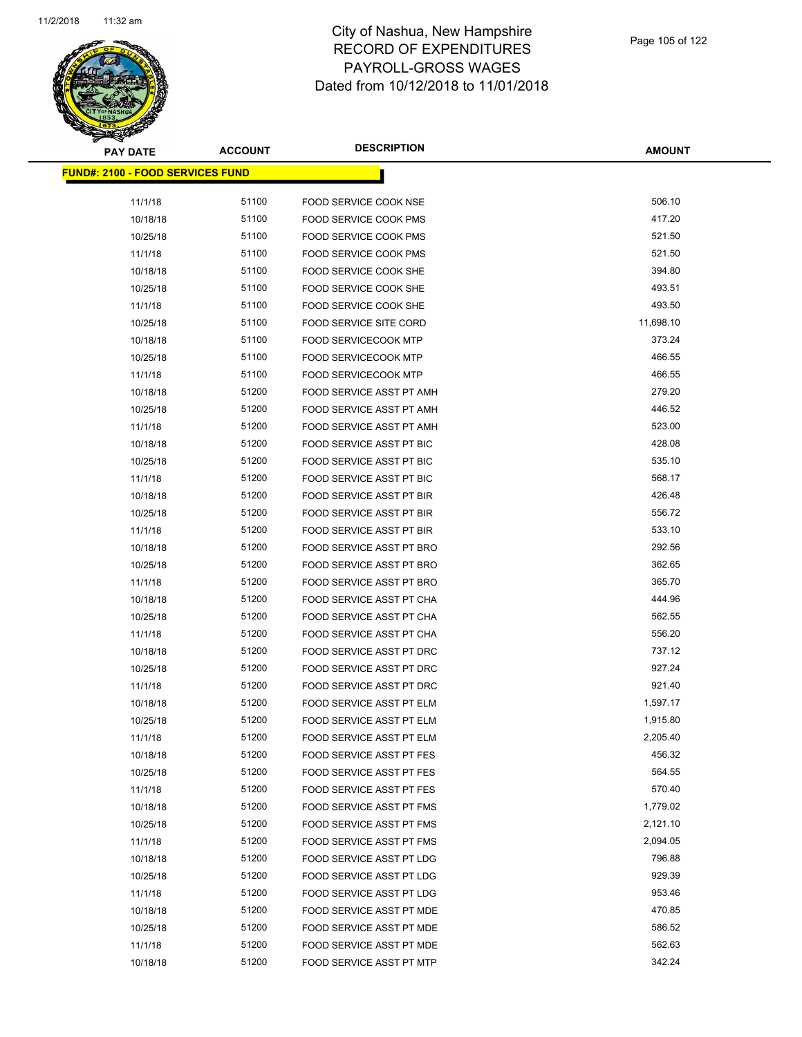

**AMOUNT**

| <b>FUND#: 2100 - FOOD SERVICES FUND</b> |       |                                 |           |
|-----------------------------------------|-------|---------------------------------|-----------|
|                                         |       |                                 |           |
| 11/1/18                                 | 51100 | FOOD SERVICE COOK NSE           | 506.10    |
| 10/18/18                                | 51100 | FOOD SERVICE COOK PMS           | 417.20    |
| 10/25/18                                | 51100 | FOOD SERVICE COOK PMS           | 521.50    |
| 11/1/18                                 | 51100 | FOOD SERVICE COOK PMS           | 521.50    |
| 10/18/18                                | 51100 | FOOD SERVICE COOK SHE           | 394.80    |
| 10/25/18                                | 51100 | <b>FOOD SERVICE COOK SHE</b>    | 493.51    |
| 11/1/18                                 | 51100 | FOOD SERVICE COOK SHE           | 493.50    |
| 10/25/18                                | 51100 | <b>FOOD SERVICE SITE CORD</b>   | 11,698.10 |
| 10/18/18                                | 51100 | <b>FOOD SERVICECOOK MTP</b>     | 373.24    |
| 10/25/18                                | 51100 | <b>FOOD SERVICECOOK MTP</b>     | 466.55    |
| 11/1/18                                 | 51100 | <b>FOOD SERVICECOOK MTP</b>     | 466.55    |
| 10/18/18                                | 51200 | FOOD SERVICE ASST PT AMH        | 279.20    |
| 10/25/18                                | 51200 | FOOD SERVICE ASST PT AMH        | 446.52    |
| 11/1/18                                 | 51200 | FOOD SERVICE ASST PT AMH        | 523.00    |
| 10/18/18                                | 51200 | FOOD SERVICE ASST PT BIC        | 428.08    |
| 10/25/18                                | 51200 | FOOD SERVICE ASST PT BIC        | 535.10    |
| 11/1/18                                 | 51200 | <b>FOOD SERVICE ASST PT BIC</b> | 568.17    |
| 10/18/18                                | 51200 | FOOD SERVICE ASST PT BIR        | 426.48    |
| 10/25/18                                | 51200 | <b>FOOD SERVICE ASST PT BIR</b> | 556.72    |
| 11/1/18                                 | 51200 | FOOD SERVICE ASST PT BIR        | 533.10    |
| 10/18/18                                | 51200 | FOOD SERVICE ASST PT BRO        | 292.56    |
| 10/25/18                                | 51200 | FOOD SERVICE ASST PT BRO        | 362.65    |
| 11/1/18                                 | 51200 | FOOD SERVICE ASST PT BRO        | 365.70    |
| 10/18/18                                | 51200 | FOOD SERVICE ASST PT CHA        | 444.96    |
| 10/25/18                                | 51200 | FOOD SERVICE ASST PT CHA        | 562.55    |
| 11/1/18                                 | 51200 | FOOD SERVICE ASST PT CHA        | 556.20    |
| 10/18/18                                | 51200 | FOOD SERVICE ASST PT DRC        | 737.12    |
| 10/25/18                                | 51200 | FOOD SERVICE ASST PT DRC        | 927.24    |
| 11/1/18                                 | 51200 | FOOD SERVICE ASST PT DRC        | 921.40    |
| 10/18/18                                | 51200 | FOOD SERVICE ASST PT ELM        | 1,597.17  |
| 10/25/18                                | 51200 | FOOD SERVICE ASST PT ELM        | 1,915.80  |
| 11/1/18                                 | 51200 | FOOD SERVICE ASST PT ELM        | 2,205.40  |
| 10/18/18                                | 51200 | FOOD SERVICE ASST PT FES        | 456.32    |
| 10/25/18                                | 51200 | FOOD SERVICE ASST PT FES        | 564.55    |
| 11/1/18                                 | 51200 | FOOD SERVICE ASST PT FES        | 570.40    |
| 10/18/18                                | 51200 | FOOD SERVICE ASST PT FMS        | 1,779.02  |
| 10/25/18                                | 51200 | FOOD SERVICE ASST PT FMS        | 2,121.10  |
| 11/1/18                                 | 51200 | FOOD SERVICE ASST PT FMS        | 2,094.05  |
| 10/18/18                                | 51200 | FOOD SERVICE ASST PT LDG        | 796.88    |
| 10/25/18                                | 51200 | FOOD SERVICE ASST PT LDG        | 929.39    |
| 11/1/18                                 | 51200 | FOOD SERVICE ASST PT LDG        | 953.46    |
| 10/18/18                                | 51200 | <b>FOOD SERVICE ASST PT MDE</b> | 470.85    |
| 10/25/18                                | 51200 | FOOD SERVICE ASST PT MDE        | 586.52    |
| 11/1/18                                 | 51200 | FOOD SERVICE ASST PT MDE        | 562.63    |
| 10/18/18                                | 51200 | FOOD SERVICE ASST PT MTP        | 342.24    |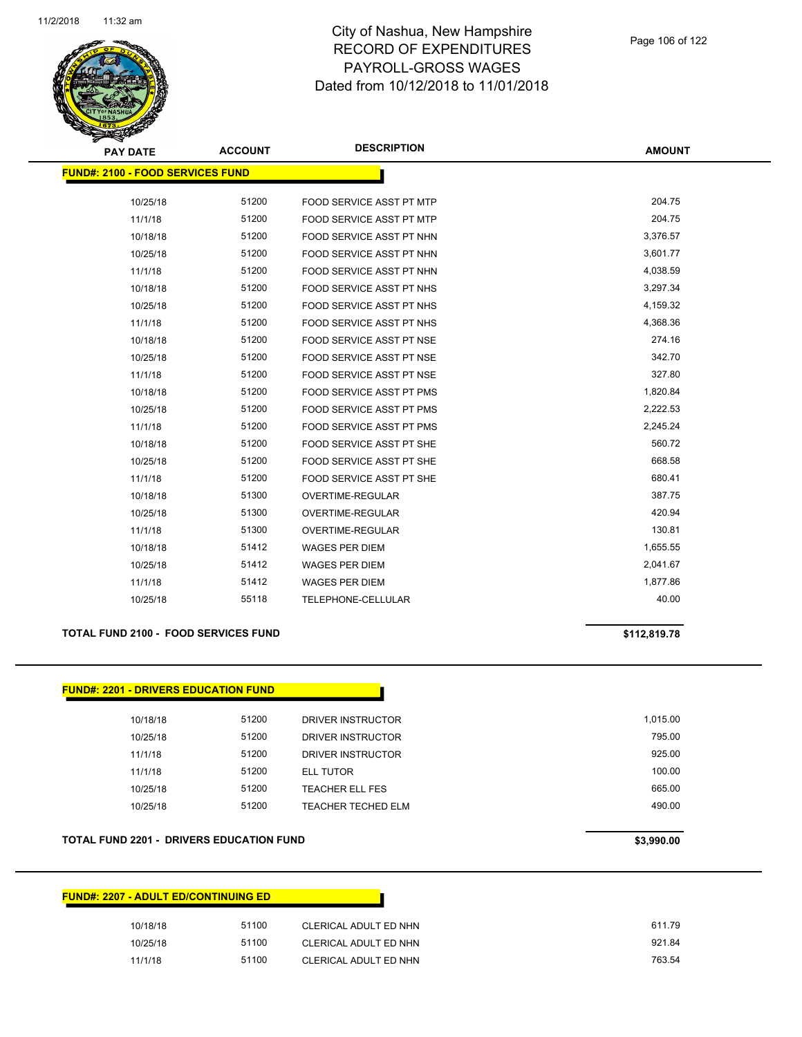

| <b>PAY DATE</b>                         | <b>ACCOUNT</b> | <b>DESCRIPTION</b>              | <b>AMOUNT</b> |
|-----------------------------------------|----------------|---------------------------------|---------------|
| <b>FUND#: 2100 - FOOD SERVICES FUND</b> |                |                                 |               |
|                                         |                |                                 |               |
| 10/25/18                                | 51200          | FOOD SERVICE ASST PT MTP        | 204.75        |
| 11/1/18                                 | 51200          | <b>FOOD SERVICE ASST PT MTP</b> | 204.75        |
| 10/18/18                                | 51200          | FOOD SERVICE ASST PT NHN        | 3,376.57      |
| 10/25/18                                | 51200          | FOOD SERVICE ASST PT NHN        | 3,601.77      |
| 11/1/18                                 | 51200          | FOOD SERVICE ASST PT NHN        | 4,038.59      |
| 10/18/18                                | 51200          | FOOD SERVICE ASST PT NHS        | 3,297.34      |
| 10/25/18                                | 51200          | FOOD SERVICE ASST PT NHS        | 4,159.32      |
| 11/1/18                                 | 51200          | FOOD SERVICE ASST PT NHS        | 4,368.36      |
| 10/18/18                                | 51200          | <b>FOOD SERVICE ASST PT NSE</b> | 274.16        |
| 10/25/18                                | 51200          | FOOD SERVICE ASST PT NSE        | 342.70        |
| 11/1/18                                 | 51200          | <b>FOOD SERVICE ASST PT NSE</b> | 327.80        |
| 10/18/18                                | 51200          | <b>FOOD SERVICE ASST PT PMS</b> | 1,820.84      |
| 10/25/18                                | 51200          | FOOD SERVICE ASST PT PMS        | 2,222.53      |
| 11/1/18                                 | 51200          | <b>FOOD SERVICE ASST PT PMS</b> | 2,245.24      |
| 10/18/18                                | 51200          | FOOD SERVICE ASST PT SHE        | 560.72        |
| 10/25/18                                | 51200          | <b>FOOD SERVICE ASST PT SHE</b> | 668.58        |
| 11/1/18                                 | 51200          | <b>FOOD SERVICE ASST PT SHE</b> | 680.41        |
| 10/18/18                                | 51300          | OVERTIME-REGULAR                | 387.75        |
| 10/25/18                                | 51300          | <b>OVERTIME-REGULAR</b>         | 420.94        |
| 11/1/18                                 | 51300          | OVERTIME-REGULAR                | 130.81        |
| 10/18/18                                | 51412          | WAGES PER DIEM                  | 1,655.55      |
| 10/25/18                                | 51412          | <b>WAGES PER DIEM</b>           | 2,041.67      |
| 11/1/18                                 | 51412          | <b>WAGES PER DIEM</b>           | 1,877.86      |
| 10/25/18                                | 55118          | <b>TELEPHONE-CELLULAR</b>       | 40.00         |

#### **TOTAL FUND 2100 - FOOD SERVICES FUND \$112,819.78**

# **FUND#: 2201 - DRIVERS EDUCATION FUND**

| 10/18/18 | 51200 | DRIVER INSTRUCTOR      | 1.015.00 |
|----------|-------|------------------------|----------|
| 10/25/18 | 51200 | DRIVER INSTRUCTOR      | 795.00   |
| 11/1/18  | 51200 | DRIVER INSTRUCTOR      | 925.00   |
| 11/1/18  | 51200 | ELL TUTOR              | 100.00   |
| 10/25/18 | 51200 | <b>TEACHER ELL FES</b> | 665.00   |
| 10/25/18 | 51200 | TEACHER TECHED ELM     | 490.00   |
|          |       |                        |          |

#### **TOTAL FUND 2201 - DRIVERS EDUCATION FUND \$3,990.00**

| <b>FUND#: 2207 - ADULT ED/CONTINUING ED</b> |       |                       |
|---------------------------------------------|-------|-----------------------|
| 10/18/18                                    | 51100 | CLERICAL ADULT ED NHN |
| 10/25/18                                    | 51100 | CLERICAL ADULT ED NHN |
| 11/1/18                                     | 51100 | CLERICAL ADULT ED NHN |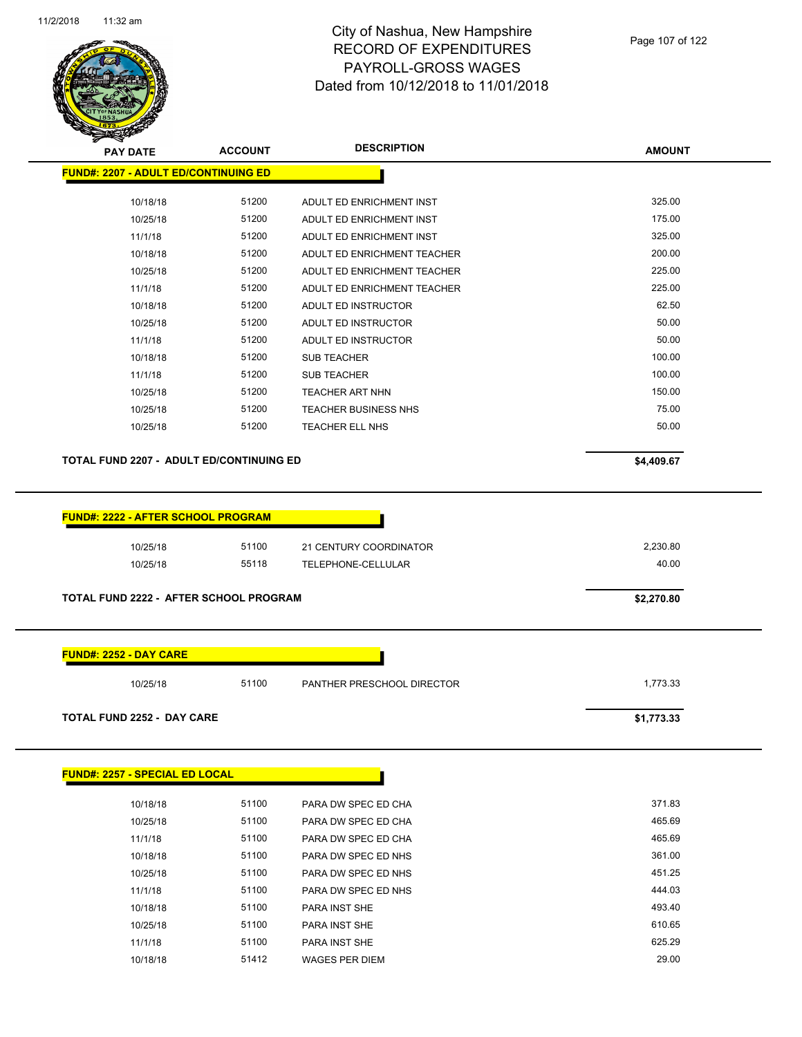

| <b>PAY DATE</b>                                 | <b>ACCOUNT</b> | <b>DESCRIPTION</b>          | <b>AMOUNT</b> |
|-------------------------------------------------|----------------|-----------------------------|---------------|
| <b>FUND#: 2207 - ADULT ED/CONTINUING ED</b>     |                |                             |               |
| 10/18/18                                        | 51200          | ADULT ED ENRICHMENT INST    | 325.00        |
| 10/25/18                                        | 51200          | ADULT ED ENRICHMENT INST    | 175.00        |
| 11/1/18                                         | 51200          | ADULT ED ENRICHMENT INST    | 325.00        |
| 10/18/18                                        | 51200          | ADULT ED ENRICHMENT TEACHER | 200.00        |
| 10/25/18                                        | 51200          | ADULT ED ENRICHMENT TEACHER | 225.00        |
| 11/1/18                                         | 51200          | ADULT ED ENRICHMENT TEACHER | 225.00        |
| 10/18/18                                        | 51200          | ADULT ED INSTRUCTOR         | 62.50         |
| 10/25/18                                        | 51200          | ADULT ED INSTRUCTOR         | 50.00         |
| 11/1/18                                         | 51200          | ADULT ED INSTRUCTOR         | 50.00         |
| 10/18/18                                        | 51200          | <b>SUB TEACHER</b>          | 100.00        |
| 11/1/18                                         | 51200          | <b>SUB TEACHER</b>          | 100.00        |
| 10/25/18                                        | 51200          | <b>TEACHER ART NHN</b>      | 150.00        |
| 10/25/18                                        | 51200          | <b>TEACHER BUSINESS NHS</b> | 75.00         |
| 10/25/18                                        | 51200          | TEACHER ELL NHS             | 50.00         |
| <b>TOTAL FUND 2207 - ADULT ED/CONTINUING ED</b> |                |                             | \$4,409.67    |
| <b>FUND#: 2222 - AFTER SCHOOL PROGRAM</b>       |                |                             |               |
| 10/25/18                                        | 51100          | 21 CENTURY COORDINATOR      | 2,230.80      |
| 10/25/18                                        | 55118          | TELEPHONE-CELLULAR          | 40.00         |
| TOTAL FUND 2222 - AFTER SCHOOL PROGRAM          | \$2,270.80     |                             |               |
| <b>FUND#: 2252 - DAY CARE</b>                   |                |                             |               |
| 10/25/18                                        | 51100          | PANTHER PRESCHOOL DIRECTOR  | 1,773.33      |
| <b>TOTAL FUND 2252 - DAY CARE</b>               |                |                             | \$1,773.33    |
| <b>FUND#: 2257 - SPECIAL ED LOCAL</b>           |                |                             |               |
| 10/18/18                                        | 51100          | PARA DW SPEC ED CHA         | 371.83        |

| 10/18/18 | 51100 | PARA DW SPEC ED CHA   | 371.83 |
|----------|-------|-----------------------|--------|
| 10/25/18 | 51100 | PARA DW SPEC ED CHA   | 465.69 |
| 11/1/18  | 51100 | PARA DW SPEC ED CHA   | 465.69 |
| 10/18/18 | 51100 | PARA DW SPEC ED NHS   | 361.00 |
| 10/25/18 | 51100 | PARA DW SPEC ED NHS   | 451.25 |
| 11/1/18  | 51100 | PARA DW SPEC ED NHS   | 444.03 |
| 10/18/18 | 51100 | <b>PARA INST SHE</b>  | 493.40 |
| 10/25/18 | 51100 | <b>PARA INST SHE</b>  | 610.65 |
| 11/1/18  | 51100 | <b>PARA INST SHE</b>  | 625.29 |
| 10/18/18 | 51412 | <b>WAGES PER DIEM</b> | 29.00  |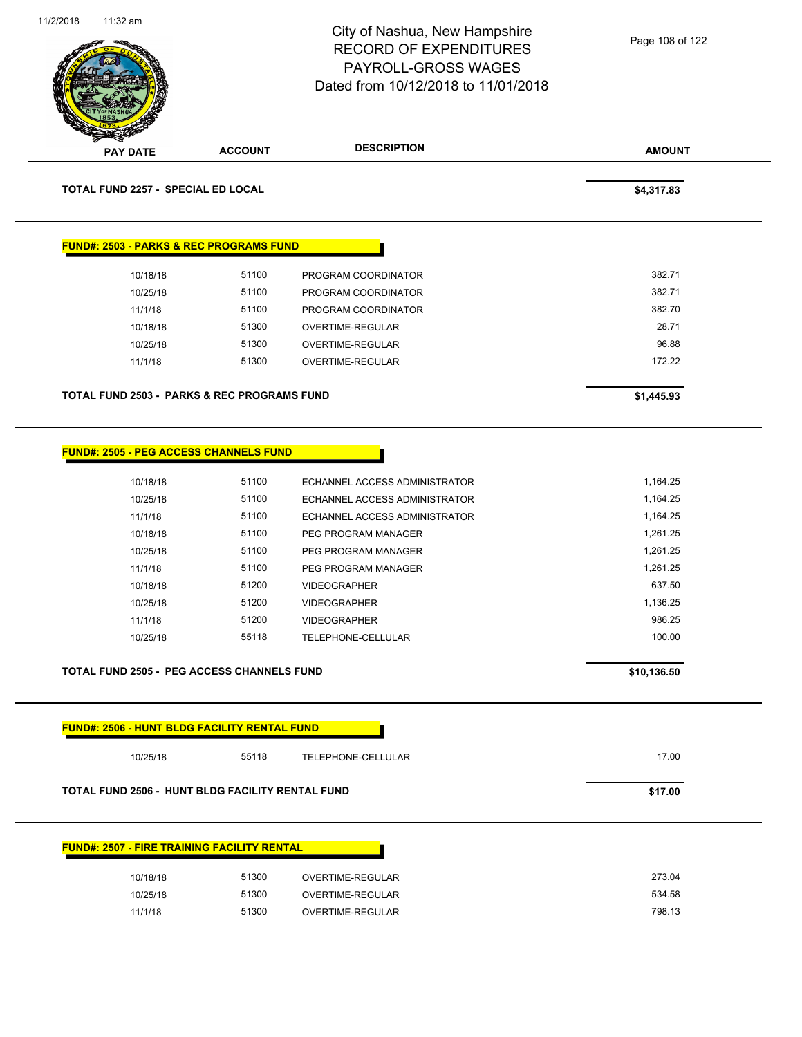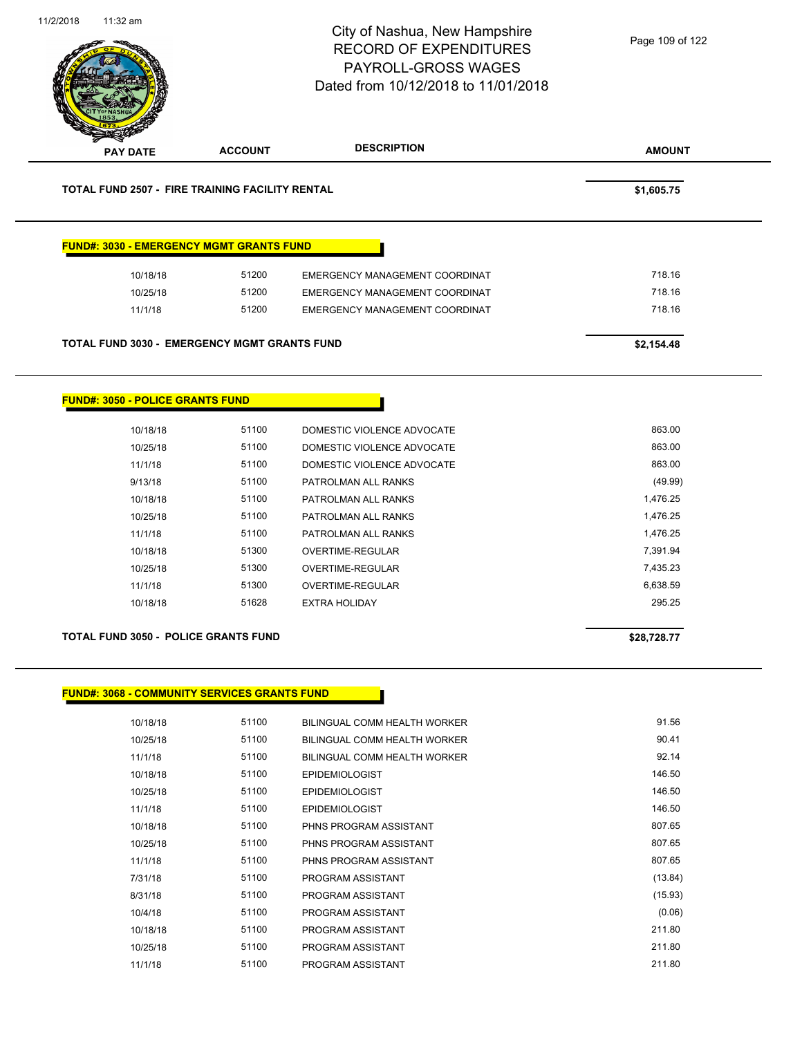

| 10/25/18 | ນ ເບບ | BILINGUAL COMMI HEALTH WORKER | 90. <del>4</del> I |
|----------|-------|-------------------------------|--------------------|
| 11/1/18  | 51100 | BILINGUAL COMM HEALTH WORKER  | 92.14              |
| 10/18/18 | 51100 | <b>EPIDEMIOLOGIST</b>         | 146.50             |
| 10/25/18 | 51100 | <b>EPIDEMIOLOGIST</b>         | 146.50             |
| 11/1/18  | 51100 | <b>EPIDEMIOLOGIST</b>         | 146.50             |
| 10/18/18 | 51100 | PHNS PROGRAM ASSISTANT        | 807.65             |
| 10/25/18 | 51100 | PHNS PROGRAM ASSISTANT        | 807.65             |
| 11/1/18  | 51100 | PHNS PROGRAM ASSISTANT        | 807.65             |
| 7/31/18  | 51100 | PROGRAM ASSISTANT             | (13.84)            |
| 8/31/18  | 51100 | PROGRAM ASSISTANT             | (15.93)            |
| 10/4/18  | 51100 | PROGRAM ASSISTANT             | (0.06)             |
| 10/18/18 | 51100 | PROGRAM ASSISTANT             | 211.80             |
| 10/25/18 | 51100 | PROGRAM ASSISTANT             | 211.80             |
| 11/1/18  | 51100 | PROGRAM ASSISTANT             | 211.80             |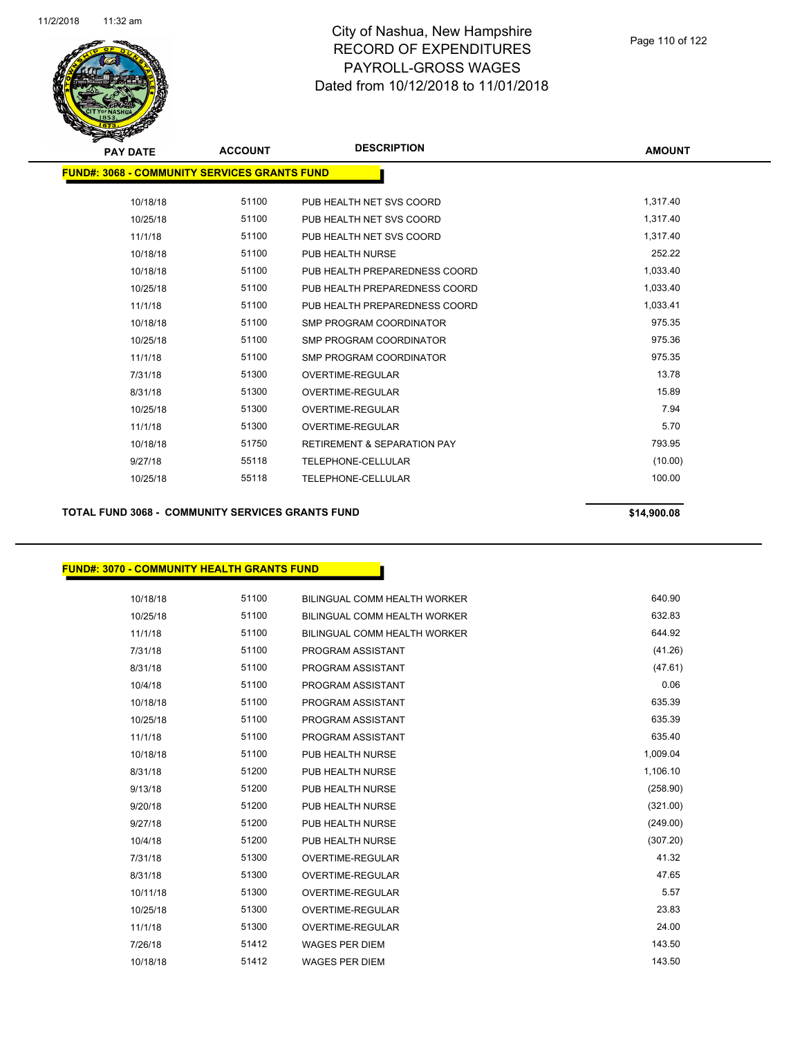

| <b>PAY DATE</b>                                      | <b>ACCOUNT</b> | <b>DESCRIPTION</b>                     | <b>AMOUNT</b> |
|------------------------------------------------------|----------------|----------------------------------------|---------------|
| <u> FUND#: 3068 - COMMUNITY SERVICES GRANTS FUND</u> |                |                                        |               |
| 10/18/18                                             | 51100          | PUB HEALTH NET SVS COORD               | 1,317.40      |
| 10/25/18                                             | 51100          | PUB HEALTH NET SVS COORD               | 1,317.40      |
| 11/1/18                                              | 51100          | PUB HEALTH NET SVS COORD               | 1,317.40      |
| 10/18/18                                             | 51100          | PUB HEALTH NURSE                       | 252.22        |
| 10/18/18                                             | 51100          | PUB HEALTH PREPAREDNESS COORD          | 1,033.40      |
| 10/25/18                                             | 51100          | PUB HEALTH PREPAREDNESS COORD          | 1,033.40      |
| 11/1/18                                              | 51100          | PUB HEALTH PREPAREDNESS COORD          | 1,033.41      |
| 10/18/18                                             | 51100          | <b>SMP PROGRAM COORDINATOR</b>         | 975.35        |
| 10/25/18                                             | 51100          | SMP PROGRAM COORDINATOR                | 975.36        |
| 11/1/18                                              | 51100          | <b>SMP PROGRAM COORDINATOR</b>         | 975.35        |
| 7/31/18                                              | 51300          | <b>OVERTIME-REGULAR</b>                | 13.78         |
| 8/31/18                                              | 51300          | <b>OVERTIME-REGULAR</b>                | 15.89         |
| 10/25/18                                             | 51300          | <b>OVERTIME-REGULAR</b>                | 7.94          |
| 11/1/18                                              | 51300          | <b>OVERTIME-REGULAR</b>                | 5.70          |
| 10/18/18                                             | 51750          | <b>RETIREMENT &amp; SEPARATION PAY</b> | 793.95        |
| 9/27/18                                              | 55118          | TELEPHONE-CELLULAR                     | (10.00)       |
| 10/25/18                                             | 55118          | TELEPHONE-CELLULAR                     | 100.00        |
|                                                      |                |                                        |               |

**TOTAL FUND 3068 - COMMUNITY SERVICES GRANTS FUND \$14,900.08** 

## **FUND#: 3070 - COMMUNITY HEALTH GRANTS FUND**

| 10/18/18 | 51100 | BILINGUAL COMM HEALTH WORKER        | 640.90   |
|----------|-------|-------------------------------------|----------|
| 10/25/18 | 51100 | <b>BILINGUAL COMM HEALTH WORKER</b> | 632.83   |
| 11/1/18  | 51100 | BILINGUAL COMM HEALTH WORKER        | 644.92   |
| 7/31/18  | 51100 | PROGRAM ASSISTANT                   | (41.26)  |
| 8/31/18  | 51100 | PROGRAM ASSISTANT                   | (47.61)  |
| 10/4/18  | 51100 | PROGRAM ASSISTANT                   | 0.06     |
| 10/18/18 | 51100 | PROGRAM ASSISTANT                   | 635.39   |
| 10/25/18 | 51100 | PROGRAM ASSISTANT                   | 635.39   |
| 11/1/18  | 51100 | PROGRAM ASSISTANT                   | 635.40   |
| 10/18/18 | 51100 | PUB HEALTH NURSE                    | 1,009.04 |
| 8/31/18  | 51200 | PUB HEALTH NURSE                    | 1,106.10 |
| 9/13/18  | 51200 | PUB HEALTH NURSE                    | (258.90) |
| 9/20/18  | 51200 | PUB HEALTH NURSE                    | (321.00) |
| 9/27/18  | 51200 | PUB HEALTH NURSE                    | (249.00) |
| 10/4/18  | 51200 | PUB HEALTH NURSE                    | (307.20) |
| 7/31/18  | 51300 | <b>OVERTIME-REGULAR</b>             | 41.32    |
| 8/31/18  | 51300 | <b>OVERTIME-REGULAR</b>             | 47.65    |
| 10/11/18 | 51300 | <b>OVERTIME-REGULAR</b>             | 5.57     |
| 10/25/18 | 51300 | OVERTIME-REGULAR                    | 23.83    |
| 11/1/18  | 51300 | <b>OVERTIME-REGULAR</b>             | 24.00    |
| 7/26/18  | 51412 | <b>WAGES PER DIEM</b>               | 143.50   |
| 10/18/18 | 51412 | <b>WAGES PER DIEM</b>               | 143.50   |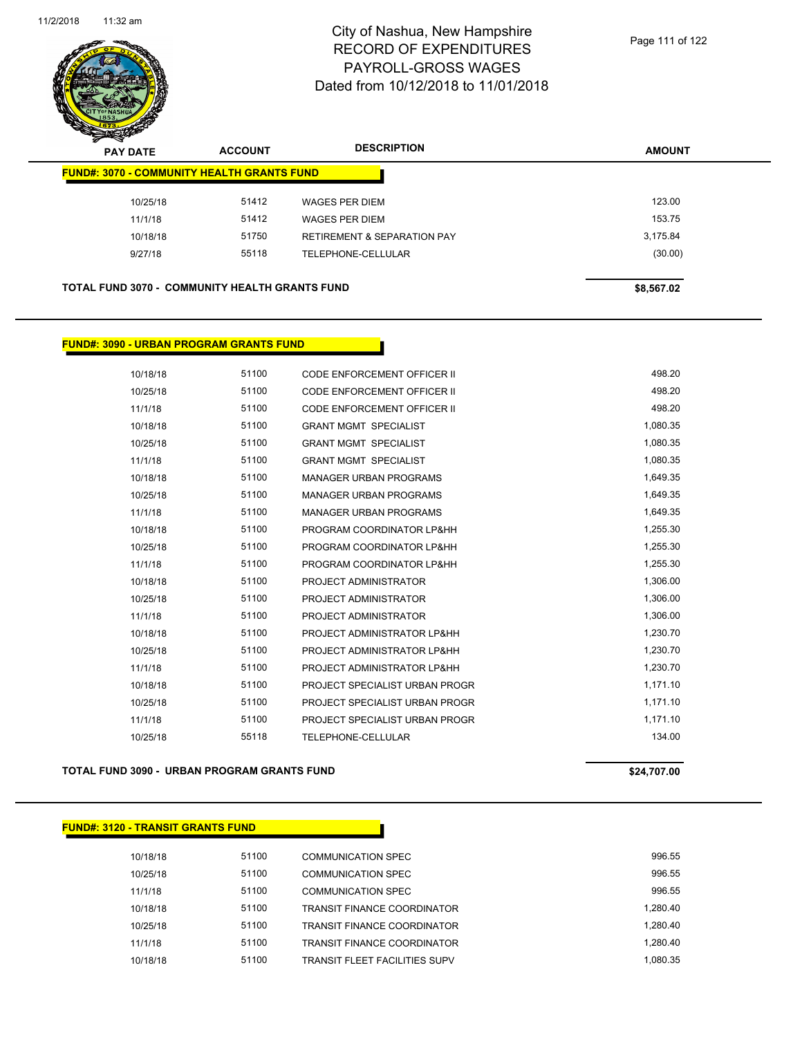

| <del>∽</del><br>$\tilde{\phantom{a}}$<br><b>PAY DATE</b> | <b>ACCOUNT</b> | <b>DESCRIPTION</b>                     | <b>AMOUNT</b> |
|----------------------------------------------------------|----------------|----------------------------------------|---------------|
| <b>FUND#: 3070 - COMMUNITY HEALTH GRANTS FUND</b>        |                |                                        |               |
| 10/25/18                                                 | 51412          | WAGES PER DIEM                         | 123.00        |
| 11/1/18                                                  | 51412          | <b>WAGES PER DIEM</b>                  | 153.75        |
| 10/18/18                                                 | 51750          | <b>RETIREMENT &amp; SEPARATION PAY</b> | 3,175.84      |
| 9/27/18                                                  | 55118          | TELEPHONE-CELLULAR                     | (30.00)       |
|                                                          |                |                                        |               |
| <b>TOTAL FUND 3070 - COMMUNITY HEALTH GRANTS FUND</b>    |                |                                        | \$8,567.02    |

## **FUND#: 3090 - URBAN PROGRAM GRANTS FUND**

| 10/18/18 | 51100 | <b>CODE ENFORCEMENT OFFICER II</b> | 498.20   |
|----------|-------|------------------------------------|----------|
| 10/25/18 | 51100 | CODE ENFORCEMENT OFFICER II        | 498.20   |
| 11/1/18  | 51100 | CODE ENFORCEMENT OFFICER II        | 498.20   |
| 10/18/18 | 51100 | <b>GRANT MGMT SPECIALIST</b>       | 1,080.35 |
| 10/25/18 | 51100 | <b>GRANT MGMT SPECIALIST</b>       | 1,080.35 |
| 11/1/18  | 51100 | <b>GRANT MGMT SPECIALIST</b>       | 1,080.35 |
| 10/18/18 | 51100 | <b>MANAGER URBAN PROGRAMS</b>      | 1,649.35 |
| 10/25/18 | 51100 | <b>MANAGER URBAN PROGRAMS</b>      | 1,649.35 |
| 11/1/18  | 51100 | <b>MANAGER URBAN PROGRAMS</b>      | 1,649.35 |
| 10/18/18 | 51100 | PROGRAM COORDINATOR LP&HH          | 1,255.30 |
| 10/25/18 | 51100 | PROGRAM COORDINATOR LP&HH          | 1,255.30 |
| 11/1/18  | 51100 | PROGRAM COORDINATOR LP&HH          | 1,255.30 |
| 10/18/18 | 51100 | PROJECT ADMINISTRATOR              | 1,306.00 |
| 10/25/18 | 51100 | PROJECT ADMINISTRATOR              | 1,306.00 |
| 11/1/18  | 51100 | PROJECT ADMINISTRATOR              | 1,306.00 |
| 10/18/18 | 51100 | PROJECT ADMINISTRATOR LP&HH        | 1,230.70 |
| 10/25/18 | 51100 | PROJECT ADMINISTRATOR LP&HH        | 1,230.70 |
| 11/1/18  | 51100 | PROJECT ADMINISTRATOR LP&HH        | 1,230.70 |
| 10/18/18 | 51100 | PROJECT SPECIALIST URBAN PROGR     | 1,171.10 |
| 10/25/18 | 51100 | PROJECT SPECIALIST URBAN PROGR     | 1,171.10 |
| 11/1/18  | 51100 | PROJECT SPECIALIST URBAN PROGR     | 1,171.10 |
| 10/25/18 | 55118 | TELEPHONE-CELLULAR                 | 134.00   |
|          |       |                                    |          |

### **TOTAL FUND 3090 - URBAN PROGRAM GRANTS FUND \$24,707.00**

### **FUND#: 3120 - TRANSIT GRANTS FUND**

| 10/18/18 | 51100 | COMMUNICATION SPEC                   | 996.55   |
|----------|-------|--------------------------------------|----------|
| 10/25/18 | 51100 | COMMUNICATION SPEC                   | 996.55   |
| 11/1/18  | 51100 | COMMUNICATION SPEC                   | 996.55   |
| 10/18/18 | 51100 | <b>TRANSIT FINANCE COORDINATOR</b>   | 1.280.40 |
| 10/25/18 | 51100 | <b>TRANSIT FINANCE COORDINATOR</b>   | 1.280.40 |
| 11/1/18  | 51100 | <b>TRANSIT FINANCE COORDINATOR</b>   | 1.280.40 |
| 10/18/18 | 51100 | <b>TRANSIT FLEET FACILITIES SUPV</b> | 1.080.35 |
|          |       |                                      |          |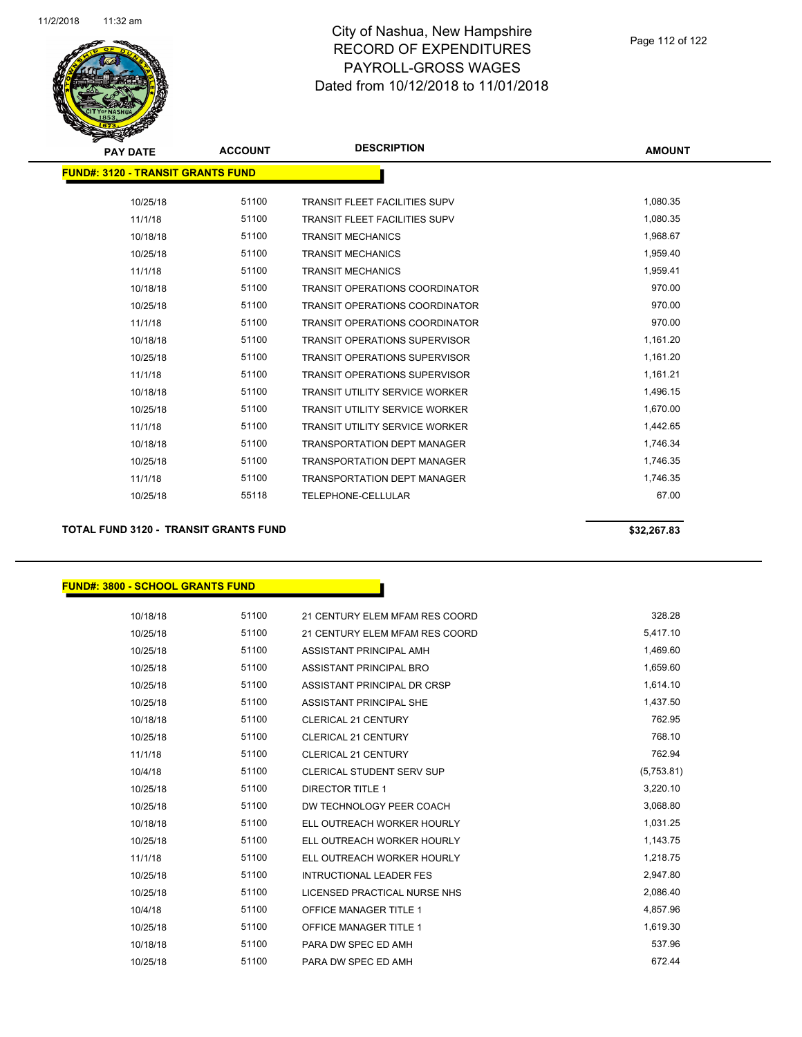

| <b>PAY DATE</b>                          | <b>ACCOUNT</b> | <b>DESCRIPTION</b>                    | <b>AMOUNT</b> |
|------------------------------------------|----------------|---------------------------------------|---------------|
| <b>FUND#: 3120 - TRANSIT GRANTS FUND</b> |                |                                       |               |
| 10/25/18                                 | 51100          | <b>TRANSIT FLEET FACILITIES SUPV</b>  | 1,080.35      |
| 11/1/18                                  | 51100          | <b>TRANSIT FLEET FACILITIES SUPV</b>  | 1,080.35      |
| 10/18/18                                 | 51100          | <b>TRANSIT MECHANICS</b>              | 1,968.67      |
| 10/25/18                                 | 51100          | <b>TRANSIT MECHANICS</b>              | 1,959.40      |
| 11/1/18                                  | 51100          | <b>TRANSIT MECHANICS</b>              | 1,959.41      |
| 10/18/18                                 | 51100          | <b>TRANSIT OPERATIONS COORDINATOR</b> | 970.00        |
| 10/25/18                                 | 51100          | <b>TRANSIT OPERATIONS COORDINATOR</b> | 970.00        |
| 11/1/18                                  | 51100          | <b>TRANSIT OPERATIONS COORDINATOR</b> | 970.00        |
| 10/18/18                                 | 51100          | <b>TRANSIT OPERATIONS SUPERVISOR</b>  | 1,161.20      |
| 10/25/18                                 | 51100          | <b>TRANSIT OPERATIONS SUPERVISOR</b>  | 1,161.20      |
| 11/1/18                                  | 51100          | <b>TRANSIT OPERATIONS SUPERVISOR</b>  | 1,161.21      |
| 10/18/18                                 | 51100          | <b>TRANSIT UTILITY SERVICE WORKER</b> | 1,496.15      |
| 10/25/18                                 | 51100          | <b>TRANSIT UTILITY SERVICE WORKER</b> | 1,670.00      |
| 11/1/18                                  | 51100          | <b>TRANSIT UTILITY SERVICE WORKER</b> | 1,442.65      |
| 10/18/18                                 | 51100          | <b>TRANSPORTATION DEPT MANAGER</b>    | 1,746.34      |
| 10/25/18                                 | 51100          | <b>TRANSPORTATION DEPT MANAGER</b>    | 1,746.35      |
| 11/1/18                                  | 51100          | <b>TRANSPORTATION DEPT MANAGER</b>    | 1,746.35      |
| 10/25/18                                 | 55118          | <b>TELEPHONE-CELLULAR</b>             | 67.00         |
|                                          |                |                                       |               |

**TOTAL FUND 3120 - TRANSIT GRANTS FUND \$32,267.83** 

### **FUND#: 3800 - SCHOOL GRANTS FUND**

| 10/18/18 | 51100 | 21 CENTURY ELEM MFAM RES COORD | 328.28     |
|----------|-------|--------------------------------|------------|
| 10/25/18 | 51100 | 21 CENTURY ELEM MFAM RES COORD | 5,417.10   |
| 10/25/18 | 51100 | ASSISTANT PRINCIPAL AMH        | 1,469.60   |
| 10/25/18 | 51100 | ASSISTANT PRINCIPAL BRO        | 1,659.60   |
| 10/25/18 | 51100 | ASSISTANT PRINCIPAL DR CRSP    | 1,614.10   |
| 10/25/18 | 51100 | ASSISTANT PRINCIPAL SHE        | 1,437.50   |
| 10/18/18 | 51100 | <b>CLERICAL 21 CENTURY</b>     | 762.95     |
| 10/25/18 | 51100 | <b>CLERICAL 21 CENTURY</b>     | 768.10     |
| 11/1/18  | 51100 | <b>CLERICAL 21 CENTURY</b>     | 762.94     |
| 10/4/18  | 51100 | CLERICAL STUDENT SERV SUP      | (5,753.81) |
| 10/25/18 | 51100 | DIRECTOR TITLE 1               | 3,220.10   |
| 10/25/18 | 51100 | DW TECHNOLOGY PEER COACH       | 3,068.80   |
| 10/18/18 | 51100 | ELL OUTREACH WORKER HOURLY     | 1,031.25   |
| 10/25/18 | 51100 | ELL OUTREACH WORKER HOURLY     | 1,143.75   |
| 11/1/18  | 51100 | ELL OUTREACH WORKER HOURLY     | 1,218.75   |
| 10/25/18 | 51100 | <b>INTRUCTIONAL LEADER FES</b> | 2,947.80   |
| 10/25/18 | 51100 | LICENSED PRACTICAL NURSE NHS   | 2,086.40   |
| 10/4/18  | 51100 | <b>OFFICE MANAGER TITLE 1</b>  | 4,857.96   |
| 10/25/18 | 51100 | <b>OFFICE MANAGER TITLE 1</b>  | 1,619.30   |
| 10/18/18 | 51100 | PARA DW SPEC ED AMH            | 537.96     |
| 10/25/18 | 51100 | PARA DW SPEC ED AMH            | 672.44     |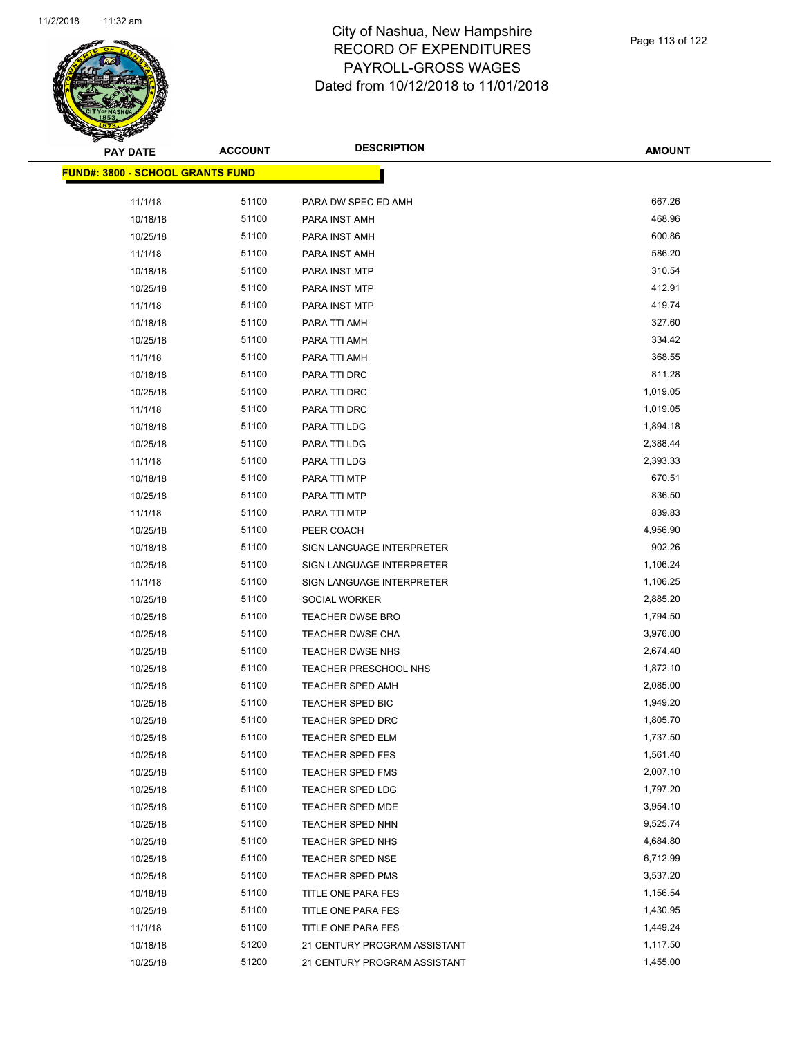

**AMOUNT**

| <u> FUND#: 3800 - SCHOOL GRANTS FUND</u> |                |                              |          |
|------------------------------------------|----------------|------------------------------|----------|
| 11/1/18                                  | 51100          | PARA DW SPEC ED AMH          | 667.26   |
| 10/18/18                                 | 51100          | PARA INST AMH                | 468.96   |
| 10/25/18                                 | 51100          | PARA INST AMH                | 600.86   |
| 11/1/18                                  | 51100          | PARA INST AMH                | 586.20   |
| 10/18/18                                 | 51100          | PARA INST MTP                | 310.54   |
| 10/25/18                                 | 51100          | PARA INST MTP                | 412.91   |
| 11/1/18                                  | 51100          | PARA INST MTP                | 419.74   |
| 10/18/18                                 | 51100          | PARA TTI AMH                 | 327.60   |
| 10/25/18                                 | 51100          | PARA TTI AMH                 | 334.42   |
| 11/1/18                                  | 51100          | PARA TTI AMH                 | 368.55   |
| 10/18/18                                 | 51100          | PARA TTI DRC                 | 811.28   |
| 10/25/18                                 | 51100          | PARA TTI DRC                 | 1,019.05 |
| 11/1/18                                  | 51100          | PARA TTI DRC                 | 1,019.05 |
| 10/18/18                                 | 51100          | PARA TTI LDG                 | 1,894.18 |
| 10/25/18                                 | 51100          | PARA TTI LDG                 | 2,388.44 |
| 11/1/18                                  | 51100          | PARA TTI LDG                 | 2,393.33 |
| 10/18/18                                 | 51100          | PARA TTI MTP                 | 670.51   |
| 10/25/18                                 | 51100          | PARA TTI MTP                 | 836.50   |
| 11/1/18                                  | 51100          | PARA TTI MTP                 | 839.83   |
| 10/25/18                                 | 51100          | PEER COACH                   | 4,956.90 |
| 10/18/18                                 | 51100          | SIGN LANGUAGE INTERPRETER    | 902.26   |
| 10/25/18                                 | 51100          | SIGN LANGUAGE INTERPRETER    | 1,106.24 |
| 11/1/18                                  | 51100          | SIGN LANGUAGE INTERPRETER    | 1,106.25 |
| 10/25/18                                 | 51100          | SOCIAL WORKER                | 2,885.20 |
| 10/25/18                                 | 51100          | TEACHER DWSE BRO             | 1,794.50 |
| 10/25/18                                 | 51100          | TEACHER DWSE CHA             | 3,976.00 |
| 10/25/18                                 | 51100          | TEACHER DWSE NHS             | 2,674.40 |
| 10/25/18                                 | 51100          | TEACHER PRESCHOOL NHS        | 1,872.10 |
| 10/25/18                                 | 51100          | <b>TEACHER SPED AMH</b>      | 2,085.00 |
| 10/25/18                                 | 51100          | <b>TEACHER SPED BIC</b>      | 1,949.20 |
| 10/25/18                                 | 51100          | <b>TEACHER SPED DRC</b>      | 1,805.70 |
| 10/25/18                                 | 51100          | <b>TEACHER SPED ELM</b>      | 1,737.50 |
| 10/25/18                                 | 51100          | <b>TEACHER SPED FES</b>      | 1,561.40 |
| 10/25/18                                 | 51100          | <b>TEACHER SPED FMS</b>      | 2,007.10 |
| 10/25/18                                 | 51100          | <b>TEACHER SPED LDG</b>      | 1,797.20 |
| 10/25/18                                 | 51100          | TEACHER SPED MDE             | 3,954.10 |
| 10/25/18                                 | 51100          | TEACHER SPED NHN             | 9,525.74 |
| 10/25/18                                 | 51100          | TEACHER SPED NHS             | 4,684.80 |
| 10/25/18                                 | 51100          | <b>TEACHER SPED NSE</b>      | 6,712.99 |
| 10/25/18                                 | 51100          | <b>TEACHER SPED PMS</b>      | 3,537.20 |
| 10/18/18                                 | 51100          | TITLE ONE PARA FES           | 1,156.54 |
| 10/25/18                                 | 51100<br>51100 | TITLE ONE PARA FES           | 1,430.95 |
| 11/1/18                                  |                | TITLE ONE PARA FES           | 1,449.24 |
| 10/18/18                                 | 51200          | 21 CENTURY PROGRAM ASSISTANT | 1,117.50 |
| 10/25/18                                 | 51200          | 21 CENTURY PROGRAM ASSISTANT | 1,455.00 |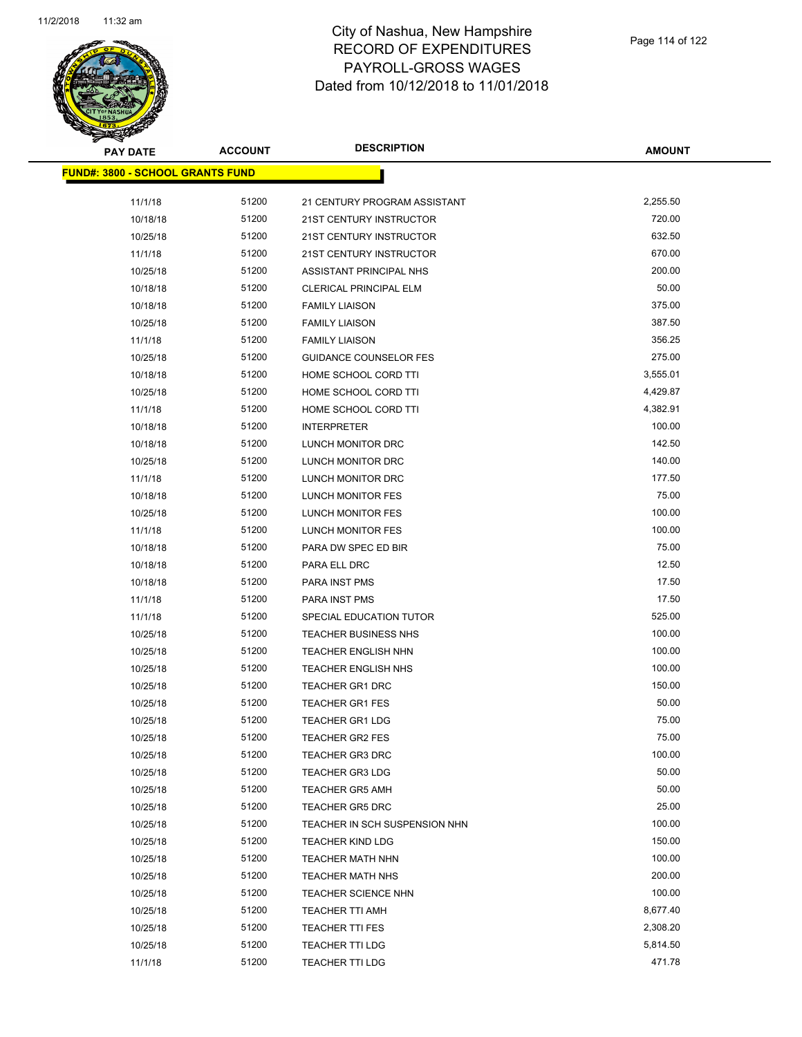

| <b>PAY DATE</b>                          | <b>ACCOUNT</b> | <b>DESCRIPTION</b>            | <b>AMOUNT</b> |
|------------------------------------------|----------------|-------------------------------|---------------|
| <u> FUND#: 3800 - SCHOOL GRANTS FUND</u> |                |                               |               |
| 11/1/18                                  | 51200          | 21 CENTURY PROGRAM ASSISTANT  | 2,255.50      |
| 10/18/18                                 | 51200          | 21ST CENTURY INSTRUCTOR       | 720.00        |
| 10/25/18                                 | 51200          | 21ST CENTURY INSTRUCTOR       | 632.50        |
| 11/1/18                                  | 51200          | 21ST CENTURY INSTRUCTOR       | 670.00        |
|                                          | 51200          | ASSISTANT PRINCIPAL NHS       | 200.00        |
| 10/25/18<br>10/18/18                     | 51200          | CLERICAL PRINCIPAL ELM        | 50.00         |
| 10/18/18                                 | 51200          |                               | 375.00        |
|                                          | 51200          | <b>FAMILY LIAISON</b>         | 387.50        |
| 10/25/18                                 | 51200          | <b>FAMILY LIAISON</b>         | 356.25        |
| 11/1/18                                  |                | <b>FAMILY LIAISON</b>         |               |
| 10/25/18                                 | 51200          | <b>GUIDANCE COUNSELOR FES</b> | 275.00        |
| 10/18/18                                 | 51200          | HOME SCHOOL CORD TTI          | 3,555.01      |
| 10/25/18                                 | 51200          | HOME SCHOOL CORD TTI          | 4,429.87      |
| 11/1/18                                  | 51200          | HOME SCHOOL CORD TTI          | 4,382.91      |
| 10/18/18                                 | 51200          | <b>INTERPRETER</b>            | 100.00        |
| 10/18/18                                 | 51200          | LUNCH MONITOR DRC             | 142.50        |
| 10/25/18                                 | 51200          | LUNCH MONITOR DRC             | 140.00        |
| 11/1/18                                  | 51200          | LUNCH MONITOR DRC             | 177.50        |
| 10/18/18                                 | 51200          | <b>LUNCH MONITOR FES</b>      | 75.00         |
| 10/25/18                                 | 51200          | <b>LUNCH MONITOR FES</b>      | 100.00        |
| 11/1/18                                  | 51200          | LUNCH MONITOR FES             | 100.00        |
| 10/18/18                                 | 51200          | PARA DW SPEC ED BIR           | 75.00         |
| 10/18/18                                 | 51200          | PARA ELL DRC                  | 12.50         |
| 10/18/18                                 | 51200          | PARA INST PMS                 | 17.50         |
| 11/1/18                                  | 51200          | <b>PARA INST PMS</b>          | 17.50         |
| 11/1/18                                  | 51200          | SPECIAL EDUCATION TUTOR       | 525.00        |
| 10/25/18                                 | 51200          | <b>TEACHER BUSINESS NHS</b>   | 100.00        |
| 10/25/18                                 | 51200          | <b>TEACHER ENGLISH NHN</b>    | 100.00        |
| 10/25/18                                 | 51200          | <b>TEACHER ENGLISH NHS</b>    | 100.00        |
| 10/25/18                                 | 51200          | <b>TEACHER GR1 DRC</b>        | 150.00        |
| 10/25/18                                 | 51200          | <b>TEACHER GR1 FES</b>        | 50.00         |
| 10/25/18                                 | 51200          | <b>TEACHER GR1 LDG</b>        | 75.00         |
| 10/25/18                                 | 51200          | <b>TEACHER GR2 FES</b>        | 75.00         |
| 10/25/18                                 | 51200          | <b>TEACHER GR3 DRC</b>        | 100.00        |
| 10/25/18                                 | 51200          | <b>TEACHER GR3 LDG</b>        | 50.00         |
| 10/25/18                                 | 51200          | <b>TEACHER GR5 AMH</b>        | 50.00         |
| 10/25/18                                 | 51200          | <b>TEACHER GR5 DRC</b>        | 25.00         |
| 10/25/18                                 | 51200          | TEACHER IN SCH SUSPENSION NHN | 100.00        |
| 10/25/18                                 | 51200          | <b>TEACHER KIND LDG</b>       | 150.00        |
| 10/25/18                                 | 51200          | <b>TEACHER MATH NHN</b>       | 100.00        |
| 10/25/18                                 | 51200          | <b>TEACHER MATH NHS</b>       | 200.00        |
| 10/25/18                                 | 51200          | <b>TEACHER SCIENCE NHN</b>    | 100.00        |
| 10/25/18                                 | 51200          | <b>TEACHER TTI AMH</b>        | 8,677.40      |
| 10/25/18                                 | 51200          | TEACHER TTI FES               | 2,308.20      |
| 10/25/18                                 | 51200          | <b>TEACHER TTI LDG</b>        | 5,814.50      |
| 11/1/18                                  | 51200          | <b>TEACHER TTI LDG</b>        | 471.78        |
|                                          |                |                               |               |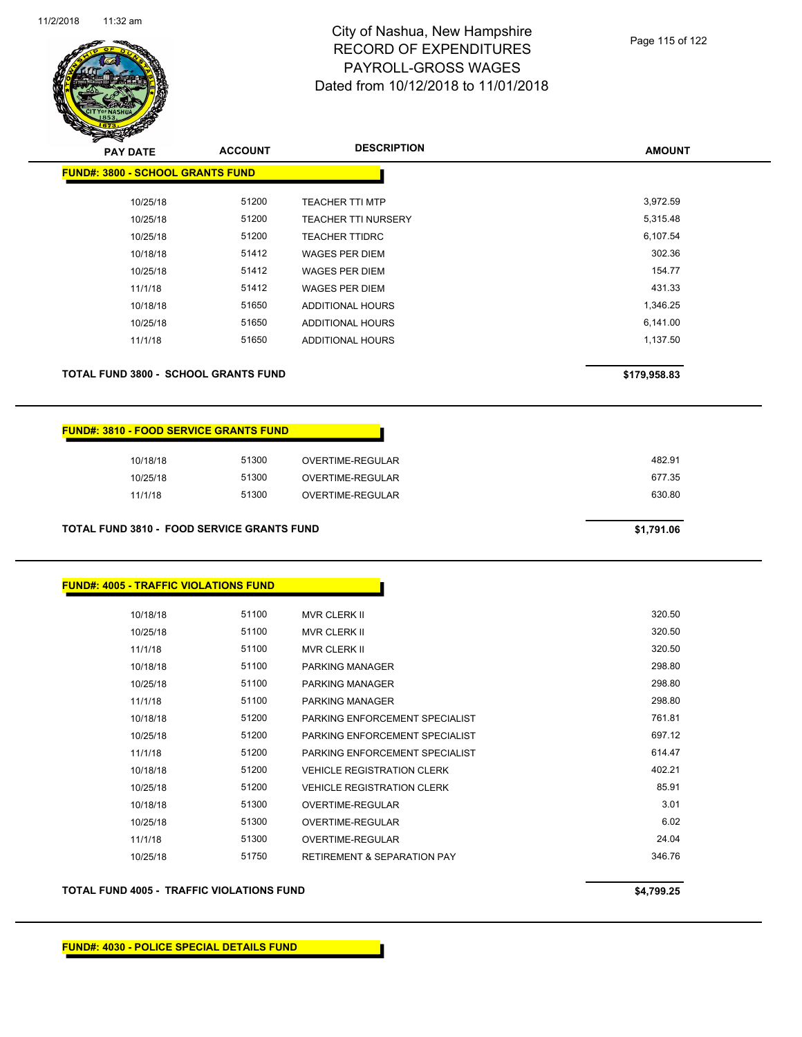

| <b>PAY DATE</b>                             | <b>ACCOUNT</b> | <b>DESCRIPTION</b>         | <b>AMOUNT</b> |
|---------------------------------------------|----------------|----------------------------|---------------|
| <b>FUND#: 3800 - SCHOOL GRANTS FUND</b>     |                |                            |               |
| 10/25/18                                    | 51200          | <b>TEACHER TTI MTP</b>     | 3,972.59      |
| 10/25/18                                    | 51200          | <b>TEACHER TTI NURSERY</b> | 5,315.48      |
| 10/25/18                                    | 51200          | <b>TEACHER TTIDRC</b>      | 6,107.54      |
| 10/18/18                                    | 51412          | <b>WAGES PER DIEM</b>      | 302.36        |
| 10/25/18                                    | 51412          | <b>WAGES PER DIEM</b>      | 154.77        |
| 11/1/18                                     | 51412          | <b>WAGES PER DIEM</b>      | 431.33        |
| 10/18/18                                    | 51650          | ADDITIONAL HOURS           | 1,346.25      |
| 10/25/18                                    | 51650          | ADDITIONAL HOURS           | 6,141.00      |
| 11/1/18                                     | 51650          | <b>ADDITIONAL HOURS</b>    | 1,137.50      |
| <b>TOTAL FUND 3800 - SCHOOL GRANTS FUND</b> |                |                            | \$179,958.83  |

| <b>FUND#: 3810 - FOOD SERVICE GRANTS FUND</b> |       |                  |
|-----------------------------------------------|-------|------------------|
| 10/18/18                                      | 51300 | OVERTIME-REGULAR |
| 10/25/18                                      | 51300 | OVERTIME-REGULAR |
| 11/1/18                                       | 51300 | OVERTIME-REGULAR |

**TOTAL FUND 3810 - FOOD SERVICE GRANTS FUND \$1,791.06** 

### **FUND#: 4005 - TRAFFIC VIOLATIONS FUND**

| 10/18/18 | 51100 | <b>MVR CLERK II</b>                    | 320.50 |
|----------|-------|----------------------------------------|--------|
| 10/25/18 | 51100 | <b>MVR CLERK II</b>                    | 320.50 |
| 11/1/18  | 51100 | <b>MVR CLERK II</b>                    | 320.50 |
| 10/18/18 | 51100 | PARKING MANAGER                        | 298.80 |
| 10/25/18 | 51100 | PARKING MANAGER                        | 298.80 |
| 11/1/18  | 51100 | PARKING MANAGER                        | 298.80 |
| 10/18/18 | 51200 | PARKING ENFORCEMENT SPECIALIST         | 761.81 |
| 10/25/18 | 51200 | PARKING ENFORCEMENT SPECIALIST         | 697.12 |
| 11/1/18  | 51200 | PARKING ENFORCEMENT SPECIALIST         | 614.47 |
| 10/18/18 | 51200 | <b>VEHICLE REGISTRATION CLERK</b>      | 402.21 |
| 10/25/18 | 51200 | <b>VEHICLE REGISTRATION CLERK</b>      | 85.91  |
| 10/18/18 | 51300 | OVERTIME-REGULAR                       | 3.01   |
| 10/25/18 | 51300 | OVERTIME-REGULAR                       | 6.02   |
| 11/1/18  | 51300 | <b>OVERTIME-REGULAR</b>                | 24.04  |
| 10/25/18 | 51750 | <b>RETIREMENT &amp; SEPARATION PAY</b> | 346.76 |
|          |       |                                        |        |

### **TOTAL FUND 4005 - TRAFFIC VIOLATIONS FUND \$4,799.25**

**FUND#: 4030 - POLICE SPECIAL DETAILS FUND**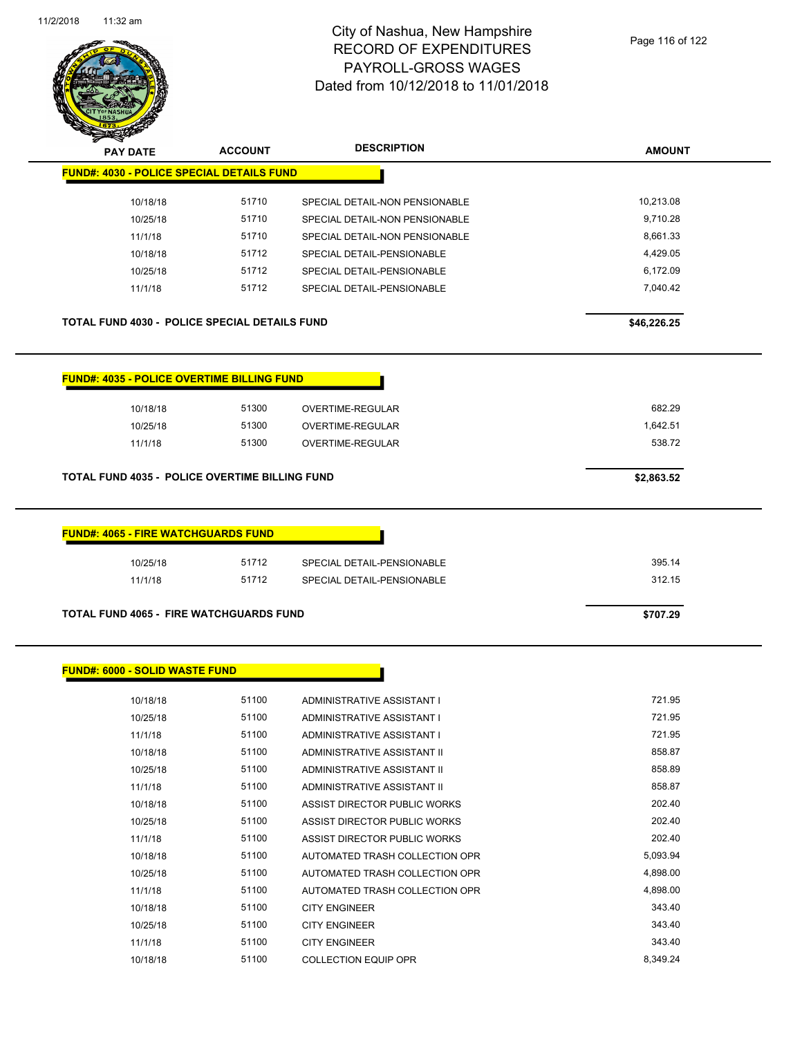

| Sentidas por algunas de la companya de la companya de la companya de la companya de la companya de la companya<br>Del companya de la companya de la companya de la companya de la companya de la companya de la companya de la c |                |                                |               |
|----------------------------------------------------------------------------------------------------------------------------------------------------------------------------------------------------------------------------------|----------------|--------------------------------|---------------|
| <b>PAY DATE</b>                                                                                                                                                                                                                  | <b>ACCOUNT</b> | <b>DESCRIPTION</b>             | <b>AMOUNT</b> |
| <b>FUND#: 4030 - POLICE SPECIAL DETAILS FUND</b>                                                                                                                                                                                 |                |                                |               |
| 10/18/18                                                                                                                                                                                                                         | 51710          | SPECIAL DETAIL-NON PENSIONABLE | 10,213.08     |
| 10/25/18                                                                                                                                                                                                                         | 51710          | SPECIAL DETAIL-NON PENSIONABLE | 9,710.28      |
| 11/1/18                                                                                                                                                                                                                          | 51710          | SPECIAL DETAIL-NON PENSIONABLE | 8,661.33      |
| 10/18/18                                                                                                                                                                                                                         | 51712          | SPECIAL DETAIL-PENSIONABLE     | 4,429.05      |
| 10/25/18                                                                                                                                                                                                                         | 51712          | SPECIAL DETAIL-PENSIONABLE     | 6,172.09      |
| 11/1/18                                                                                                                                                                                                                          | 51712          | SPECIAL DETAIL-PENSIONABLE     | 7,040.42      |
| <b>TOTAL FUND 4030 - POLICE SPECIAL DETAILS FUND</b>                                                                                                                                                                             |                |                                | \$46,226.25   |
| <b>FUND#: 4035 - POLICE OVERTIME BILLING FUND</b>                                                                                                                                                                                |                |                                |               |
| 10/18/18                                                                                                                                                                                                                         | 51300          | OVERTIME-REGULAR               | 682.29        |
| 10/25/18                                                                                                                                                                                                                         | 51300          | <b>OVERTIME-REGULAR</b>        | 1,642.51      |
| 11/1/18                                                                                                                                                                                                                          | 51300          | OVERTIME-REGULAR               | 538.72        |
| <b>TOTAL FUND 4035 - POLICE OVERTIME BILLING FUND</b>                                                                                                                                                                            |                |                                | \$2,863.52    |
| <b>FUND#: 4065 - FIRE WATCHGUARDS FUND</b>                                                                                                                                                                                       |                |                                |               |
| 10/25/18                                                                                                                                                                                                                         | 51712          | SPECIAL DETAIL-PENSIONABLE     | 395.14        |
| 11/1/18                                                                                                                                                                                                                          | 51712          | SPECIAL DETAIL-PENSIONABLE     | 312.15        |
|                                                                                                                                                                                                                                  |                |                                |               |
| TOTAL FUND 4065 - FIRE WATCHGUARDS FUND                                                                                                                                                                                          |                |                                | \$707.29      |
|                                                                                                                                                                                                                                  |                |                                |               |
| <b>FUND#: 6000 - SOLID WASTE FUND</b>                                                                                                                                                                                            |                |                                |               |
| 10/18/18                                                                                                                                                                                                                         | 51100          | ADMINISTRATIVE ASSISTANT I     | 721.95        |
| 10/25/18                                                                                                                                                                                                                         | 51100          | ADMINISTRATIVE ASSISTANT I     | 721.95        |
| 11/1/18                                                                                                                                                                                                                          | 51100          | ADMINISTRATIVE ASSISTANT I     | 721.95        |
| 10/18/18                                                                                                                                                                                                                         | 51100          | ADMINISTRATIVE ASSISTANT II    | 858.87        |
| 10/25/18                                                                                                                                                                                                                         | 51100          | ADMINISTRATIVE ASSISTANT II    | 858.89        |
| 11/1/18                                                                                                                                                                                                                          | 51100          | ADMINISTRATIVE ASSISTANT II    | 858.87        |

10/18/18 51100 ASSIST DIRECTOR PUBLIC WORKS 202.40 10/25/18 51100 ASSIST DIRECTOR PUBLIC WORKS 202.40 11/1/18 51100 ASSIST DIRECTOR PUBLIC WORKS 202.40 10/18/18 51100 AUTOMATED TRASH COLLECTION OPR 5,093.94 10/25/18 51100 AUTOMATED TRASH COLLECTION OPR 4,898.00 11/1/18 51100 AUTOMATED TRASH COLLECTION OPR 4,898.00 10/18/18 51100 CITY ENGINEER 343.40 10/25/18 51100 CITY ENGINEER 343.40 11/1/18 51100 CITY ENGINEER 343.40 10/18/18 51100 COLLECTION EQUIP OPR 8,349.24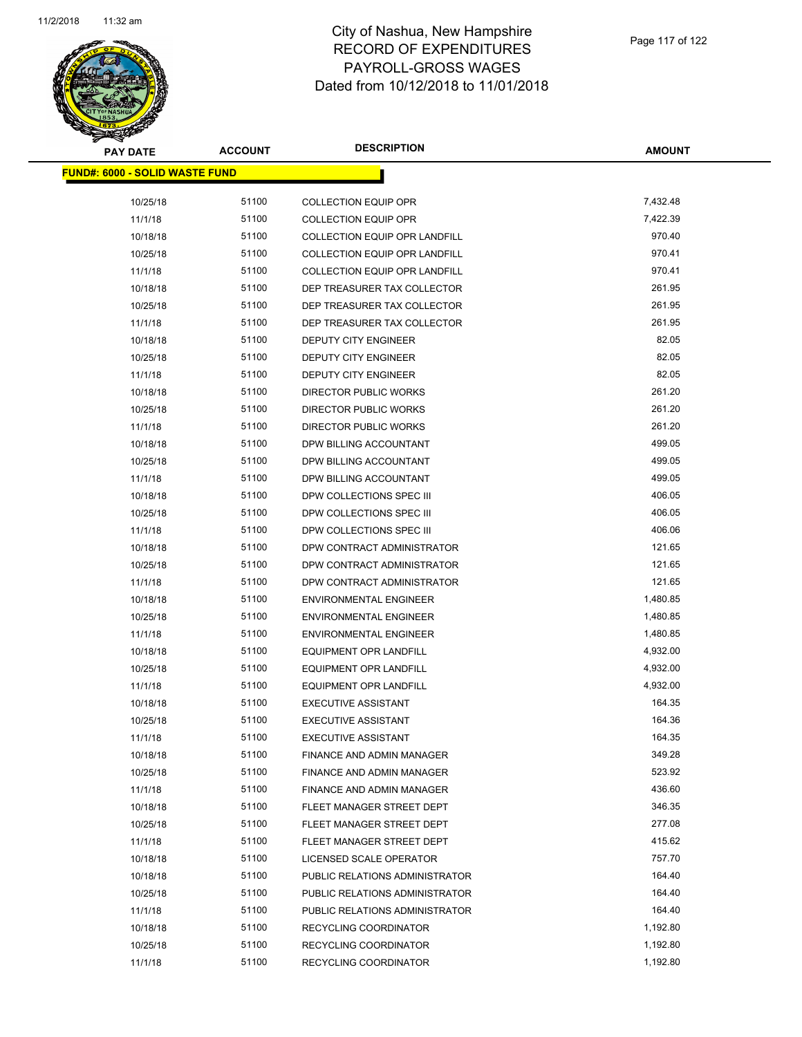

| <b>PAY DATE</b>                        | <b>ACCOUNT</b> | <b>DESCRIPTION</b>                   | <b>AMOUNT</b>      |
|----------------------------------------|----------------|--------------------------------------|--------------------|
| <u> FUND#: 6000 - SOLID WASTE FUND</u> |                |                                      |                    |
|                                        |                |                                      |                    |
| 10/25/18                               | 51100          | <b>COLLECTION EQUIP OPR</b>          | 7,432.48           |
| 11/1/18                                | 51100          | <b>COLLECTION EQUIP OPR</b>          | 7,422.39<br>970.40 |
| 10/18/18                               | 51100          | <b>COLLECTION EQUIP OPR LANDFILL</b> |                    |
| 10/25/18                               | 51100          | <b>COLLECTION EQUIP OPR LANDFILL</b> | 970.41             |
| 11/1/18                                | 51100          | <b>COLLECTION EQUIP OPR LANDFILL</b> | 970.41             |
| 10/18/18                               | 51100          | DEP TREASURER TAX COLLECTOR          | 261.95             |
| 10/25/18                               | 51100          | DEP TREASURER TAX COLLECTOR          | 261.95             |
| 11/1/18                                | 51100          | DEP TREASURER TAX COLLECTOR          | 261.95             |
| 10/18/18                               | 51100          | DEPUTY CITY ENGINEER                 | 82.05              |
| 10/25/18                               | 51100          | <b>DEPUTY CITY ENGINEER</b>          | 82.05              |
| 11/1/18                                | 51100          | <b>DEPUTY CITY ENGINEER</b>          | 82.05              |
| 10/18/18                               | 51100          | <b>DIRECTOR PUBLIC WORKS</b>         | 261.20             |
| 10/25/18                               | 51100          | DIRECTOR PUBLIC WORKS                | 261.20             |
| 11/1/18                                | 51100          | DIRECTOR PUBLIC WORKS                | 261.20             |
| 10/18/18                               | 51100          | DPW BILLING ACCOUNTANT               | 499.05             |
| 10/25/18                               | 51100          | DPW BILLING ACCOUNTANT               | 499.05             |
| 11/1/18                                | 51100          | DPW BILLING ACCOUNTANT               | 499.05             |
| 10/18/18                               | 51100          | DPW COLLECTIONS SPEC III             | 406.05             |
| 10/25/18                               | 51100          | DPW COLLECTIONS SPEC III             | 406.05             |
| 11/1/18                                | 51100          | DPW COLLECTIONS SPEC III             | 406.06             |
| 10/18/18                               | 51100          | DPW CONTRACT ADMINISTRATOR           | 121.65             |
| 10/25/18                               | 51100          | DPW CONTRACT ADMINISTRATOR           | 121.65             |
| 11/1/18                                | 51100          | DPW CONTRACT ADMINISTRATOR           | 121.65             |
| 10/18/18                               | 51100          | <b>ENVIRONMENTAL ENGINEER</b>        | 1,480.85           |
| 10/25/18                               | 51100          | <b>ENVIRONMENTAL ENGINEER</b>        | 1,480.85           |
| 11/1/18                                | 51100          | <b>ENVIRONMENTAL ENGINEER</b>        | 1,480.85           |
| 10/18/18                               | 51100          | <b>EQUIPMENT OPR LANDFILL</b>        | 4,932.00           |
| 10/25/18                               | 51100          | EQUIPMENT OPR LANDFILL               | 4,932.00           |
| 11/1/18                                | 51100          | <b>EQUIPMENT OPR LANDFILL</b>        | 4,932.00           |
| 10/18/18                               | 51100          | <b>EXECUTIVE ASSISTANT</b>           | 164.35             |
| 10/25/18                               | 51100          | <b>EXECUTIVE ASSISTANT</b>           | 164.36             |
| 11/1/18                                | 51100          | <b>EXECUTIVE ASSISTANT</b>           | 164.35             |
| 10/18/18                               | 51100          | FINANCE AND ADMIN MANAGER            | 349.28             |
| 10/25/18                               | 51100          | FINANCE AND ADMIN MANAGER            | 523.92             |
| 11/1/18                                | 51100          | FINANCE AND ADMIN MANAGER            | 436.60             |
| 10/18/18                               | 51100          | FLEET MANAGER STREET DEPT            | 346.35             |
| 10/25/18                               | 51100          | FLEET MANAGER STREET DEPT            | 277.08             |
| 11/1/18                                | 51100          | FLEET MANAGER STREET DEPT            | 415.62             |
| 10/18/18                               | 51100          | LICENSED SCALE OPERATOR              | 757.70             |
| 10/18/18                               | 51100          | PUBLIC RELATIONS ADMINISTRATOR       | 164.40             |
| 10/25/18                               | 51100          | PUBLIC RELATIONS ADMINISTRATOR       | 164.40             |
| 11/1/18                                | 51100          | PUBLIC RELATIONS ADMINISTRATOR       | 164.40             |
| 10/18/18                               | 51100          | RECYCLING COORDINATOR                | 1,192.80           |
| 10/25/18                               | 51100          | RECYCLING COORDINATOR                | 1,192.80           |
| 11/1/18                                | 51100          | RECYCLING COORDINATOR                | 1,192.80           |
|                                        |                |                                      |                    |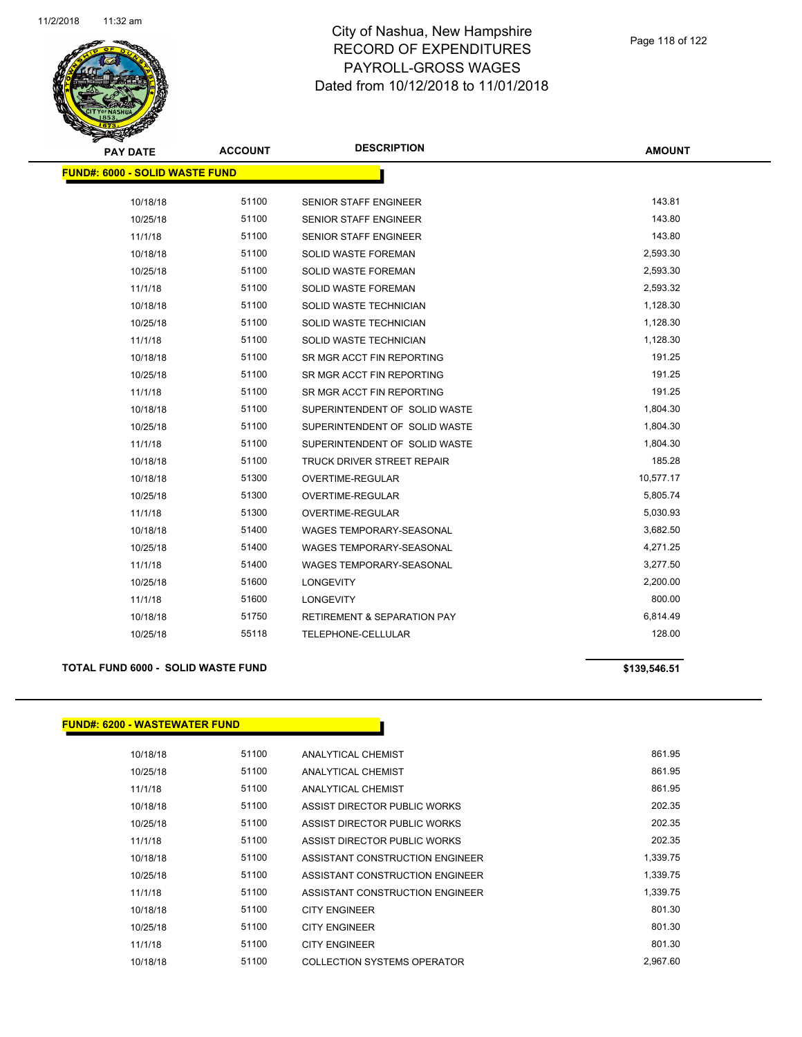

| <b>PAY DATE</b>                       | <b>ACCOUNT</b> | <b>DESCRIPTION</b>                     | <b>AMOUNT</b> |
|---------------------------------------|----------------|----------------------------------------|---------------|
| <b>FUND#: 6000 - SOLID WASTE FUND</b> |                |                                        |               |
| 10/18/18                              | 51100          | SENIOR STAFF ENGINEER                  | 143.81        |
| 10/25/18                              | 51100          | <b>SENIOR STAFF ENGINEER</b>           | 143.80        |
| 11/1/18                               | 51100          | <b>SENIOR STAFF ENGINEER</b>           | 143.80        |
| 10/18/18                              | 51100          | <b>SOLID WASTE FOREMAN</b>             | 2,593.30      |
| 10/25/18                              | 51100          | SOLID WASTE FOREMAN                    | 2,593.30      |
| 11/1/18                               | 51100          | SOLID WASTE FOREMAN                    | 2,593.32      |
| 10/18/18                              | 51100          | SOLID WASTE TECHNICIAN                 | 1,128.30      |
| 10/25/18                              | 51100          | SOLID WASTE TECHNICIAN                 | 1,128.30      |
| 11/1/18                               | 51100          | SOLID WASTE TECHNICIAN                 | 1,128.30      |
| 10/18/18                              | 51100          | SR MGR ACCT FIN REPORTING              | 191.25        |
| 10/25/18                              | 51100          | SR MGR ACCT FIN REPORTING              | 191.25        |
| 11/1/18                               | 51100          | SR MGR ACCT FIN REPORTING              | 191.25        |
|                                       | 51100          | SUPERINTENDENT OF SOLID WASTE          | 1,804.30      |
| 10/18/18                              | 51100          | SUPERINTENDENT OF SOLID WASTE          | 1,804.30      |
| 10/25/18                              | 51100          |                                        | 1,804.30      |
| 11/1/18                               |                | SUPERINTENDENT OF SOLID WASTE          | 185.28        |
| 10/18/18                              | 51100          | <b>TRUCK DRIVER STREET REPAIR</b>      |               |
| 10/18/18                              | 51300          | OVERTIME-REGULAR                       | 10,577.17     |
| 10/25/18                              | 51300          | OVERTIME-REGULAR                       | 5,805.74      |
| 11/1/18                               | 51300          | OVERTIME-REGULAR                       | 5,030.93      |
| 10/18/18                              | 51400          | WAGES TEMPORARY-SEASONAL               | 3,682.50      |
| 10/25/18                              | 51400          | WAGES TEMPORARY-SEASONAL               | 4,271.25      |
| 11/1/18                               | 51400          | <b>WAGES TEMPORARY-SEASONAL</b>        | 3,277.50      |
| 10/25/18                              | 51600          | <b>LONGEVITY</b>                       | 2,200.00      |
| 11/1/18                               | 51600          | <b>LONGEVITY</b>                       | 800.00        |
| 10/18/18                              | 51750          | <b>RETIREMENT &amp; SEPARATION PAY</b> | 6,814.49      |
| 10/25/18                              | 55118          | TELEPHONE-CELLULAR                     | 128.00        |

### **TOTAL FUND 6000 - SOLID WASTE FUND \$139,546.51**

## **FUND#: 6200 - WASTEWATER FUND**

| 10/18/18 | 51100 | ANALYTICAL CHEMIST              | 861.95   |
|----------|-------|---------------------------------|----------|
| 10/25/18 | 51100 | ANALYTICAL CHEMIST              | 861.95   |
| 11/1/18  | 51100 | ANALYTICAL CHEMIST              | 861.95   |
| 10/18/18 | 51100 | ASSIST DIRECTOR PUBLIC WORKS    | 202.35   |
| 10/25/18 | 51100 | ASSIST DIRECTOR PUBLIC WORKS    | 202.35   |
| 11/1/18  | 51100 | ASSIST DIRECTOR PUBLIC WORKS    | 202.35   |
| 10/18/18 | 51100 | ASSISTANT CONSTRUCTION ENGINEER | 1,339.75 |
| 10/25/18 | 51100 | ASSISTANT CONSTRUCTION ENGINEER | 1,339.75 |
| 11/1/18  | 51100 | ASSISTANT CONSTRUCTION ENGINEER | 1,339.75 |
| 10/18/18 | 51100 | <b>CITY ENGINEER</b>            | 801.30   |
| 10/25/18 | 51100 | <b>CITY ENGINEER</b>            | 801.30   |

11/1/18 51100 CITY ENGINEER 801.30 10/18/18 51100 COLLECTION SYSTEMS OPERATOR 2,967.60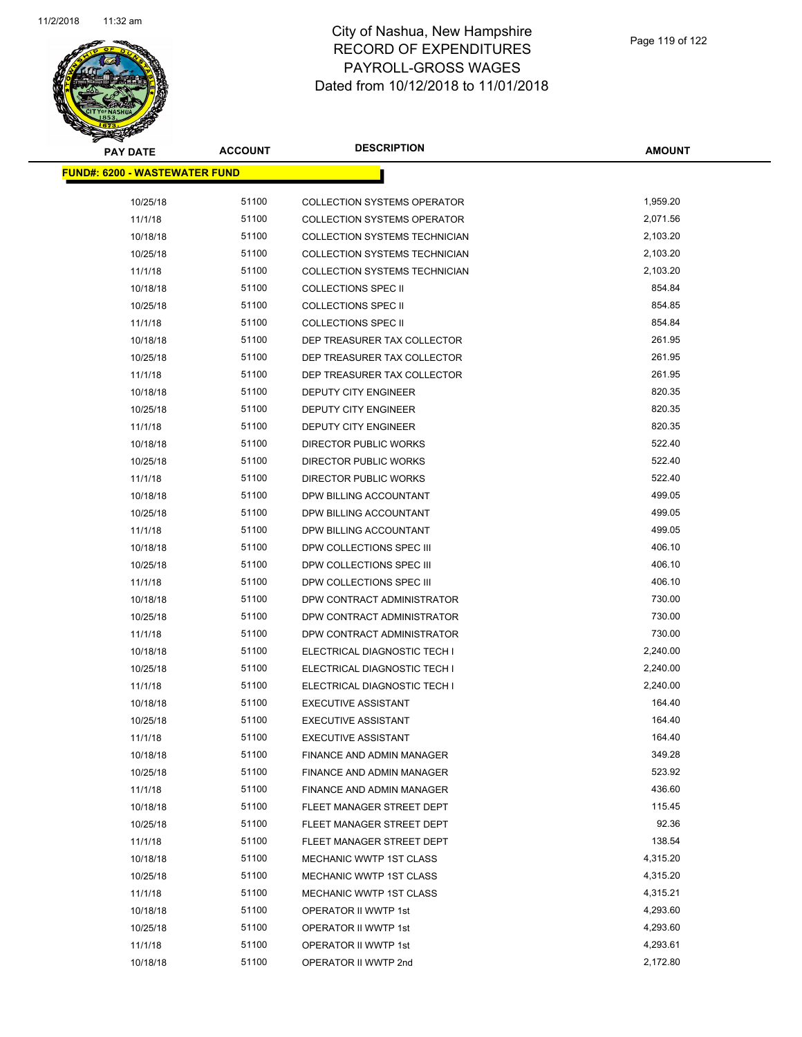

| <b>PAY DATE</b>                       | <b>ACCOUNT</b> | <b>DESCRIPTION</b>                   | <b>AMOUNT</b> |
|---------------------------------------|----------------|--------------------------------------|---------------|
| <u> FUND#: 6200 - WASTEWATER FUND</u> |                |                                      |               |
|                                       |                |                                      |               |
| 10/25/18                              | 51100          | <b>COLLECTION SYSTEMS OPERATOR</b>   | 1,959.20      |
| 11/1/18                               | 51100          | <b>COLLECTION SYSTEMS OPERATOR</b>   | 2,071.56      |
| 10/18/18                              | 51100          | <b>COLLECTION SYSTEMS TECHNICIAN</b> | 2,103.20      |
| 10/25/18                              | 51100          | <b>COLLECTION SYSTEMS TECHNICIAN</b> | 2,103.20      |
| 11/1/18                               | 51100          | COLLECTION SYSTEMS TECHNICIAN        | 2,103.20      |
| 10/18/18                              | 51100          | <b>COLLECTIONS SPEC II</b>           | 854.84        |
| 10/25/18                              | 51100          | <b>COLLECTIONS SPEC II</b>           | 854.85        |
| 11/1/18                               | 51100          | <b>COLLECTIONS SPEC II</b>           | 854.84        |
| 10/18/18                              | 51100          | DEP TREASURER TAX COLLECTOR          | 261.95        |
| 10/25/18                              | 51100          | DEP TREASURER TAX COLLECTOR          | 261.95        |
| 11/1/18                               | 51100          | DEP TREASURER TAX COLLECTOR          | 261.95        |
| 10/18/18                              | 51100          | DEPUTY CITY ENGINEER                 | 820.35        |
| 10/25/18                              | 51100          | <b>DEPUTY CITY ENGINEER</b>          | 820.35        |
| 11/1/18                               | 51100          | DEPUTY CITY ENGINEER                 | 820.35        |
| 10/18/18                              | 51100          | <b>DIRECTOR PUBLIC WORKS</b>         | 522.40        |
| 10/25/18                              | 51100          | <b>DIRECTOR PUBLIC WORKS</b>         | 522.40        |
| 11/1/18                               | 51100          | <b>DIRECTOR PUBLIC WORKS</b>         | 522.40        |
| 10/18/18                              | 51100          | DPW BILLING ACCOUNTANT               | 499.05        |
| 10/25/18                              | 51100          | DPW BILLING ACCOUNTANT               | 499.05        |
| 11/1/18                               | 51100          | DPW BILLING ACCOUNTANT               | 499.05        |
| 10/18/18                              | 51100          | DPW COLLECTIONS SPEC III             | 406.10        |
| 10/25/18                              | 51100          | DPW COLLECTIONS SPEC III             | 406.10        |
| 11/1/18                               | 51100          | DPW COLLECTIONS SPEC III             | 406.10        |
| 10/18/18                              | 51100          | DPW CONTRACT ADMINISTRATOR           | 730.00        |
| 10/25/18                              | 51100          | DPW CONTRACT ADMINISTRATOR           | 730.00        |
| 11/1/18                               | 51100          | DPW CONTRACT ADMINISTRATOR           | 730.00        |
| 10/18/18                              | 51100          | ELECTRICAL DIAGNOSTIC TECH I         | 2,240.00      |
| 10/25/18                              | 51100          | ELECTRICAL DIAGNOSTIC TECH I         | 2,240.00      |
| 11/1/18                               | 51100          | ELECTRICAL DIAGNOSTIC TECH I         | 2,240.00      |
| 10/18/18                              | 51100          | <b>EXECUTIVE ASSISTANT</b>           | 164.40        |
| 10/25/18                              | 51100          | <b>EXECUTIVE ASSISTANT</b>           | 164.40        |
| 11/1/18                               | 51100          | <b>EXECUTIVE ASSISTANT</b>           | 164.40        |
| 10/18/18                              | 51100          | <b>FINANCE AND ADMIN MANAGER</b>     | 349.28        |
| 10/25/18                              | 51100          | <b>FINANCE AND ADMIN MANAGER</b>     | 523.92        |
| 11/1/18                               | 51100          | FINANCE AND ADMIN MANAGER            | 436.60        |
| 10/18/18                              | 51100          | FLEET MANAGER STREET DEPT            | 115.45        |
| 10/25/18                              | 51100          | FLEET MANAGER STREET DEPT            | 92.36         |
| 11/1/18                               | 51100          | FLEET MANAGER STREET DEPT            | 138.54        |
| 10/18/18                              | 51100          | MECHANIC WWTP 1ST CLASS              | 4,315.20      |
| 10/25/18                              | 51100          | MECHANIC WWTP 1ST CLASS              | 4,315.20      |
| 11/1/18                               | 51100          | MECHANIC WWTP 1ST CLASS              | 4,315.21      |
| 10/18/18                              | 51100          | OPERATOR II WWTP 1st                 | 4,293.60      |
| 10/25/18                              | 51100          | OPERATOR II WWTP 1st                 | 4,293.60      |
| 11/1/18                               | 51100          | OPERATOR II WWTP 1st                 | 4,293.61      |
| 10/18/18                              | 51100          | OPERATOR II WWTP 2nd                 | 2,172.80      |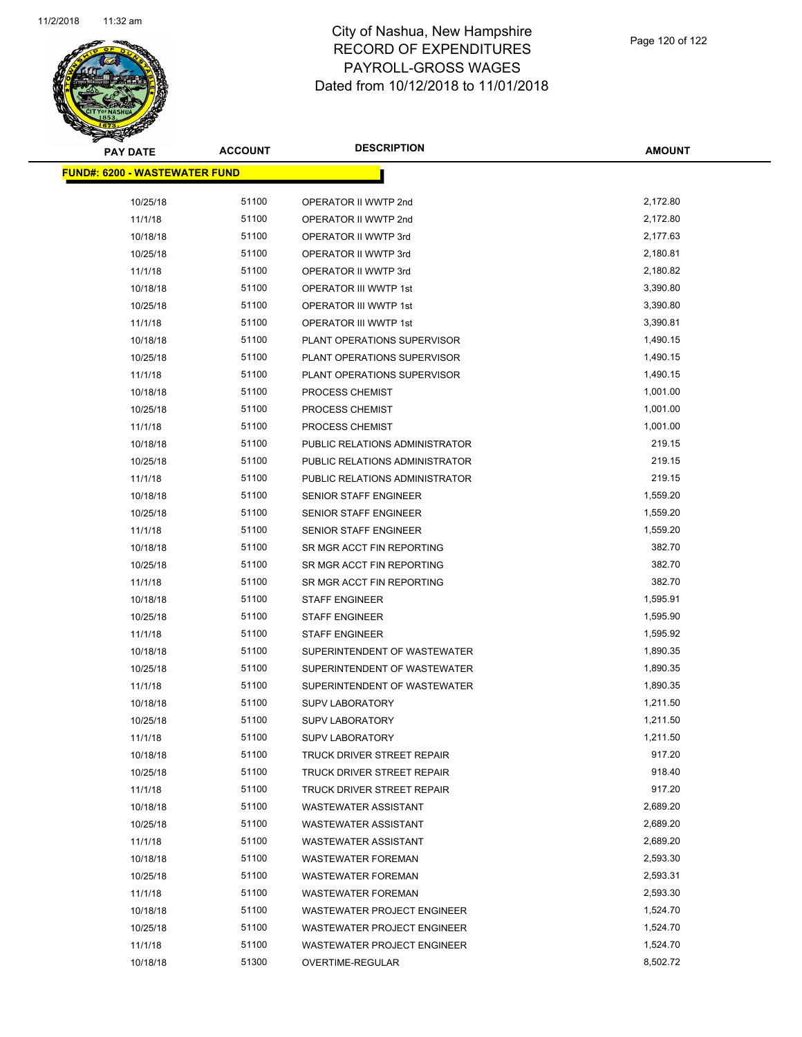

| <b>PAY DATE</b>                       | <b>ACCOUNT</b> | <b>DESCRIPTION</b>                | <b>AMOUNT</b> |
|---------------------------------------|----------------|-----------------------------------|---------------|
| <u> FUND#: 6200 - WASTEWATER FUND</u> |                |                                   |               |
|                                       |                |                                   |               |
| 10/25/18                              | 51100          | OPERATOR II WWTP 2nd              | 2,172.80      |
| 11/1/18                               | 51100          | OPERATOR II WWTP 2nd              | 2,172.80      |
| 10/18/18                              | 51100          | OPERATOR II WWTP 3rd              | 2,177.63      |
| 10/25/18                              | 51100          | OPERATOR II WWTP 3rd              | 2,180.81      |
| 11/1/18                               | 51100          | OPERATOR II WWTP 3rd              | 2,180.82      |
| 10/18/18                              | 51100          | OPERATOR III WWTP 1st             | 3,390.80      |
| 10/25/18                              | 51100          | OPERATOR III WWTP 1st             | 3,390.80      |
| 11/1/18                               | 51100          | OPERATOR III WWTP 1st             | 3,390.81      |
| 10/18/18                              | 51100          | PLANT OPERATIONS SUPERVISOR       | 1,490.15      |
| 10/25/18                              | 51100          | PLANT OPERATIONS SUPERVISOR       | 1,490.15      |
| 11/1/18                               | 51100          | PLANT OPERATIONS SUPERVISOR       | 1,490.15      |
| 10/18/18                              | 51100          | PROCESS CHEMIST                   | 1,001.00      |
| 10/25/18                              | 51100          | PROCESS CHEMIST                   | 1,001.00      |
| 11/1/18                               | 51100          | PROCESS CHEMIST                   | 1,001.00      |
| 10/18/18                              | 51100          | PUBLIC RELATIONS ADMINISTRATOR    | 219.15        |
| 10/25/18                              | 51100          | PUBLIC RELATIONS ADMINISTRATOR    | 219.15        |
| 11/1/18                               | 51100          | PUBLIC RELATIONS ADMINISTRATOR    | 219.15        |
| 10/18/18                              | 51100          | SENIOR STAFF ENGINEER             | 1,559.20      |
| 10/25/18                              | 51100          | <b>SENIOR STAFF ENGINEER</b>      | 1,559.20      |
| 11/1/18                               | 51100          | <b>SENIOR STAFF ENGINEER</b>      | 1,559.20      |
| 10/18/18                              | 51100          | SR MGR ACCT FIN REPORTING         | 382.70        |
| 10/25/18                              | 51100          | SR MGR ACCT FIN REPORTING         | 382.70        |
| 11/1/18                               | 51100          | SR MGR ACCT FIN REPORTING         | 382.70        |
| 10/18/18                              | 51100          | <b>STAFF ENGINEER</b>             | 1,595.91      |
| 10/25/18                              | 51100          | <b>STAFF ENGINEER</b>             | 1,595.90      |
| 11/1/18                               | 51100          | <b>STAFF ENGINEER</b>             | 1,595.92      |
| 10/18/18                              | 51100          | SUPERINTENDENT OF WASTEWATER      | 1,890.35      |
| 10/25/18                              | 51100          | SUPERINTENDENT OF WASTEWATER      | 1,890.35      |
| 11/1/18                               | 51100          | SUPERINTENDENT OF WASTEWATER      | 1,890.35      |
| 10/18/18                              | 51100          | <b>SUPV LABORATORY</b>            | 1,211.50      |
| 10/25/18                              | 51100          | <b>SUPV LABORATORY</b>            | 1,211.50      |
| 11/1/18                               | 51100          | <b>SUPV LABORATORY</b>            | 1,211.50      |
| 10/18/18                              | 51100          | TRUCK DRIVER STREET REPAIR        | 917.20        |
| 10/25/18                              | 51100          | TRUCK DRIVER STREET REPAIR        | 918.40        |
| 11/1/18                               | 51100          | <b>TRUCK DRIVER STREET REPAIR</b> | 917.20        |
| 10/18/18                              | 51100          | WASTEWATER ASSISTANT              | 2,689.20      |
| 10/25/18                              | 51100          | WASTEWATER ASSISTANT              | 2,689.20      |
| 11/1/18                               | 51100          | <b>WASTEWATER ASSISTANT</b>       | 2,689.20      |
| 10/18/18                              | 51100          | <b>WASTEWATER FOREMAN</b>         | 2,593.30      |
| 10/25/18                              | 51100          | <b>WASTEWATER FOREMAN</b>         | 2,593.31      |
| 11/1/18                               | 51100          | <b>WASTEWATER FOREMAN</b>         | 2,593.30      |
| 10/18/18                              | 51100          | WASTEWATER PROJECT ENGINEER       | 1,524.70      |
| 10/25/18                              | 51100          | WASTEWATER PROJECT ENGINEER       | 1,524.70      |
| 11/1/18                               | 51100          | WASTEWATER PROJECT ENGINEER       | 1,524.70      |
| 10/18/18                              | 51300          | OVERTIME-REGULAR                  | 8,502.72      |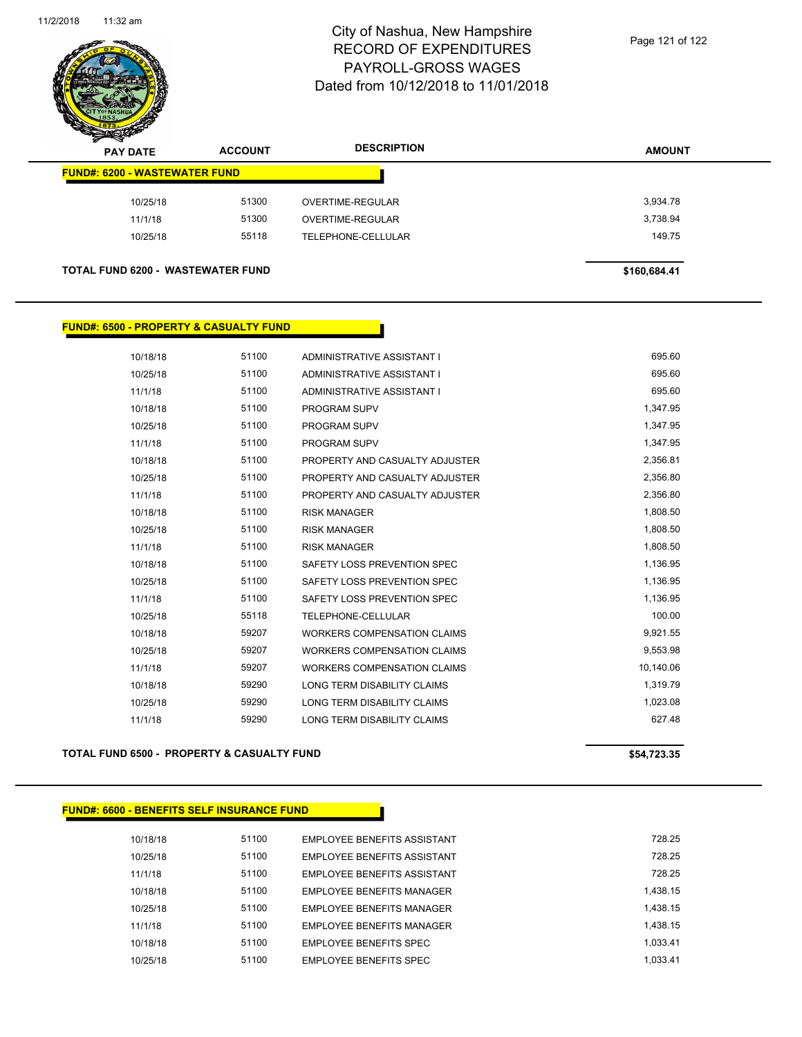

| $\mathscr{D} \rightarrow$<br><b>PAY DATE</b> | <b>ACCOUNT</b> | <b>DESCRIPTION</b> | <b>AMOUNT</b> |
|----------------------------------------------|----------------|--------------------|---------------|
| <b>FUND#: 6200 - WASTEWATER FUND</b>         |                |                    |               |
| 10/25/18                                     | 51300          | OVERTIME-REGULAR   | 3,934.78      |
| 11/1/18                                      | 51300          | OVERTIME-REGULAR   | 3,738.94      |
| 10/25/18                                     | 55118          | TELEPHONE-CELLULAR | 149.75        |
| <b>TOTAL FUND 6200 - WASTEWATER FUND</b>     |                |                    | \$160,684.41  |

## **FUND#: 6500 - PROPERTY & CASUALTY FUND**

| 10/18/18 | 51100 | ADMINISTRATIVE ASSISTANT I         | 695.60    |
|----------|-------|------------------------------------|-----------|
| 10/25/18 | 51100 | ADMINISTRATIVE ASSISTANT I         | 695.60    |
| 11/1/18  | 51100 | ADMINISTRATIVE ASSISTANT I         | 695.60    |
| 10/18/18 | 51100 | <b>PROGRAM SUPV</b>                | 1,347.95  |
| 10/25/18 | 51100 | <b>PROGRAM SUPV</b>                | 1,347.95  |
| 11/1/18  | 51100 | <b>PROGRAM SUPV</b>                | 1,347.95  |
| 10/18/18 | 51100 | PROPERTY AND CASUALTY ADJUSTER     | 2,356.81  |
| 10/25/18 | 51100 | PROPERTY AND CASUALTY ADJUSTER     | 2,356.80  |
| 11/1/18  | 51100 | PROPERTY AND CASUALTY ADJUSTER     | 2,356.80  |
| 10/18/18 | 51100 | <b>RISK MANAGER</b>                | 1,808.50  |
| 10/25/18 | 51100 | <b>RISK MANAGER</b>                | 1,808.50  |
| 11/1/18  | 51100 | <b>RISK MANAGER</b>                | 1,808.50  |
| 10/18/18 | 51100 | SAFETY LOSS PREVENTION SPEC        | 1,136.95  |
| 10/25/18 | 51100 | SAFETY LOSS PREVENTION SPEC        | 1,136.95  |
| 11/1/18  | 51100 | SAFETY LOSS PREVENTION SPEC        | 1,136.95  |
| 10/25/18 | 55118 | TELEPHONE-CELLULAR                 | 100.00    |
| 10/18/18 | 59207 | <b>WORKERS COMPENSATION CLAIMS</b> | 9,921.55  |
| 10/25/18 | 59207 | <b>WORKERS COMPENSATION CLAIMS</b> | 9,553.98  |
| 11/1/18  | 59207 | <b>WORKERS COMPENSATION CLAIMS</b> | 10,140.06 |
| 10/18/18 | 59290 | <b>LONG TERM DISABILITY CLAIMS</b> | 1,319.79  |
| 10/25/18 | 59290 | LONG TERM DISABILITY CLAIMS        | 1,023.08  |
| 11/1/18  | 59290 | <b>LONG TERM DISABILITY CLAIMS</b> | 627.48    |
|          |       |                                    |           |

### **TOTAL FUND 6500 - PROPERTY & CASUALTY FUND \$54,723.35**

| <b>FUND#: 6600 - BENEFITS SELF INSURANCE FUND</b> |       |                                    |          |
|---------------------------------------------------|-------|------------------------------------|----------|
| 10/18/18                                          | 51100 | EMPLOYEE BENEFITS ASSISTANT        | 728.25   |
| 10/25/18                                          | 51100 | EMPLOYEE BENEFITS ASSISTANT        | 728.25   |
| 11/1/18                                           | 51100 | <b>EMPLOYEE BENEFITS ASSISTANT</b> | 728.25   |
| 10/18/18                                          | 51100 | <b>EMPLOYEE BENEFITS MANAGER</b>   | 1.438.15 |
| 10/25/18                                          | 51100 | <b>EMPLOYEE BENEFITS MANAGER</b>   | 1.438.15 |
| 11/1/18                                           | 51100 | <b>EMPLOYEE BENEFITS MANAGER</b>   | 1.438.15 |
| 10/18/18                                          | 51100 | <b>EMPLOYEE BENEFITS SPEC</b>      | 1.033.41 |
| 10/25/18                                          | 51100 | EMPLOYEE BENEFITS SPEC             | 1.033.41 |